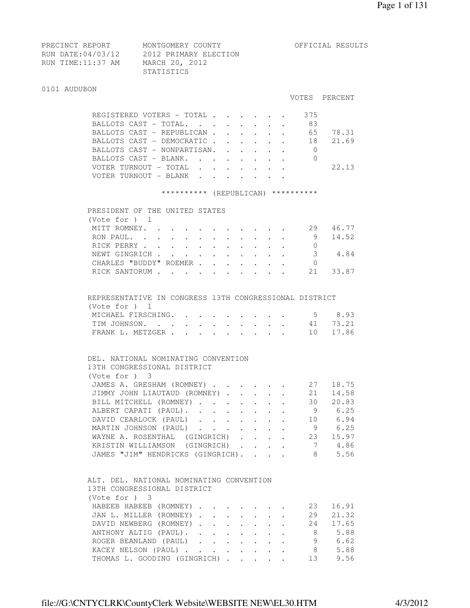| PRECINCT REPORT   | MONTGOMERY COUNTY     | OFFICIAL RESULTS |
|-------------------|-----------------------|------------------|
| RUN DATE:04/03/12 | 2012 PRIMARY ELECTION |                  |
| RUN TIME:11:37 AM | MARCH 20, 2012        |                  |
|                   | STATISTICS            |                  |

#### 0101 AUDUBON

#### VOTES PERCENT

|  | REGISTERED VOTERS - TOTAL   |  |  |  | 375 |       |
|--|-----------------------------|--|--|--|-----|-------|
|  | BALLOTS CAST - TOTAL.       |  |  |  | 83  |       |
|  | BALLOTS CAST - REPUBLICAN   |  |  |  | 65  | 78.31 |
|  | BALLOTS CAST - DEMOCRATIC   |  |  |  | -18 | 21.69 |
|  | BALLOTS CAST - NONPARTISAN. |  |  |  |     |       |
|  | BALLOTS CAST - BLANK.       |  |  |  |     |       |
|  |                             |  |  |  |     | 22.13 |
|  | VOTER TURNOUT - BLANK       |  |  |  |     |       |
|  |                             |  |  |  |     |       |

#### \*\*\*\*\*\*\*\*\*\* (REPUBLICAN) \*\*\*\*\*\*\*\*\*\*

| PRESIDENT OF THE UNITED STATES |  |  |  |  |     |       |
|--------------------------------|--|--|--|--|-----|-------|
| (Vote for $)$ 1                |  |  |  |  |     |       |
| MITT ROMNEY.                   |  |  |  |  | -29 | 46.77 |
|                                |  |  |  |  | 9   | 14.52 |
| RICK PERRY                     |  |  |  |  |     |       |
| NEWT GINGRICH 3                |  |  |  |  |     | 4.84  |
| CHARLES "BUDDY" ROEMER         |  |  |  |  |     |       |
| RICK SANTORUM                  |  |  |  |  | 21  |       |
|                                |  |  |  |  |     |       |

# REPRESENTATIVE IN CONGRESS 13TH CONGRESSIONAL DISTRICT (Vote for ) 1

| MICHAEL FIRSCHING. 5 8.93 |  |  |  |  |  |
|---------------------------|--|--|--|--|--|
| TIM JOHNSON. 41 73.21     |  |  |  |  |  |
| FRANK L. METZGER 10 17.86 |  |  |  |  |  |

## DEL. NATIONAL NOMINATING CONVENTION 13TH CONGRESSIONAL DISTRICT (Vote for ) 3 JAMES A. GRESHAM (ROMNEY) . . . . . . 27 18.75 JIMMY JOHN LIAUTAUD (ROMNEY) . . . . . 21 14.58 BILL MITCHELL (ROMNEY) . . . . . . . 30 20.83 ALBERT CAPATI (PAUL). . . . . . . . 9 6.25 DAVID CEARLOCK (PAUL) . . . . . . . 10 6.94 MARTIN JOHNSON (PAUL) . . . . . . . 9 6.25<br>WAYNE A. ROSENTHAL (GINGRICH) . . . . 23 15.97 WAYNE A. ROSENTHAL (GINGRICH) . . . . KRISTIN WILLIAMSON (GINGRICH) . . . . 7 4.86<br>JAMES "JIM" HENDRICKS (GINGRICH). . . . 8 5.56 JAMES "JIM" HENDRICKS (GINGRICH). . . . 8 5.56

# ALT. DEL. NATIONAL NOMINATING CONVENTION 13TH CONGRESSIONAL DISTRICT (Vote for ) 3 HABEEB HABEEB (ROMNEY) . . . . . . 23 16.91 JAN L. MILLER (ROMNEY) . . . . . . . 29 21.32 DAVID NEWBERG (ROMNEY) . . . . . . . 24 17.65<br>ANTHONY ALTIG (PAUL). . . . . . . . 8 5.88<br>ROGER BEANLAND (PAUL) ANTHONY ALTIG (PAUL). . . . . . . .

XACEY NELSON (PAUL) . . . . . . . . 8 5.88<br>THOMAS L. GOODING (GINGRICH) . . . . . 13 9.56 THOMAS L. GOODING (GINGRICH) . . . . . 13 9.56

ROGER BEANLAND (PAUL) . . . . . . .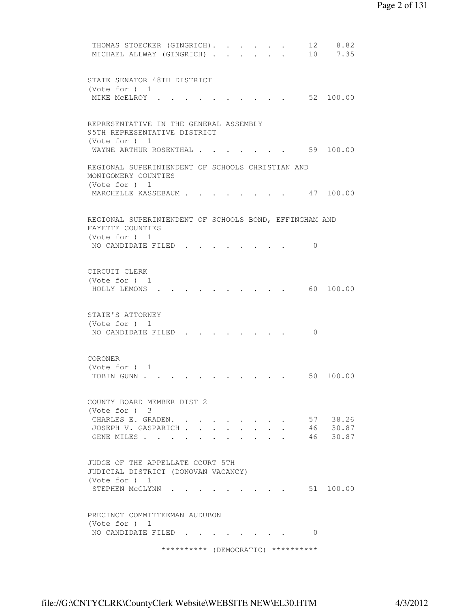```
THOMAS STOECKER (GINGRICH). . . . . 12 8.82
MICHAEL ALLWAY (GINGRICH) . . . . . . 10 7.35
 STATE SENATOR 48TH DISTRICT 
 (Vote for ) 1 
MIKE MCELROY . . . . . . . . . . . 52 100.00
 REPRESENTATIVE IN THE GENERAL ASSEMBLY 
 95TH REPRESENTATIVE DISTRICT 
 (Vote for ) 1 
WAYNE ARTHUR ROSENTHAL . . . . . . . 59 100.00
 REGIONAL SUPERINTENDENT OF SCHOOLS CHRISTIAN AND 
 MONTGOMERY COUNTIES 
 (Vote for ) 1 
MARCHELLE KASSEBAUM . . . . . . . . 47 100.00
 REGIONAL SUPERINTENDENT OF SCHOOLS BOND, EFFINGHAM AND 
 FAYETTE COUNTIES 
 (Vote for ) 1 
NO CANDIDATE FILED . . . . . . . . 0
 CIRCUIT CLERK 
 (Vote for ) 1 
 HOLLY LEMONS . . . . . . . . . . 60 100.00 
 STATE'S ATTORNEY 
 (Vote for ) 1 
NO CANDIDATE FILED . . . . . . . . 0
 CORONER 
 (Vote for ) 1 
TOBIN GUNN . . . . . . . . . . . . 50 100.00
 COUNTY BOARD MEMBER DIST 2 
 (Vote for ) 3 
CHARLES E. GRADEN. . . . . . . . . 57 38.26
JOSEPH V. GASPARICH . . . . . . . . 46 30.87<br>GENE MILES . . . . . . . . . . . 46 30.87
GENE MILES . . . . .
 JUDGE OF THE APPELLATE COURT 5TH 
 JUDICIAL DISTRICT (DONOVAN VACANCY) 
 (Vote for ) 1 
STEPHEN MCGLYNN . . . . . . . . . 51 100.00
 PRECINCT COMMITTEEMAN AUDUBON 
 (Vote for ) 1 
NO CANDIDATE FILED . . . . . . . . 0
                ********** (DEMOCRATIC) **********
```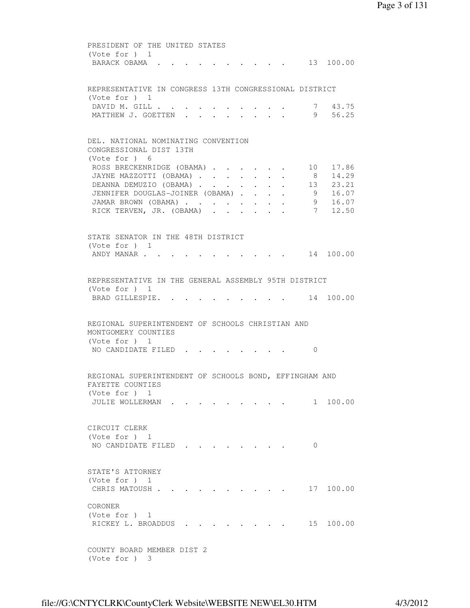PRESIDENT OF THE UNITED STATES (Vote for ) 1 BARACK OBAMA . . . . . . . . . . 13 100.00 REPRESENTATIVE IN CONGRESS 13TH CONGRESSIONAL DISTRICT (Vote for ) 1 DAVID M. GILL . . . . . . . . . . 7 43.75 MATTHEW J. GOETTEN . . . . . . . . 9 56.25 DEL. NATIONAL NOMINATING CONVENTION CONGRESSIONAL DIST 13TH (Vote for ) 6 ROSS BRECKENRIDGE (OBAMA) . . . . . . 10 17.86 JAYNE MAZZOTTI (OBAMA) . . . . . . . 8 14.29 DEANNA DEMUZIO (OBAMA) . . . . . . 13 23.21 JENNIFER DOUGLAS-JOINER (OBAMA) . . . . 9 16.07 JAMAR BROWN (OBAMA) . . . . . . . . 9 16.07 RICK TERVEN, JR. (OBAMA) . . . . . . 7 12.50 STATE SENATOR IN THE 48TH DISTRICT (Vote for ) 1 ANDY MANAR . . . . . . . . . . . . 14 100.00 REPRESENTATIVE IN THE GENERAL ASSEMBLY 95TH DISTRICT (Vote for ) 1 BRAD GILLESPIE. . . . . . . . . . 14 100.00 REGIONAL SUPERINTENDENT OF SCHOOLS CHRISTIAN AND MONTGOMERY COUNTIES (Vote for ) 1 NO CANDIDATE FILED . . . . . . . . 0 REGIONAL SUPERINTENDENT OF SCHOOLS BOND, EFFINGHAM AND FAYETTE COUNTIES (Vote for ) 1 JULIE WOLLERMAN . . . . . . . . . 1 100.00 CIRCUIT CLERK (Vote for ) 1 NO CANDIDATE FILED . . . . . . . 0 STATE'S ATTORNEY (Vote for ) 1 CHRIS MATOUSH . . . . . . . . . . 17 100.00 CORONER (Vote for ) 1 RICKEY L. BROADDUS . . . . . . . . 15 100.00 COUNTY BOARD MEMBER DIST 2

(Vote for ) 3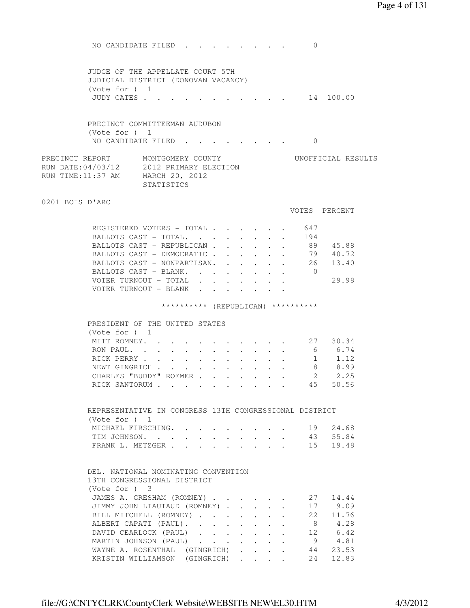NO CANDIDATE FILED . . . . . . . . 0 JUDGE OF THE APPELLATE COURT 5TH JUDICIAL DISTRICT (DONOVAN VACANCY) (Vote for ) 1 JUDY CATES . . . . . . . . . . . . 14 100.00 PRECINCT COMMITTEEMAN AUDUBON (Vote for ) 1 NO CANDIDATE FILED . . . . . . . . 0 PRECINCT REPORT MONTGOMERY COUNTY WORTFICIAL RESULTS RUN DATE:04/03/12 2012 PRIMARY ELECTION RUN TIME:11:37 AM MARCH 20, 2012 STATISTICS 0201 BOIS D'ARC VOTES PERCENT REGISTERED VOTERS - TOTAL . . . . . . 647 BALLOTS CAST - TOTAL. . . . . . . . 194 BALLOTS CAST - REPUBLICAN . . . . . . 89 45.88 BALLOTS CAST - DEMOCRATIC . . . . . . 79 40.72 BALLOTS CAST - NONPARTISAN. . . . . . 26 13.40 BALLOTS CAST - BLANK. . . . . . . . 0 VOTER TURNOUT - TOTAL . . . . . . . 29.98 VOTER TURNOUT - BLANK . . . . . . . \*\*\*\*\*\*\*\*\*\* (REPUBLICAN) \*\*\*\*\*\*\*\*\*\* PRESIDENT OF THE UNITED STATES (Vote for ) 1 MITT ROMNEY. . . . . . . . . . . 27 30.34 RON PAUL. . . . . . . . . . . . 6 6.74 RICK PERRY . . . . . . . . . . . 1 1.12 RICK PERRY . . . . . . . . . . . . 8 8.99<br>NEWT GINGRICH . . . . . . . . . . 8 8.99<br>2 2.25 CHARLES "BUDDY" ROEMER . . . . . . 2 2.25 RICK SANTORUM . . . . . . . . . . . 45 50.56 REPRESENTATIVE IN CONGRESS 13TH CONGRESSIONAL DISTRICT (Vote for ) 1 MICHAEL FIRSCHING. . . . . . . . . 19 24.68<br>TIM JOHNSON. . . . . . . . . . . 43 55.84<br>FRANK L. METZGER . . . . . . . . . 15 19.48 TIM JOHNSON. . . . . . . . . FRANK L. METZGER . . . . . . . DEL. NATIONAL NOMINATING CONVENTION 13TH CONGRESSIONAL DISTRICT (Vote for ) 3 JAMES A. GRESHAM (ROMNEY) . . . . . . 27 14.44 JIMMY JOHN LIAUTAUD (ROMNEY) . . . . . 17 9.09 BILL MITCHELL (ROMNEY) . . . . . . . 22 11.76 ALBERT CAPATI (PAUL). . . . . . . . 8 4.28 DAVID CEARLOCK (PAUL) . . . . . . 12 6.42 MARTIN JOHNSON (PAUL) . . . . . . . 9 4.81 WAYNE A. ROSENTHAL (GINGRICH) . . . . 44 23.53 KRISTIN WILLIAMSON (GINGRICH) . . . . 24 12.83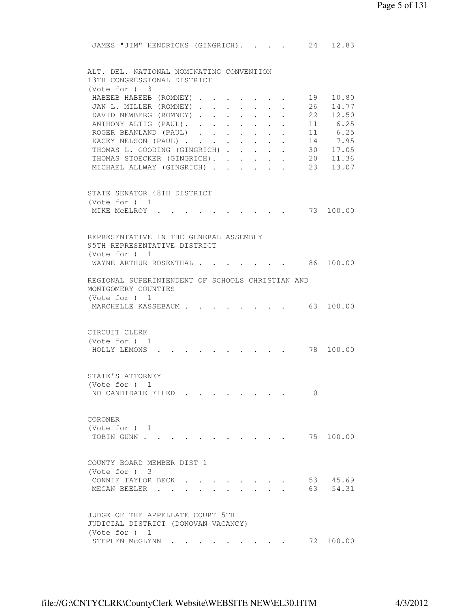JAMES "JIM" HENDRICKS (GINGRICH). . . . 24 12.83 ALT. DEL. NATIONAL NOMINATING CONVENTION 13TH CONGRESSIONAL DISTRICT (Vote for ) 3 HABEEB HABEEB (ROMNEY) . . . . . . 19 10.80 JAN L. MILLER (ROMNEY) . . . . . . . 26 14.77 DAVID NEWBERG (ROMNEY) . . . . . . . . 22 12.50<br>
ANTHONY ALTIG (PAUL) . . . . . . . . . 11 6.25<br>
ROGER BEANLAND (PAUL) . . . . . . . . 11 6.25<br>
KACEY NELSON (PAUL) . . . . . . . . 14 7.95<br>
THOMAS L. GOODING (GINGRICH) . . ANTHONY ALTIG (PAUL). . . . . . . . . ROGER BEANLAND (PAUL) . . . . . . . KACEY NELSON (PAUL) . . . . . . . . THOMAS L. GOODING (GINGRICH) . . . . . 30 17.05<br>THOMAS STOECKER (GINGRICH). . . . . 20 11.36 THOMAS STOECKER (GINGRICH). . . . . . MICHAEL ALLWAY (GINGRICH) . . . . . 23 13.07 STATE SENATOR 48TH DISTRICT (Vote for ) 1 MIKE MCELROY . . . . . . . . . . 73 100.00 REPRESENTATIVE IN THE GENERAL ASSEMBLY 95TH REPRESENTATIVE DISTRICT (Vote for ) 1 WAYNE ARTHUR ROSENTHAL . . . . . . . 86 100.00 REGIONAL SUPERINTENDENT OF SCHOOLS CHRISTIAN AND MONTGOMERY COUNTIES (Vote for ) 1 MARCHELLE KASSEBAUM . . . . . . . . 63 100.00 CIRCUIT CLERK (Vote for ) 1 HOLLY LEMONS . . . . . . . . . . 78 100.00 STATE'S ATTORNEY (Vote for ) 1 NO CANDIDATE FILED . . . . . . . . 0 CORONER (Vote for ) 1 TOBIN GUNN . . . . . . . . . . . . 75 100.00 COUNTY BOARD MEMBER DIST 1 (Vote for ) 3 CONNIE TAYLOR BECK . . . . . . . . 53 45.69 MEGAN BEELER . . . . . . . . . . 63 54.31 JUDGE OF THE APPELLATE COURT 5TH JUDICIAL DISTRICT (DONOVAN VACANCY) (Vote for ) 1 STEPHEN MCGLYNN . . . . . . . . . 72 100.00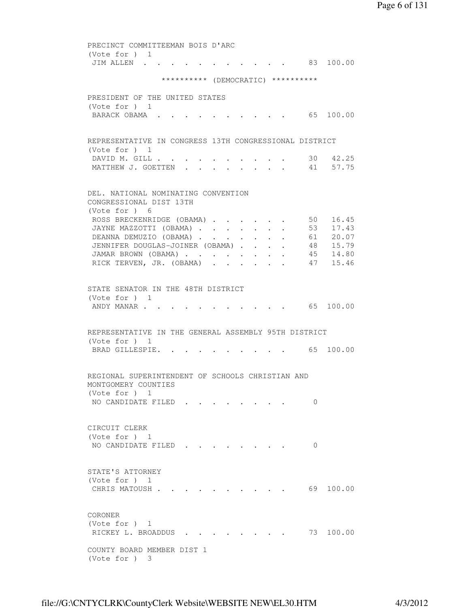PRECINCT COMMITTEEMAN BOIS D'ARC (Vote for ) 1 JIM ALLEN . . . . . . . . . . . 83 100.00 \*\*\*\*\*\*\*\*\*\* (DEMOCRATIC) \*\*\*\*\*\*\*\*\*\* PRESIDENT OF THE UNITED STATES (Vote for ) 1 BARACK OBAMA . . . . . . . . . . . 65 100.00 REPRESENTATIVE IN CONGRESS 13TH CONGRESSIONAL DISTRICT (Vote for ) 1 DAVID M. GILL . . . . . . . . . . . 30 42.25 MATTHEW J. GOETTEN . . . . . . . . 41 57.75 DEL. NATIONAL NOMINATING CONVENTION CONGRESSIONAL DIST 13TH (Vote for ) 6 ROSS BRECKENRIDGE (OBAMA) . . . . . . 50 16.45 JAYNE MAZZOTTI (OBAMA) . . . . . . . 53 17.43 DEANNA DEMUZIO (OBAMA) . . . . . . 61 20.07 JENNIFER DOUGLAS-JOINER (OBAMA) . . . . 48 15.79 JAMAR BROWN (OBAMA) . . . . . . . . 45 14.80 RICK TERVEN, JR. (OBAMA) . . . . . . 47 15.46 STATE SENATOR IN THE 48TH DISTRICT (Vote for ) 1 ANDY MANAR . . . . . . . . . . . . 65 100.00 REPRESENTATIVE IN THE GENERAL ASSEMBLY 95TH DISTRICT (Vote for ) 1 BRAD GILLESPIE. . . . . . . . . . 65 100.00 REGIONAL SUPERINTENDENT OF SCHOOLS CHRISTIAN AND MONTGOMERY COUNTIES (Vote for ) 1 NO CANDIDATE FILED . . . . . . . . 0 CIRCUIT CLERK (Vote for ) 1 NO CANDIDATE FILED . . . . . . . 0 STATE'S ATTORNEY (Vote for ) 1 CHRIS MATOUSH . . . . . . . . . . . 69 100.00 CORONER (Vote for ) 1 RICKEY L. BROADDUS . . . . . . . . 73 100.00 COUNTY BOARD MEMBER DIST 1 (Vote for ) 3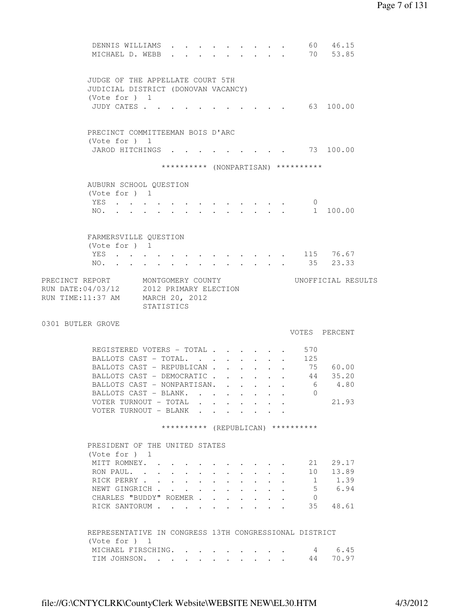```
DENNIS WILLIAMS . . . . . . . . . 60 46.15
        MICHAEL D. WEBB . . . . . . . . . 70 53.85
         JUDGE OF THE APPELLATE COURT 5TH 
         JUDICIAL DISTRICT (DONOVAN VACANCY) 
         (Vote for ) 1 
        JUDY CATES . . . . . . . . . . . . 63 100.00
        PRECINCT COMMITTEEMAN BOIS D'ARC 
         (Vote for ) 1 
        JAROD HITCHINGS . . . . . . . . . 73 100.00
                      ********** (NONPARTISAN) ********** 
        AUBURN SCHOOL QUESTION 
         (Vote for ) 1 
 YES . . . . . . . . . . . . . 0 
 NO. . . . . . . . . . . . . . 1 100.00 
        FARMERSVILLE QUESTION 
         (Vote for ) 1 
        YES . . . . . . . . . . . . . 115 76.67
        NO. . . . . . . . . . . . . . 35 23.33
PRECINCT REPORT MONTGOMERY COUNTY WORTFICIAL RESULTS
RUN DATE:04/03/12 2012 PRIMARY ELECTION 
RUN TIME:11:37 AM MARCH 20, 2012 
STATISTICS
0301 BUTLER GROVE 
                                            VOTES PERCENT 
        REGISTERED VOTERS - TOTAL . . . . . . 570
        BALLOTS CAST - TOTAL. . . . . . . . 125
BALLOTS CAST - REPUBLICAN . . . . . . 75 60.00
BALLOTS CAST - DEMOCRATIC . . . . . . 44 35.20
BALLOTS CAST - NONPARTISAN. . . . . . 6 4.80
        BALLOTS CAST - BLANK. . . . . . . . 0
        VOTER TURNOUT - TOTAL . . . . . . . 21.93
        VOTER TURNOUT - BLANK . . . . . . .
                      ********** (REPUBLICAN) ********** 
        PRESIDENT OF THE UNITED STATES 
         (Vote for ) 1 
 MITT ROMNEY. . . . . . . . . . . 21 29.17 
 RON PAUL. . . . . . . . . . . . 10 13.89 
RICK PERRY . . . . . . . . . . . 1 1.39
        NEWT GINGRICH . . . . . . . . . . . 5 6.94<br>CHARLES "BUDDY" ROEMER . . . . . . . 0
        CHARLES "BUDDY" ROEMER . . . . . . . 0<br>RICK SANTORUM . . . . . . . . . . 35 48.61
        RICK SANTORUM . . . . .
         REPRESENTATIVE IN CONGRESS 13TH CONGRESSIONAL DISTRICT 
         (Vote for ) 1 
 MICHAEL FIRSCHING. . . . . . . . . 4 6.45 
 TIM JOHNSON. . . . . . . . . . . 44 70.97
```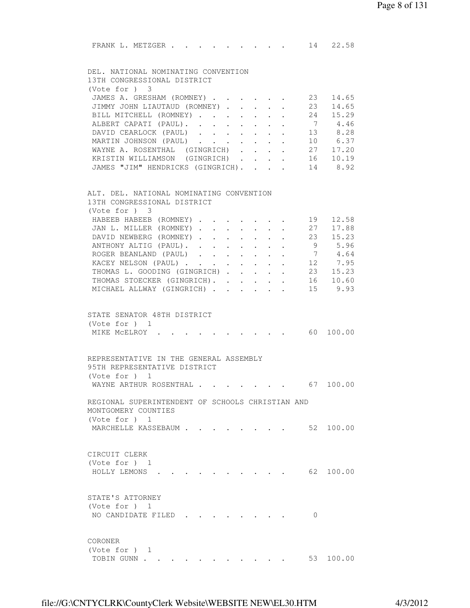| FRANK L. METZGER                                 |            |                                                                     |                                                                          |                | 14 22.58                                                          |  |
|--------------------------------------------------|------------|---------------------------------------------------------------------|--------------------------------------------------------------------------|----------------|-------------------------------------------------------------------|--|
| DEL. NATIONAL NOMINATING CONVENTION              |            |                                                                     |                                                                          |                |                                                                   |  |
| 13TH CONGRESSIONAL DISTRICT<br>(Vote for ) 3     |            |                                                                     |                                                                          |                |                                                                   |  |
| JAMES A. GRESHAM (ROMNEY)                        |            |                                                                     |                                                                          | 23             | 14.65                                                             |  |
| JIMMY JOHN LIAUTAUD (ROMNEY)                     |            |                                                                     |                                                                          | 23             | 14.65                                                             |  |
| BILL MITCHELL (ROMNEY)                           |            |                                                                     |                                                                          | 24             | 15.29                                                             |  |
| ALBERT CAPATI (PAUL).                            | $\sim$ $-$ | $\mathbf{r} = \mathbf{r} + \mathbf{r} + \mathbf{r} + \mathbf{r}$    |                                                                          | 7              | 4.46                                                              |  |
| DAVID CEARLOCK (PAUL)                            |            |                                                                     |                                                                          |                | 13 8.28                                                           |  |
| MARTIN JOHNSON (PAUL)                            |            |                                                                     |                                                                          |                | 10 6.37                                                           |  |
| WAYNE A. ROSENTHAL (GINGRICH)                    |            |                                                                     |                                                                          |                | 27 17.20                                                          |  |
| KRISTIN WILLIAMSON (GINGRICH)                    |            |                                                                     |                                                                          |                | 16 10.19                                                          |  |
| JAMES "JIM" HENDRICKS (GINGRICH).                |            |                                                                     |                                                                          |                | 14 8.92                                                           |  |
| ALT. DEL. NATIONAL NOMINATING CONVENTION         |            |                                                                     |                                                                          |                |                                                                   |  |
| 13TH CONGRESSIONAL DISTRICT<br>(Note for ) 3     |            |                                                                     |                                                                          |                |                                                                   |  |
| HABEEB HABEEB (ROMNEY)                           |            |                                                                     |                                                                          | 19             | 12.58                                                             |  |
| JAN L. MILLER (ROMNEY) 27                        |            |                                                                     |                                                                          |                | 17.88                                                             |  |
| DAVID NEWBERG (ROMNEY) 23 15.23                  |            |                                                                     |                                                                          |                |                                                                   |  |
| ANTHONY ALTIG (PAUL). 9 5.96                     |            |                                                                     |                                                                          |                |                                                                   |  |
| ROGER BEANLAND (PAUL)                            |            |                                                                     |                                                                          | $\overline{7}$ | 4.64                                                              |  |
| KACEY NELSON (PAUL)                              |            |                                                                     |                                                                          |                |                                                                   |  |
| THOMAS L. GOODING (GINGRICH)                     |            |                                                                     | $\mathbf{r} = \mathbf{r} + \mathbf{r}$ , where $\mathbf{r} = \mathbf{r}$ |                | 12 7.95<br>23 15.23                                               |  |
| THOMAS STOECKER (GINGRICH).                      |            | $\bullet$ .<br><br><br><br><br><br><br><br><br><br><br><br><br><br> | $\sim 100$                                                               |                | 16 10.60                                                          |  |
| MICHAEL ALLWAY (GINGRICH)                        |            |                                                                     | $\ddot{\bullet}$ $\ddot{\bullet}$ $\ddot{\bullet}$                       |                | 15 9.93                                                           |  |
| STATE SENATOR 48TH DISTRICT                      |            |                                                                     |                                                                          |                |                                                                   |  |
| (Vote for ) 1                                    |            |                                                                     |                                                                          |                |                                                                   |  |
| MIKE MCELROY                                     |            |                                                                     |                                                                          |                | $\cdot$ $\cdot$ $\cdot$ $\cdot$ $\cdot$ $\cdot$ $\cdot$ 60 100.00 |  |
|                                                  |            |                                                                     |                                                                          |                |                                                                   |  |
| REPRESENTATIVE IN THE GENERAL ASSEMBLY           |            |                                                                     |                                                                          |                |                                                                   |  |
| 95TH REPRESENTATIVE DISTRICT                     |            |                                                                     |                                                                          |                |                                                                   |  |
| (Vote for ) 1                                    |            |                                                                     |                                                                          |                |                                                                   |  |
| WAYNE ARTHUR ROSENTHAL 67 100.00                 |            |                                                                     |                                                                          |                |                                                                   |  |
| REGIONAL SUPERINTENDENT OF SCHOOLS CHRISTIAN AND |            |                                                                     |                                                                          |                |                                                                   |  |
| MONTGOMERY COUNTIES                              |            |                                                                     |                                                                          |                |                                                                   |  |
| (Vote for ) 1                                    |            |                                                                     |                                                                          |                |                                                                   |  |
| MARCHELLE KASSEBAUM                              |            |                                                                     |                                                                          |                | 52 100.00                                                         |  |
| CIRCUIT CLERK                                    |            |                                                                     |                                                                          |                |                                                                   |  |
| (Vote for $)$ 1                                  |            |                                                                     |                                                                          |                |                                                                   |  |
| HOLLY LEMONS                                     |            |                                                                     |                                                                          |                | 62 100.00                                                         |  |
|                                                  |            |                                                                     |                                                                          |                |                                                                   |  |
| STATE'S ATTORNEY                                 |            |                                                                     |                                                                          |                |                                                                   |  |
| (Vote for ) 1                                    |            |                                                                     |                                                                          |                |                                                                   |  |
| NO CANDIDATE FILED                               |            |                                                                     |                                                                          | $\Omega$       |                                                                   |  |
|                                                  |            |                                                                     |                                                                          |                |                                                                   |  |
| CORONER<br>(Vote for $)$ 1                       |            |                                                                     |                                                                          |                |                                                                   |  |
| TOBIN GUNN                                       |            |                                                                     |                                                                          |                | 53 100.00                                                         |  |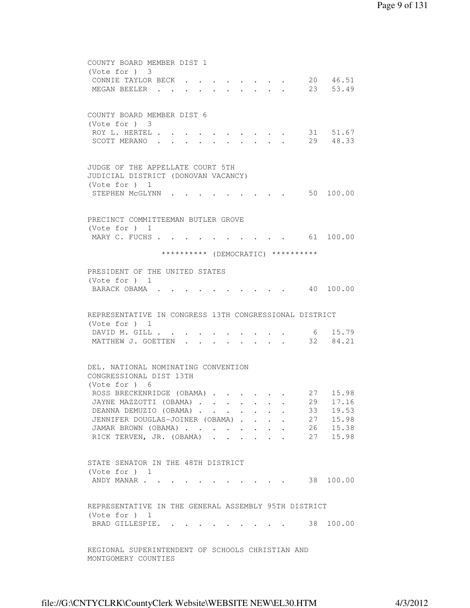```
 COUNTY BOARD MEMBER DIST 1 
         (Vote for ) 3 
        CONNIE TAYLOR BECK . . . . . . . . 20 46.51
        MEGAN BEELER . . . . . . . . . . 23 53.49
         COUNTY BOARD MEMBER DIST 6 
         (Vote for ) 3 
ROY L. HERTEL . . . . . . . . . . 31 51.67
 SCOTT MERANO . . . . . . . . . . 29 48.33 
         JUDGE OF THE APPELLATE COURT 5TH 
         JUDICIAL DISTRICT (DONOVAN VACANCY) 
         (Vote for ) 1 
        STEPHEN McGLYNN . . . . . . . . . 50 100.00
         PRECINCT COMMITTEEMAN BUTLER GROVE 
         (Vote for ) 1 
        MARY C. FUCHS . . . . . . . . . . . 61 100.00
                      ********** (DEMOCRATIC) ********** 
         PRESIDENT OF THE UNITED STATES 
         (Vote for ) 1 
        BARACK OBAMA . . . . . . . . . . 40 100.00
         REPRESENTATIVE IN CONGRESS 13TH CONGRESSIONAL DISTRICT 
 (Vote for ) 1 
 DAVID M. GILL . . . . . . . . . . 6 15.79 
MATTHEW J. GOETTEN . . . . . . . . 32 84.21
         DEL. NATIONAL NOMINATING CONVENTION 
         CONGRESSIONAL DIST 13TH 
         (Vote for ) 6 
        ROSS BRECKENRIDGE (OBAMA) . . . . . 27 15.98
        JAYNE MAZZOTTI (OBAMA) . . . . . . . 29 17.16
        DEANNA DEMUZIO (OBAMA) . . . . . . . 33 19.53
        JENNIFER DOUGLAS-JOINER (OBAMA) . . . . 27 15.98
 JAMAR BROWN (OBAMA) . . . . . . . . 26 15.38 
RICK TERVEN, JR. (OBAMA) . . . . . . 27 15.98
         STATE SENATOR IN THE 48TH DISTRICT 
         (Vote for ) 1 
        ANDY MANAR . . . . . . . . . . . . 38 100.00
         REPRESENTATIVE IN THE GENERAL ASSEMBLY 95TH DISTRICT 
         (Vote for ) 1 
        BRAD GILLESPIE. . . . . . . . . . 38 100.00
         REGIONAL SUPERINTENDENT OF SCHOOLS CHRISTIAN AND 
         MONTGOMERY COUNTIES
```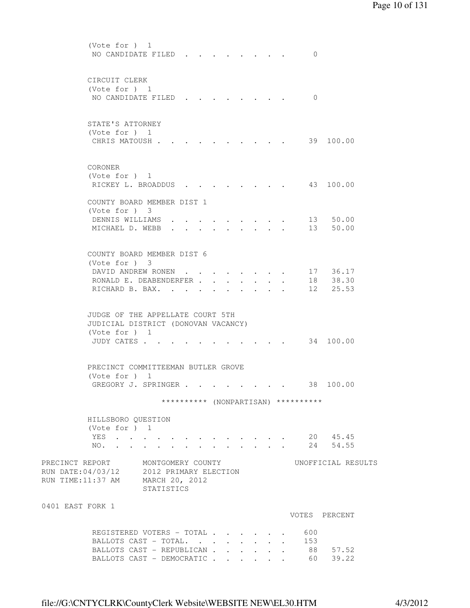```
 (Vote for ) 1 
        NO CANDIDATE FILED . . . . . . . . 0
         CIRCUIT CLERK 
         (Vote for ) 1 
        NO CANDIDATE FILED . . . . . . . . 0
         STATE'S ATTORNEY 
         (Vote for ) 1 
        CHRIS MATOUSH . . . . . . . . . . . 39 100.00
         CORONER 
         (Vote for ) 1 
        RICKEY L. BROADDUS . . . . . . . . 43 100.00
         COUNTY BOARD MEMBER DIST 1 
         (Vote for ) 3 
 DENNIS WILLIAMS . . . . . . . . . 13 50.00 
 MICHAEL D. WEBB . . . . . . . . . 13 50.00 
         COUNTY BOARD MEMBER DIST 6 
         (Vote for ) 3 
        DAVID ANDREW RONEN . . . . . . . . 17 36.17
        RONALD E. DEABENDERFER . . . . . . . 18 38.30
        RICHARD B. BAX. . . . . . . . . . 12 25.53
         JUDGE OF THE APPELLATE COURT 5TH 
         JUDICIAL DISTRICT (DONOVAN VACANCY) 
         (Vote for ) 1 
        JUDY CATES . . . . . . . . . . . . 34 100.00
         PRECINCT COMMITTEEMAN BUTLER GROVE 
         (Vote for ) 1 
        GREGORY J. SPRINGER . . . . . . . . 38 100.00
                      ********** (NONPARTISAN) ********** 
         HILLSBORO QUESTION 
         (Vote for ) 1 
 YES . . . . . . . . . . . . . 20 45.45 
 NO. . . . . . . . . . . . . . 24 54.55 
PRECINCT REPORT MONTGOMERY COUNTY WORTFICIAL RESULTS
RUN DATE:04/03/12 2012 PRIMARY ELECTION 
RUN TIME:11:37 AM MARCH 20, 2012 
                  STATISTICS 
0401 EAST FORK 1 
                                            VOTES PERCENT 
         REGISTERED VOTERS - TOTAL . . . . . . 600
        BALLOTS CAST - TOTAL. . . . . . . . 153
BALLOTS CAST - REPUBLICAN . . . . . . 88 57.52
BALLOTS CAST - DEMOCRATIC . . . . . . 60 39.22
```
file://G:\CNTYCLRK\CountyClerk Website\WEBSITE NEW\EL30.HTM 4/3/2012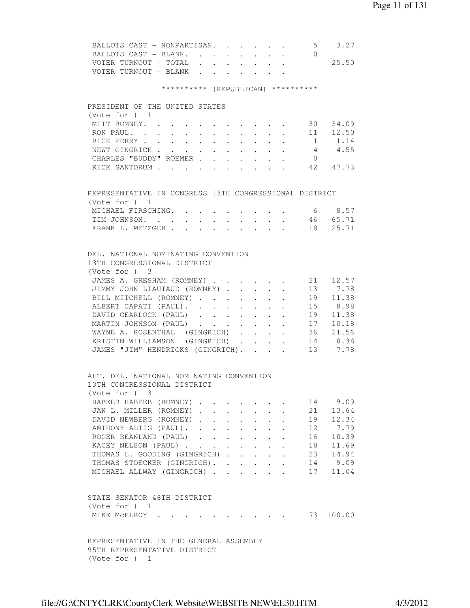| BALLOTS CAST - NONPARTISAN.                                             |  |               |                                                           |        |                                                                           |                | $5 \t3.27$         |
|-------------------------------------------------------------------------|--|---------------|-----------------------------------------------------------|--------|---------------------------------------------------------------------------|----------------|--------------------|
| BALLOTS CAST - BLANK.                                                   |  |               |                                                           |        |                                                                           | $\bigcirc$     |                    |
| VOTER TURNOUT - TOTAL                                                   |  |               |                                                           |        |                                                                           |                | 25.50              |
| VOTER TURNOUT - BLANK                                                   |  |               |                                                           |        |                                                                           |                |                    |
| ********** (REPUBLICAN) **********                                      |  |               |                                                           |        |                                                                           |                |                    |
|                                                                         |  |               |                                                           |        |                                                                           |                |                    |
| PRESIDENT OF THE UNITED STATES<br>(Vote for ) 1                         |  |               |                                                           |        |                                                                           |                |                    |
|                                                                         |  |               |                                                           |        |                                                                           |                |                    |
| MITT ROMNEY. 30 34.09                                                   |  |               |                                                           |        |                                                                           |                |                    |
| RON PAUL.                                                               |  |               |                                                           |        |                                                                           |                | 11 12.50           |
| RICK PERRY 1 1.14                                                       |  |               |                                                           |        |                                                                           |                |                    |
| NEWT GINGRICH 4 4.55                                                    |  |               |                                                           |        |                                                                           |                |                    |
| CHARLES "BUDDY" ROEMER                                                  |  |               |                                                           |        |                                                                           | $\overline{0}$ |                    |
| RICK SANTORUM 42 47.73                                                  |  |               |                                                           |        |                                                                           |                |                    |
|                                                                         |  |               |                                                           |        |                                                                           |                |                    |
| REPRESENTATIVE IN CONGRESS 13TH CONGRESSIONAL DISTRICT<br>(Vote for ) 1 |  |               |                                                           |        |                                                                           |                |                    |
| MICHAEL FIRSCHING. 6 8.57                                               |  |               |                                                           |        |                                                                           |                |                    |
| TIM JOHNSON. 46 65.71                                                   |  |               |                                                           |        |                                                                           |                |                    |
| FRANK L. METZGER 18 25.71                                               |  |               |                                                           |        |                                                                           |                |                    |
|                                                                         |  |               |                                                           |        |                                                                           |                |                    |
|                                                                         |  |               |                                                           |        |                                                                           |                |                    |
| DEL. NATIONAL NOMINATING CONVENTION                                     |  |               |                                                           |        |                                                                           |                |                    |
| 13TH CONGRESSIONAL DISTRICT                                             |  |               |                                                           |        |                                                                           |                |                    |
| $(Vote for )$ 3                                                         |  |               |                                                           |        |                                                                           |                |                    |
| JAMES A. GRESHAM (ROMNEY) 21 12.57                                      |  |               |                                                           |        |                                                                           |                |                    |
| JIMMY JOHN LIAUTAUD (ROMNEY) 13 7.78                                    |  |               |                                                           |        |                                                                           |                |                    |
| BILL MITCHELL (ROMNEY)                                                  |  |               |                                                           |        |                                                                           |                | 19 11.38           |
| ALBERT CAPATI (PAUL).                                                   |  |               | $\mathbf{L}^{\text{max}}$                                 |        | $\mathbf{r} = \mathbf{r}$ and $\mathbf{r} = \mathbf{r}$                   |                | 15 8.98            |
| DAVID CEARLOCK (PAUL)                                                   |  |               | $\mathbf{L}^{\text{max}}$                                 |        | $\mathbf{A}=\mathbf{A}+\mathbf{A}$ and $\mathbf{A}=\mathbf{A}+\mathbf{A}$ |                | 19 11.38           |
| MARTIN JOHNSON (PAUL)                                                   |  |               |                                                           |        |                                                                           |                | 17 10.18           |
| WAYNE A. ROSENTHAL (GINGRICH)                                           |  |               |                                                           |        |                                                                           |                | 36 21.56           |
| KRISTIN WILLIAMSON (GINGRICH).                                          |  |               |                                                           | $\sim$ |                                                                           |                |                    |
| JAMES "JIM" HENDRICKS (GINGRICH).                                       |  |               |                                                           |        | $\mathbf{r} = \mathbf{r} + \mathbf{r}$                                    |                | 14 8.38<br>13 7.78 |
| ALT. DEL. NATIONAL NOMINATING CONVENTION                                |  |               |                                                           |        |                                                                           |                |                    |
| 13TH CONGRESSIONAL DISTRICT                                             |  |               |                                                           |        |                                                                           |                |                    |
| (Note for ) 3                                                           |  |               |                                                           |        |                                                                           |                |                    |
| HABEEB HABEEB (ROMNEY)                                                  |  |               |                                                           |        |                                                                           |                | 14 9.09            |
| JAN L. MILLER (ROMNEY)                                                  |  |               |                                                           |        |                                                                           | 21             | 13.64              |
| DAVID NEWBERG (ROMNEY)                                                  |  |               |                                                           |        |                                                                           | 19             | 12.34              |
| ANTHONY ALTIG (PAUL).                                                   |  | $\sim$ $\sim$ | $\mathbf{L}^{\text{max}}$ , and $\mathbf{L}^{\text{max}}$ |        | $\ddot{\phantom{0}}$                                                      | 12             | 7.79               |
| ROGER BEANLAND (PAUL)                                                   |  |               |                                                           | $\sim$ | $\mathbf{r}$                                                              | 16             | 10.39              |
| KACEY NELSON (PAUL)                                                     |  |               |                                                           |        |                                                                           |                | 18 11.69           |
| THOMAS L. GOODING (GINGRICH)                                            |  |               |                                                           |        |                                                                           |                | 23 14.94           |
| THOMAS STOECKER (GINGRICH).                                             |  |               |                                                           |        |                                                                           |                | 14 9.09            |
| MICHAEL ALLWAY (GINGRICH)                                               |  |               |                                                           |        |                                                                           |                | 17 11.04           |
|                                                                         |  |               |                                                           |        |                                                                           |                |                    |
| STATE SENATOR 48TH DISTRICT                                             |  |               |                                                           |        |                                                                           |                |                    |
| (Vote for $)$ 1                                                         |  |               |                                                           |        |                                                                           |                |                    |
| MIKE MCELROY                                                            |  |               |                                                           |        |                                                                           |                | 100.00             |
|                                                                         |  |               |                                                           |        |                                                                           |                |                    |
| REPRESENTATIVE IN THE GENERAL ASSEMBLY                                  |  |               |                                                           |        |                                                                           |                |                    |
| 95TH REPRESENTATIVE DISTRICT<br>(Vote for ) 1                           |  |               |                                                           |        |                                                                           |                |                    |

file://G:\CNTYCLRK\CountyClerk Website\WEBSITE NEW\EL30.HTM 4/3/2012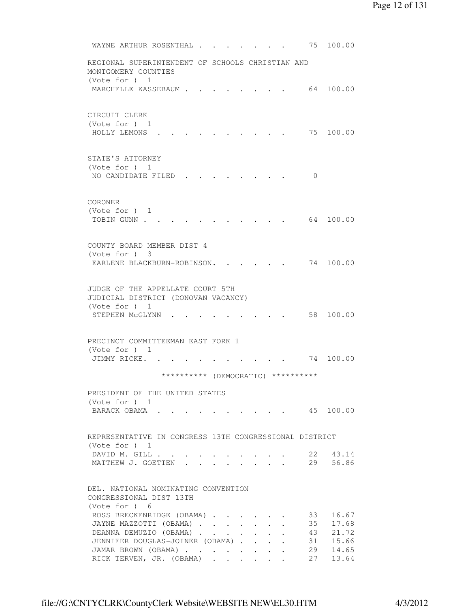```
WAYNE ARTHUR ROSENTHAL . . . . . . . 75 100.00
 REGIONAL SUPERINTENDENT OF SCHOOLS CHRISTIAN AND 
 MONTGOMERY COUNTIES 
 (Vote for ) 1 
MARCHELLE KASSEBAUM . . . . . . . . 64 100.00
 CIRCUIT CLERK 
 (Vote for ) 1 
 HOLLY LEMONS . . . . . . . . . . 75 100.00 
 STATE'S ATTORNEY 
 (Vote for ) 1 
NO CANDIDATE FILED . . . . . . . . 0
 CORONER 
 (Vote for ) 1 
 TOBIN GUNN . . . . . . . . . . . . 64 100.00
 COUNTY BOARD MEMBER DIST 4 
 (Vote for ) 3 
EARLENE BLACKBURN-ROBINSON. . . . . 74 100.00
 JUDGE OF THE APPELLATE COURT 5TH 
 JUDICIAL DISTRICT (DONOVAN VACANCY) 
 (Vote for ) 1 
STEPHEN MCGLYNN . . . . . . . . . 58 100.00
 PRECINCT COMMITTEEMAN EAST FORK 1 
 (Vote for ) 1 
JIMMY RICKE. . . . . . . . . . . 74 100.00
                ********** (DEMOCRATIC) ********** 
 PRESIDENT OF THE UNITED STATES 
 (Vote for ) 1 
BARACK OBAMA . . . . . . . . . . 45 100.00
 REPRESENTATIVE IN CONGRESS 13TH CONGRESSIONAL DISTRICT 
 (Vote for ) 1 
DAVID M. GILL . . . . . . . . . . 22 43.14
MATTHEW J. GOETTEN . . . . . . . . 29 56.86
 DEL. NATIONAL NOMINATING CONVENTION 
 CONGRESSIONAL DIST 13TH 
 (Vote for ) 6 
ROSS BRECKENRIDGE (OBAMA) . . . . . . 33 16.67
JAYNE MAZZOTTI (OBAMA) . . . . . . . 35 17.68
DEANNA DEMUZIO (OBAMA) . . . . . . . 43 21.72
JENNIFER DOUGLAS-JOINER (OBAMA) . . . . 31 15.66<br>JAMAR BROWN (OBAMA) . . . . . . . 29 14.65<br>RICK TERVEN, JR. (OBAMA) . . . . . 27 13.64
 JAMAR BROWN (OBAMA) . . . . . . . .
 RICK TERVEN, JR. (OBAMA) . . . . . .
```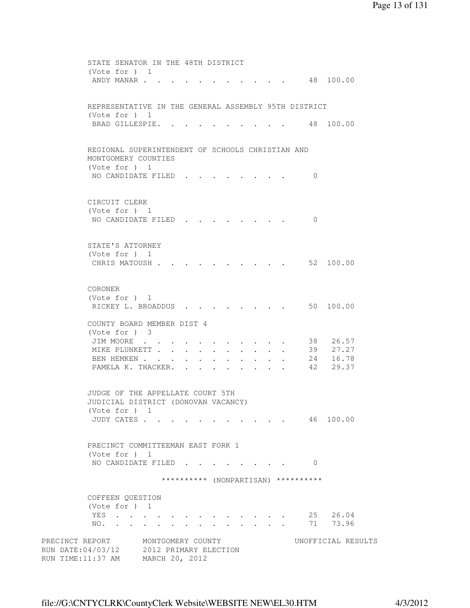|                 | STATE SENATOR IN THE 48TH DISTRICT                   |                   |  |  |  |                                    |                                     |                    |  |
|-----------------|------------------------------------------------------|-------------------|--|--|--|------------------------------------|-------------------------------------|--------------------|--|
|                 | (Vote for ) $1$                                      |                   |  |  |  |                                    |                                     |                    |  |
|                 | ANDY MANAR                                           |                   |  |  |  |                                    | 48 100.00                           |                    |  |
|                 |                                                      |                   |  |  |  |                                    |                                     |                    |  |
|                 |                                                      |                   |  |  |  |                                    |                                     |                    |  |
|                 | REPRESENTATIVE IN THE GENERAL ASSEMBLY 95TH DISTRICT |                   |  |  |  |                                    |                                     |                    |  |
|                 | (Vote for $)$ 1                                      |                   |  |  |  |                                    |                                     |                    |  |
|                 | BRAD GILLESPIE. .                                    |                   |  |  |  |                                    |                                     | 48 100.00          |  |
|                 |                                                      |                   |  |  |  |                                    |                                     |                    |  |
|                 |                                                      |                   |  |  |  |                                    |                                     |                    |  |
|                 | REGIONAL SUPERINTENDENT OF SCHOOLS CHRISTIAN AND     |                   |  |  |  |                                    |                                     |                    |  |
|                 | MONTGOMERY COUNTIES                                  |                   |  |  |  |                                    |                                     |                    |  |
|                 | (Vote for $)$ 1                                      |                   |  |  |  |                                    |                                     |                    |  |
|                 | NO CANDIDATE FILED.                                  |                   |  |  |  |                                    | 0                                   |                    |  |
|                 |                                                      |                   |  |  |  |                                    |                                     |                    |  |
|                 |                                                      |                   |  |  |  |                                    |                                     |                    |  |
|                 | CIRCUIT CLERK                                        |                   |  |  |  |                                    |                                     |                    |  |
|                 | (Vote for ) 1                                        |                   |  |  |  |                                    |                                     |                    |  |
|                 | NO CANDIDATE FILED                                   |                   |  |  |  |                                    | $\mathbf{0}$                        |                    |  |
|                 |                                                      |                   |  |  |  |                                    |                                     |                    |  |
|                 |                                                      |                   |  |  |  |                                    |                                     |                    |  |
|                 | STATE'S ATTORNEY                                     |                   |  |  |  |                                    |                                     |                    |  |
|                 | (Vote for ) 1                                        |                   |  |  |  |                                    |                                     |                    |  |
|                 | CHRIS MATOUSH                                        |                   |  |  |  | $\sim$ $\sim$ $\sim$ $\sim$ $\sim$ |                                     | 52 100.00          |  |
|                 |                                                      |                   |  |  |  |                                    |                                     |                    |  |
|                 |                                                      |                   |  |  |  |                                    |                                     |                    |  |
|                 | CORONER                                              |                   |  |  |  |                                    |                                     |                    |  |
|                 | (Vote for ) 1                                        |                   |  |  |  |                                    |                                     |                    |  |
|                 | RICKEY L. BROADDUS                                   |                   |  |  |  |                                    |                                     | 50 100.00          |  |
|                 |                                                      |                   |  |  |  |                                    |                                     |                    |  |
|                 | COUNTY BOARD MEMBER DIST 4                           |                   |  |  |  |                                    |                                     |                    |  |
|                 | $(Vote for )$ 3                                      |                   |  |  |  |                                    |                                     |                    |  |
|                 | JIM MOORE                                            |                   |  |  |  |                                    |                                     | 38 26.57           |  |
|                 | MIKE PLUNKETT                                        |                   |  |  |  |                                    |                                     | 39 27.27           |  |
|                 | BEN HEMKEN                                           |                   |  |  |  |                                    |                                     | 24 16.78           |  |
|                 | PAMELA K. THACKER.                                   |                   |  |  |  |                                    | 42                                  | 29.37              |  |
|                 |                                                      |                   |  |  |  |                                    |                                     |                    |  |
|                 | JUDGE OF THE APPELLATE COURT 5TH                     |                   |  |  |  |                                    |                                     |                    |  |
|                 | JUDICIAL DISTRICT (DONOVAN VACANCY)                  |                   |  |  |  |                                    |                                     |                    |  |
|                 | (Vote for ) 1                                        |                   |  |  |  |                                    |                                     |                    |  |
|                 | JUDY CATES                                           |                   |  |  |  |                                    | 46 100.00                           |                    |  |
|                 |                                                      |                   |  |  |  |                                    |                                     |                    |  |
|                 |                                                      |                   |  |  |  |                                    |                                     |                    |  |
|                 | PRECINCT COMMITTEEMAN EAST FORK 1                    |                   |  |  |  |                                    |                                     |                    |  |
|                 | (Vote for ) 1                                        |                   |  |  |  |                                    |                                     |                    |  |
|                 | NO CANDIDATE FILED.                                  |                   |  |  |  |                                    | $\mathbf{0}$                        |                    |  |
|                 |                                                      |                   |  |  |  |                                    |                                     |                    |  |
|                 |                                                      |                   |  |  |  |                                    | ********** (NONPARTISAN) ********** |                    |  |
|                 |                                                      |                   |  |  |  |                                    |                                     |                    |  |
|                 | COFFEEN QUESTION                                     |                   |  |  |  |                                    |                                     |                    |  |
|                 | (Vote for ) 1                                        |                   |  |  |  |                                    |                                     |                    |  |
|                 | YES                                                  |                   |  |  |  |                                    | 25                                  | 26.04              |  |
|                 | NO.                                                  |                   |  |  |  |                                    | 71                                  | 73.96              |  |
|                 |                                                      |                   |  |  |  |                                    |                                     |                    |  |
| PRECINCT REPORT |                                                      | MONTGOMERY COUNTY |  |  |  |                                    |                                     | UNOFFICIAL RESULTS |  |
|                 | RUN DATE: 04/03/12 2012 PRIMARY ELECTION             |                   |  |  |  |                                    |                                     |                    |  |
|                 | RUN TIME: 11:37 AM MARCH 20, 2012                    |                   |  |  |  |                                    |                                     |                    |  |
|                 |                                                      |                   |  |  |  |                                    |                                     |                    |  |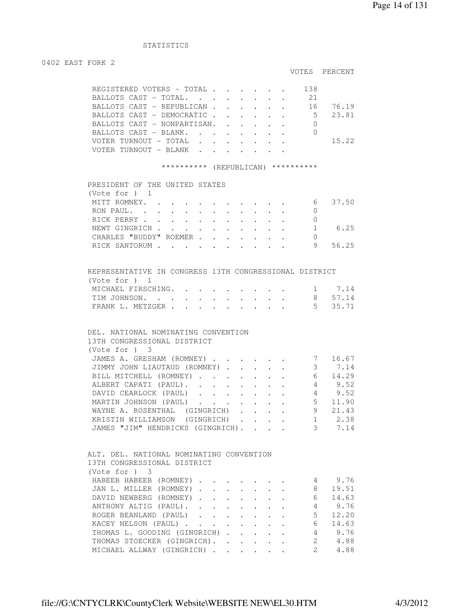### STATISTICS

#### 0402 EAST FORK 2

```
 VOTES PERCENT
```

|  | REGISTERED VOTERS - TOTAL         |  |  |  | 138 |       |
|--|-----------------------------------|--|--|--|-----|-------|
|  | BALLOTS CAST - TOTAL.             |  |  |  | 21  |       |
|  | BALLOTS CAST - REPUBLICAN         |  |  |  | ାର  | 76.19 |
|  | BALLOTS CAST - DEMOCRATIC 5 23.81 |  |  |  |     |       |
|  | BALLOTS CAST - NONPARTISAN.       |  |  |  |     |       |
|  | BALLOTS CAST - BLANK.             |  |  |  |     |       |
|  |                                   |  |  |  |     | 15.22 |
|  | TER TURNOUT – BLANK               |  |  |  |     |       |

#### \*\*\*\*\*\*\*\*\*\*\* (REPUBLICAN) \*\*\*\*\*\*\*\*\*\*

| PRESIDENT OF THE UNITED STATES |  |  |  |  |  |   |       |
|--------------------------------|--|--|--|--|--|---|-------|
| (Vote for $)$ 1                |  |  |  |  |  |   |       |
| MITT ROMNEY.                   |  |  |  |  |  | 6 | 37.50 |
| RON PAUL.                      |  |  |  |  |  |   |       |
| RICK PERRY                     |  |  |  |  |  |   |       |
| NEWT GINGRICH                  |  |  |  |  |  |   | 6.25  |
| CHARLES "BUDDY" ROEMER         |  |  |  |  |  |   |       |
| RICK SANTORUM                  |  |  |  |  |  | 9 | 56.25 |
|                                |  |  |  |  |  |   |       |

| REPRESENTATIVE IN CONGRESS 13TH CONGRESSIONAL DISTRICT |  |  |  |  |  |         |
|--------------------------------------------------------|--|--|--|--|--|---------|
| (Vote for ) 1                                          |  |  |  |  |  |         |
| MICHAEL FIRSCHING. 1 7.14                              |  |  |  |  |  |         |
| TIM JOHNSON.                                           |  |  |  |  |  | 8 57.14 |
| FRANK L. METZGER 5 35.71                               |  |  |  |  |  |         |

# DEL. NATIONAL NOMINATING CONVENTION 13TH CONGRESSIONAL DISTRICT (Vote for ) 3 JAMES A. GRESHAM (ROMNEY) . . . . . . 7 16.67 JIMMY JOHN LIAUTAUD (ROMNEY) . . . . . 3 7.14 BILL MITCHELL (ROMNEY) . . . . . . . 6 14.29 BILL MITCHELL (ROMNEY) . . . . . . . . 6 14.29<br>ALBERT CAPATI (PAUL) . . . . . . . . 4 9.52<br>DAVID CEARLOCK (PAUL) . . . . . . . 4 9.52 DAVID CEARLOCK (PAUL) . . . . . . . 4 9.52<br>MARTIN JOHNSON (PAUL) . . . . . . . 5 11.90<br>WAYNE A. ROSENTHAL (GINGRICH) . . . . 9 21.43 MARTIN JOHNSON (PAUL) . . . . . . . WAYNE A. ROSENTHAL (GINGRICH) . . . . 9 21.43 KRISTIN WILLIAMSON (GINGRICH) . . . . 1 2.38 JAMES "JIM" HENDRICKS (GINGRICH). . . . . 1 2.38

| ALT. DEL. NATIONAL NOMINATING CONVENTION<br>13TH CONGRESSIONAL DISTRICT |  |          |  |               |        |
|-------------------------------------------------------------------------|--|----------|--|---------------|--------|
| (Vote for ) 3                                                           |  |          |  |               |        |
| HABEEB HABEEB (ROMNEY)                                                  |  |          |  |               | 9.76   |
| JAN L. MILLER (ROMNEY)                                                  |  |          |  | 8             | 19.51  |
| DAVID NEWBERG (ROMNEY)                                                  |  |          |  | 6             | 14.63  |
| ANTHONY ALTIG (PAUL).                                                   |  |          |  |               | 9.76   |
| ROGER BEANLAND (PAUL)                                                   |  |          |  | 5.            | 12.20  |
| KACEY NELSON (PAUL)                                                     |  |          |  | 6             | 14.63  |
| THOMAS L. GOODING (GINGRICH).                                           |  | $\cdots$ |  |               | 4 9.76 |
| THOMAS STOECKER (GINGRICH).                                             |  |          |  | $2^{\circ}$   | 4.88   |
| MICHAEL ALLWAY (GINGRICH)                                               |  |          |  | $\mathcal{L}$ | 4.88   |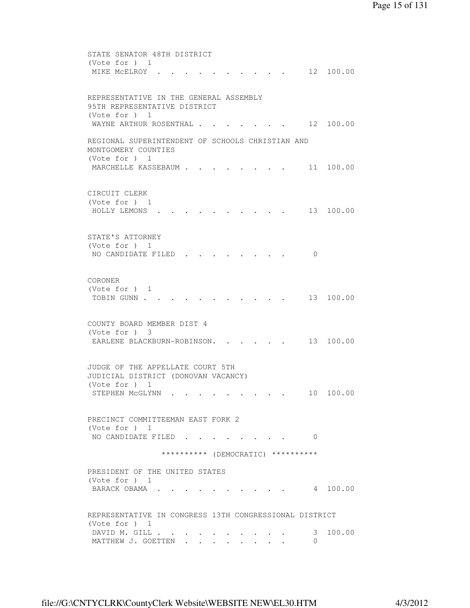```
 STATE SENATOR 48TH DISTRICT 
 (Vote for ) 1 
MIKE MCELROY . . . . . . . . . . 12 100.00
 REPRESENTATIVE IN THE GENERAL ASSEMBLY 
 95TH REPRESENTATIVE DISTRICT 
 (Vote for ) 1 
WAYNE ARTHUR ROSENTHAL . . . . . . . 12 100.00
 REGIONAL SUPERINTENDENT OF SCHOOLS CHRISTIAN AND 
 MONTGOMERY COUNTIES 
 (Vote for ) 1 
MARCHELLE KASSEBAUM . . . . . . . . 11 100.00
 CIRCUIT CLERK 
 (Vote for ) 1 
 HOLLY LEMONS . . . . . . . . . . 13 100.00 
 STATE'S ATTORNEY 
 (Vote for ) 1 
NO CANDIDATE FILED . . . . . . . . 0
 CORONER 
 (Vote for ) 1 
TOBIN GUNN . . . . . . . . . . . . 13 100.00
 COUNTY BOARD MEMBER DIST 4 
 (Vote for ) 3 
EARLENE BLACKBURN-ROBINSON. . . . . 13 100.00
 JUDGE OF THE APPELLATE COURT 5TH 
 JUDICIAL DISTRICT (DONOVAN VACANCY) 
 (Vote for ) 1 
STEPHEN MCGLYNN . . . . . . . . . 10 100.00
 PRECINCT COMMITTEEMAN EAST FORK 2 
 (Vote for ) 1 
NO CANDIDATE FILED . . . . . . . . 0
               ********** (DEMOCRATIC) ********** 
 PRESIDENT OF THE UNITED STATES 
 (Vote for ) 1 
BARACK OBAMA . . . . . . . . . . 4 100.00
 REPRESENTATIVE IN CONGRESS 13TH CONGRESSIONAL DISTRICT 
 (Vote for ) 1 
DAVID M. GILL . . . . . . . . . . . 3 100.00
MATTHEW J. GOETTEN . . . . . . . . 0
```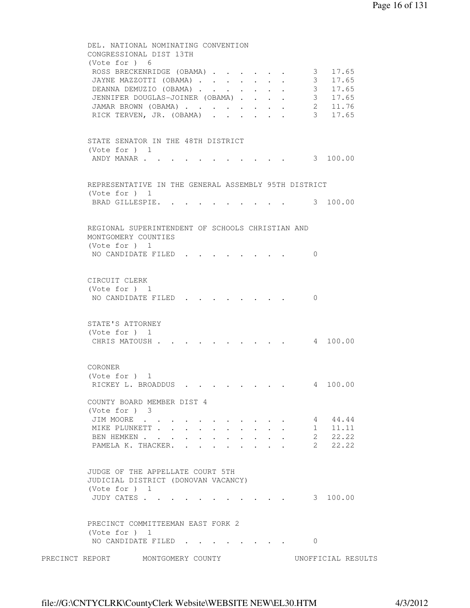```
 DEL. NATIONAL NOMINATING CONVENTION 
         CONGRESSIONAL DIST 13TH 
         (Vote for ) 6 
         ROSS BRECKENRIDGE (OBAMA) . . . . . . 3 17.65
 JAYNE MAZZOTTI (OBAMA) . . . . . . . 3 17.65 
DEANNA DEMUZIO (OBAMA) . . . . . . . 3 17.65
 JENNIFER DOUGLAS-JOINER (OBAMA) . . . . 3 17.65 
 JAMAR BROWN (OBAMA) . . . . . . . . 2 11.76 
RICK TERVEN, JR. (OBAMA) . . . . . . 3 17.65
         STATE SENATOR IN THE 48TH DISTRICT 
          (Vote for ) 1 
         ANDY MANAR . . . . . . . . . . . . 3 100.00
         REPRESENTATIVE IN THE GENERAL ASSEMBLY 95TH DISTRICT 
         (Vote for ) 1 
         BRAD GILLESPIE. . . . . . . . . . 3 100.00
         REGIONAL SUPERINTENDENT OF SCHOOLS CHRISTIAN AND 
         MONTGOMERY COUNTIES 
         (Vote for ) 1 
         NO CANDIDATE FILED . . . . . . . . 0
         CIRCUIT CLERK 
         (Vote for ) 1 
         NO CANDIDATE FILED . . . . . . . 0
         STATE'S ATTORNEY 
         (Vote for ) 1 
         CHRIS MATOUSH . . . . . . . . . . 4 100.00
         CORONER 
         (Vote for ) 1 
         RICKEY L. BROADDUS . . . . . . . . 4 100.00
         COUNTY BOARD MEMBER DIST 4 
         (Vote for ) 3 
         JIM MOORE . . . . . . . . . . . . 4 44.44
         MIKE PLUNKETT . . . . . . . . . . . 1 11.11
         MIKE PLUNKETT . . . . . . . . . . . . 2 22.22<br>BEN HEMKEN . . . . . . . . . . . . 2 22.22<br>PAMELA K. THACKER. . . . . . . . . 2 22.22
         PAMELA K. THACKER. . . .
         JUDGE OF THE APPELLATE COURT 5TH 
         JUDICIAL DISTRICT (DONOVAN VACANCY) 
         (Vote for ) 1 
          JUDY CATES . . . . . . . . . . . 3 100.00 
         PRECINCT COMMITTEEMAN EAST FORK 2 
         (Vote for ) 1 
         NO CANDIDATE FILED . . . . . . . . 0
PRECINCT REPORT MONTGOMERY COUNTY UNOFFICIAL RESULTS
```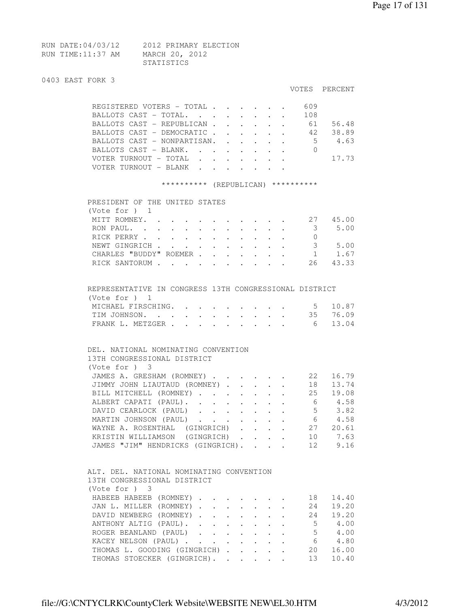| RUN DATE:04/03/12 | 2012 PRIMARY ELECTION |
|-------------------|-----------------------|
| RUN TIME:11:37 AM | MARCH 20, 2012        |
|                   | STATISTICS            |

|  |  | 0403 EAST FORK 3 |  |  |  |
|--|--|------------------|--|--|--|
|--|--|------------------|--|--|--|

| u4u3 Ladi Fukk 3 |                                                                                                                                                                                                                                                                                                                                                                |                           |           |                                                                                               |                                                                          |                                    | VOTES PERCENT                                                                                   |
|------------------|----------------------------------------------------------------------------------------------------------------------------------------------------------------------------------------------------------------------------------------------------------------------------------------------------------------------------------------------------------------|---------------------------|-----------|-----------------------------------------------------------------------------------------------|--------------------------------------------------------------------------|------------------------------------|-------------------------------------------------------------------------------------------------|
|                  | REGISTERED VOTERS - TOTAL 609                                                                                                                                                                                                                                                                                                                                  |                           |           |                                                                                               |                                                                          |                                    |                                                                                                 |
|                  | BALLOTS CAST - TOTAL.                                                                                                                                                                                                                                                                                                                                          |                           |           |                                                                                               | $\mathbf{r} = \mathbf{r} + \mathbf{r}$                                   | 108                                |                                                                                                 |
|                  | BALLOTS CAST - REPUBLICAN 61 56.48                                                                                                                                                                                                                                                                                                                             |                           |           |                                                                                               |                                                                          |                                    |                                                                                                 |
|                  | BALLOTS CAST - DEMOCRATIC 42 38.89                                                                                                                                                                                                                                                                                                                             |                           |           |                                                                                               |                                                                          |                                    |                                                                                                 |
|                  | BALLOTS CAST - NONPARTISAN. .                                                                                                                                                                                                                                                                                                                                  |                           |           |                                                                                               |                                                                          |                                    | $\cdot$ 5 4.63                                                                                  |
|                  | BALLOTS CAST - BLANK.                                                                                                                                                                                                                                                                                                                                          |                           |           |                                                                                               |                                                                          | $\cdot$ $\cdot$ $\cdot$ $\cdot$ 0  |                                                                                                 |
|                  | VOTER TURNOUT - TOTAL                                                                                                                                                                                                                                                                                                                                          |                           |           |                                                                                               |                                                                          |                                    | 17.73                                                                                           |
|                  | VOTER TURNOUT - BLANK                                                                                                                                                                                                                                                                                                                                          |                           |           |                                                                                               |                                                                          |                                    |                                                                                                 |
|                  | ********** (REPUBLICAN) **********                                                                                                                                                                                                                                                                                                                             |                           |           |                                                                                               |                                                                          |                                    |                                                                                                 |
|                  | PRESIDENT OF THE UNITED STATES                                                                                                                                                                                                                                                                                                                                 |                           |           |                                                                                               |                                                                          |                                    |                                                                                                 |
|                  | (Vote for $)$ 1                                                                                                                                                                                                                                                                                                                                                |                           |           |                                                                                               |                                                                          |                                    |                                                                                                 |
|                  | MITT ROMNEY.                                                                                                                                                                                                                                                                                                                                                   |                           |           |                                                                                               |                                                                          |                                    | $\cdot$ 27 45.00                                                                                |
|                  | RON PAUL.                                                                                                                                                                                                                                                                                                                                                      | $\bullet$ .               |           |                                                                                               |                                                                          | $\cdot$ $\cdot$ 3                  | 5.00                                                                                            |
|                  | RICK PERRY                                                                                                                                                                                                                                                                                                                                                     |                           |           |                                                                                               |                                                                          |                                    |                                                                                                 |
|                  | NEWT GINGRICH                                                                                                                                                                                                                                                                                                                                                  |                           |           |                                                                                               |                                                                          |                                    | $\begin{array}{cc} 3 & 5.00 \\ 1 & 1.67 \end{array}$                                            |
|                  | CHARLES "BUDDY" ROEMER.                                                                                                                                                                                                                                                                                                                                        | $\mathbf{r}$              |           |                                                                                               |                                                                          |                                    |                                                                                                 |
|                  | RICK SANTORUM                                                                                                                                                                                                                                                                                                                                                  |                           |           |                                                                                               |                                                                          |                                    | 26 43.33                                                                                        |
|                  |                                                                                                                                                                                                                                                                                                                                                                |                           |           |                                                                                               |                                                                          |                                    |                                                                                                 |
|                  | REPRESENTATIVE IN CONGRESS 13TH CONGRESSIONAL DISTRICT<br>(Vote for $)$ 1                                                                                                                                                                                                                                                                                      |                           |           |                                                                                               |                                                                          |                                    |                                                                                                 |
|                  | MICHAEL FIRSCHING.                                                                                                                                                                                                                                                                                                                                             |                           |           |                                                                                               |                                                                          |                                    | $\cdot$ 5 10.87                                                                                 |
|                  | TIM JOHNSON.                                                                                                                                                                                                                                                                                                                                                   |                           |           |                                                                                               |                                                                          |                                    | 35 76.09                                                                                        |
|                  | FRANK L. METZGER                                                                                                                                                                                                                                                                                                                                               |                           |           |                                                                                               |                                                                          |                                    | 6 13.04                                                                                         |
|                  | DEL. NATIONAL NOMINATING CONVENTION<br>13TH CONGRESSIONAL DISTRICT<br>(Vote for ) 3<br>JAMES A. GRESHAM (ROMNEY)<br>JIMMY JOHN LIAUTAUD (ROMNEY)<br>BILL MITCHELL (ROMNEY)<br>ALBERT CAPATI (PAUL). .<br>DAVID CEARLOCK (PAUL)<br>MARTIN JOHNSON (PAUL)<br>WAYNE A. ROSENTHAL (GINGRICH)<br>KRISTIN WILLIAMSON (GINGRICH)<br>JAMES "JIM" HENDRICKS (GINGRICH). | $\sim 10^{-11}$           |           | $\mathbf{r}$ , $\mathbf{r}$                                                                   | $\mathbf{r} = \mathbf{r} + \mathbf{r}$ , where $\mathbf{r} = \mathbf{r}$ | $6\overline{6}$<br>- 6<br>27<br>10 | 22 16.79<br>18  13.74<br>25 19.08<br>4.58<br>$5 \t 3.82$<br>4.58<br>20.61<br>7.63<br>9.16<br>12 |
|                  | ALT. DEL. NATIONAL NOMINATING CONVENTION<br>13TH CONGRESSIONAL DISTRICT<br>(Vote for ) 3<br>HABEEB HABEEB (ROMNEY).<br>JAN L. MILLER (ROMNEY).                                                                                                                                                                                                                 | $\mathbf{r} = \mathbf{r}$ |           | $\ddotsc$                                                                                     |                                                                          | 18<br>24                           | 14.40<br>19.20                                                                                  |
|                  | DAVID NEWBERG (ROMNEY).                                                                                                                                                                                                                                                                                                                                        | $\ddot{\phantom{a}}$      |           | $\cdot$ $\cdot$ $\cdot$ $\cdot$                                                               |                                                                          | 24                                 | 19.20                                                                                           |
|                  | ANTHONY ALTIG (PAUL).                                                                                                                                                                                                                                                                                                                                          |                           | $\ddotsc$ | $\mathbf{r} = \mathbf{r} + \mathbf{r}$ .                                                      |                                                                          | 5                                  | 4.00                                                                                            |
|                  | ROGER BEANLAND (PAUL)                                                                                                                                                                                                                                                                                                                                          |                           |           | $\mathbf{r} = \mathbf{r} \cdot \mathbf{r}$ , where $\mathbf{r} = \mathbf{r} \cdot \mathbf{r}$ |                                                                          | 5                                  | 4.00                                                                                            |
|                  | KACEY NELSON (PAUL)                                                                                                                                                                                                                                                                                                                                            |                           |           |                                                                                               |                                                                          | 6                                  | 4.80                                                                                            |
|                  | THOMAS L. GOODING (GINGRICH)                                                                                                                                                                                                                                                                                                                                   |                           |           |                                                                                               |                                                                          | 20                                 | 16.00                                                                                           |
|                  | THOMAS STOECKER (GINGRICH).                                                                                                                                                                                                                                                                                                                                    |                           |           |                                                                                               |                                                                          | 13                                 | 10.40                                                                                           |
|                  |                                                                                                                                                                                                                                                                                                                                                                |                           |           |                                                                                               |                                                                          |                                    |                                                                                                 |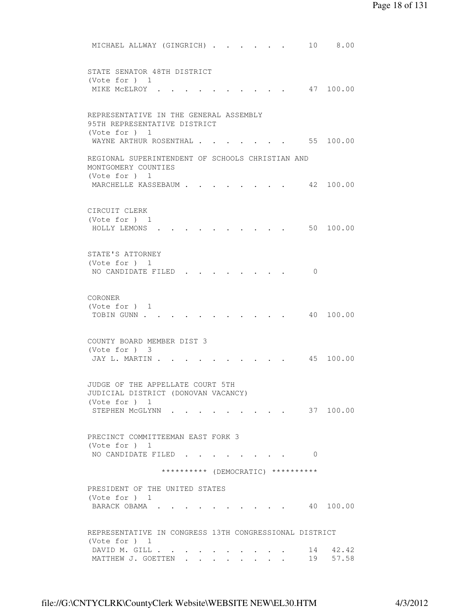```
MICHAEL ALLWAY (GINGRICH) . . . . . . 10 8.00
 STATE SENATOR 48TH DISTRICT 
 (Vote for ) 1 
MIKE MCELROY . . . . . . . . . . 47 100.00
 REPRESENTATIVE IN THE GENERAL ASSEMBLY 
 95TH REPRESENTATIVE DISTRICT 
 (Vote for ) 1 
WAYNE ARTHUR ROSENTHAL . . . . . . . 55 100.00
 REGIONAL SUPERINTENDENT OF SCHOOLS CHRISTIAN AND 
 MONTGOMERY COUNTIES 
 (Vote for ) 1 
MARCHELLE KASSEBAUM . . . . . . . . 42 100.00
 CIRCUIT CLERK 
 (Vote for ) 1 
 HOLLY LEMONS . . . . . . . . . . 50 100.00 
 STATE'S ATTORNEY 
 (Vote for ) 1 
NO CANDIDATE FILED . . . . . . . . 0
 CORONER 
 (Vote for ) 1 
TOBIN GUNN . . . . . . . . . . . . 40 100.00
 COUNTY BOARD MEMBER DIST 3 
 (Vote for ) 3 
JAY L. MARTIN . . . . . . . . . . 45 100.00
 JUDGE OF THE APPELLATE COURT 5TH 
 JUDICIAL DISTRICT (DONOVAN VACANCY) 
 (Vote for ) 1 
STEPHEN MCGLYNN . . . . . . . . . 37 100.00
 PRECINCT COMMITTEEMAN EAST FORK 3 
 (Vote for ) 1 
NO CANDIDATE FILED . . . . . . . . 0
                ********** (DEMOCRATIC) ********** 
 PRESIDENT OF THE UNITED STATES 
 (Vote for ) 1 
BARACK OBAMA . . . . . . . . . . 40 100.00
 REPRESENTATIVE IN CONGRESS 13TH CONGRESSIONAL DISTRICT 
 (Vote for ) 1 
DAVID M. GILL . . . . . . . . . . . 14 42.42<br>
. . . . . . . . . . . . . 19 57.58
MATTHEW J. GOETTEN . . . . . .
```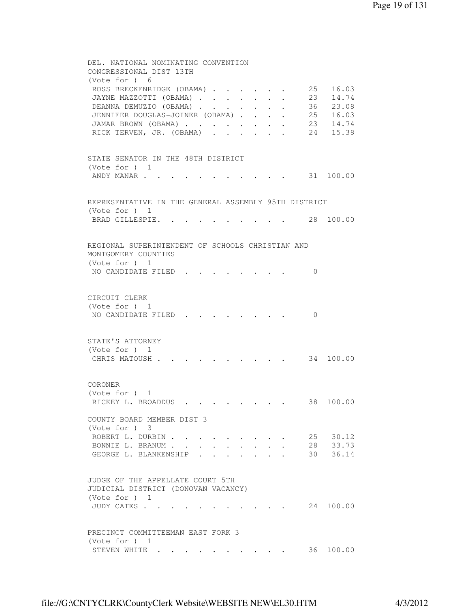```
 DEL. NATIONAL NOMINATING CONVENTION 
         CONGRESSIONAL DIST 13TH 
         (Vote for ) 6 
         ROSS BRECKENRIDGE (OBAMA) . . . . . 25 16.03
 JAYNE MAZZOTTI (OBAMA) . . . . . . . 23 14.74 
DEANNA DEMUZIO (OBAMA) . . . . . . 36 23.08
 JENNIFER DOUGLAS-JOINER (OBAMA) . . . . 25 16.03 
 JAMAR BROWN (OBAMA) . . . . . . . . 23 14.74 
RICK TERVEN, JR. (OBAMA) . . . . . . 24 15.38
         STATE SENATOR IN THE 48TH DISTRICT 
         (Vote for ) 1 
         ANDY MANAR . . . . . . . . . . . . 31 100.00
         REPRESENTATIVE IN THE GENERAL ASSEMBLY 95TH DISTRICT 
         (Vote for ) 1 
         BRAD GILLESPIE. . . . . . . . . . 28 100.00
         REGIONAL SUPERINTENDENT OF SCHOOLS CHRISTIAN AND 
         MONTGOMERY COUNTIES 
         (Vote for ) 1 
         NO CANDIDATE FILED . . . . . . . . 0
         CIRCUIT CLERK 
         (Vote for ) 1 
         NO CANDIDATE FILED . . . . . . . . 0
         STATE'S ATTORNEY 
         (Vote for ) 1 
         CHRIS MATOUSH . . . . . . . . . . 34 100.00
         CORONER 
         (Vote for ) 1 
         RICKEY L. BROADDUS . . . . . . . . 38 100.00
         COUNTY BOARD MEMBER DIST 3 
         (Vote for ) 3 
         ROBERT L. DURBIN . . . . . . . . . 25 30.12<br>BONNIE L. BRANUM . . . . . . . . . 28 33.73
         BONNIE L. BRANUM . . . . . . . . . .
         GEORGE L. BLANKENSHIP . . . . . . . 30 36.14
         JUDGE OF THE APPELLATE COURT 5TH 
         JUDICIAL DISTRICT (DONOVAN VACANCY) 
         (Vote for ) 1 
         JUDY CATES . . . . . . . . . . . 24 100.00
         PRECINCT COMMITTEEMAN EAST FORK 3 
         (Vote for ) 1 
         STEVEN WHITE . . . . . . . . . . 36 100.00
```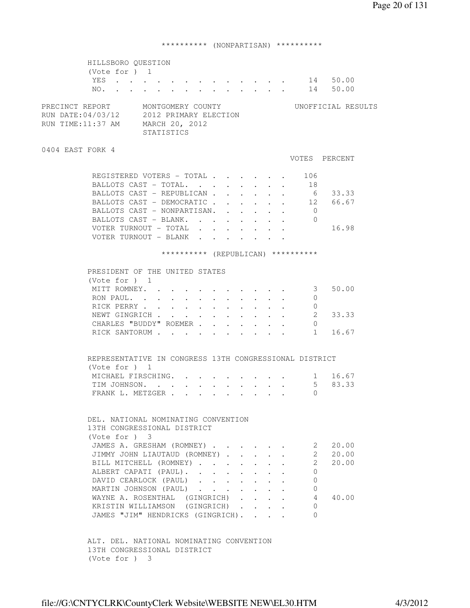# \*\*\*\*\*\*\*\*\*\* (NONPARTISAN) \*\*\*\*\*\*\*\*\*\*

| HILLSBORO QUESTION                                                                                                                    |                                                                                                                                                             |        |        |            |                                                                          |                                      |                           |                                    |                    |  |
|---------------------------------------------------------------------------------------------------------------------------------------|-------------------------------------------------------------------------------------------------------------------------------------------------------------|--------|--------|------------|--------------------------------------------------------------------------|--------------------------------------|---------------------------|------------------------------------|--------------------|--|
| (Vote for $)$ 1                                                                                                                       |                                                                                                                                                             |        |        |            |                                                                          |                                      |                           |                                    |                    |  |
| YES 14 50.00                                                                                                                          |                                                                                                                                                             |        |        |            |                                                                          |                                      |                           |                                    |                    |  |
| NO.                                                                                                                                   | $\mathbf{r} = \mathbf{r} - \mathbf{r} = \mathbf{r} - \mathbf{r} = \mathbf{r} - \mathbf{r} = \mathbf{r} - \mathbf{r} = \mathbf{r} - \mathbf{r} = \mathbf{r}$ |        |        |            |                                                                          |                                      |                           |                                    | 14 50.00           |  |
| MONTGOMERY COUNTY<br>PRECINCT REPORT<br>RUN DATE: 04/03/12 2012 PRIMARY ELECTION<br>RUN TIME:11:37 AM<br>MARCH 20, 2012<br>STATISTICS |                                                                                                                                                             |        |        |            |                                                                          |                                      |                           |                                    | UNOFFICIAL RESULTS |  |
| 0404 EAST FORK 4                                                                                                                      |                                                                                                                                                             |        |        |            |                                                                          |                                      |                           |                                    |                    |  |
|                                                                                                                                       |                                                                                                                                                             |        |        |            |                                                                          |                                      |                           |                                    | VOTES PERCENT      |  |
| REGISTERED VOTERS - TOTAL                                                                                                             |                                                                                                                                                             |        |        |            |                                                                          |                                      |                           | 106                                |                    |  |
| BALLOTS CAST - TOTAL.                                                                                                                 |                                                                                                                                                             |        |        |            |                                                                          | $\sim$ 100 $\pm$                     |                           | $\cdot$ 18                         |                    |  |
| BALLOTS CAST - REPUBLICAN.                                                                                                            |                                                                                                                                                             |        |        |            | $\mathbf{r} = \mathbf{r} + \mathbf{r}$ , where $\mathbf{r} = \mathbf{r}$ |                                      |                           | 6                                  | 33.33              |  |
| BALLOTS CAST - DEMOCRATIC                                                                                                             |                                                                                                                                                             |        |        |            |                                                                          | $\mathbf{L} = \mathbf{L} \mathbf{L}$ |                           |                                    | 12 66.67           |  |
| BALLOTS CAST - NONPARTISAN.                                                                                                           |                                                                                                                                                             |        |        | $\sim$     | $\mathcal{L}^{\text{max}}$                                               |                                      |                           | $\overline{0}$                     |                    |  |
| BALLOTS CAST - BLANK.                                                                                                                 |                                                                                                                                                             |        |        | $\sim$ $-$ | $\sim$ 100 $\pm$                                                         |                                      |                           | $\Omega$                           |                    |  |
| VOTER TURNOUT - TOTAL                                                                                                                 |                                                                                                                                                             |        |        |            |                                                                          |                                      | $\mathbf{r} = \mathbf{r}$ |                                    | 16.98              |  |
| VOTER TURNOUT - BLANK                                                                                                                 |                                                                                                                                                             |        |        |            |                                                                          |                                      |                           |                                    |                    |  |
|                                                                                                                                       |                                                                                                                                                             |        |        |            |                                                                          |                                      |                           |                                    |                    |  |
|                                                                                                                                       |                                                                                                                                                             |        |        |            |                                                                          |                                      |                           | ********** (REPUBLICAN) ********** |                    |  |
| PRESIDENT OF THE UNITED STATES                                                                                                        |                                                                                                                                                             |        |        |            |                                                                          |                                      |                           |                                    |                    |  |
| (Vote for ) 1                                                                                                                         |                                                                                                                                                             |        |        |            |                                                                          |                                      |                           |                                    |                    |  |
| MITT ROMNEY.                                                                                                                          |                                                                                                                                                             |        |        |            |                                                                          |                                      |                           | 3                                  | 50.00              |  |
| RON PAUL. .<br>$\sim$                                                                                                                 | $\mathbf{L}$ . The set of $\mathbf{L}$                                                                                                                      | $\sim$ | $\sim$ |            |                                                                          |                                      |                           | 0                                  |                    |  |
| RICK PERRY                                                                                                                            |                                                                                                                                                             |        |        |            |                                                                          |                                      |                           | 0                                  |                    |  |
| NEWT GINGRICH                                                                                                                         |                                                                                                                                                             |        |        |            |                                                                          |                                      |                           | 2                                  | 33.33              |  |
| CHARLES "BUDDY" ROEMER                                                                                                                |                                                                                                                                                             |        |        |            |                                                                          |                                      |                           | $\mathbf{0}$                       |                    |  |
| RICK SANTORUM                                                                                                                         |                                                                                                                                                             |        |        |            |                                                                          |                                      |                           |                                    | $1 \quad$<br>16.67 |  |
|                                                                                                                                       |                                                                                                                                                             |        |        |            |                                                                          |                                      |                           |                                    |                    |  |
| REPRESENTATIVE IN CONGRESS 13TH CONGRESSIONAL DISTRICT                                                                                |                                                                                                                                                             |        |        |            |                                                                          |                                      |                           |                                    |                    |  |
| (Vote for $)$ 1                                                                                                                       |                                                                                                                                                             |        |        |            |                                                                          |                                      |                           |                                    |                    |  |
| MICHAEL FIRSCHING.                                                                                                                    |                                                                                                                                                             |        |        |            |                                                                          |                                      |                           |                                    | 1 16.67            |  |
| TIM JOHNSON.                                                                                                                          |                                                                                                                                                             |        |        |            |                                                                          |                                      |                           |                                    | $5 -$<br>83.33     |  |
| FRANK L. METZGER                                                                                                                      |                                                                                                                                                             |        |        |            |                                                                          |                                      |                           | $\Omega$                           |                    |  |
|                                                                                                                                       |                                                                                                                                                             |        |        |            |                                                                          |                                      |                           |                                    |                    |  |
|                                                                                                                                       |                                                                                                                                                             |        |        |            |                                                                          |                                      |                           |                                    |                    |  |
| DEL, NATIONAL NOMINATING CONVENTION                                                                                                   |                                                                                                                                                             |        |        |            |                                                                          |                                      |                           |                                    |                    |  |
| 13TH CONGRESSIONAL DISTRICT                                                                                                           |                                                                                                                                                             |        |        |            |                                                                          |                                      |                           |                                    |                    |  |
| (Vote for ) 3                                                                                                                         |                                                                                                                                                             |        |        |            |                                                                          |                                      |                           |                                    |                    |  |
| JAMES A. GRESHAM (ROMNEY)                                                                                                             |                                                                                                                                                             |        |        |            |                                                                          |                                      |                           |                                    | 2<br>20.00         |  |
| JIMMY JOHN LIAUTAUD (ROMNEY).                                                                                                         |                                                                                                                                                             |        |        |            | $\mathbf{r}$                                                             |                                      |                           |                                    | 2 20.00            |  |
| BILL MITCHELL (ROMNEY)                                                                                                                |                                                                                                                                                             |        |        |            | $\sim$                                                                   | $\mathbf{r}$                         | $\sim$                    | $\overline{2}$                     | 20.00              |  |
| ALBERT CAPATI (PAUL).                                                                                                                 |                                                                                                                                                             |        |        |            |                                                                          |                                      |                           | $\mathbf{0}$                       |                    |  |
| DAVID CEARLOCK (PAUL)                                                                                                                 |                                                                                                                                                             |        |        |            | $\ddot{\phantom{0}}$                                                     |                                      |                           | $\Omega$                           |                    |  |
| MARTIN JOHNSON (PAUL)                                                                                                                 |                                                                                                                                                             |        |        |            | $\bullet$ .<br><br><br><br><br><br><br><br><br><br><br><br>              |                                      |                           | 0                                  |                    |  |
| WAYNE A. ROSENTHAL (GINGRICH).                                                                                                        |                                                                                                                                                             |        |        |            |                                                                          |                                      |                           | 4                                  | 40.00              |  |
| KRISTIN WILLIAMSON (GINGRICH).                                                                                                        |                                                                                                                                                             |        |        |            |                                                                          |                                      |                           | 0                                  |                    |  |
| JAMES "JIM" HENDRICKS (GINGRICH).                                                                                                     |                                                                                                                                                             |        |        |            |                                                                          | $\mathbf{L}^{\text{max}}$            |                           | $\Omega$                           |                    |  |
|                                                                                                                                       |                                                                                                                                                             |        |        |            |                                                                          |                                      |                           |                                    |                    |  |
|                                                                                                                                       |                                                                                                                                                             |        |        |            |                                                                          |                                      |                           |                                    |                    |  |
| ALT. DEL. NATIONAL NOMINATING CONVENTION                                                                                              |                                                                                                                                                             |        |        |            |                                                                          |                                      |                           |                                    |                    |  |
| 13TH CONGRESSIONAL DISTRICT                                                                                                           |                                                                                                                                                             |        |        |            |                                                                          |                                      |                           |                                    |                    |  |
| (Vote for ) 3                                                                                                                         |                                                                                                                                                             |        |        |            |                                                                          |                                      |                           |                                    |                    |  |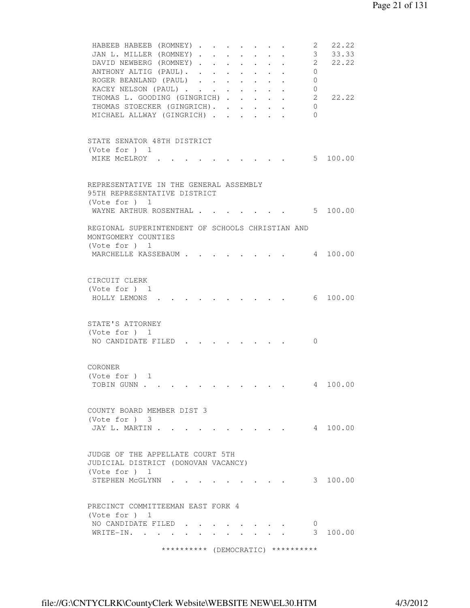```
HABEEB HABEEB (ROMNEY) . . . . . . . 2 22.22
 JAN L. MILLER (ROMNEY) . . . . . . . 3 33.33
DAVID NEWBERG (ROMNEY) . . . . . . . 2 22.22
ANTHONY ALTIG (PAUL). . . . . . . . 0
 ROGER BEANLAND (PAUL) . . . . . . . 0
 KACEY NELSON (PAUL) . . . . . . . . 0<br>THOMAS L. GOODING (GINGRICH) . . . . . 2
 THOMAS L. GOODING (GINGRICH) . . . . . 2 22.22
THOMAS STOECKER (GINGRICH). . . . . . 0
MICHAEL ALLWAY (GINGRICH) . . . . . 0
 STATE SENATOR 48TH DISTRICT 
 (Vote for ) 1 
MIKE MCELROY . . . . . . . . . . . 5 100.00
 REPRESENTATIVE IN THE GENERAL ASSEMBLY 
 95TH REPRESENTATIVE DISTRICT 
 (Vote for ) 1 
WAYNE ARTHUR ROSENTHAL . . . . . . . 5 100.00
 REGIONAL SUPERINTENDENT OF SCHOOLS CHRISTIAN AND 
 MONTGOMERY COUNTIES 
 (Vote for ) 1 
MARCHELLE KASSEBAUM . . . . . . . . 4 100.00
 CIRCUIT CLERK 
 (Vote for ) 1 
 HOLLY LEMONS . . . . . . . . . . 6 100.00 
 STATE'S ATTORNEY 
 (Vote for ) 1 
NO CANDIDATE FILED . . . . . . . . 0
 CORONER 
 (Vote for ) 1 
TOBIN GUNN . . . . . . . . . . . . 4 100.00
 COUNTY BOARD MEMBER DIST 3 
 (Vote for ) 3 
JAY L. MARTIN . . . . . . . . . . . 4 100.00
 JUDGE OF THE APPELLATE COURT 5TH 
 JUDICIAL DISTRICT (DONOVAN VACANCY) 
 (Vote for ) 1 
STEPHEN MCGLYNN . . . . . . . . . 3 100.00
 PRECINCT COMMITTEEMAN EAST FORK 4 
 (Vote for ) 1 
NO CANDIDATE FILED . . . . . . . . 0
WRITE-IN. . . . . . . . . . . . 3 100.00
               ********** (DEMOCRATIC) **********
```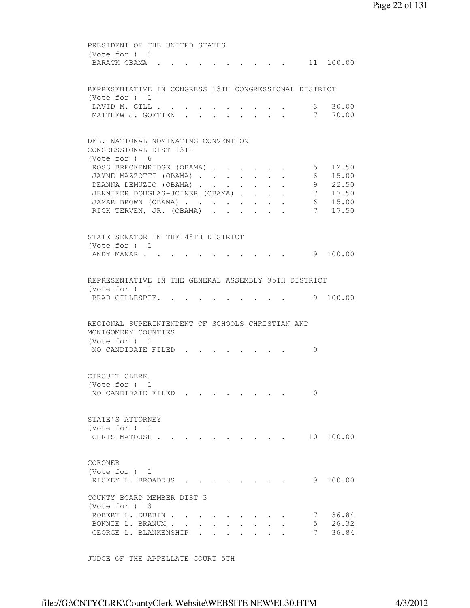PRESIDENT OF THE UNITED STATES (Vote for ) 1 BARACK OBAMA . . . . . . . . . . 11 100.00 REPRESENTATIVE IN CONGRESS 13TH CONGRESSIONAL DISTRICT (Vote for ) 1 DAVID M. GILL . . . . . . . . . . . 3 30.00 MATTHEW J. GOETTEN . . . . . . . . 7 70.00 DEL. NATIONAL NOMINATING CONVENTION CONGRESSIONAL DIST 13TH (Vote for ) 6 ROSS BRECKENRIDGE (OBAMA) . . . . . 5 12.50 JAYNE MAZZOTTI (OBAMA) . . . . . . . 6 15.00 DEANNA DEMUZIO (OBAMA) . . . . . . 9 22.50 JENNIFER DOUGLAS-JOINER (OBAMA) . . . . 7 17.50 JAMAR BROWN (OBAMA) . . . . . . . . 6 15.00 RICK TERVEN, JR. (OBAMA) . . . . . . 7 17.50 STATE SENATOR IN THE 48TH DISTRICT (Vote for ) 1 ANDY MANAR . . . . . . . . . . . . 9 100.00 REPRESENTATIVE IN THE GENERAL ASSEMBLY 95TH DISTRICT (Vote for ) 1 BRAD GILLESPIE. . . . . . . . . . 9 100.00 REGIONAL SUPERINTENDENT OF SCHOOLS CHRISTIAN AND MONTGOMERY COUNTIES (Vote for ) 1 NO CANDIDATE FILED . . . . . . . . 0 CIRCUIT CLERK (Vote for ) 1 NO CANDIDATE FILED . . . . . . . . 0 STATE'S ATTORNEY (Vote for ) 1 CHRIS MATOUSH . . . . . . . . . . 10 100.00 CORONER (Vote for ) 1 RICKEY L. BROADDUS . . . . . . . . 9 100.00 COUNTY BOARD MEMBER DIST 3 (Vote for ) 3 ROBERT L. DURBIN . . . . . . . . . . 7 36.84 BONNIE L. BRANUM . . . . . . . . . 5 26.32 GEORGE L. BLANKENSHIP . . . . . . . 7 36.84

JUDGE OF THE APPELLATE COURT 5TH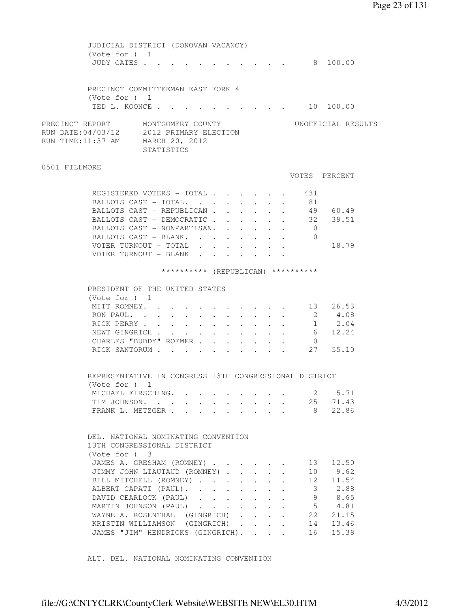Page 23 of 131

 JUDICIAL DISTRICT (DONOVAN VACANCY) (Vote for ) 1 JUDY CATES . . . . . . . . . . . 8 100.00 PRECINCT COMMITTEEMAN EAST FORK 4 (Vote for ) 1 TED L. KOONCE . . . . . . . . . . . 10 100.00 PRECINCT REPORT MONTGOMERY COUNTY WORTFICIAL RESULTS RUN DATE:04/03/12 2012 PRIMARY ELECTION RUN TIME:11:37 AM MARCH 20, 2012 STATISTICS 0501 FILLMORE VOTES PERCENT REGISTERED VOTERS - TOTAL . . . . . . 431 BALLOTS CAST - TOTAL. . . . . . . . 81 BALLOTS CAST - REPUBLICAN . . . . . . 49 60.49 BALLOTS CAST - DEMOCRATIC . . . . . . 32 39.51 BALLOTS CAST - NONPARTISAN. . . . . . 0 BALLOTS CAST - BLANK. . . . . . . . 0 VOTER TURNOUT - TOTAL . . . . . . . 18.79 VOTER TURNOUT - BLANK . . . . . . . \*\*\*\*\*\*\*\*\*\* (REPUBLICAN) \*\*\*\*\*\*\*\*\*\* PRESIDENT OF THE UNITED STATES (Vote for ) 1 MITT ROMNEY. . . . . . . . . . . 13 26.53 RON PAUL. . . . . . . . . . . . . 2 4.08<br>RICK PERRY . . . . . . . . . . . 1 2.04 RON PAUL. . . . . . . . . . . . . 2 4.08<br>RICK PERRY . . . . . . . . . . . 1 2.04<br>NEWT GINGRICH . . . . . . . . . . 6 12.24<br>CHARLES "BUDDY" ROEMER . . . . . . 0 NEWT GINGRICH . . . . . . . . . . 6 12.24 CHARLES "BUDDY" ROEMER . . . . . . . RICK SANTORUM . . . . . . . . . . 27 55.10 REPRESENTATIVE IN CONGRESS 13TH CONGRESSIONAL DISTRICT (Vote for ) 1 MICHAEL FIRSCHING. . . . . . . . . 2 5.71 TIM JOHNSON. . . . . . . . . . . 25 71.43 FRANK L. METZGER . . . . . . . . . 8 22.86 DEL. NATIONAL NOMINATING CONVENTION 13TH CONGRESSIONAL DISTRICT (Vote for ) 3 JAMES A. GRESHAM (ROMNEY) . . . . . . 13 12.50 JIMMY JOHN LIAUTAUD (ROMNEY) . . . . . 10 9.62 BILL MITCHELL (ROMNEY) . . . . . . . 12 11.54 ALBERT CAPATI (PAUL). . . . . . . . 3 2.88 DAVID CEARLOCK (PAUL) . . . . . . 9 8.65 MARTIN JOHNSON (PAUL) . . . . . . . 5 4.81 WAYNE A. ROSENTHAL (GINGRICH) . . . . 22 21.15 KRISTIN WILLIAMSON (GINGRICH) . . . . 14 13.46 JAMES "JIM" HENDRICKS (GINGRICH). . . . 16 15.38

ALT. DEL. NATIONAL NOMINATING CONVENTION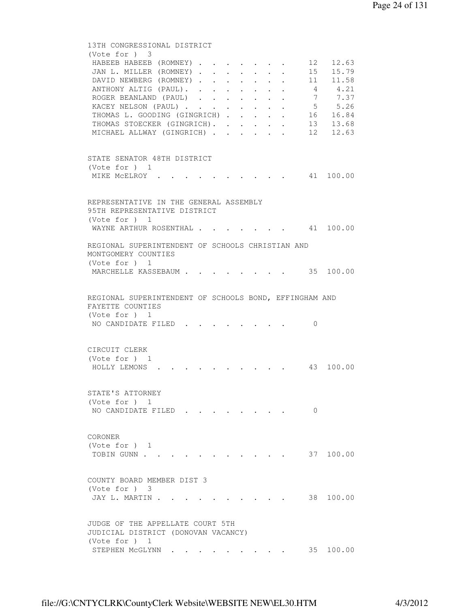```
 13TH CONGRESSIONAL DISTRICT 
         (Vote for ) 3 
         HABEEB HABEEB (ROMNEY) . . . . . . . 12 12.63
         JAN L. MILLER (ROMNEY) . . . . . . . 15 15.79<br>DAVID NEWBERG (ROMNEY) . . . . . . 11 11.58
         DAVID NEWBERG (ROMNEY) . . . . . . . 11<br>ANTHONY ALTIG (PAUL). . . . . . . . 4<br>POGER BEANTAND (PAUL).
         ANTHONY ALTIG (PAUL). . . . . . . . 4 4.21
ROGER BEANLAND (PAUL) . . . . . . 7 7.37
KACEY NELSON (PAUL) . . . . . . . . 5 5.26
THOMAS L. GOODING (GINGRICH) . . . . . 16 16.84
THOMAS STOECKER (GINGRICH). . . . . . 13 13.68
MICHAEL ALLWAY (GINGRICH) . . . . . 12 12.63
         STATE SENATOR 48TH DISTRICT 
         (Vote for ) 1 
         MIKE MCELROY . . . . . . . . . . 41 100.00
         REPRESENTATIVE IN THE GENERAL ASSEMBLY 
         95TH REPRESENTATIVE DISTRICT 
         (Vote for ) 1 
         WAYNE ARTHUR ROSENTHAL . . . . . . . 41 100.00
         REGIONAL SUPERINTENDENT OF SCHOOLS CHRISTIAN AND 
         MONTGOMERY COUNTIES 
         (Vote for ) 1 
         MARCHELLE KASSEBAUM . . . . . . . . 35 100.00
         REGIONAL SUPERINTENDENT OF SCHOOLS BOND, EFFINGHAM AND 
         FAYETTE COUNTIES 
         (Vote for ) 1 
         NO CANDIDATE FILED . . . . . . . . 0
         CIRCUIT CLERK 
          (Vote for ) 1 
          HOLLY LEMONS . . . . . . . . . . 43 100.00 
         STATE'S ATTORNEY 
         (Vote for ) 1 
         NO CANDIDATE FILED . . . . . . . 0
         CORONER 
         (Vote for ) 1 
         TOBIN GUNN . . . . . . . . . . . . 37 100.00
         COUNTY BOARD MEMBER DIST 3 
         (Vote for ) 3 
         JAY L. MARTIN . . . . . . . . . . . 38 100.00
         JUDGE OF THE APPELLATE COURT 5TH 
         JUDICIAL DISTRICT (DONOVAN VACANCY) 
         (Vote for ) 1 
         STEPHEN MCGLYNN . . . . . . . . . 35 100.00
```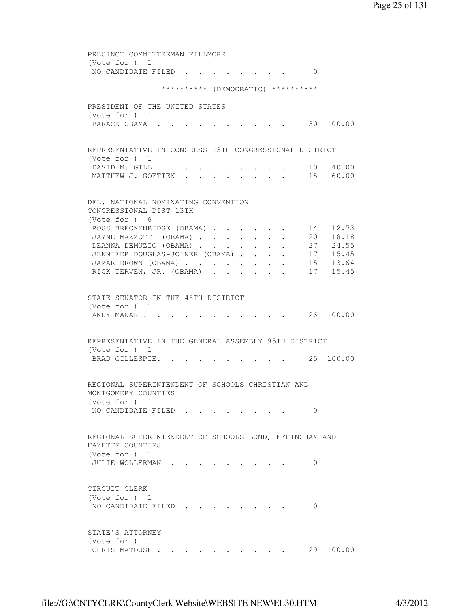PRECINCT COMMITTEEMAN FILLMORE (Vote for ) 1 NO CANDIDATE FILED . . . . . . . . 0 \*\*\*\*\*\*\*\*\*\* (DEMOCRATIC) \*\*\*\*\*\*\*\*\*\* PRESIDENT OF THE UNITED STATES (Vote for ) 1 BARACK OBAMA . . . . . . . . . . 30 100.00 REPRESENTATIVE IN CONGRESS 13TH CONGRESSIONAL DISTRICT (Vote for ) 1 DAVID M. GILL . . . . . . . . . . 10 40.00 MATTHEW J. GOETTEN . . . . . . . . 15 60.00 DEL. NATIONAL NOMINATING CONVENTION CONGRESSIONAL DIST 13TH (Vote for ) 6 ROSS BRECKENRIDGE (OBAMA) . . . . . 14 12.73 JAYNE MAZZOTTI (OBAMA) . . . . . . . 20 18.18 DEANNA DEMUZIO (OBAMA) . . . . . . . 27 24.55 JENNIFER DOUGLAS-JOINER (OBAMA) . . . . 17 15.45 JAMAR BROWN (OBAMA) . . . . . . . . 15 13.64 RICK TERVEN, JR. (OBAMA) . . . . . . 17 15.45 STATE SENATOR IN THE 48TH DISTRICT (Vote for ) 1 ANDY MANAR . . . . . . . . . . . . 26 100.00 REPRESENTATIVE IN THE GENERAL ASSEMBLY 95TH DISTRICT (Vote for ) 1 BRAD GILLESPIE. . . . . . . . . 25 100.00 REGIONAL SUPERINTENDENT OF SCHOOLS CHRISTIAN AND MONTGOMERY COUNTIES (Vote for ) 1 NO CANDIDATE FILED . . . . . . . . 0 REGIONAL SUPERINTENDENT OF SCHOOLS BOND, EFFINGHAM AND FAYETTE COUNTIES (Vote for ) 1 JULIE WOLLERMAN . . . . . . . . . 0 CIRCUIT CLERK (Vote for ) 1 NO CANDIDATE FILED . . . . . . . . 0 STATE'S ATTORNEY (Vote for ) 1 CHRIS MATOUSH . . . . . . . . . . 29 100.00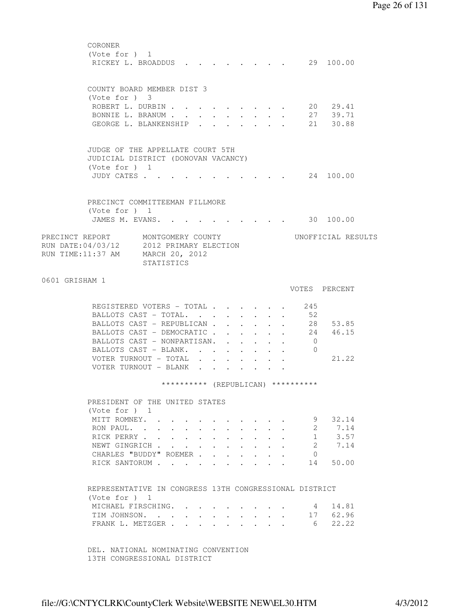CORONER (Vote for ) 1 RICKEY L. BROADDUS . . . . . . . . 29 100.00 COUNTY BOARD MEMBER DIST 3 (Vote for ) 3 ROBERT L. DURBIN . . . . . . . . . 20 29.41 BONNIE L. BRANUM . . . . . . . . . 27 39.71 GEORGE L. BLANKENSHIP . . . . . . . 21 30.88 JUDGE OF THE APPELLATE COURT 5TH JUDICIAL DISTRICT (DONOVAN VACANCY) (Vote for ) 1 JUDY CATES . . . . . . . . . . . 24 100.00 PRECINCT COMMITTEEMAN FILLMORE (Vote for ) 1 JAMES M. EVANS. . . . . . . . . . 30 100.00 PRECINCT REPORT MONTGOMERY COUNTY WORTFICIAL RESULTS RUN DATE:04/03/12 2012 PRIMARY ELECTION RUN TIME:11:37 AM MARCH 20, 2012 STATISTICS 0601 GRISHAM 1 VOTES PERCENT REGISTERED VOTERS - TOTAL . . . . . . 245 BALLOTS CAST - TOTAL. . . . . . . . 52<br>BALLOTS CAST - REPUBLICAN . . . . . . 28 53.85<br>BALLOTS CAST - DEMOCRATIC . . . . . 24 46.15 BALLOTS CAST - REPUBLICAN . . . . . . BALLOTS CAST - DEMOCRATIC . . . . . . 24<br>BALLOTS CAST - NONPARTISAN. . . . . . 0 BALLOTS CAST - NONPARTISAN. . . . . . BALLOTS CAST - BLANK. . . . . . . . 0 VOTER TURNOUT - TOTAL . . . . . . . 21.22 VOTER TURNOUT - BLANK . . . . . . \*\*\*\*\*\*\*\*\*\* (REPUBLICAN) \*\*\*\*\*\*\*\*\*\* PRESIDENT OF THE UNITED STATES (Vote for ) 1 MITT ROMNEY. . . . . . . . . . . 9 32.14 RON PAUL. . . . . . . . . . . . . . 2 7.14<br>RICK PERRY . . . . . . . . . . . . 1 3.57<br>NEWT GINGRICH . . . . . . . . . . . 2 7.14<br>CHARLES "BUDDY" ROEMER . . . . . . 0 RICK PERRY . . . . . . . . . . . 1 3.57 NEWT GINGRICH . . . . . . . . . . 2 7.14 CHARLES "BUDDY" ROEMER . . . . . . . RICK SANTORUM . . . . . . . . . . 14 50.00 REPRESENTATIVE IN CONGRESS 13TH CONGRESSIONAL DISTRICT (Vote for ) 1 MICHAEL FIRSCHING. . . . . . . . . 4 14.81 TIM JOHNSON. . . . . . . . . . . 17 62.96 FRANK L. METZGER . . . . . . . . . . 6 22.22 DEL. NATIONAL NOMINATING CONVENTION

13TH CONGRESSIONAL DISTRICT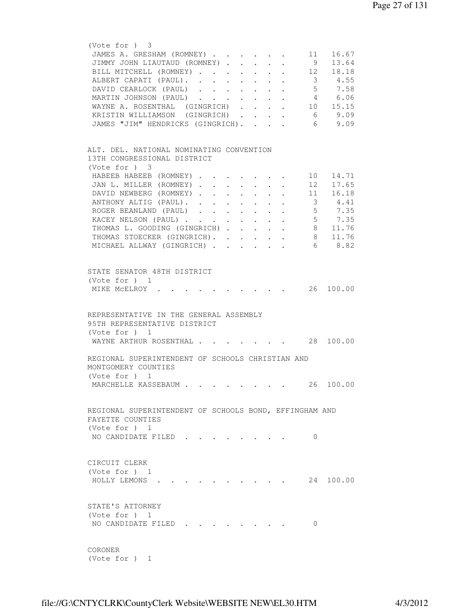```
 (Vote for ) 3 
        JAMES A. GRESHAM (ROMNEY) . . . . . . 11 16.67
        JIMMY JOHN LIAUTAUD (ROMNEY) . . . . . 9 13.64
        BILL MITCHELL (ROMNEY) . . . . . . . 12 18.18
ALBERT CAPATI (PAUL). . . . . . . . 3 4.55
DAVID CEARLOCK (PAUL) . . . . . . . 5 7.58
 MARTIN JOHNSON (PAUL) . . . . . . . 4 6.06 
WAYNE A. ROSENTHAL (GINGRICH) . . . . 10 15.15
 KRISTIN WILLIAMSON (GINGRICH) . . . . 6 9.09 
 JAMES "JIM" HENDRICKS (GINGRICH). . . . 6 9.09 
        ALT. DEL. NATIONAL NOMINATING CONVENTION 
        13TH CONGRESSIONAL DISTRICT 
         (Vote for ) 3 
        HABEEB HABEEB (ROMNEY) . . . . . . . 10 14.71
        JAN L. MILLER (ROMNEY) . . . . . . . 12 17.65<br>DAVID NEWBERG (ROMNEY) . . . . . . . 11 16.18
        DAVID NEWBERG (ROMNEY) . . . . . . .
ANTHONY ALTIG (PAUL). . . . . . . . 3 4.41
ROGER BEANLAND (PAUL) . . . . . . . 5 7.35
KACEY NELSON (PAUL) . . . . . . . . 5 7.35
THOMAS L. GOODING (GINGRICH) . . . . . 8 11.76
THOMAS STOECKER (GINGRICH). . . . . . 8 11.76
MICHAEL ALLWAY (GINGRICH) . . . . . . 6 8.82
         STATE SENATOR 48TH DISTRICT 
         (Vote for ) 1 
        MIKE MCELROY . . . . . . . . . . 26 100.00
        REPRESENTATIVE IN THE GENERAL ASSEMBLY 
        95TH REPRESENTATIVE DISTRICT 
         (Vote for ) 1 
        WAYNE ARTHUR ROSENTHAL . . . . . . . 28 100.00
        REGIONAL SUPERINTENDENT OF SCHOOLS CHRISTIAN AND 
        MONTGOMERY COUNTIES 
         (Vote for ) 1 
        MARCHELLE KASSEBAUM . . . . . . . . 26 100.00
        REGIONAL SUPERINTENDENT OF SCHOOLS BOND, EFFINGHAM AND 
        FAYETTE COUNTIES 
         (Vote for ) 1 
        NO CANDIDATE FILED . . . . . . . . 0
        CIRCUIT CLERK 
         (Vote for ) 1 
         HOLLY LEMONS . . . . . . . . . . 24 100.00 
        STATE'S ATTORNEY 
         (Vote for ) 1 
        NO CANDIDATE FILED . . . . . . . . 0
        CORONER 
         (Vote for ) 1
```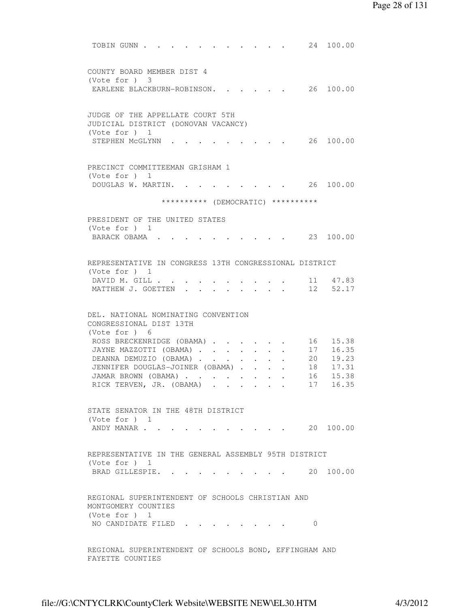```
TOBIN GUNN . . . . . . . . . . . . 24 100.00
          COUNTY BOARD MEMBER DIST 4 
          (Vote for ) 3 
          EARLENE BLACKBURN-ROBINSON. . . . . 26 100.00
          JUDGE OF THE APPELLATE COURT 5TH 
          JUDICIAL DISTRICT (DONOVAN VACANCY) 
          (Vote for ) 1 
          STEPHEN MCGLYNN . . . . . . . . . 26 100.00
          PRECINCT COMMITTEEMAN GRISHAM 1 
          (Vote for ) 1 
          DOUGLAS W. MARTIN. . . . . . . . . 26 100.00
                          ********** (DEMOCRATIC) ********** 
          PRESIDENT OF THE UNITED STATES 
          (Vote for ) 1 
          BARACK OBAMA . . . . . . . . . . 23 100.00
          REPRESENTATIVE IN CONGRESS 13TH CONGRESSIONAL DISTRICT 
          (Vote for ) 1 
 DAVID M. GILL . . . . . . . . . . 11 47.83 
MATTHEW J. GOETTEN . . . . . . . . 12 52.17
          DEL. NATIONAL NOMINATING CONVENTION 
          CONGRESSIONAL DIST 13TH 
          (Vote for ) 6 
          ROSS BRECKENRIDGE (OBAMA) . . . . . 16 15.38
          JAYNE MAZZOTTI (OBAMA) . . . . . . . 17 16.35
          DEANNA DEMUZIO (OBAMA) . . . . . . . 20 19.23<br>JENNIFER DOUGLAS-JOINER (OBAMA) . . . . . 18 17.31<br>JAMAR BROWN (OBAMA) . . . . . . . 16 15.38<br>RICK TERVEN, JR. (OBAMA) . . . . . . 17 16.35
          JENNIFER DOUGLAS-JOINER (OBAMA) . . . .
          JAMAR BROWN (OBAMA) . . . . . . . .
          RICK TERVEN, JR. (OBAMA) . . . . . .
          STATE SENATOR IN THE 48TH DISTRICT 
          (Vote for ) 1 
          ANDY MANAR . . . . . . . . . . . 20 100.00
          REPRESENTATIVE IN THE GENERAL ASSEMBLY 95TH DISTRICT 
          (Vote for ) 1 
          BRAD GILLESPIE. . . . . . . . . . 20 100.00
          REGIONAL SUPERINTENDENT OF SCHOOLS CHRISTIAN AND 
          MONTGOMERY COUNTIES 
          (Vote for ) 1 
          NO CANDIDATE FILED . . . . . . . . 0
          REGIONAL SUPERINTENDENT OF SCHOOLS BOND, EFFINGHAM AND
```
FAYETTE COUNTIES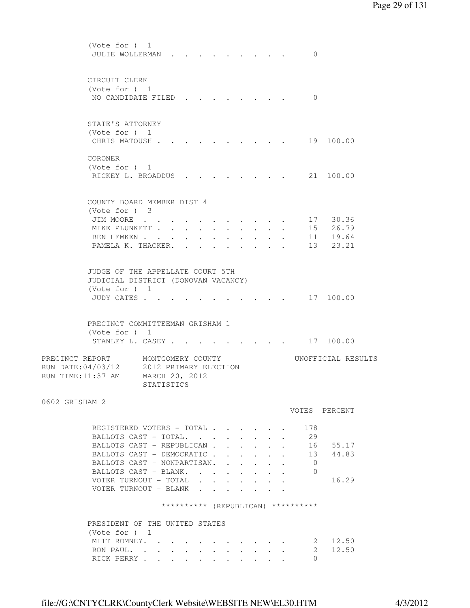| (Vote for ) 1<br>JULIE WOLLERMAN                                                                                                                                                                                                                  |                                                                            |  |                                                                 |                                                                 |              |                      | $\Omega$                           |                                                |  |
|---------------------------------------------------------------------------------------------------------------------------------------------------------------------------------------------------------------------------------------------------|----------------------------------------------------------------------------|--|-----------------------------------------------------------------|-----------------------------------------------------------------|--------------|----------------------|------------------------------------|------------------------------------------------|--|
| CIRCUIT CLERK<br>(Vote for $)$ 1<br>NO CANDIDATE FILED                                                                                                                                                                                            |                                                                            |  |                                                                 |                                                                 |              |                      | $\Omega$                           |                                                |  |
| STATE'S ATTORNEY<br>(Vote for ) 1<br>CHRIS MATOUSH .                                                                                                                                                                                              |                                                                            |  |                                                                 |                                                                 |              |                      |                                    | 19 100.00                                      |  |
| CORONER<br>(Vote for $)$ 1<br>RICKEY L. BROADDUS                                                                                                                                                                                                  |                                                                            |  |                                                                 |                                                                 |              |                      |                                    | 21 100.00                                      |  |
| COUNTY BOARD MEMBER DIST 4<br>(Vote for ) 3                                                                                                                                                                                                       |                                                                            |  |                                                                 |                                                                 |              |                      |                                    |                                                |  |
| JIM MOORE                                                                                                                                                                                                                                         |                                                                            |  |                                                                 |                                                                 |              |                      |                                    | 17 30.36                                       |  |
| MIKE PLUNKETT                                                                                                                                                                                                                                     |                                                                            |  |                                                                 | $\cdot$ $\cdot$ $\cdot$ $\cdot$                                 |              |                      |                                    | 15 26.79                                       |  |
| BEN HEMKEN                                                                                                                                                                                                                                        |                                                                            |  |                                                                 |                                                                 |              |                      | 11                                 | 19.64                                          |  |
| PAMELA K. THACKER.                                                                                                                                                                                                                                |                                                                            |  | $\bullet$ .<br><br><br><br><br><br><br><br><br><br><br><br><br> | $\bullet$ .<br><br><br><br><br><br><br><br><br><br><br><br><br> | $\bullet$    |                      | 13                                 | 23.21                                          |  |
| JUDGE OF THE APPELLATE COURT 5TH<br>JUDICIAL DISTRICT (DONOVAN VACANCY)<br>(Vote for $)$ 1<br>JUDY CATES .<br>PRECINCT COMMITTEEMAN GRISHAM 1<br>(Vote for ) 1<br>STANLEY L. CASEY<br>PRECINCT REPORT<br>RUN DATE: 04/03/12<br>RUN TIME: 11:37 AM | MONTGOMERY COUNTY<br>2012 PRIMARY ELECTION<br>MARCH 20, 2012<br>STATISTICS |  |                                                                 |                                                                 |              |                      |                                    | 17 100.00<br>. 17 100.00<br>UNOFFICIAL RESULTS |  |
| 0602 GRISHAM 2                                                                                                                                                                                                                                    |                                                                            |  |                                                                 |                                                                 |              |                      |                                    | VOTES PERCENT                                  |  |
|                                                                                                                                                                                                                                                   |                                                                            |  |                                                                 |                                                                 |              |                      |                                    |                                                |  |
| REGISTERED VOTERS - TOTAL                                                                                                                                                                                                                         |                                                                            |  |                                                                 |                                                                 |              |                      | 178                                |                                                |  |
| BALLOTS CAST - TOTAL.                                                                                                                                                                                                                             |                                                                            |  | $\sim$                                                          | $\mathbf{L}$                                                    |              |                      | 29                                 |                                                |  |
| BALLOTS CAST - REPUBLICAN                                                                                                                                                                                                                         |                                                                            |  |                                                                 |                                                                 | $\mathbf{r}$ | $\ddot{\phantom{0}}$ | 16                                 | 55.17                                          |  |
| BALLOTS CAST - DEMOCRATIC                                                                                                                                                                                                                         |                                                                            |  |                                                                 |                                                                 |              |                      | 13                                 | 44.83                                          |  |
| BALLOTS CAST - NONPARTISAN.                                                                                                                                                                                                                       |                                                                            |  |                                                                 |                                                                 |              |                      | $\overline{0}$                     |                                                |  |
| BALLOTS CAST - BLANK.                                                                                                                                                                                                                             |                                                                            |  |                                                                 |                                                                 |              |                      | $\overline{0}$                     |                                                |  |
| VOTER TURNOUT - TOTAL $\cdot \cdot \cdot \cdot \cdot \cdot$                                                                                                                                                                                       |                                                                            |  |                                                                 |                                                                 |              |                      |                                    | 16.29                                          |  |
| VOTER TURNOUT - BLANK                                                                                                                                                                                                                             |                                                                            |  |                                                                 |                                                                 |              |                      |                                    |                                                |  |
|                                                                                                                                                                                                                                                   |                                                                            |  |                                                                 |                                                                 |              |                      | ********** (REPUBLICAN) ********** |                                                |  |
| PRESIDENT OF THE UNITED STATES                                                                                                                                                                                                                    |                                                                            |  |                                                                 |                                                                 |              |                      |                                    |                                                |  |
| (Note for ) 1                                                                                                                                                                                                                                     |                                                                            |  |                                                                 |                                                                 |              |                      |                                    |                                                |  |
| MITT ROMNEY.                                                                                                                                                                                                                                      |                                                                            |  |                                                                 |                                                                 |              |                      |                                    | 12.50<br>2                                     |  |
| RON PAUL.                                                                                                                                                                                                                                         |                                                                            |  |                                                                 |                                                                 |              |                      |                                    | 12.50<br>2                                     |  |
| RICK PERRY                                                                                                                                                                                                                                        |                                                                            |  |                                                                 |                                                                 |              |                      | 0                                  |                                                |  |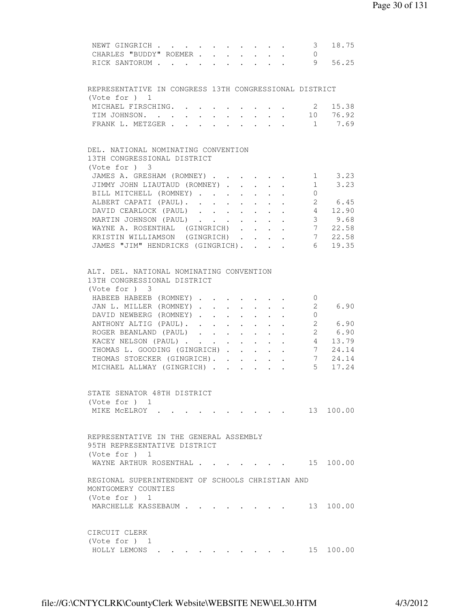| NEWT GINGRICH 3<br>18.75<br>CHARLES "BUDDY" ROEMER 0                                                                                                                                                                                                                                                                                                                                                           |  |
|----------------------------------------------------------------------------------------------------------------------------------------------------------------------------------------------------------------------------------------------------------------------------------------------------------------------------------------------------------------------------------------------------------------|--|
| RICK SANTORUM 9<br>56.25                                                                                                                                                                                                                                                                                                                                                                                       |  |
| REPRESENTATIVE IN CONGRESS 13TH CONGRESSIONAL DISTRICT<br>(Vote for $)$ 1                                                                                                                                                                                                                                                                                                                                      |  |
| MICHAEL FIRSCHING. 2 15.38                                                                                                                                                                                                                                                                                                                                                                                     |  |
| TIM JOHNSON. 10 76.92                                                                                                                                                                                                                                                                                                                                                                                          |  |
| FRANK L. METZGER 1 7.69                                                                                                                                                                                                                                                                                                                                                                                        |  |
|                                                                                                                                                                                                                                                                                                                                                                                                                |  |
| DEL. NATIONAL NOMINATING CONVENTION<br>13TH CONGRESSIONAL DISTRICT<br>(Vote for ) 3                                                                                                                                                                                                                                                                                                                            |  |
| JAMES A. GRESHAM (ROMNEY) 1 3.23                                                                                                                                                                                                                                                                                                                                                                               |  |
| JIMMY JOHN LIAUTAUD (ROMNEY)<br>$1 \quad 3.23$                                                                                                                                                                                                                                                                                                                                                                 |  |
| BILL MITCHELL (ROMNEY)<br>$\overline{0}$                                                                                                                                                                                                                                                                                                                                                                       |  |
| 2 6.45<br>ALBERT CAPATI (PAUL).                                                                                                                                                                                                                                                                                                                                                                                |  |
| DAVID CEARLOCK (PAUL) 4 12.90                                                                                                                                                                                                                                                                                                                                                                                  |  |
| MARTIN JOHNSON (PAUL)                                                                                                                                                                                                                                                                                                                                                                                          |  |
| $\begin{array}{@{}c@{\hspace{1em}}c@{\hspace{1em}}c@{\hspace{1em}}c@{\hspace{1em}}c@{\hspace{1em}}c@{\hspace{1em}}c@{\hspace{1em}}c@{\hspace{1em}}c@{\hspace{1em}}c@{\hspace{1em}}c@{\hspace{1em}}c@{\hspace{1em}}c@{\hspace{1em}}c@{\hspace{1em}}c@{\hspace{1em}}c@{\hspace{1em}}c@{\hspace{1em}}c@{\hspace{1em}}c@{\hspace{1em}}c@{\hspace{1em}}c@{\hspace{1em}}c@{\hspace{1em}}c@{\hspace{1em}}c@{\hspace{$ |  |
| WAYNE A. ROSENTHAL (GINGRICH).<br>$\mathbf{L} = \mathbf{L} \mathbf{L}$                                                                                                                                                                                                                                                                                                                                         |  |
| $\frac{7}{7}$ 22.58<br>KRISTIN WILLIAMSON (GINGRICH).<br>$\mathbf{L}^{\text{max}}$ , and $\mathbf{L}^{\text{max}}$<br>$\sim$                                                                                                                                                                                                                                                                                   |  |
| $6\overline{}$<br>JAMES "JIM" HENDRICKS (GINGRICH).<br>19.35                                                                                                                                                                                                                                                                                                                                                   |  |
| ALT. DEL. NATIONAL NOMINATING CONVENTION<br>13TH CONGRESSIONAL DISTRICT<br>$(Vote for )$ 3<br>HABEEB HABEEB (ROMNEY)<br>$\overline{0}$                                                                                                                                                                                                                                                                         |  |
| $\overline{\mathbf{c}}$<br>6.90<br>JAN L. MILLER (ROMNEY)<br>$\sim$<br>$\sim$<br>$\cdot$ $\cdot$ $\cdot$                                                                                                                                                                                                                                                                                                       |  |
| DAVID NEWBERG (ROMNEY)<br>$\circ$                                                                                                                                                                                                                                                                                                                                                                              |  |
| $\cdot$ $\cdot$ $\cdot$<br>2 6.90                                                                                                                                                                                                                                                                                                                                                                              |  |
| $\mathcal{L}_{\mathcal{A}}$<br>ANTHONY ALTIG (PAUL).                                                                                                                                                                                                                                                                                                                                                           |  |
| ROGER BEANLAND (PAUL)<br>2 6.90                                                                                                                                                                                                                                                                                                                                                                                |  |
| KACEY NELSON (PAUL) 4 13.79                                                                                                                                                                                                                                                                                                                                                                                    |  |
| THOMAS L. GOODING (GINGRICH)<br>7 24.14                                                                                                                                                                                                                                                                                                                                                                        |  |
| 7 24.14<br>THOMAS STOECKER (GINGRICH).                                                                                                                                                                                                                                                                                                                                                                         |  |
| 5 <sub>5</sub><br>MICHAEL ALLWAY (GINGRICH)<br>17.24                                                                                                                                                                                                                                                                                                                                                           |  |
| STATE SENATOR 48TH DISTRICT<br>(Vote for $)$ 1<br>13 100.00<br>MIKE MCELROY .                                                                                                                                                                                                                                                                                                                                  |  |
|                                                                                                                                                                                                                                                                                                                                                                                                                |  |
| REPRESENTATIVE IN THE GENERAL ASSEMBLY<br>95TH REPRESENTATIVE DISTRICT<br>(Vote for ) 1                                                                                                                                                                                                                                                                                                                        |  |
| WAYNE ARTHUR ROSENTHAL 15 100.00                                                                                                                                                                                                                                                                                                                                                                               |  |
| REGIONAL SUPERINTENDENT OF SCHOOLS CHRISTIAN AND<br>MONTGOMERY COUNTIES<br>(Vote for $)$ 1                                                                                                                                                                                                                                                                                                                     |  |
| MARCHELLE KASSEBAUM<br>13 100.00                                                                                                                                                                                                                                                                                                                                                                               |  |
| CIRCUIT CLERK<br>(Vote for $)$ 1                                                                                                                                                                                                                                                                                                                                                                               |  |
| 15 100.00<br>HOLLY LEMONS.                                                                                                                                                                                                                                                                                                                                                                                     |  |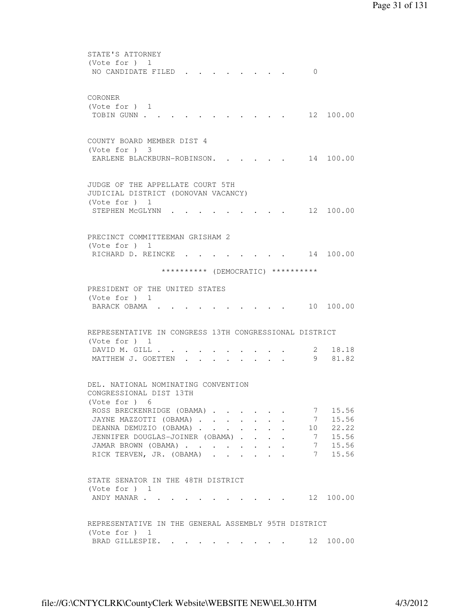| STATE'S ATTORNEY<br>(Vote for ) 1<br>NO CANDIDATE FILED.<br>$\Omega$                                                       |
|----------------------------------------------------------------------------------------------------------------------------|
|                                                                                                                            |
| CORONER<br>(Vote for $)$ 1<br>12 100.00<br>TOBIN GUNN                                                                      |
|                                                                                                                            |
| COUNTY BOARD MEMBER DIST 4<br>$(Vote for )$ 3                                                                              |
| EARLENE BLACKBURN-ROBINSON.<br>14 100.00                                                                                   |
| JUDGE OF THE APPELLATE COURT 5TH<br>JUDICIAL DISTRICT (DONOVAN VACANCY)<br>(Vote for $)$ 1<br>STEPHEN MCGLYNN<br>12 100.00 |
|                                                                                                                            |
| PRECINCT COMMITTEEMAN GRISHAM 2                                                                                            |
| (Vote for $)$ 1<br>RICHARD D. REINCKE.<br>14 100.00                                                                        |
| ********** (DEMOCRATIC) **********                                                                                         |
| PRESIDENT OF THE UNITED STATES<br>(Vote for ) 1                                                                            |
| BARACK OBAMA.<br>10 100.00                                                                                                 |
| REPRESENTATIVE IN CONGRESS 13TH CONGRESSIONAL DISTRICT<br>(Vote for ) 1                                                    |
| 2 18.18<br>DAVID M. GILL<br>9<br>81.82<br>MATTHEW J. GOETTEN                                                               |
| $\cdot$ $\cdot$ $\cdot$ $\cdot$                                                                                            |
| DEL. NATIONAL NOMINATING CONVENTION<br>CONGRESSIONAL DIST 13TH<br>(Vote for ) 6                                            |
| 15.56<br>ROSS BRECKENRIDGE (OBAMA)<br>$\overline{7}$                                                                       |
| JAYNE MAZZOTTI (OBAMA)<br>$7\overline{ }$<br>15.56                                                                         |
| 10 22.22<br>DEANNA DEMUZIO (OBAMA)<br>JENNIFER DOUGLAS-JOINER (OBAMA)                                                      |
| 7 15.56<br>7 15.56<br>JAMAR BROWN (OBAMA)                                                                                  |
| 15.56<br>RICK TERVEN, JR. (OBAMA)<br>7                                                                                     |
| STATE SENATOR IN THE 48TH DISTRICT<br>(Vote for $)$ 1                                                                      |
| 12 100.00<br>ANDY MANAR<br>$\mathbf{r}$ , and $\mathbf{r}$ , and $\mathbf{r}$ , and $\mathbf{r}$                           |
| REPRESENTATIVE IN THE GENERAL ASSEMBLY 95TH DISTRICT<br>(Vote for $)$ 1                                                    |
| BRAD GILLESPIE. 12 100.00                                                                                                  |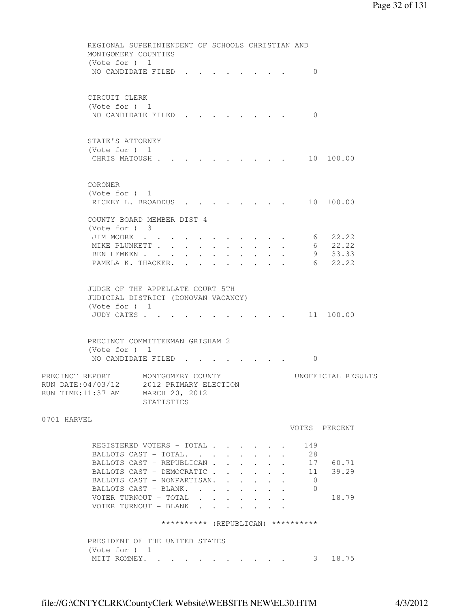```
 REGIONAL SUPERINTENDENT OF SCHOOLS CHRISTIAN AND 
         MONTGOMERY COUNTIES 
         (Vote for ) 1 
        NO CANDIDATE FILED . . . . . . . . 0
         CIRCUIT CLERK 
         (Vote for ) 1 
        NO CANDIDATE FILED . . . . . . . . 0
         STATE'S ATTORNEY 
         (Vote for ) 1 
        CHRIS MATOUSH . . . . . . . . . . 10 100.00
         CORONER 
         (Vote for ) 1 
        RICKEY L. BROADDUS . . . . . . . . 10 100.00
         COUNTY BOARD MEMBER DIST 4 
         (Vote for ) 3 
 JIM MOORE . . . . . . . . . . . 6 22.22 
 MIKE PLUNKETT . . . . . . . . . . 6 22.22 
BEN HEMKEN . . . . . . . . . . . 9 33.33
        PAMELA K. THACKER. . . . . . . . . . 6 22.22
         JUDGE OF THE APPELLATE COURT 5TH 
         JUDICIAL DISTRICT (DONOVAN VACANCY) 
         (Vote for ) 1 
        JUDY CATES . . . . . . . . . . . . 11 100.00
         PRECINCT COMMITTEEMAN GRISHAM 2 
         (Vote for ) 1 
        NO CANDIDATE FILED . . . . . . . . 0
PRECINCT REPORT MONTGOMERY COUNTY WORTFICIAL RESULTS
RUN DATE:04/03/12 2012 PRIMARY ELECTION 
RUN TIME:11:37 AM MARCH 20, 2012 
                  STATISTICS 
0701 HARVEL 
                                             VOTES PERCENT 
         REGISTERED VOTERS - TOTAL . . . . . 149
         BALLOTS CAST - TOTAL. . . . . . . . 28
         BALLOTS CAST - REPUBLICAN . . . . . 17 60.71
         BALLOTS CAST - DEMOCRATIC . . . . . . 11 39.29
         BALLOTS CAST - NONPARTISAN. . . . . . 0
        BALLOTS CAST - BLANK. . . . . . . . 0
         VOTER TURNOUT - TOTAL . . . . . . . 18.79
         VOTER TURNOUT - BLANK . . . .
                      ********** (REPUBLICAN) ********** 
         PRESIDENT OF THE UNITED STATES 
         (Vote for ) 1 
        MITT ROMNEY. . . . . . . . . . . . 3 18.75
```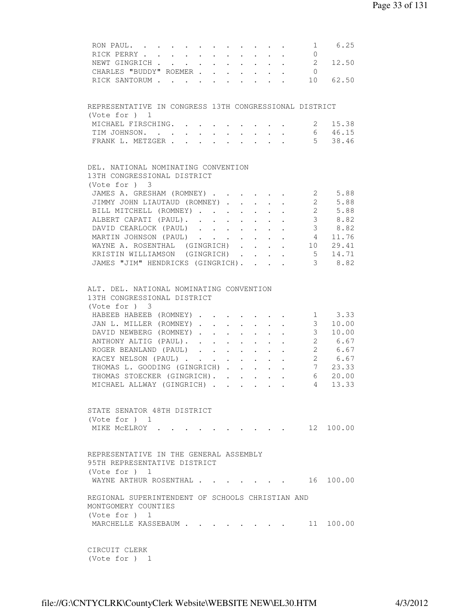| RON PAUL. 1 6.25                                                                                                          |                |                                                                   |
|---------------------------------------------------------------------------------------------------------------------------|----------------|-------------------------------------------------------------------|
| RICK PERRY<br>$\sim$ $-$<br>$\sim$ $-$<br>$\mathbf{L}$ and $\mathbf{L}$                                                   | $\overline{0}$ |                                                                   |
| $\mathcal{L}^{\text{max}}$<br>NEWT GINGRICH<br>$\sim 10^{-11}$<br>$\mathcal{L}^{\text{max}}$                              |                | 2 12.50                                                           |
| CHARLES "BUDDY" ROEMER                                                                                                    | $\overline{0}$ |                                                                   |
| RICK SANTORUM 10 62.50                                                                                                    |                |                                                                   |
|                                                                                                                           |                |                                                                   |
| REPRESENTATIVE IN CONGRESS 13TH CONGRESSIONAL DISTRICT                                                                    |                |                                                                   |
| (Vote for ) 1                                                                                                             |                |                                                                   |
|                                                                                                                           |                | 2 15.38                                                           |
| MICHAEL FIRSCHING.                                                                                                        |                |                                                                   |
| TIM JOHNSON.<br>$\sim$<br>$\sim$<br>$\sim$ $-$<br>$\sim 100$<br>$\sim$<br>$\sim$ 100 $\pm$<br>$\sim$                      |                | 6 46.15                                                           |
| FRANK L. METZGER                                                                                                          |                | 5 38.46                                                           |
|                                                                                                                           |                |                                                                   |
| DEL. NATIONAL NOMINATING CONVENTION<br>13TH CONGRESSIONAL DISTRICT                                                        |                |                                                                   |
|                                                                                                                           |                |                                                                   |
| (Vote for ) 3                                                                                                             |                |                                                                   |
| JAMES A. GRESHAM (ROMNEY)                                                                                                 |                | $\begin{array}{ccc} 2 & 5.88 \\ 2 & 5.88 \\ 2 & 5.88 \end{array}$ |
| JIMMY JOHN LIAUTAUD (ROMNEY)<br>$\sim$ $-$                                                                                |                |                                                                   |
| BILL MITCHELL (ROMNEY)<br>$\sim 10^{-11}$<br>$\mathbf{L}$<br>$\sim$<br>$\sim$                                             |                |                                                                   |
| ALBERT CAPATI (PAUL).                                                                                                     |                | 38.82                                                             |
| DAVID CEARLOCK (PAUL) 3 8.82                                                                                              |                |                                                                   |
| MARTIN JOHNSON (PAUL) 4 11.76                                                                                             |                |                                                                   |
|                                                                                                                           |                |                                                                   |
| WAYNE A. ROSENTHAL (GINGRICH) 10 29.41                                                                                    |                |                                                                   |
| KRISTIN WILLIAMSON (GINGRICH) 5 14.71                                                                                     |                |                                                                   |
| JAMES "JIM" HENDRICKS (GINGRICH). 3 8.82                                                                                  |                |                                                                   |
| ALT. DEL. NATIONAL NOMINATING CONVENTION<br>13TH CONGRESSIONAL DISTRICT<br>(Vote for ) 3<br>HABEEB HABEEB (ROMNEY) 1 3.33 |                |                                                                   |
| JAN L. MILLER (ROMNEY)                                                                                                    |                | 3 10.00                                                           |
|                                                                                                                           |                |                                                                   |
| DAVID NEWBERG (ROMNEY)                                                                                                    |                | 3 10.00                                                           |
| ANTHONY ALTIG (PAUL) 2 6.67<br>ROGER BEANLAND (PAUL) 2 6.67<br>KACEY NELSON (PAUL) 2 6.67                                 |                |                                                                   |
|                                                                                                                           |                |                                                                   |
|                                                                                                                           |                |                                                                   |
| THOMAS L. GOODING (GINGRICH)<br>$\mathbf{L}^{\text{max}}$ , and $\mathbf{L}^{\text{max}}$                                 |                | $\frac{2}{7}$ 23.33                                               |
| THOMAS STOECKER (GINGRICH).                                                                                               |                | 6 20.00                                                           |
| MICHAEL ALLWAY (GINGRICH) 4 13.33                                                                                         |                |                                                                   |
|                                                                                                                           |                |                                                                   |
| STATE SENATOR 48TH DISTRICT<br>(Vote for $)$ 1                                                                            |                |                                                                   |
| $\cdot$ 12 100.00<br>MIKE MCELROY .                                                                                       |                |                                                                   |
| REPRESENTATIVE IN THE GENERAL ASSEMBLY<br>95TH REPRESENTATIVE DISTRICT<br>(Vote for $)$ 1                                 |                |                                                                   |
| WAYNE ARTHUR ROSENTHAL<br>$\mathbf{r}$ , and $\mathbf{r}$ , and $\mathbf{r}$ , and $\mathbf{r}$                           | 16             | 100.00                                                            |
| REGIONAL SUPERINTENDENT OF SCHOOLS CHRISTIAN AND<br>MONTGOMERY COUNTIES<br>(Vote for ) 1                                  |                |                                                                   |
| MARCHELLE KASSEBAUM                                                                                                       |                |                                                                   |
| CIRCUIT CLERK                                                                                                             |                |                                                                   |

```
 (Vote for ) 1
```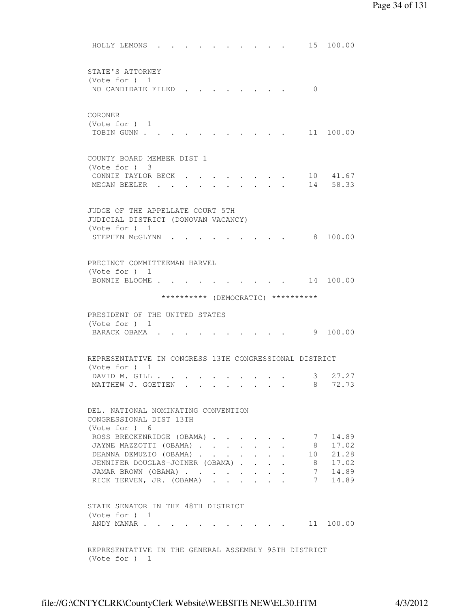|         | HOLLY LEMONS                                        |  |  |  |  |              | 15                                                     | 100.00                |  |
|---------|-----------------------------------------------------|--|--|--|--|--------------|--------------------------------------------------------|-----------------------|--|
|         | STATE'S ATTORNEY                                    |  |  |  |  |              |                                                        |                       |  |
|         | (Vote for ) 1                                       |  |  |  |  |              | $\Omega$                                               |                       |  |
|         | NO CANDIDATE FILED                                  |  |  |  |  |              |                                                        |                       |  |
| CORONER |                                                     |  |  |  |  |              |                                                        |                       |  |
|         | (Vote for $)$ 1                                     |  |  |  |  |              |                                                        |                       |  |
|         | TOBIN GUNN .                                        |  |  |  |  |              |                                                        | 11 100.00             |  |
|         | COUNTY BOARD MEMBER DIST 1                          |  |  |  |  |              |                                                        |                       |  |
|         | (Vote for ) 3                                       |  |  |  |  |              |                                                        |                       |  |
|         | CONNIE TAYLOR BECK                                  |  |  |  |  |              | 14                                                     | 10 41.67<br>58.33     |  |
|         | MEGAN BEELER .                                      |  |  |  |  |              |                                                        |                       |  |
|         | JUDGE OF THE APPELLATE COURT 5TH                    |  |  |  |  |              |                                                        |                       |  |
|         | JUDICIAL DISTRICT (DONOVAN VACANCY)                 |  |  |  |  |              |                                                        |                       |  |
|         | (Vote for $)$ 1                                     |  |  |  |  |              |                                                        | 8 100.00              |  |
|         | STEPHEN MCGLYNN                                     |  |  |  |  |              |                                                        |                       |  |
|         | PRECINCT COMMITTEEMAN HARVEL                        |  |  |  |  |              |                                                        |                       |  |
|         | (Vote for ) 1                                       |  |  |  |  |              |                                                        |                       |  |
|         | BONNIE BLOOME.                                      |  |  |  |  |              |                                                        | 14 100.00             |  |
|         |                                                     |  |  |  |  |              | ********** (DEMOCRATIC) **********                     |                       |  |
|         | PRESIDENT OF THE UNITED STATES                      |  |  |  |  |              |                                                        |                       |  |
|         | (Vote for $)$ 1                                     |  |  |  |  |              |                                                        |                       |  |
|         | BARACK OBAMA.                                       |  |  |  |  |              |                                                        | 9 100.00              |  |
|         |                                                     |  |  |  |  |              | REPRESENTATIVE IN CONGRESS 13TH CONGRESSIONAL DISTRICT |                       |  |
|         | (Vote for ) 1                                       |  |  |  |  |              |                                                        |                       |  |
|         | DAVID M. GILL .<br>MATTHEW J. GOETTEN               |  |  |  |  |              | 3                                                      | 27.27<br>72.73        |  |
|         |                                                     |  |  |  |  |              | 8                                                      |                       |  |
|         | DEL. NATIONAL NOMINATING CONVENTION                 |  |  |  |  |              |                                                        |                       |  |
|         | CONGRESSIONAL DIST 13TH                             |  |  |  |  |              |                                                        |                       |  |
|         | (Vote for ) 6                                       |  |  |  |  |              |                                                        |                       |  |
|         | ROSS BRECKENRIDGE (OBAMA)<br>JAYNE MAZZOTTI (OBAMA) |  |  |  |  | $\mathbf{L}$ |                                                        | 7 14.89<br>8 17.02    |  |
|         | DEANNA DEMUZIO (OBAMA)                              |  |  |  |  |              |                                                        | 10 21.28              |  |
|         | JENNIFER DOUGLAS-JOINER (OBAMA)                     |  |  |  |  |              |                                                        | 8 17.02               |  |
|         | JAMAR BROWN (OBAMA)                                 |  |  |  |  |              |                                                        | 7 14.89               |  |
|         | RICK TERVEN, JR. (OBAMA)                            |  |  |  |  |              |                                                        | 7 14.89               |  |
|         | STATE SENATOR IN THE 48TH DISTRICT                  |  |  |  |  |              |                                                        |                       |  |
|         | (Vote for ) 1                                       |  |  |  |  |              |                                                        |                       |  |
|         | ANDY MANAR                                          |  |  |  |  |              |                                                        | $\cdot$ , , 11 100.00 |  |
|         |                                                     |  |  |  |  |              |                                                        |                       |  |
|         |                                                     |  |  |  |  |              | REPRESENTATIVE IN THE GENERAL ASSEMBLY 95TH DISTRICT   |                       |  |

(Vote for ) 1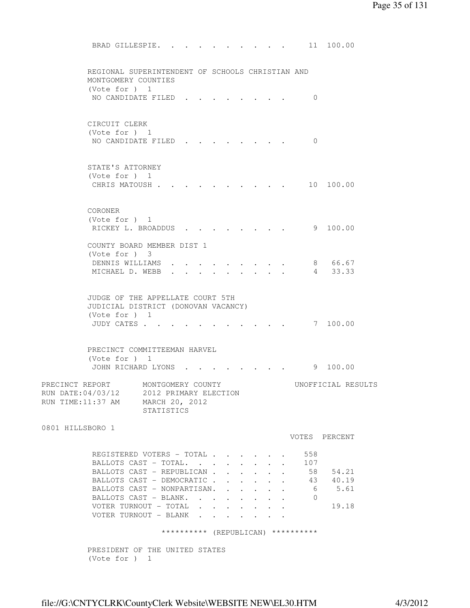BRAD GILLESPIE. . . . . . . . . . 11 100.00 REGIONAL SUPERINTENDENT OF SCHOOLS CHRISTIAN AND MONTGOMERY COUNTIES (Vote for ) 1 NO CANDIDATE FILED . . . . . . . . 0 CIRCUIT CLERK (Vote for ) 1 NO CANDIDATE FILED . . . . . . . . 0 STATE'S ATTORNEY (Vote for ) 1 CHRIS MATOUSH . . . . . . . . . . 10 100.00 CORONER (Vote for ) 1 RICKEY L. BROADDUS . . . . . . . . 9 100.00 COUNTY BOARD MEMBER DIST 1 (Vote for ) 3 DENNIS WILLIAMS  $\cdots$   $\cdots$   $\cdots$   $\cdots$  8 66.67 MICHAEL D. WEBB . . . . . . . . . 4 33.33 JUDGE OF THE APPELLATE COURT 5TH JUDICIAL DISTRICT (DONOVAN VACANCY) (Vote for ) 1 JUDY CATES . . . . . . . . . . . 7 100.00 PRECINCT COMMITTEEMAN HARVEL (Vote for ) 1 JOHN RICHARD LYONS . . . . . . . . 9 100.00 PRECINCT REPORT MONTGOMERY COUNTY WORTFICIAL RESULTS RUN DATE:04/03/12 2012 PRIMARY ELECTION RUN TIME:11:37 AM MARCH 20, 2012 STATISTICS 0801 HILLSBORO 1 VOTES PERCENT REGISTERED VOTERS - TOTAL . . . . . . 558 BALLOTS CAST - TOTAL. . . . . . . . 107 BALLOTS CAST - REPUBLICAN . . . . . . 58 54.21 BALLOTS CAST - DEMOCRATIC . . . . . . 43 40.19 BALLOTS CAST - NONPARTISAN. . . . . . 6 5.61 BALLOTS CAST - BLANK. . . . . . . . 0 VOTER TURNOUT - TOTAL . . . . . . . 19.18 VOTER TURNOUT - BLANK . . . . . \*\*\*\*\*\*\*\*\*\* (REPUBLICAN) \*\*\*\*\*\*\*\*\*\* PRESIDENT OF THE UNITED STATES (Vote for ) 1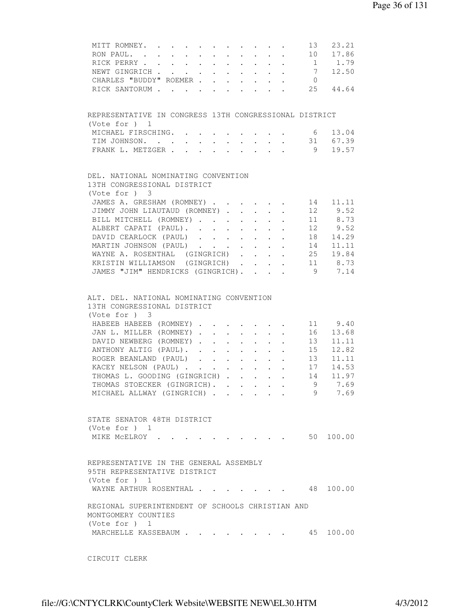| MITT ROMNEY.                                                            |  |  |                      |                                            |                                                                                                                                                                                                                                    | 13             | 23.21                                                    |
|-------------------------------------------------------------------------|--|--|----------------------|--------------------------------------------|------------------------------------------------------------------------------------------------------------------------------------------------------------------------------------------------------------------------------------|----------------|----------------------------------------------------------|
| RON PAUL.                                                               |  |  |                      | $\mathbf{r}$ , $\mathbf{r}$ , $\mathbf{r}$ |                                                                                                                                                                                                                                    |                | 10 17.86                                                 |
| RICK PERRY 1 1.79                                                       |  |  |                      |                                            |                                                                                                                                                                                                                                    |                |                                                          |
| NEWT GINGRICH 7 12.50                                                   |  |  |                      |                                            |                                                                                                                                                                                                                                    |                |                                                          |
| CHARLES "BUDDY" ROEMER                                                  |  |  |                      |                                            |                                                                                                                                                                                                                                    | $\overline{0}$ |                                                          |
| RICK SANTORUM                                                           |  |  |                      |                                            |                                                                                                                                                                                                                                    |                | 25 44.64                                                 |
|                                                                         |  |  |                      |                                            |                                                                                                                                                                                                                                    |                |                                                          |
|                                                                         |  |  |                      |                                            |                                                                                                                                                                                                                                    |                |                                                          |
| REPRESENTATIVE IN CONGRESS 13TH CONGRESSIONAL DISTRICT<br>(Vote for ) 1 |  |  |                      |                                            |                                                                                                                                                                                                                                    |                |                                                          |
| MICHAEL FIRSCHING. 6 13.04                                              |  |  |                      |                                            |                                                                                                                                                                                                                                    |                |                                                          |
| TIM JOHNSON. 31 67.39                                                   |  |  |                      |                                            |                                                                                                                                                                                                                                    |                |                                                          |
| FRANK L. METZGER 9 19.57                                                |  |  |                      |                                            |                                                                                                                                                                                                                                    |                |                                                          |
|                                                                         |  |  |                      |                                            |                                                                                                                                                                                                                                    |                |                                                          |
| DEL. NATIONAL NOMINATING CONVENTION                                     |  |  |                      |                                            |                                                                                                                                                                                                                                    |                |                                                          |
| 13TH CONGRESSIONAL DISTRICT<br>(Vote for ) 3                            |  |  |                      |                                            |                                                                                                                                                                                                                                    |                |                                                          |
| JAMES A. GRESHAM (ROMNEY)                                               |  |  |                      |                                            |                                                                                                                                                                                                                                    |                | 14 11.11                                                 |
|                                                                         |  |  |                      |                                            |                                                                                                                                                                                                                                    |                | 12 9.52                                                  |
| JIMMY JOHN LIAUTAUD (ROMNEY)                                            |  |  |                      |                                            |                                                                                                                                                                                                                                    |                |                                                          |
| BILL MITCHELL (ROMNEY)                                                  |  |  |                      |                                            |                                                                                                                                                                                                                                    |                | 11 8.73                                                  |
| ALBERT CAPATI (PAUL).                                                   |  |  |                      |                                            |                                                                                                                                                                                                                                    |                | 12 9.52                                                  |
| DAVID CEARLOCK (PAUL)                                                   |  |  |                      |                                            |                                                                                                                                                                                                                                    |                | 18 14.29                                                 |
| MARTIN JOHNSON (PAUL)                                                   |  |  |                      |                                            |                                                                                                                                                                                                                                    |                | 14 11.11                                                 |
| WAYNE A. ROSENTHAL (GINGRICH)                                           |  |  |                      |                                            |                                                                                                                                                                                                                                    |                | 25 19.84                                                 |
| KRISTIN WILLIAMSON (GINGRICH)                                           |  |  |                      |                                            |                                                                                                                                                                                                                                    |                | 11 8.73                                                  |
| JAMES "JIM" HENDRICKS (GINGRICH).                                       |  |  |                      |                                            |                                                                                                                                                                                                                                    | 9              | 7.14                                                     |
|                                                                         |  |  |                      |                                            |                                                                                                                                                                                                                                    |                |                                                          |
| ALT. DEL. NATIONAL NOMINATING CONVENTION<br>13TH CONGRESSIONAL DISTRICT |  |  |                      |                                            |                                                                                                                                                                                                                                    |                |                                                          |
| (Vote for ) 3                                                           |  |  |                      |                                            |                                                                                                                                                                                                                                    |                |                                                          |
|                                                                         |  |  |                      |                                            |                                                                                                                                                                                                                                    |                |                                                          |
| HABEEB HABEEB (ROMNEY)                                                  |  |  |                      |                                            |                                                                                                                                                                                                                                    |                | 11 9.40                                                  |
| JAN L. MILLER (ROMNEY)                                                  |  |  |                      |                                            |                                                                                                                                                                                                                                    |                | 16 13.68                                                 |
| DAVID NEWBERG (ROMNEY)                                                  |  |  |                      |                                            |                                                                                                                                                                                                                                    |                | $\begin{array}{rr} 13 & 11.11 \\ 15 & 12.82 \end{array}$ |
| ANTHONY ALTIG (PAUL).                                                   |  |  | $\sim$               | $\cdot$ $\cdot$ $\cdot$ $\cdot$            |                                                                                                                                                                                                                                    |                |                                                          |
| ROGER BEANLAND (PAUL)                                                   |  |  | $\ddot{\phantom{0}}$ | $\cdot$ $\cdot$ $\cdot$                    |                                                                                                                                                                                                                                    |                | $13$ $11.11$                                             |
| KACEY NELSON (PAUL)                                                     |  |  |                      |                                            |                                                                                                                                                                                                                                    |                | 17 14.53                                                 |
| THOMAS L. GOODING (GINGRICH)                                            |  |  |                      |                                            |                                                                                                                                                                                                                                    | 14             | 11.97                                                    |
| THOMAS STOECKER (GINGRICH).                                             |  |  |                      |                                            |                                                                                                                                                                                                                                    | $\overline{9}$ | 7.69                                                     |
| MICHAEL ALLWAY (GINGRICH)                                               |  |  |                      |                                            |                                                                                                                                                                                                                                    | 9              | 7.69                                                     |
|                                                                         |  |  |                      |                                            |                                                                                                                                                                                                                                    |                |                                                          |
| STATE SENATOR 48TH DISTRICT                                             |  |  |                      |                                            |                                                                                                                                                                                                                                    |                |                                                          |
|                                                                         |  |  |                      |                                            |                                                                                                                                                                                                                                    |                |                                                          |
| (Vote for $)$ 1                                                         |  |  |                      |                                            |                                                                                                                                                                                                                                    |                |                                                          |
| MIKE MCELROY.                                                           |  |  |                      |                                            | $\bullet$ . The second contract of the second contract of the second contract of the second contract of the second contract of the second contract of the second contract of the second contract of the second contract of the sec |                | 50 100.00                                                |
|                                                                         |  |  |                      |                                            |                                                                                                                                                                                                                                    |                |                                                          |
| REPRESENTATIVE IN THE GENERAL ASSEMBLY                                  |  |  |                      |                                            |                                                                                                                                                                                                                                    |                |                                                          |
| 95TH REPRESENTATIVE DISTRICT                                            |  |  |                      |                                            |                                                                                                                                                                                                                                    |                |                                                          |
| (Vote for $)$ 1                                                         |  |  |                      |                                            |                                                                                                                                                                                                                                    |                |                                                          |
| WAYNE ARTHUR ROSENTHAL                                                  |  |  |                      |                                            |                                                                                                                                                                                                                                    |                | 48 100.00                                                |
|                                                                         |  |  |                      |                                            |                                                                                                                                                                                                                                    |                |                                                          |
| REGIONAL SUPERINTENDENT OF SCHOOLS CHRISTIAN AND                        |  |  |                      |                                            |                                                                                                                                                                                                                                    |                |                                                          |
| MONTGOMERY COUNTIES                                                     |  |  |                      |                                            |                                                                                                                                                                                                                                    |                |                                                          |
| (Vote for ) 1                                                           |  |  |                      |                                            |                                                                                                                                                                                                                                    |                |                                                          |
| MARCHELLE KASSEBAUM                                                     |  |  |                      |                                            |                                                                                                                                                                                                                                    |                | 45 100.00                                                |
|                                                                         |  |  |                      |                                            |                                                                                                                                                                                                                                    |                |                                                          |
|                                                                         |  |  |                      |                                            |                                                                                                                                                                                                                                    |                |                                                          |

CIRCUIT CLERK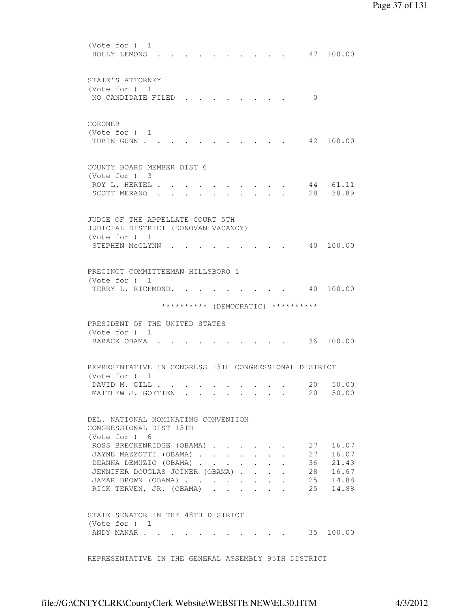| (Vote for ) 1<br>HOLLY LEMONS                                                                                                                                                          |  |  |  |                                         |                         |                      |                                    | 47 100.00                                          |
|----------------------------------------------------------------------------------------------------------------------------------------------------------------------------------------|--|--|--|-----------------------------------------|-------------------------|----------------------|------------------------------------|----------------------------------------------------|
| STATE'S ATTORNEY<br>(Vote for ) 1<br>NO CANDIDATE FILED                                                                                                                                |  |  |  |                                         |                         |                      | $\Omega$                           |                                                    |
| CORONER<br>(Vote for $)$ 1<br>TOBIN GUNN                                                                                                                                               |  |  |  |                                         |                         |                      |                                    | 42 100.00                                          |
| COUNTY BOARD MEMBER DIST 6<br>(Vote for ) 3<br>ROY L. HERTEL .<br>SCOTT MERANO.                                                                                                        |  |  |  |                                         |                         |                      | 28                                 | 44 61.11<br>38.89                                  |
| JUDGE OF THE APPELLATE COURT 5TH<br>JUDICIAL DISTRICT (DONOVAN VACANCY)<br>(Vote for $)$ 1<br>STEPHEN MCGLYNN                                                                          |  |  |  |                                         |                         |                      | 40                                 | 100.00                                             |
| PRECINCT COMMITTEEMAN HILLSBORO 1<br>(Vote for $)$ 1<br>TERRY L. RICHMOND. .                                                                                                           |  |  |  |                                         |                         |                      |                                    | 40 100.00                                          |
|                                                                                                                                                                                        |  |  |  |                                         |                         |                      | ********** (DEMOCRATIC) ********** |                                                    |
|                                                                                                                                                                                        |  |  |  |                                         |                         |                      |                                    |                                                    |
| PRESIDENT OF THE UNITED STATES<br>(Vote for $)$ 1<br>BARACK OBAMA.                                                                                                                     |  |  |  |                                         |                         |                      |                                    | 36 100.00                                          |
| REPRESENTATIVE IN CONGRESS 13TH CONGRESSIONAL DISTRICT<br>(Vote for ) 1                                                                                                                |  |  |  |                                         |                         |                      |                                    |                                                    |
| DAVID M. GILL<br>MATTHEW J. GOETTEN                                                                                                                                                    |  |  |  | and the contract of the contract of the |                         |                      | 20<br>20                           | 50.00<br>50.00                                     |
| DEL. NATIONAL NOMINATING CONVENTION<br>CONGRESSIONAL DIST 13TH                                                                                                                         |  |  |  |                                         |                         |                      |                                    |                                                    |
| (Vote for $)$ 6<br>ROSS BRECKENRIDGE (OBAMA)<br>JAYNE MAZZOTTI (OBAMA)<br>DEANNA DEMUZIO (OBAMA)<br>JENNIFER DOUGLAS-JOINER (OBAMA)<br>JAMAR BROWN (OBAMA)<br>RICK TERVEN, JR. (OBAMA) |  |  |  |                                         | $\cdot$ $\cdot$ $\cdot$ | $\ddot{\phantom{a}}$ | 27<br>27<br>36<br>28<br>25<br>25   | 16.07<br>16.07<br>21.43<br>16.67<br>14.88<br>14.88 |

REPRESENTATIVE IN THE GENERAL ASSEMBLY 95TH DISTRICT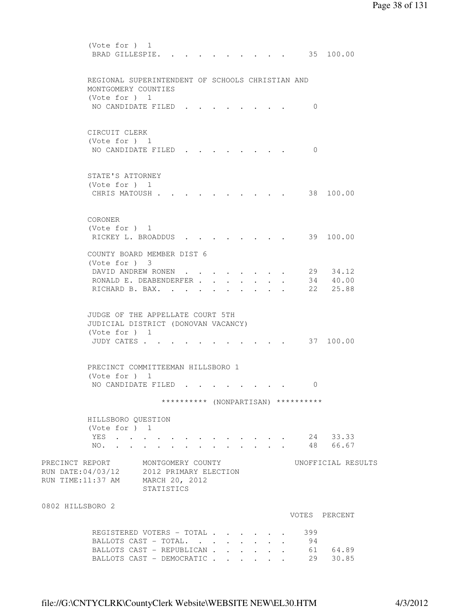(Vote for ) 1 BRAD GILLESPIE. . . . . . . . . . 35 100.00 REGIONAL SUPERINTENDENT OF SCHOOLS CHRISTIAN AND MONTGOMERY COUNTIES (Vote for ) 1 NO CANDIDATE FILED . . . . . . . . 0 CIRCUIT CLERK (Vote for ) 1 NO CANDIDATE FILED . . . . . . . 0 STATE'S ATTORNEY (Vote for ) 1 CHRIS MATOUSH . . . . . . . . . . 38 100.00 CORONER (Vote for ) 1 RICKEY L. BROADDUS . . . . . . . . 39 100.00 COUNTY BOARD MEMBER DIST 6 (Vote for ) 3 DAVID ANDREW RONEN . . . . . . . . 29 34.12 RONALD E. DEABENDERFER . . . . . . . 34 40.00 RICHARD B. BAX. . . . . . . . . . 22 25.88 JUDGE OF THE APPELLATE COURT 5TH JUDICIAL DISTRICT (DONOVAN VACANCY) (Vote for ) 1 JUDY CATES . . . . . . . . . . . . 37 100.00 PRECINCT COMMITTEEMAN HILLSBORO 1 (Vote for ) 1 NO CANDIDATE FILED . . . . . . . . 0 \*\*\*\*\*\*\*\*\*\* (NONPARTISAN) \*\*\*\*\*\*\*\*\*\* HILLSBORO QUESTION (Vote for ) 1 YES . . . . . . . . . . . . . 24 33.33 NO. . . . . . . . . . . . . 48 66.67 PRECINCT REPORT MONTGOMERY COUNTY WORTFICIAL RESULTS RUN DATE:04/03/12 2012 PRIMARY ELECTION RUN TIME:11:37 AM MARCH 20, 2012 STATISTICS 0802 HILLSBORO 2 VOTES PERCENT REGISTERED VOTERS - TOTAL . . . . . . 399 BALLOTS CAST - TOTAL. . . . . . . . 94<br>BALLOTS CAST - REPUBLICAN . . . . . . 61 64.89<br>BALLOTS CAST - DEMOCRATIC . . . . . 29 30.85 BALLOTS CAST - REPUBLICAN . . . . . . BALLOTS CAST - DEMOCRATIC . . . . . .

file://G:\CNTYCLRK\CountyClerk Website\WEBSITE NEW\EL30.HTM 4/3/2012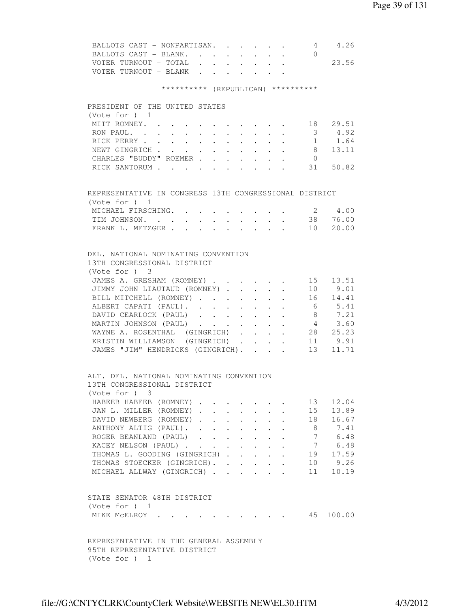| BALLOTS CAST - NONPARTISAN. 4 4.26<br>BALLOTS CAST - BLANK.                                                                                                          |  |                                            |                      |        |                                            | $\bigcirc$     |                        |
|----------------------------------------------------------------------------------------------------------------------------------------------------------------------|--|--------------------------------------------|----------------------|--------|--------------------------------------------|----------------|------------------------|
|                                                                                                                                                                      |  |                                            |                      |        |                                            |                |                        |
| VOTER TURNOUT - TOTAL 23.56                                                                                                                                          |  |                                            |                      |        |                                            |                |                        |
| VOTER TURNOUT - BLANK                                                                                                                                                |  |                                            |                      |        |                                            |                |                        |
| ********** (REPUBLICAN) **********                                                                                                                                   |  |                                            |                      |        |                                            |                |                        |
| PRESIDENT OF THE UNITED STATES                                                                                                                                       |  |                                            |                      |        |                                            |                |                        |
| (Vote for ) $1$                                                                                                                                                      |  |                                            |                      |        |                                            |                |                        |
| MITT ROMNEY. 18 29.51                                                                                                                                                |  |                                            |                      |        |                                            |                |                        |
|                                                                                                                                                                      |  |                                            |                      |        |                                            |                |                        |
| RON PAUL. 3 4.92                                                                                                                                                     |  |                                            |                      |        |                                            |                |                        |
| RICK PERRY 1 1.64                                                                                                                                                    |  |                                            |                      |        |                                            |                |                        |
| NEWT GINGRICH 8 13.11                                                                                                                                                |  |                                            |                      |        |                                            |                |                        |
| CHARLES "BUDDY" ROEMER                                                                                                                                               |  |                                            |                      |        |                                            | $\overline{0}$ |                        |
| RICK SANTORUM 31 50.82                                                                                                                                               |  |                                            |                      |        |                                            |                |                        |
|                                                                                                                                                                      |  |                                            |                      |        |                                            |                |                        |
| REPRESENTATIVE IN CONGRESS 13TH CONGRESSIONAL DISTRICT<br>(Vote for ) 1                                                                                              |  |                                            |                      |        |                                            |                |                        |
| MICHAEL FIRSCHING. 2 4.00                                                                                                                                            |  |                                            |                      |        |                                            |                |                        |
| TIM JOHNSON. 38 76.00                                                                                                                                                |  |                                            |                      |        |                                            |                |                        |
| FRANK L. METZGER 10 20.00                                                                                                                                            |  |                                            |                      |        |                                            |                |                        |
|                                                                                                                                                                      |  |                                            |                      |        |                                            |                |                        |
|                                                                                                                                                                      |  |                                            |                      |        |                                            |                |                        |
| DEL. NATIONAL NOMINATING CONVENTION                                                                                                                                  |  |                                            |                      |        |                                            |                |                        |
| 13TH CONGRESSIONAL DISTRICT                                                                                                                                          |  |                                            |                      |        |                                            |                |                        |
| (Vote for ) 3                                                                                                                                                        |  |                                            |                      |        |                                            |                |                        |
| JAMES A. GRESHAM (ROMNEY) 15 13.51                                                                                                                                   |  |                                            |                      |        |                                            |                |                        |
| JIMMY JOHN LIAUTAUD (ROMNEY) 10 9.01                                                                                                                                 |  |                                            |                      |        |                                            |                |                        |
| BILL MITCHELL (ROMNEY) 16 14.41                                                                                                                                      |  |                                            |                      |        |                                            |                |                        |
| ALBERT CAPATI (PAUL). 6 5.41                                                                                                                                         |  |                                            |                      |        |                                            |                |                        |
| DAVID CEARLOCK (PAUL)                                                                                                                                                |  |                                            |                      |        |                                            |                | $\cdot$ $\cdot$ 8 7.21 |
|                                                                                                                                                                      |  |                                            |                      |        |                                            |                |                        |
| MARTIN JOHNSON (PAUL) $\cdot \cdot \cdot \cdot \cdot \cdot \cdot \cdot \cdot$ 4 3.60<br>WAYNE A. ROSENTHAL (GINGRICH) $\cdot \cdot \cdot \cdot \cdot \cdot$ 28 25.23 |  |                                            |                      |        |                                            |                |                        |
| KRISTIN WILLIAMSON (GINGRICH).                                                                                                                                       |  |                                            | $\sim$               | $\sim$ | $\ddot{\phantom{0}}$                       | 11             | 9.91                   |
| JAMES "JIM" HENDRICKS (GINGRICH).                                                                                                                                    |  |                                            |                      |        | $\mathbf{r} = \mathbf{r} \cdot \mathbf{r}$ |                | $13 \quad 11.71$       |
|                                                                                                                                                                      |  |                                            |                      |        |                                            |                |                        |
| ALT. DEL. NATIONAL NOMINATING CONVENTION                                                                                                                             |  |                                            |                      |        |                                            |                |                        |
| 13TH CONGRESSIONAL DISTRICT                                                                                                                                          |  |                                            |                      |        |                                            |                |                        |
| (Vote for $)$ 3                                                                                                                                                      |  |                                            |                      |        |                                            |                |                        |
| HABEEB HABEEB (ROMNEY)                                                                                                                                               |  |                                            |                      |        |                                            |                | 13 12.04               |
| JAN L. MILLER (ROMNEY)                                                                                                                                               |  |                                            |                      |        |                                            | 15             | 13.89                  |
| DAVID NEWBERG (ROMNEY).                                                                                                                                              |  | $\mathbf{r}$ , $\mathbf{r}$ , $\mathbf{r}$ |                      |        |                                            | 18             | 16.67                  |
| ANTHONY ALTIG (PAUL).                                                                                                                                                |  |                                            | $\ddot{\phantom{0}}$ |        |                                            | - 8            | 7.41                   |
| ROGER BEANLAND (PAUL)                                                                                                                                                |  |                                            |                      |        |                                            |                | 7 6.48                 |
| KACEY NELSON (PAUL)                                                                                                                                                  |  |                                            |                      |        |                                            |                | 7 6.48                 |
| THOMAS L. GOODING (GINGRICH)                                                                                                                                         |  |                                            |                      |        |                                            |                | 19 17.59               |
|                                                                                                                                                                      |  |                                            |                      |        |                                            |                | 10 9.26                |
| THOMAS STOECKER (GINGRICH).                                                                                                                                          |  |                                            |                      |        |                                            |                |                        |
| MICHAEL ALLWAY (GINGRICH)                                                                                                                                            |  |                                            |                      |        |                                            |                | 11 10.19               |
|                                                                                                                                                                      |  |                                            |                      |        |                                            |                |                        |
| STATE SENATOR 48TH DISTRICT                                                                                                                                          |  |                                            |                      |        |                                            |                |                        |
| (Vote for ) $1$                                                                                                                                                      |  |                                            |                      |        |                                            |                |                        |
| MIKE MCELROY                                                                                                                                                         |  |                                            |                      |        |                                            | 45             | 100.00                 |
|                                                                                                                                                                      |  |                                            |                      |        |                                            |                |                        |
| REPRESENTATIVE IN THE GENERAL ASSEMBLY<br>95TH REPRESENTATIVE DISTRICT                                                                                               |  |                                            |                      |        |                                            |                |                        |
| (Vote for ) 1                                                                                                                                                        |  |                                            |                      |        |                                            |                |                        |
|                                                                                                                                                                      |  |                                            |                      |        |                                            |                |                        |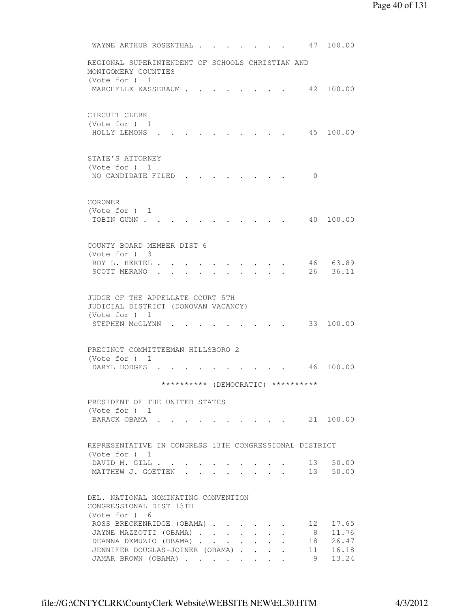```
WAYNE ARTHUR ROSENTHAL . . . . . . . 47 100.00
         REGIONAL SUPERINTENDENT OF SCHOOLS CHRISTIAN AND 
         MONTGOMERY COUNTIES 
         (Vote for ) 1 
         MARCHELLE KASSEBAUM . . . . . . . . 42 100.00
         CIRCUIT CLERK 
         (Vote for ) 1 
          HOLLY LEMONS . . . . . . . . . . 45 100.00 
         STATE'S ATTORNEY 
         (Vote for ) 1 
         NO CANDIDATE FILED . . . . . . . . 0
         CORONER 
         (Vote for ) 1 
         TOBIN GUNN . . . . . . . . . . . . 40 100.00
         COUNTY BOARD MEMBER DIST 6 
         (Vote for ) 3 
         ROY L. HERTEL . . . . . . . . . . . 46 63.89<br>SCOTT MERANO . . . . . . . . . . . 26 36.11
         SCOTT MERANO . . . . . . . . . .
         JUDGE OF THE APPELLATE COURT 5TH 
         JUDICIAL DISTRICT (DONOVAN VACANCY) 
         (Vote for ) 1 
         STEPHEN MCGLYNN . . . . . . . . . 33 100.00
         PRECINCT COMMITTEEMAN HILLSBORO 2 
         (Vote for ) 1 
         DARYL HODGES . . . . . . . . . . 46 100.00
                       ********** (DEMOCRATIC) ********** 
         PRESIDENT OF THE UNITED STATES 
         (Vote for ) 1 
         BARACK OBAMA . . . . . . . . . . 21 100.00
         REPRESENTATIVE IN CONGRESS 13TH CONGRESSIONAL DISTRICT 
         (Vote for ) 1 
         DAVID M. GILL . . . . . . . . . . . 13 50.00
         MATTHEW J. GOETTEN . . . . . . . . . 13 50.00
         DEL. NATIONAL NOMINATING CONVENTION 
         CONGRESSIONAL DIST 13TH 
         (Vote for ) 6 
         ROSS BRECKENRIDGE (OBAMA) . . . . . 12 17.65
         JAYNE MAZZOTTI (OBAMA) . . . . . . . 8 11.76
DEANNA DEMUZIO (OBAMA) . . . . . . 18 26.47
 JENNIFER DOUGLAS-JOINER (OBAMA) . . . . 11 16.18 
 JAMAR BROWN (OBAMA) . . . . . . . . 9 13.24
```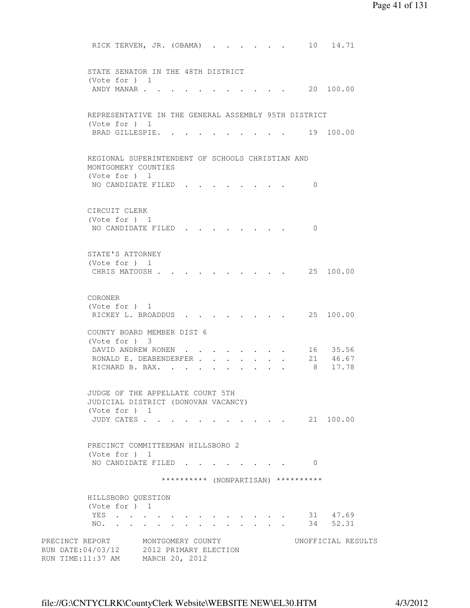```
RICK TERVEN, JR. (OBAMA) . . . . . . 10 14.71
         STATE SENATOR IN THE 48TH DISTRICT 
         (Vote for ) 1 
         ANDY MANAR . . . . . . . . . . . 20 100.00
         REPRESENTATIVE IN THE GENERAL ASSEMBLY 95TH DISTRICT 
         (Vote for ) 1 
         BRAD GILLESPIE. . . . . . . . . . 19 100.00
         REGIONAL SUPERINTENDENT OF SCHOOLS CHRISTIAN AND 
         MONTGOMERY COUNTIES 
         (Vote for ) 1 
         NO CANDIDATE FILED . . . . . . . . 0
         CIRCUIT CLERK 
         (Vote for ) 1 
         NO CANDIDATE FILED . . . . . . . . 0
         STATE'S ATTORNEY 
         (Vote for ) 1 
         CHRIS MATOUSH . . . . . . . . . . 25 100.00
         CORONER 
         (Vote for ) 1 
         RICKEY L. BROADDUS . . . . . . . . 25 100.00
         COUNTY BOARD MEMBER DIST 6 
         (Vote for ) 3 
DAVID ANDREW RONEN . . . . . . . 16 35.56
RONALD E. DEABENDERFER . . . . . . 21 46.67
         RONALD E. DEABENDERFER . . . . . . . 21 46.67<br>RICHARD B. BAX. . . . . . . . . . . 8 17.78
         JUDGE OF THE APPELLATE COURT 5TH 
         JUDICIAL DISTRICT (DONOVAN VACANCY) 
         (Vote for ) 1 
          JUDY CATES . . . . . . . . . . . 21 100.00 
         PRECINCT COMMITTEEMAN HILLSBORO 2 
         (Vote for ) 1 
         NO CANDIDATE FILED . . . . . . . . 0
                       ********** (NONPARTISAN) ********** 
         HILLSBORO QUESTION 
         (Vote for ) 1 
         YES . . . . . . . . . . . . . 31 47.69
         NO. . . . . . . . . . . . . . 34 52.31
PRECINCT REPORT MONTGOMERY COUNTY WORTFICIAL RESULTS
RUN DATE:04/03/12 2012 PRIMARY ELECTION 
RUN TIME:11:37 AM MARCH 20, 2012
```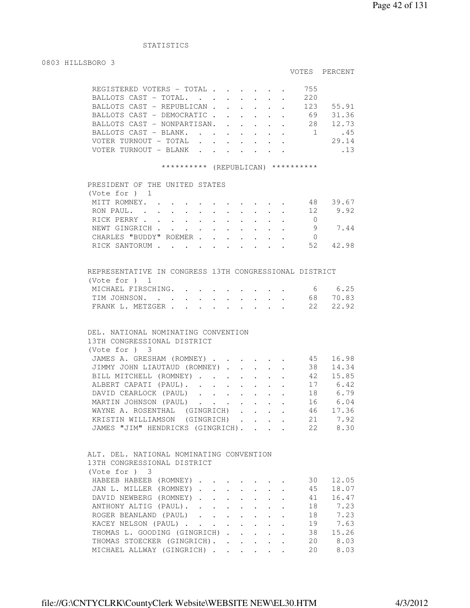# STATISTICS

#### 0803 HILLSBORO 3

## VOTES PERCENT

|  | REGISTERED VOTERS - TOTAL   |  |  |  | 755 |       |
|--|-----------------------------|--|--|--|-----|-------|
|  | BALLOTS CAST - TOTAL.       |  |  |  | 220 |       |
|  | BALLOTS CAST - REPUBLICAN   |  |  |  | 123 | 55.91 |
|  | BALLOTS CAST - DEMOCRATIC   |  |  |  | 69  | 31.36 |
|  | BALLOTS CAST - NONPARTISAN. |  |  |  | 28  | 12.73 |
|  | BALLOTS CAST - BLANK.       |  |  |  |     | .45   |
|  | VOTER TURNOUT - TOTAL       |  |  |  |     | 29.14 |
|  | VOTER TURNOUT - BLANK       |  |  |  |     | .13   |
|  |                             |  |  |  |     |       |

#### \*\*\*\*\*\*\*\*\*\* (REPUBLICAN) \*\*\*\*\*\*\*\*\*\*

| PRESIDENT OF THE UNITED STATES<br>(Vote for ) 1 |                                                                       |  |  |  |  |    |       |
|-------------------------------------------------|-----------------------------------------------------------------------|--|--|--|--|----|-------|
|                                                 |                                                                       |  |  |  |  |    |       |
| MITT ROMNEY.                                    |                                                                       |  |  |  |  | 48 | 39.67 |
| RON PAUL.                                       |                                                                       |  |  |  |  | 12 | 9.92  |
| RICK PERRY                                      |                                                                       |  |  |  |  |    |       |
| NEWT GINGRICH                                   |                                                                       |  |  |  |  |    | 7.44  |
| CHARLES "BUDDY" ROEMER                          |                                                                       |  |  |  |  |    |       |
| RICK SANTORUM                                   | $\mathbf{r}$ , and $\mathbf{r}$ , and $\mathbf{r}$ , and $\mathbf{r}$ |  |  |  |  | 52 | 42.98 |

| REPRESENTATIVE IN CONGRESS 13TH CONGRESSIONAL DISTRICT |  |  |  |  |          |
|--------------------------------------------------------|--|--|--|--|----------|
| (Vote for ) 1                                          |  |  |  |  |          |
| MICHAEL FIRSCHING. 6 6.25                              |  |  |  |  |          |
| TIM JOHNSON.                                           |  |  |  |  | 68 70.83 |
| FRANK L. METZGER 22 22.92                              |  |  |  |  |          |

# DEL. NATIONAL NOMINATING CONVENTION 13TH CONGRESSIONAL DISTRICT (Vote for ) 3 JAMES A. GRESHAM (ROMNEY) . . . . . . 45 16.98 JIMMY JOHN LIAUTAUD (ROMNEY) . . . . . 38 14.34 BILL MITCHELL (ROMNEY) . . . . . . . 42 15.85 ALBERT CAPATI (PAUL). . . . . . . . 17 6.42 DAVID CEARLOCK (PAUL) . . . . . . 18 6.79 MARTIN JOHNSON (PAUL) . . . . . . . 16 6.04 WAYNE A. ROSENTHAL (GINGRICH) . . . . 46 17.36 KRISTIN WILLIAMSON (GINGRICH) . . . . 21 7.92<br>JAMES "JIM" HENDRICKS (GINGRICH). . . . 22 8.30 JAMES "JIM" HENDRICKS (GINGRICH). . . .

| ALT. DEL. NATIONAL NOMINATING CONVENTION |  |  |  |     |         |
|------------------------------------------|--|--|--|-----|---------|
| 13TH CONGRESSIONAL DISTRICT              |  |  |  |     |         |
| (Note for ) 3                            |  |  |  |     |         |
| HABEEB HABEEB (ROMNEY)                   |  |  |  | 30. | 12.05   |
| JAN L. MILLER (ROMNEY)                   |  |  |  | 45  | 18.07   |
| DAVID NEWBERG (ROMNEY)                   |  |  |  | 41  | 16.47   |
| ANTHONY ALTIG (PAUL).                    |  |  |  |     | 18 7.23 |
| ROGER BEANLAND (PAUL)                    |  |  |  |     | 18 7.23 |
| KACEY NELSON (PAUL)                      |  |  |  | 19  | 7.63    |
| THOMAS L. GOODING (GINGRICH).            |  |  |  | 38  | 15.26   |
| THOMAS STOECKER (GINGRICH).              |  |  |  | 20  | 8.03    |
| MICHAEL ALLWAY (GINGRICH)                |  |  |  | 20  | 8.03    |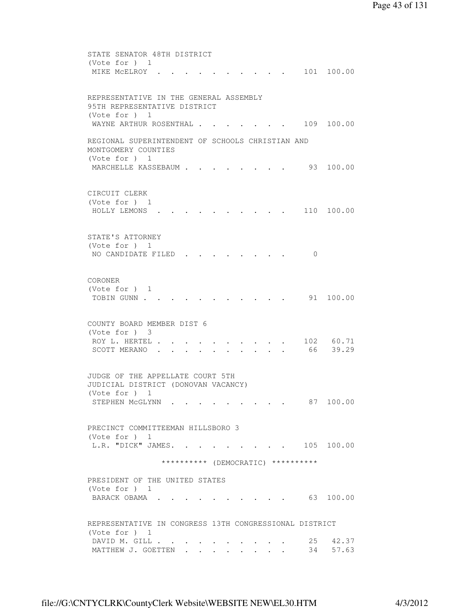```
 STATE SENATOR 48TH DISTRICT 
         (Vote for ) 1 
         MIKE MCELROY . . . . . . . . . . 101 100.00
         REPRESENTATIVE IN THE GENERAL ASSEMBLY 
         95TH REPRESENTATIVE DISTRICT 
         (Vote for ) 1 
         WAYNE ARTHUR ROSENTHAL . . . . . . 109 100.00
         REGIONAL SUPERINTENDENT OF SCHOOLS CHRISTIAN AND 
         MONTGOMERY COUNTIES 
         (Vote for ) 1 
         MARCHELLE KASSEBAUM . . . . . . . . 93 100.00
         CIRCUIT CLERK 
         (Vote for ) 1 
          HOLLY LEMONS . . . . . . . . . . 110 100.00 
         STATE'S ATTORNEY 
         (Vote for ) 1 
         NO CANDIDATE FILED . . . . . . . . 0
         CORONER 
         (Vote for ) 1 
         TOBIN GUNN . . . . . . . . . . . . 91 100.00
         COUNTY BOARD MEMBER DIST 6 
         (Vote for ) 3 
         ROY L. HERTEL . . . . . . . . . . 102 60.71
         SCOTT MERANO . . . . . . . . . . . 66 39.29
         JUDGE OF THE APPELLATE COURT 5TH 
         JUDICIAL DISTRICT (DONOVAN VACANCY) 
         (Vote for ) 1 
         STEPHEN MCGLYNN . . . . . . . . . 87 100.00
         PRECINCT COMMITTEEMAN HILLSBORO 3 
         (Vote for ) 1 
         L.R. "DICK" JAMES. . . . . . . . 105 100.00
                       ********** (DEMOCRATIC) ********** 
         PRESIDENT OF THE UNITED STATES 
         (Vote for ) 1 
         BARACK OBAMA . . . . . . . . . . . 63 100.00
         REPRESENTATIVE IN CONGRESS 13TH CONGRESSIONAL DISTRICT 
         (Vote for ) 1 
DAVID M. GILL . . . . . . . . . . 25 42.37
MATTHEW J. GOETTEN . . . . . . . . 34 57.63
```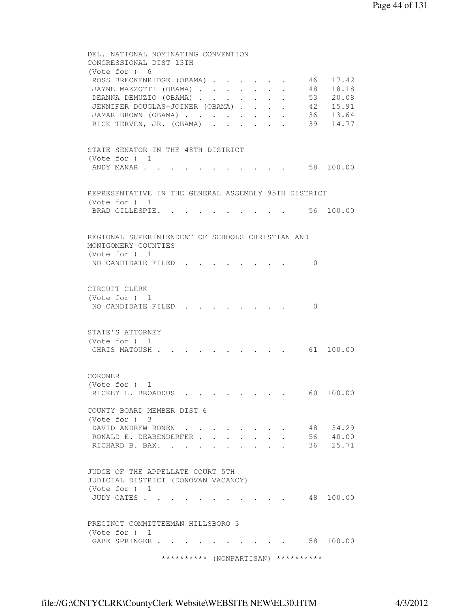DEL. NATIONAL NOMINATING CONVENTION CONGRESSIONAL DIST 13TH (Vote for ) 6 ROSS BRECKENRIDGE (OBAMA) . . . . . 46 17.42 JAYNE MAZZOTTI (OBAMA) . . . . . . . 48 18.18 DEANNA DEMUZIO (OBAMA) . . . . . . . 53 20.08 JENNIFER DOUGLAS-JOINER (OBAMA) . . . . 42 15.91 JAMAR BROWN (OBAMA) . . . . . . . . 36 13.64 RICK TERVEN, JR. (OBAMA) . . . . . . 39 14.77 STATE SENATOR IN THE 48TH DISTRICT (Vote for ) 1 ANDY MANAR . . . . . . . . . . . . 58 100.00 REPRESENTATIVE IN THE GENERAL ASSEMBLY 95TH DISTRICT (Vote for ) 1 BRAD GILLESPIE. . . . . . . . . . 56 100.00 REGIONAL SUPERINTENDENT OF SCHOOLS CHRISTIAN AND MONTGOMERY COUNTIES (Vote for ) 1 NO CANDIDATE FILED . . . . . . . 0 CIRCUIT CLERK (Vote for ) 1 NO CANDIDATE FILED . . . . . . . . 0 STATE'S ATTORNEY (Vote for ) 1 CHRIS MATOUSH . . . . . . . . . . 61 100.00 CORONER (Vote for ) 1 RICKEY L. BROADDUS . . . . . . . . 60 100.00 COUNTY BOARD MEMBER DIST 6 (Vote for ) 3 DAVID ANDREW RONEN . . . . . . . . 48 34.29 RONALD E. DEABENDERFER . . . . . . . 56  $40.00$ RICHARD B. BAX. . . . . . . . . . 36 25.71 JUDGE OF THE APPELLATE COURT 5TH JUDICIAL DISTRICT (DONOVAN VACANCY) (Vote for ) 1 JUDY CATES . . . . . . . . . . . 48 100.00 PRECINCT COMMITTEEMAN HILLSBORO 3 (Vote for ) 1 GABE SPRINGER . . . . . . . . . . 58 100.00 \*\*\*\*\*\*\*\*\*\* (NONPARTISAN) \*\*\*\*\*\*\*\*\*\*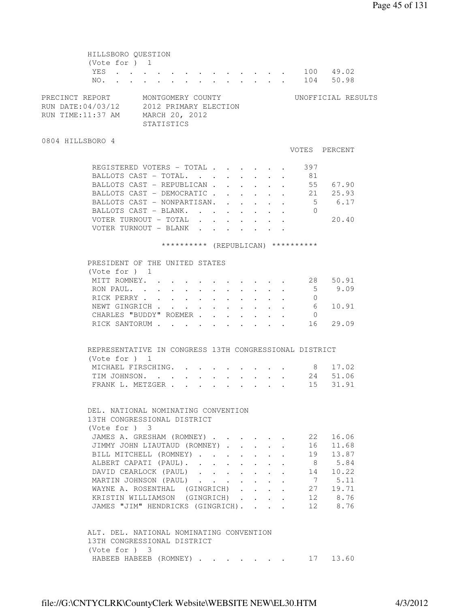HILLSBORO QUESTION (Vote for ) 1 YES . . . . . . . . . . . . . 100 49.02 NO. . . . . . . . . . . . . . 104 50.98 PRECINCT REPORT MONTGOMERY COUNTY WORTFICIAL RESULTS RUN DATE:04/03/12 2012 PRIMARY ELECTION RUN TIME:11:37 AM MARCH 20, 2012 STATISTICS 0804 HILLSBORO 4 VOTES PERCENT REGISTERED VOTERS - TOTAL . . . . . . 397 BALLOTS CAST - TOTAL. . . . . . . . 81 BALLOTS CAST – REPUBLICAN . . . . . . 55 67.90<br>BALLOTS CAST – DEMOCRATIC . . . . . . 21 25.93<br>BALLOTS CAST – NONPARTISAN. . . . . . 5 6.17<br>BALLOTS CAST – BLANK. . . . . . . . 0 BALLOTS CAST - DEMOCRATIC . . . . . . BALLOTS CAST - NONPARTISAN. . . . . . . BALLOTS CAST - BLANK. . . . . . . . VOTER TURNOUT - TOTAL . . . . . . . 20.40 VOTER TURNOUT - BLANK . . . . . . . \*\*\*\*\*\*\*\*\*\* (REPUBLICAN) \*\*\*\*\*\*\*\*\*\* PRESIDENT OF THE UNITED STATES (Vote for ) 1 MITT ROMNEY. . . . . . . . . . . . 28 50.91<br>RON PAUL. . . . . . . . . . . . . 5 9.09 RON PAUL. . . . . . . . . . . . 5 9.09 RICK PERRY . . . . . . . . . . . 0 NEWT GINGRICH . . . . . . . . . . . 6 10.91 CHARLES "BUDDY" ROEMER . . . . . . 0 RICK SANTORUM . . . . . . . . . . 16 29.09 REPRESENTATIVE IN CONGRESS 13TH CONGRESSIONAL DISTRICT (Vote for ) 1 MICHAEL FIRSCHING. . . . . . . . . 8 17.02 TIM JOHNSON. . . . . . . . . . . 24 51.06 FRANK L. METZGER . . . . . . . . . 15 31.91 DEL. NATIONAL NOMINATING CONVENTION 13TH CONGRESSIONAL DISTRICT (Vote for ) 3 JAMES A. GRESHAM (ROMNEY) . . . . . . 22 16.06 JIMMY JOHN LIAUTAUD (ROMNEY) . . . . . 16 11.68 BILL MITCHELL (ROMNEY) . . . . . . 19 13.87 ALBERT CAPATI (PAUL). . . . . . . . 8 5.84 DAVID CEARLOCK (PAUL) . . . . . . 14 10.22 MARTIN JOHNSON (PAUL) . . . . . . . 7 5.11 WAYNE A. ROSENTHAL (GINGRICH) . . . . 27 19.71 KRISTIN WILLIAMSON (GINGRICH) . . . . 12 8.76 JAMES "JIM" HENDRICKS (GINGRICH). . . . 12 8.76 ALT. DEL. NATIONAL NOMINATING CONVENTION 13TH CONGRESSIONAL DISTRICT (Vote for ) 3 HABEEB HABEEB (ROMNEY) . . . . . . . 17 13.60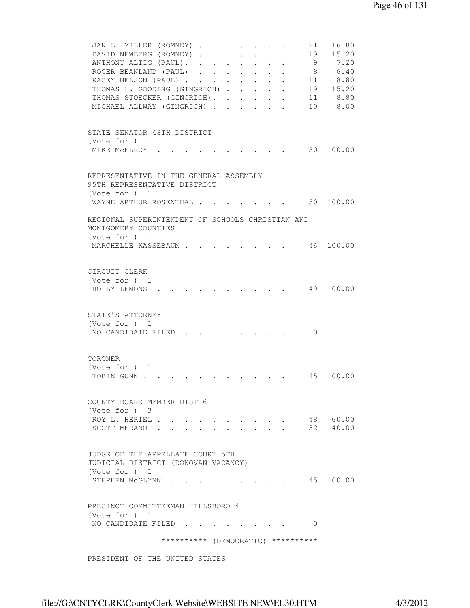```
JAN L. MILLER (ROMNEY) . . . . . . . 21 16.80
         DAVID NEWBERG (ROMNEY) . . . . . . . 19 15.20<br>ANTHONY ALTIG (PAUL). . . . . . . . 9 7.20
         ANTHONY ALTIG (PAUL). . . . . . . .
         ROGER BEANLAND (PAUL) . . . . . . . 8 6.40
KACEY NELSON (PAUL) . . . . . . . 11 8.80
 THOMAS L. GOODING (GINGRICH) . . . . . 19 15.20 
THOMAS STOECKER (GINGRICH). . . . . . 11 8.80
 MICHAEL ALLWAY (GINGRICH) . . . . . . 10 8.00 
         STATE SENATOR 48TH DISTRICT 
         (Vote for ) 1 
         MIKE MCELROY . . . . . . . . . . 50 100.00
         REPRESENTATIVE IN THE GENERAL ASSEMBLY 
         95TH REPRESENTATIVE DISTRICT 
         (Vote for ) 1 
         WAYNE ARTHUR ROSENTHAL . . . . . . . 50 100.00
         REGIONAL SUPERINTENDENT OF SCHOOLS CHRISTIAN AND 
         MONTGOMERY COUNTIES 
         (Vote for ) 1 
        MARCHELLE KASSEBAUM . . . . . . . . 46 100.00
         CIRCUIT CLERK 
         (Vote for ) 1 
          HOLLY LEMONS . . . . . . . . . . 49 100.00 
         STATE'S ATTORNEY 
         (Vote for ) 1 
         NO CANDIDATE FILED . . . . . . . . 0
         CORONER 
         (Vote for ) 1 
         TOBIN GUNN . . . . . . . . . . . . 45 100.00
         COUNTY BOARD MEMBER DIST 6 
         (Vote for ) 3 
         ROY L. HERTEL . . . . . . . . . . 48 60.00
         SCOTT MERANO . . . . . . . . . . 32 40.00
         JUDGE OF THE APPELLATE COURT 5TH 
         JUDICIAL DISTRICT (DONOVAN VACANCY) 
         (Vote for ) 1 
         STEPHEN MCGLYNN . . . . . . . . . 45 100.00
         PRECINCT COMMITTEEMAN HILLSBORO 4 
         (Vote for ) 1 
         NO CANDIDATE FILED . . . . . . . . 0
                       ********** (DEMOCRATIC) ********** 
         PRESIDENT OF THE UNITED STATES
```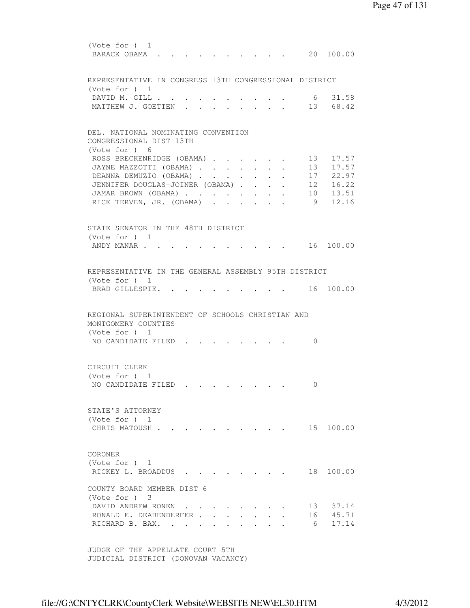(Vote for ) 1 BARACK OBAMA . . . . . . . . . . 20 100.00 REPRESENTATIVE IN CONGRESS 13TH CONGRESSIONAL DISTRICT (Vote for ) 1 DAVID M. GILL . . . . . . . . . . . 6 31.58 MATTHEW J. GOETTEN . . . . . . . . 13 68.42 DEL. NATIONAL NOMINATING CONVENTION CONGRESSIONAL DIST 13TH (Vote for ) 6 ROSS BRECKENRIDGE (OBAMA) . . . . . 13 17.57 JAYNE MAZZOTTI (OBAMA) . . . . . . 13 17.57 DEANNA DEMUZIO (OBAMA) . . . . . . . 17 22.97<br>JENNIFER DOUGLAS-JOINER (OBAMA) . . . . . 12 16.22<br>JAMAR BROWN (OBAMA) . . . . . . . 10 13.51<br>RICK TERVEN, JR. (OBAMA) . . . . . . 9 12.16 JENNIFER DOUGLAS-JOINER (OBAMA) . . . . JAMAR BROWN (OBAMA) . . . . . . . . RICK TERVEN, JR. (OBAMA) . . . . . . STATE SENATOR IN THE 48TH DISTRICT (Vote for ) 1 ANDY MANAR . . . . . . . . . . . . 16 100.00 REPRESENTATIVE IN THE GENERAL ASSEMBLY 95TH DISTRICT (Vote for ) 1 BRAD GILLESPIE. . . . . . . . . . 16 100.00 REGIONAL SUPERINTENDENT OF SCHOOLS CHRISTIAN AND MONTGOMERY COUNTIES (Vote for ) 1 NO CANDIDATE FILED . . . . . . . . 0 CIRCUIT CLERK (Vote for ) 1 NO CANDIDATE FILED . . . . . . . . 0 STATE'S ATTORNEY (Vote for ) 1 CHRIS MATOUSH . . . . . . . . . . 15 100.00 CORONER (Vote for ) 1 RICKEY L. BROADDUS . . . . . . . . 18 100.00 COUNTY BOARD MEMBER DIST 6 (Vote for ) 3 DAVID ANDREW RONEN . . . . . . . . 13 37.14 RONALD E. DEABENDERFER . . . . . . . 16 45.71 RICHARD B. BAX. . . . . . . . . . . 6 17.14 JUDGE OF THE APPELLATE COURT 5TH

JUDICIAL DISTRICT (DONOVAN VACANCY)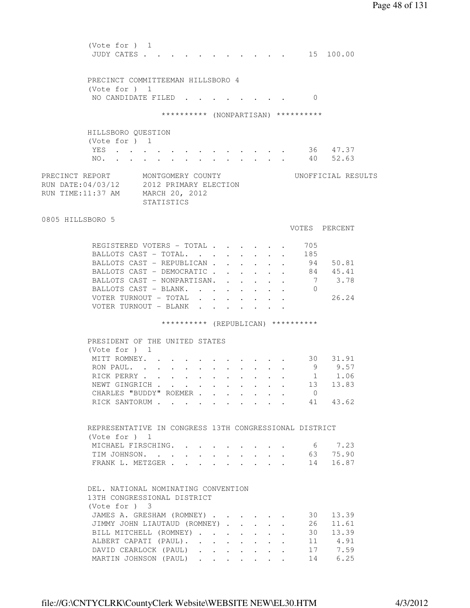(Vote for ) 1 JUDY CATES . . . . . . . . . . . . 15 100.00 PRECINCT COMMITTEEMAN HILLSBORO 4 (Vote for ) 1 NO CANDIDATE FILED . . . . . . . . 0 \*\*\*\*\*\*\*\*\*\* (NONPARTISAN) \*\*\*\*\*\*\*\*\*\* HILLSBORO QUESTION (Vote for ) 1 YES . . . . . . . . . . . . . 36 47.37 NO. . . . . . . . . . . . . . 40 52.63 PRECINCT REPORT MONTGOMERY COUNTY UNOFFICIAL RESULTS RUN DATE:04/03/12 2012 PRIMARY ELECTION RUN TIME:11:37 AM MARCH 20, 2012 STATISTICS 0805 HILLSBORO 5 VOTES PERCENT REGISTERED VOTERS - TOTAL . . . . . . 705 BALLOTS CAST - TOTAL. . . . . . . . 185 BALLOTS CAST - REPUBLICAN . . . . . . 94 50.81 BALLOTS CAST - DEMOCRATIC . . . . . . 84 45.41<br>BALLOTS CAST - NONPARTISAN. . . . . . 7 3.78 BALLOTS CAST - NONPARTISAN. . . . . . 7 3.78 BALLOTS CAST - BLANK. . . . . . . . 0 VOTER TURNOUT - TOTAL . . . . . . . 26.24 VOTER TURNOUT - BLANK . . . . . \*\*\*\*\*\*\*\*\*\* (REPUBLICAN) \*\*\*\*\*\*\*\*\*\* PRESIDENT OF THE UNITED STATES (Vote for ) 1 MITT ROMNEY. . . . . . . . . . . 30 31.91 RON PAUL. . . . . . . . . . . . . 9 9.57<br>RICK PERRY . . . . . . . . . . . 1 1.06 RON PAUL. . . . . . . . . . . . . 9 9.57<br>RICK PERRY . . . . . . . . . . . 1 1.06<br>NEWT GINGRICH . . . . . . . . . . 13 13.83 NEWT GINGRICH . . . . . . . . . . 13 13.83 CHARLES "BUDDY" ROEMER . . . . . . . 0 RICK SANTORUM . . . . . . . . . . 41 43.62 REPRESENTATIVE IN CONGRESS 13TH CONGRESSIONAL DISTRICT (Vote for ) 1 MICHAEL FIRSCHING. . . . . . . . . 6 7.23 TIM JOHNSON. . . . . . . . . . . 63 75.90<br>FRANK L. METZGER FRANK L. METZGER . . . . . . . . . 14 16.87 DEL. NATIONAL NOMINATING CONVENTION 13TH CONGRESSIONAL DISTRICT (Vote for ) 3 JAMES A. GRESHAM (ROMNEY) . . . . . . 30 13.39 JIMMY JOHN LIAUTAUD (ROMNEY) . . . . . 26 11.61 BILL MITCHELL (ROMNEY) . . . . . . . 30 13.39<br>ALBERT CAPATI (PAUL) . . . . . . . . 11 4.91<br>DAVID CEARLOCK (PAUL) . . . . . . . 17 7.59<br>MARTIN JOHNSON (PAUL) . . . . . . 14 6.25 ALBERT CAPATI (PAUL). . . . . . . . DAVID CEARLOCK (PAUL) . . . . . . . MARTIN JOHNSON (PAUL) . . . . . . .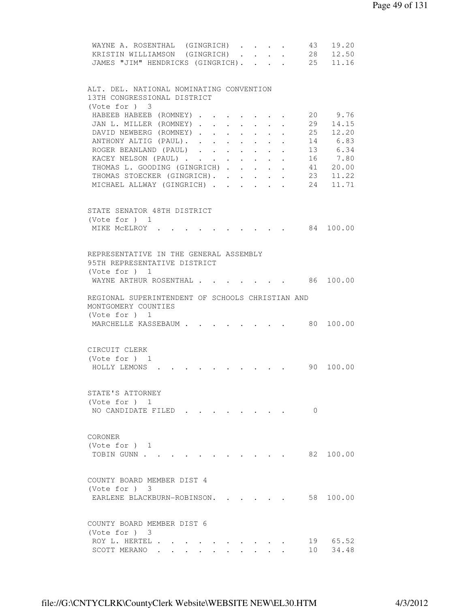| 19.20<br>WAYNE A. ROSENTHAL (GINGRICH)<br>43<br>$\ddot{\phantom{0}}$<br>28<br>12.50<br>KRISTIN WILLIAMSON (GINGRICH)<br>$\cdot$ $\cdot$ $\cdot$<br>$\cdot$ $\cdot$                           |
|----------------------------------------------------------------------------------------------------------------------------------------------------------------------------------------------|
| 25<br>JAMES "JIM" HENDRICKS (GINGRICH).<br>11.16                                                                                                                                             |
|                                                                                                                                                                                              |
| ALT. DEL. NATIONAL NOMINATING CONVENTION                                                                                                                                                     |
| 13TH CONGRESSIONAL DISTRICT                                                                                                                                                                  |
| (Vote for ) 3                                                                                                                                                                                |
| 20 9.76<br>HABEEB HABEEB (ROMNEY)                                                                                                                                                            |
| 14.15<br>JAN L. MILLER (ROMNEY).<br>29<br>$\sim$<br>$\ddot{\phantom{0}}$<br>$\ddot{\phantom{0}}$<br>$\ddot{\phantom{0}}$<br>25<br>DAVID NEWBERG (ROMNEY)<br>12.20<br>$\sim$<br>$\sim$ $\sim$ |
| $\sim$<br>ANTHONY ALTIG (PAUL).<br>14 6.83                                                                                                                                                   |
| ROGER BEANLAND (PAUL)<br>13 6.34                                                                                                                                                             |
| KACEY NELSON (PAUL)<br>16 7.80                                                                                                                                                               |
| 41 20.00<br>THOMAS L. GOODING (GINGRICH)                                                                                                                                                     |
| THOMAS STOECKER (GINGRICH).<br>23<br>11.22                                                                                                                                                   |
| 11.71<br>MICHAEL ALLWAY (GINGRICH)<br>24                                                                                                                                                     |
|                                                                                                                                                                                              |
| STATE SENATOR 48TH DISTRICT                                                                                                                                                                  |
| (Vote for ) 1                                                                                                                                                                                |
| 84 100.00<br>MIKE MCELROY .                                                                                                                                                                  |
|                                                                                                                                                                                              |
| REPRESENTATIVE IN THE GENERAL ASSEMBLY                                                                                                                                                       |
| 95TH REPRESENTATIVE DISTRICT                                                                                                                                                                 |
| (Vote for $)$ 1                                                                                                                                                                              |
| 86 100.00<br>WAYNE ARTHUR ROSENTHAL.                                                                                                                                                         |
| REGIONAL SUPERINTENDENT OF SCHOOLS CHRISTIAN AND                                                                                                                                             |
| MONTGOMERY COUNTIES                                                                                                                                                                          |
| (Vote for $)$ 1                                                                                                                                                                              |
| 80<br>100.00<br>MARCHELLE KASSEBAUM                                                                                                                                                          |
|                                                                                                                                                                                              |
| CIRCUIT CLERK                                                                                                                                                                                |
| (Vote for $)$ 1                                                                                                                                                                              |
| 90<br>100.00<br>HOLLY LEMONS                                                                                                                                                                 |
|                                                                                                                                                                                              |
|                                                                                                                                                                                              |
| STATE'S ATTORNEY<br>(Vote for ) 1                                                                                                                                                            |
| NO CANDIDATE FILED<br>$\Omega$                                                                                                                                                               |
|                                                                                                                                                                                              |
|                                                                                                                                                                                              |
| CORONER                                                                                                                                                                                      |
| (Note for ) 1<br>82 100.00                                                                                                                                                                   |
| TOBIN GUNN                                                                                                                                                                                   |
|                                                                                                                                                                                              |
| COUNTY BOARD MEMBER DIST 4                                                                                                                                                                   |
| (Note for ) 3                                                                                                                                                                                |
| 58 100.00<br>EARLENE BLACKBURN-ROBINSON.                                                                                                                                                     |
|                                                                                                                                                                                              |
| COUNTY BOARD MEMBER DIST 6                                                                                                                                                                   |
| $(Vote for )$ 3                                                                                                                                                                              |
| ROY L. HERTEL .<br>19 65.52                                                                                                                                                                  |
| SCOTT MERANO.<br>10<br>34.48                                                                                                                                                                 |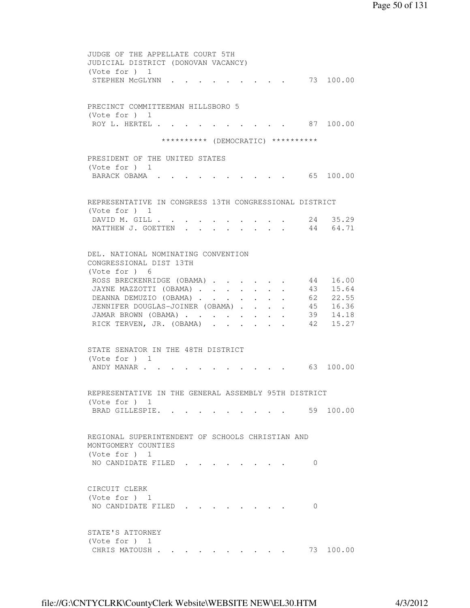```
 JUDGE OF THE APPELLATE COURT 5TH 
 JUDICIAL DISTRICT (DONOVAN VACANCY) 
 (Vote for ) 1 
STEPHEN MCGLYNN . . . . . . . . . 73 100.00
 PRECINCT COMMITTEEMAN HILLSBORO 5 
 (Vote for ) 1 
ROY L. HERTEL . . . . . . . . . . 87 100.00
                 ********** (DEMOCRATIC) ********** 
 PRESIDENT OF THE UNITED STATES 
 (Vote for ) 1 
BARACK OBAMA . . . . . . . . . . . 65 100.00
 REPRESENTATIVE IN CONGRESS 13TH CONGRESSIONAL DISTRICT 
 (Vote for ) 1 
DAVID M. GILL . . . . . . . . . . 24 35.29
MATTHEW J. GOETTEN . . . . . . . . 44 64.71
 DEL. NATIONAL NOMINATING CONVENTION 
 CONGRESSIONAL DIST 13TH 
 (Vote for ) 6 
ROSS BRECKENRIDGE (OBAMA) . . . . . . 44 16.00
JAYNE MAZZOTTI (OBAMA) . . . . . . . 43 15.64
DEANNA DEMUZIO (OBAMA) . . . . . . . 62 22.55<br>JENNIFER DOUGLAS-JOINER (OBAMA) . . . . . 45 16.36<br>JAMAR BROWN (OBAMA) . . . . . . . 39 14.18<br>RICK TERVEN, JR. (OBAMA) . . . . . . 42 15.27
JENNIFER DOUGLAS-JOINER (OBAMA) . . . .
JAMAR BROWN (OBAMA) . . . . . . . .
 RICK TERVEN, JR. (OBAMA) . . . . . .
 STATE SENATOR IN THE 48TH DISTRICT 
 (Vote for ) 1 
ANDY MANAR . . . . . . . . . . . . 63 100.00
 REPRESENTATIVE IN THE GENERAL ASSEMBLY 95TH DISTRICT 
 (Vote for ) 1 
BRAD GILLESPIE. . . . . . . . . . 59 100.00
 REGIONAL SUPERINTENDENT OF SCHOOLS CHRISTIAN AND 
 MONTGOMERY COUNTIES 
 (Vote for ) 1 
NO CANDIDATE FILED . . . . . . . . 0
 CIRCUIT CLERK 
 (Vote for ) 1 
NO CANDIDATE FILED . . . . . . . . 0
 STATE'S ATTORNEY 
 (Vote for ) 1 
CHRIS MATOUSH . . . . . . . . . . 73 100.00
```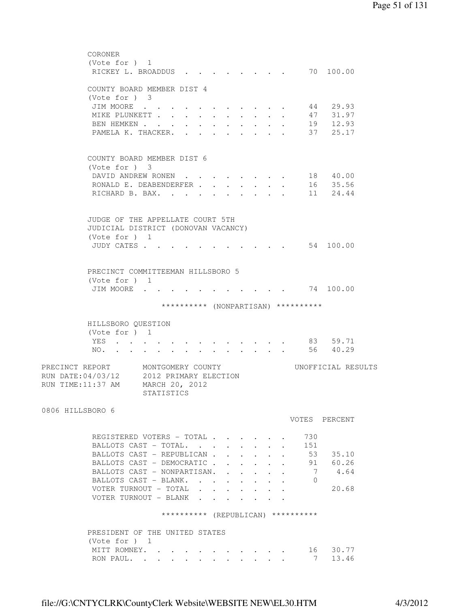```
 CORONER 
         (Vote for ) 1 
         RICKEY L. BROADDUS . . . . . . . . 70 100.00
         COUNTY BOARD MEMBER DIST 4 
         (Vote for ) 3 
 JIM MOORE . . . . . . . . . . . 44 29.93 
 MIKE PLUNKETT . . . . . . . . . . 47 31.97 
BEN HEMKEN . . . . . . . . . . . 19 12.93
PAMELA K. THACKER. . . . . . . . . 37 25.17
         COUNTY BOARD MEMBER DIST 6 
         (Vote for ) 3 
         DAVID ANDREW RONEN . . . . . . . . 18 40.00
         RONALD E. DEABENDERFER . . . . . . . 16 35.56<br>RICHARD B. BAX. . . . . . . . . . 11 24.44
         RICHARD B. BAX. . . .
         JUDGE OF THE APPELLATE COURT 5TH 
         JUDICIAL DISTRICT (DONOVAN VACANCY) 
         (Vote for ) 1 
         JUDY CATES . . . . . . . . . . . . 54 100.00
         PRECINCT COMMITTEEMAN HILLSBORO 5 
         (Vote for ) 1 
         JIM MOORE . . . . . . . . . . . . 74 100.00
                       ********** (NONPARTISAN) ********** 
         HILLSBORO QUESTION 
         (Vote for ) 1 
         YES . . . . . . . . . . . . . 83 59.71
         NO. . . . . . . . . . . . . . 56 40.29
PRECINCT REPORT MONTGOMERY COUNTY WORTFICIAL RESULTS
RUN DATE:04/03/12 2012 PRIMARY ELECTION 
RUN TIME:11:37 AM MARCH 20, 2012 
                   STATISTICS 
0806 HILLSBORO 6 
                                              VOTES PERCENT 
         REGISTERED VOTERS - TOTAL . . . . . . 730
         BALLOTS CAST - TOTAL. . . . . . . . 151
         BALLOTS CAST – REPUBLICAN . . . . . . 53 35.10
         BALLOTS CAST - DEMOCRATIC . . . . . . 91 60.26<br>BALLOTS CAST - NONPARTISAN. . . . . . 7 4.64
         BALLOTS CAST - NONPARTISAN. . . . . . 7 4.64
         BALLOTS CAST - BLANK. . . . . . . . 0
         VOTER TURNOUT - TOTAL . . . . . . . 20.68
         VOTER TURNOUT - BLANK . . . .
                       ********** (REPUBLICAN) ********** 
         PRESIDENT OF THE UNITED STATES 
        (Vote for ) 1<br>MITT ROMNEY. . . . .
 MITT ROMNEY. . . . . . . . . . . 16 30.77 
RON PAUL. . . . . . . . . . . . 7 13.46
```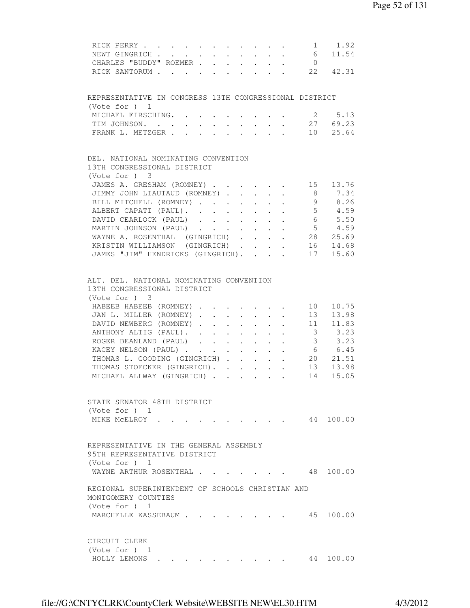| 1 1.92<br>RICK PERRY                                                                                                                                                                   |
|----------------------------------------------------------------------------------------------------------------------------------------------------------------------------------------|
| $6\overline{6}$<br>$\mathcal{L}^{\mathcal{A}}$ , $\mathcal{L}^{\mathcal{A}}$ , $\mathcal{L}^{\mathcal{A}}$ , $\mathcal{L}^{\mathcal{A}}$<br>11.54<br>NEWT GINGRICH<br>$\sim$<br>$\sim$ |
| CHARLES "BUDDY" ROEMER<br>$\overline{0}$                                                                                                                                               |
| RICK SANTORUM 22<br>42.31                                                                                                                                                              |
|                                                                                                                                                                                        |
| REPRESENTATIVE IN CONGRESS 13TH CONGRESSIONAL DISTRICT                                                                                                                                 |
| (Vote for ) 1                                                                                                                                                                          |
| MICHAEL FIRSCHING.<br>2 5.13<br>$\cdot$ $\cdot$ $\cdot$ $\cdot$ $\cdot$ $\cdot$<br>2769.23                                                                                             |
| TIM JOHNSON.<br>$\sim$<br>$\sim$ $-$<br>$\ddot{\phantom{0}}$<br>10 25.64                                                                                                               |
| FRANK L. METZGER<br>$\mathbf{L}$<br>$\mathbf{r}$ $\mathbf{r}$ $\mathbf{r}$<br>$\mathbf{r}$ and $\mathbf{r}$                                                                            |
|                                                                                                                                                                                        |
| DEL. NATIONAL NOMINATING CONVENTION                                                                                                                                                    |
| 13TH CONGRESSIONAL DISTRICT                                                                                                                                                            |
| (Vote for ) 3                                                                                                                                                                          |
| JAMES A. GRESHAM (ROMNEY)<br>15 13.76                                                                                                                                                  |
| 8 <sup>8</sup><br>7.34<br>JIMMY JOHN LIAUTAUD (ROMNEY).<br>$\mathbf{r}$ $\mathbf{r}$<br>$\mathbf{r}$<br>$\mathbf{L}^{\text{max}}$                                                      |
| 8.26<br>BILL MITCHELL (ROMNEY)<br>9<br>$\ddot{\phantom{0}}$<br>$\mathbf{r}$<br>$5 \t 4.59$                                                                                             |
| ALBERT CAPATI (PAUL).                                                                                                                                                                  |
| DAVID CEARLOCK (PAUL)<br>6 5.50                                                                                                                                                        |
| $5 \t 4.59$<br>MARTIN JOHNSON (PAUL)                                                                                                                                                   |
| WAYNE A. ROSENTHAL (GINGRICH)<br>28 25.69                                                                                                                                              |
| KRISTIN WILLIAMSON (GINGRICH)<br>16 14.68                                                                                                                                              |
| JAMES "JIM" HENDRICKS (GINGRICH).<br>17 15.60                                                                                                                                          |
|                                                                                                                                                                                        |
| ALT. DEL. NATIONAL NOMINATING CONVENTION                                                                                                                                               |
| 13TH CONGRESSIONAL DISTRICT                                                                                                                                                            |
| (Vote for ) 3                                                                                                                                                                          |
| HABEEB HABEEB (ROMNEY)<br>10.75<br>10                                                                                                                                                  |
| 13.98<br>JAN L. MILLER (ROMNEY)<br>13                                                                                                                                                  |
| DAVID NEWBERG (ROMNEY)<br>11<br>11.83                                                                                                                                                  |
| $\overline{\mathbf{3}}$<br>3.23<br>ANTHONY ALTIG (PAUL).                                                                                                                               |
| $\overline{\mathbf{3}}$<br>3.23<br>ROGER BEANLAND (PAUL)<br>$\mathbf{r} = \mathbf{r} + \mathbf{r}$ , where $\mathbf{r} = \mathbf{r}$                                                   |
| $6\overline{6}$<br>6.45<br>KACEY NELSON (PAUL)                                                                                                                                         |
| $\cdot$ $\cdot$ $\cdot$ $\cdot$<br>$\sim$<br>20<br>21.51                                                                                                                               |
| THOMAS L. GOODING (GINGRICH)<br>$\mathbf{L}$<br>13                                                                                                                                     |
| THOMAS STOECKER (GINGRICH).<br>13.98                                                                                                                                                   |
| 14<br>MICHAEL ALLWAY (GINGRICH)<br>15.05                                                                                                                                               |
|                                                                                                                                                                                        |
| STATE SENATOR 48TH DISTRICT                                                                                                                                                            |
| (Vote for ) 1                                                                                                                                                                          |
| 44 100.00<br>MIKE MCELROY .                                                                                                                                                            |
|                                                                                                                                                                                        |
| REPRESENTATIVE IN THE GENERAL ASSEMBLY                                                                                                                                                 |
| 95TH REPRESENTATIVE DISTRICT                                                                                                                                                           |
| (Vote for $)$ 1                                                                                                                                                                        |
| WAYNE ARTHUR ROSENTHAL<br>48 100.00                                                                                                                                                    |
|                                                                                                                                                                                        |
| REGIONAL SUPERINTENDENT OF SCHOOLS CHRISTIAN AND                                                                                                                                       |
| MONTGOMERY COUNTIES                                                                                                                                                                    |
| (Vote for $)$ 1                                                                                                                                                                        |
| MARCHELLE KASSEBAUM<br>45 100.00                                                                                                                                                       |
|                                                                                                                                                                                        |
|                                                                                                                                                                                        |
| CIRCUIT CLERK                                                                                                                                                                          |
| (Vote for $)$ 1                                                                                                                                                                        |
| 44 100.00<br>HOLLY LEMONS                                                                                                                                                              |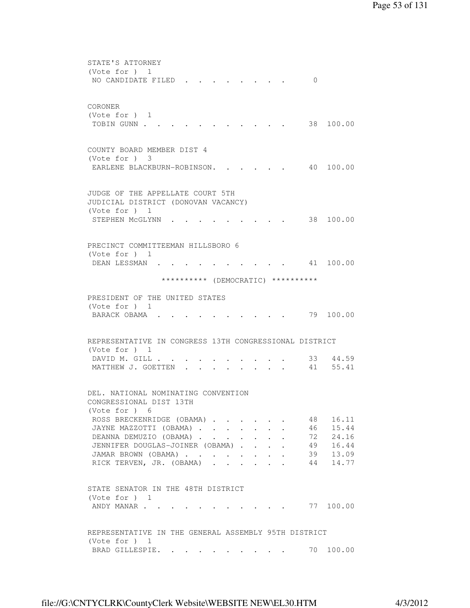```
 STATE'S ATTORNEY 
         (Vote for ) 1 
         NO CANDIDATE FILED . . . . . . . . 0
         CORONER 
         (Vote for ) 1 
         TOBIN GUNN . . . . . . . . . . . . 38 100.00
         COUNTY BOARD MEMBER DIST 4 
         (Vote for ) 3 
         EARLENE BLACKBURN-ROBINSON. . . . . 40 100.00
         JUDGE OF THE APPELLATE COURT 5TH 
         JUDICIAL DISTRICT (DONOVAN VACANCY) 
         (Vote for ) 1 
         STEPHEN MCGLYNN . . . . . . . . . 38 100.00
         PRECINCT COMMITTEEMAN HILLSBORO 6 
         (Vote for ) 1 
         DEAN LESSMAN . . . . . . . . . . 41 100.00
                       ********** (DEMOCRATIC) ********** 
         PRESIDENT OF THE UNITED STATES 
         (Vote for ) 1 
         BARACK OBAMA . . . . . . . . . . . 79 100.00
         REPRESENTATIVE IN CONGRESS 13TH CONGRESSIONAL DISTRICT 
         (Vote for ) 1 
DAVID M. GILL . . . . . . . . . . 33 44.59
MATTHEW J. GOETTEN . . . . . . . . 41 55.41
         DEL. NATIONAL NOMINATING CONVENTION 
         CONGRESSIONAL DIST 13TH 
         (Vote for ) 6 
         ROSS BRECKENRIDGE (OBAMA) . . . . . . 48 16.11
         JAYNE MAZZOTTI (OBAMA) . . . . . . . 46 15.44
         DEANNA DEMUZIO (OBAMA) . . . . . . . 72 24.16
         JENNIFER DOUGLAS-JOINER (OBAMA) . . . . 49 16.44
         JAMAR BROWN (OBAMA) . . . . . . . . 39 13.09
         RICK TERVEN, JR. (OBAMA) . . . . . . 44 14.77
         STATE SENATOR IN THE 48TH DISTRICT 
         (Vote for ) 1 
         ANDY MANAR . . . . . . . . . . . . 77 100.00
         REPRESENTATIVE IN THE GENERAL ASSEMBLY 95TH DISTRICT 
         (Vote for ) 1 
         BRAD GILLESPIE. . . . . . . . . 70 100.00
```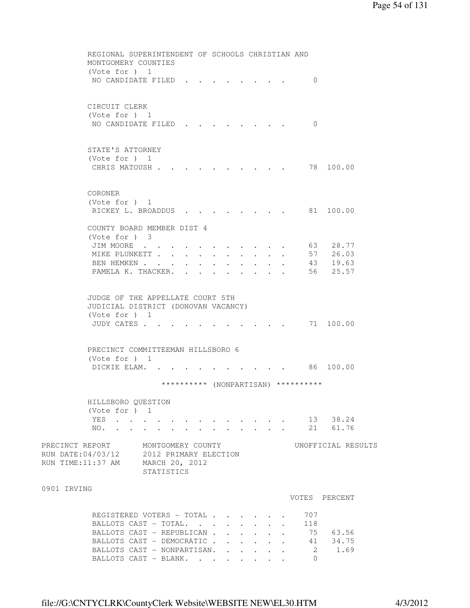|             | REGIONAL SUPERINTENDENT OF SCHOOLS CHRISTIAN AND<br>MONTGOMERY COUNTIES<br>(Vote for $)$ 1                                                                                                                                                        |                                                                             |
|-------------|---------------------------------------------------------------------------------------------------------------------------------------------------------------------------------------------------------------------------------------------------|-----------------------------------------------------------------------------|
|             | NO CANDIDATE FILED.                                                                                                                                                                                                                               | $\Omega$                                                                    |
|             | CIRCUIT CLERK<br>(Vote for $)$ 1<br>NO CANDIDATE FILED                                                                                                                                                                                            | $\Omega$                                                                    |
|             | STATE'S ATTORNEY<br>(Vote for ) 1<br>CHRIS MATOUSH .                                                                                                                                                                                              | 78 100.00                                                                   |
|             | CORONER<br>(Vote for ) 1<br>RICKEY L. BROADDUS                                                                                                                                                                                                    | 81 100.00                                                                   |
|             | COUNTY BOARD MEMBER DIST 4<br>(Note for ) 3                                                                                                                                                                                                       |                                                                             |
|             | JIM MOORE<br>MIKE PLUNKETT<br>$\mathbf{r} = \mathbf{r} + \mathbf{r}$ .<br>$\bullet$ .<br><br><br><br><br><br><br><br><br><br><br><br><br>$\sim 10^{-10}$<br>BEN HEMKEN<br>PAMELA K. THACKER.                                                      | 63 —<br>28.77<br>57 26.03<br>43 19.63<br>25.57<br>56                        |
|             | JUDGE OF THE APPELLATE COURT 5TH<br>JUDICIAL DISTRICT (DONOVAN VACANCY)<br>(Vote for $)$ 1<br>JUDY CATES                                                                                                                                          | 71 100.00                                                                   |
|             | PRECINCT COMMITTEEMAN HILLSBORO 6<br>(Vote for $)$ 1<br>DICKIE ELAM.                                                                                                                                                                              | 86 100.00                                                                   |
|             | ********** (NONPARTISAN) **********                                                                                                                                                                                                               |                                                                             |
|             | HILLSBORO QUESTION                                                                                                                                                                                                                                |                                                                             |
|             | (Vote for ) 1<br>YES<br>NO.                                                                                                                                                                                                                       | 13 38.24<br>21 61.76                                                        |
|             | PRECINCT REPORT MONTGOMERY COUNTY<br>RUN DATE: 04/03/12 2012 PRIMARY ELECTION<br>RUN TIME: 11:37 AM MARCH 20, 2012<br>STATISTICS                                                                                                                  | UNOFFICIAL RESULTS                                                          |
| 0901 IRVING |                                                                                                                                                                                                                                                   | VOTES PERCENT                                                               |
|             | REGISTERED VOTERS - TOTAL<br>BALLOTS CAST - TOTAL<br>$\mathbf{r} = \mathbf{r} \cdot \mathbf{r}$<br>$\mathbf{L}$<br>$\mathbf{r}$<br>BALLOTS CAST - REPUBLICAN<br>BALLOTS CAST - DEMOCRATIC<br>BALLOTS CAST - NONPARTISAN.<br>BALLOTS CAST - BLANK. | 707<br>118<br>75 63.56<br>41 34.75<br>$2 \qquad \qquad$<br>1.69<br>$\Omega$ |

file://G:\CNTYCLRK\CountyClerk Website\WEBSITE NEW\EL30.HTM 4/3/2012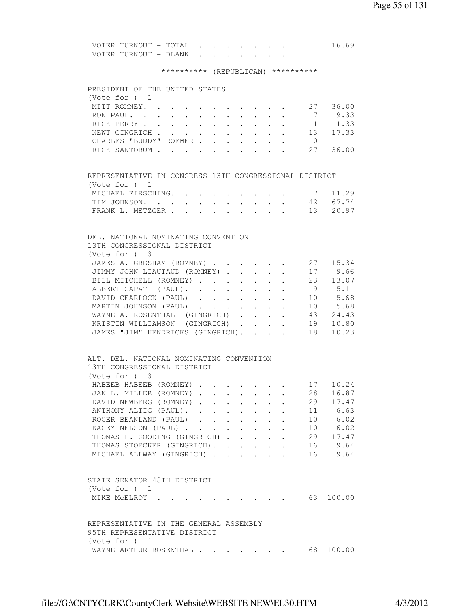| VOTER TURNOUT – TOTAL III |  |  |  |  | 16.69 |
|---------------------------|--|--|--|--|-------|
|                           |  |  |  |  |       |

# \*\*\*\*\*\*\*\*\*\* (REPUBLICAN) \*\*\*\*\*\*\*\*\*\*

|                 | PRESIDENT OF THE UNITED STATES                         |                                                                 |        |                                      |                           |                                                                      |                  |                          |
|-----------------|--------------------------------------------------------|-----------------------------------------------------------------|--------|--------------------------------------|---------------------------|----------------------------------------------------------------------|------------------|--------------------------|
| (Vote for ) 1   |                                                        |                                                                 |        |                                      |                           |                                                                      |                  |                          |
|                 | MITT ROMNEY. 27 36.00                                  |                                                                 |        |                                      |                           |                                                                      |                  |                          |
|                 | RON PAUL.                                              |                                                                 |        |                                      |                           |                                                                      |                  | 7 9.33                   |
|                 | RICK PERRY                                             | $\bullet$ .<br><br><br><br><br><br><br><br><br><br><br><br><br> |        | $\mathbf{L} = \mathbf{L} \mathbf{L}$ | $\sim 10^{-10}$           |                                                                      |                  |                          |
|                 | NEWT GINGRICH                                          |                                                                 |        |                                      | $\mathbf{L}^{\text{max}}$ |                                                                      |                  | $\cdot$ $\cdot$ 13 17.33 |
|                 | CHARLES "BUDDY" ROEMER                                 |                                                                 |        |                                      |                           | $\mathbf{r} = \left\{ \mathbf{r}_1, \ldots, \mathbf{r}_n \right\}$ . | $\overline{0}$   |                          |
|                 | RICK SANTORUM 27                                       |                                                                 |        |                                      |                           |                                                                      |                  | 36.00                    |
|                 |                                                        |                                                                 |        |                                      |                           |                                                                      |                  |                          |
|                 |                                                        |                                                                 |        |                                      |                           |                                                                      |                  |                          |
|                 | REPRESENTATIVE IN CONGRESS 13TH CONGRESSIONAL DISTRICT |                                                                 |        |                                      |                           |                                                                      |                  |                          |
| (Vote for ) 1   |                                                        |                                                                 |        |                                      |                           |                                                                      |                  |                          |
|                 | MICHAEL FIRSCHING.                                     |                                                                 |        |                                      |                           | $\ddot{\phantom{a}}$                                                 | $7\overline{ }$  | 11.29                    |
|                 | TIM JOHNSON. 42 67.74                                  |                                                                 |        |                                      |                           |                                                                      |                  |                          |
|                 | FRANK L. METZGER 13 20.97                              |                                                                 |        |                                      |                           |                                                                      |                  |                          |
|                 |                                                        |                                                                 |        |                                      |                           |                                                                      |                  |                          |
|                 | DEL. NATIONAL NOMINATING CONVENTION                    |                                                                 |        |                                      |                           |                                                                      |                  |                          |
|                 | 13TH CONGRESSIONAL DISTRICT                            |                                                                 |        |                                      |                           |                                                                      |                  |                          |
| (Vote for ) 3   |                                                        |                                                                 |        |                                      |                           |                                                                      |                  |                          |
|                 | JAMES A. GRESHAM (ROMNEY) 27 15.34                     |                                                                 |        |                                      |                           |                                                                      |                  |                          |
|                 | JIMMY JOHN LIAUTAUD (ROMNEY) 17 9.66                   |                                                                 |        |                                      |                           |                                                                      |                  |                          |
|                 | BILL MITCHELL (ROMNEY)                                 |                                                                 |        |                                      |                           |                                                                      |                  | $\cdot$ 23 13.07         |
|                 | ALBERT CAPATI (PAUL).                                  |                                                                 |        | $\sim$ $-$                           | $\mathbf{L}^{\text{max}}$ | $\mathbf{L}^{\text{max}}$ , and $\mathbf{L}^{\text{max}}$            |                  | 9 5.11                   |
|                 | DAVID CEARLOCK (PAUL)                                  |                                                                 |        |                                      | $\ddotsc$                 |                                                                      |                  | 10 5.68                  |
|                 | MARTIN JOHNSON (PAUL)                                  |                                                                 |        |                                      |                           |                                                                      | 10<br>$\sim 100$ | 5.68                     |
|                 | WAYNE A. ROSENTHAL (GINGRICH)                          |                                                                 |        |                                      | $\mathbf{L}^{\text{max}}$ |                                                                      |                  | $43$ $24.43$             |
|                 | KRISTIN WILLIAMSON (GINGRICH)                          |                                                                 |        |                                      |                           | $\ddot{\phantom{0}}$                                                 | 19<br>$\sim$     | 10.80                    |
|                 | JAMES "JIM" HENDRICKS (GINGRICH).                      |                                                                 |        |                                      |                           | $\mathbf{r} = \mathbf{r} + \mathbf{r}$                               | 18               | 10.23                    |
|                 |                                                        |                                                                 |        |                                      |                           |                                                                      |                  |                          |
|                 | ALT. DEL. NATIONAL NOMINATING CONVENTION               |                                                                 |        |                                      |                           |                                                                      |                  |                          |
|                 | 13TH CONGRESSIONAL DISTRICT                            |                                                                 |        |                                      |                           |                                                                      |                  |                          |
| (Vote for ) 3   |                                                        |                                                                 |        |                                      |                           |                                                                      |                  |                          |
|                 | HABEEB HABEEB (ROMNEY)                                 |                                                                 |        |                                      |                           |                                                                      | 17               | 10.24                    |
|                 | JAN L. MILLER (ROMNEY).                                | $\mathbf{A}$                                                    |        |                                      |                           |                                                                      | 28<br>$\sim$     | 16.87                    |
|                 | DAVID NEWBERG (ROMNEY).                                | $\mathbf{r}$                                                    | $\sim$ |                                      |                           | $\sim$                                                               |                  | $29 \t 17.47$            |
|                 | ANTHONY ALTIG (PAUL).                                  |                                                                 |        | $\ddot{\phantom{0}}$                 |                           |                                                                      |                  | 11 6.63                  |
|                 | ROGER BEANLAND (PAUL)                                  |                                                                 |        |                                      |                           |                                                                      |                  | 10 6.02                  |
|                 |                                                        |                                                                 |        |                                      |                           | $\cdot$ $\cdot$ $\cdot$ $\cdot$                                      |                  |                          |
|                 | KACEY NELSON (PAUL)                                    |                                                                 |        |                                      |                           |                                                                      | 10               | 6.02                     |
|                 | THOMAS L. GOODING (GINGRICH)                           |                                                                 |        |                                      |                           |                                                                      | 29               | 17.47                    |
|                 | THOMAS STOECKER (GINGRICH).                            |                                                                 |        |                                      |                           |                                                                      |                  | 16 9.64                  |
|                 | MICHAEL ALLWAY (GINGRICH)                              |                                                                 |        |                                      |                           |                                                                      |                  | 16 9.64                  |
|                 |                                                        |                                                                 |        |                                      |                           |                                                                      |                  |                          |
|                 | STATE SENATOR 48TH DISTRICT                            |                                                                 |        |                                      |                           |                                                                      |                  |                          |
| (Vote for $)$ 1 |                                                        |                                                                 |        |                                      |                           |                                                                      |                  |                          |
|                 | MIKE MCELROY .                                         |                                                                 |        |                                      |                           |                                                                      |                  | 63 100.00                |
|                 |                                                        |                                                                 |        |                                      |                           |                                                                      |                  |                          |
|                 |                                                        |                                                                 |        |                                      |                           |                                                                      |                  |                          |
|                 | REPRESENTATIVE IN THE GENERAL ASSEMBLY                 |                                                                 |        |                                      |                           |                                                                      |                  |                          |
|                 | 95TH REPRESENTATIVE DISTRICT                           |                                                                 |        |                                      |                           |                                                                      |                  |                          |
| (Vote for $)$ 1 |                                                        |                                                                 |        |                                      |                           |                                                                      |                  |                          |
|                 | WAYNE ARTHUR ROSENTHAL                                 |                                                                 |        |                                      |                           |                                                                      | 68               | 100.00                   |
|                 |                                                        |                                                                 |        |                                      |                           |                                                                      |                  |                          |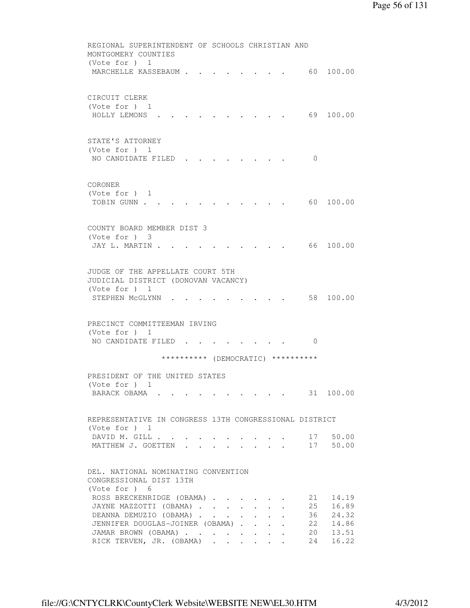```
 REGIONAL SUPERINTENDENT OF SCHOOLS CHRISTIAN AND 
         MONTGOMERY COUNTIES 
         (Vote for ) 1 
         MARCHELLE KASSEBAUM . . . . . . . . 60 100.00
         CIRCUIT CLERK 
         (Vote for ) 1 
          HOLLY LEMONS . . . . . . . . . . 69 100.00 
         STATE'S ATTORNEY 
         (Vote for ) 1 
         NO CANDIDATE FILED . . . . . . . . 0
         CORONER 
         (Vote for ) 1 
         TOBIN GUNN . . . . . . . . . . . . 60 100.00
         COUNTY BOARD MEMBER DIST 3 
         (Vote for ) 3 
         JAY L. MARTIN . . . . . . . . . . . 66 100.00
         JUDGE OF THE APPELLATE COURT 5TH 
         JUDICIAL DISTRICT (DONOVAN VACANCY) 
         (Vote for ) 1 
         STEPHEN MCGLYNN . . . . . . . . . 58 100.00
         PRECINCT COMMITTEEMAN IRVING 
         (Vote for ) 1 
         NO CANDIDATE FILED . . . . . . . . 0
                        ********** (DEMOCRATIC) ********** 
         PRESIDENT OF THE UNITED STATES 
         (Vote for ) 1 
         BARACK OBAMA . . . . . . . . . . . 31 100.00
         REPRESENTATIVE IN CONGRESS 13TH CONGRESSIONAL DISTRICT 
         (Vote for ) 1 
         DAVID M. GILL . . . . . . . . . . . 17 50.00<br>MATTHEW J. GOETTEN . . . . . . . . 17 50.00
         MATTHEW J. GOETTEN . . . .
         DEL. NATIONAL NOMINATING CONVENTION 
         CONGRESSIONAL DIST 13TH 
         (Vote for ) 6 
ROSS BRECKENRIDGE (OBAMA) . . . . . 21 14.19
 JAYNE MAZZOTTI (OBAMA) . . . . . . . 25 16.89 
DEANNA DEMUZIO (OBAMA) . . . . . . 36 24.32
         JENNIFER DOUGLAS-JOINER (OBAMA) . . . . 22 14.86
 JAMAR BROWN (OBAMA) . . . . . . . . 20 13.51 
RICK TERVEN, JR. (OBAMA) . . . . . . 24 16.22
```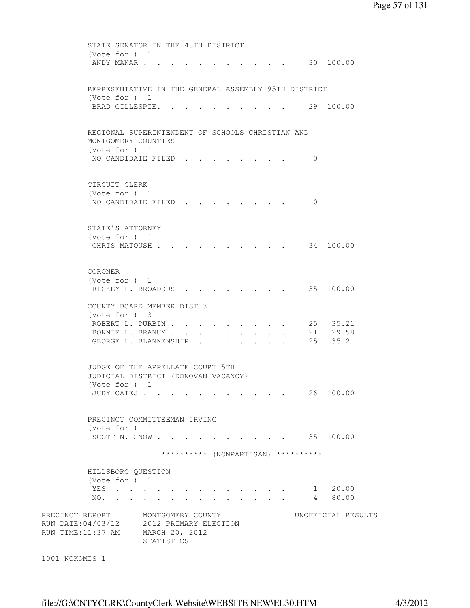STATE SENATOR IN THE 48TH DISTRICT (Vote for ) 1 ANDY MANAR . . . . . . . . . . . . 30 100.00 REPRESENTATIVE IN THE GENERAL ASSEMBLY 95TH DISTRICT (Vote for ) 1 BRAD GILLESPIE. . . . . . . . . . 29 100.00 REGIONAL SUPERINTENDENT OF SCHOOLS CHRISTIAN AND MONTGOMERY COUNTIES (Vote for ) 1 NO CANDIDATE FILED . . . . . . . . 0 CIRCUIT CLERK (Vote for ) 1 NO CANDIDATE FILED . . . . . . . . 0 STATE'S ATTORNEY (Vote for ) 1 CHRIS MATOUSH . . . . . . . . . . 34 100.00 CORONER (Vote for ) 1 RICKEY L. BROADDUS . . . . . . . . 35 100.00 COUNTY BOARD MEMBER DIST 3 (Vote for ) 3 ROBERT L. DURBIN . . . . . . . . . 25 35.21 ROBERT L. DURBIN . . . . . . . . . 25 35.21<br>BONNIE L. BRANUM . . . . . . . . . 21 29.58 GEORGE L. BLANKENSHIP . . . . . . . 25 35.21 JUDGE OF THE APPELLATE COURT 5TH JUDICIAL DISTRICT (DONOVAN VACANCY) (Vote for ) 1 JUDY CATES . . . . . . . . . . . 26 100.00 PRECINCT COMMITTEEMAN IRVING (Vote for ) 1 SCOTT N. SNOW . . . . . . . . . . . 35 100.00 \*\*\*\*\*\*\*\*\*\* (NONPARTISAN) \*\*\*\*\*\*\*\*\*\* HILLSBORO QUESTION (Vote for ) 1 YES . . . . . . . . . . . . . 1 20.00 NO. . . . . . . . . . . . . . 4 80.00 PRECINCT REPORT MONTGOMERY COUNTY WORTFICIAL RESULTS RUN DATE:04/03/12 2012 PRIMARY ELECTION RUN TIME:11:37 AM MARCH 20, 2012 STATISTICS

```
1001 NOKOMIS 1
```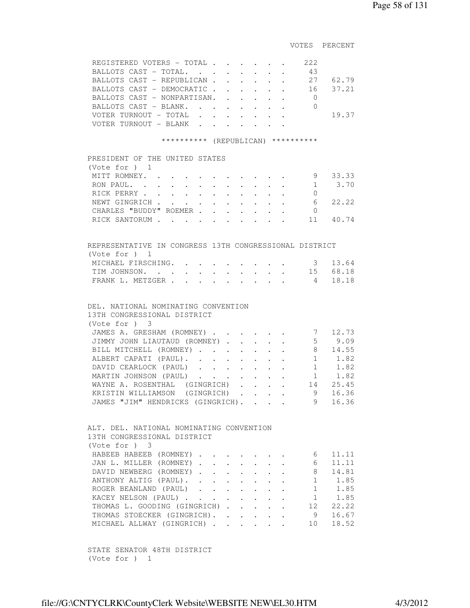VOTES PERCENT

|                                                           | REGISTERED VOTERS - TOTAL<br>BALLOTS CAST - TOTAL.<br>BALLOTS CAST - REPUBLICAN.<br>BALLOTS CAST - DEMOCRATIC<br>BALLOTS CAST - NONPARTISAN.<br>BALLOTS CAST - BLANK.<br>VOTER TURNOUT - TOTAL<br>VOTER TURNOUT - BLANK.                                                                                                                        | $\bullet$ .                                                                                                            | $\ddot{\phantom{0}}$                              | $\cdot$ $\cdot$ $\cdot$ $\cdot$ $\cdot$<br>$\sim 10^{-10}$<br>$\cdot$ $\cdot$ $\cdot$ $\cdot$ $\cdot$ | $\mathbf{L}^{\text{max}}$<br>$\mathbf{L}^{\text{max}}$<br>$\bullet$ . | $\mathbf{L} = \mathbf{L}$<br>$\bullet$ .<br><br><br><br><br><br><br><br><br><br><br><br><br>$\bullet$ .<br><br><br><br><br><br><br><br><br><br><br><br>              | $\mathbf{L}$               | 222<br>43<br>. 27 62.79<br>. 16 37.21<br>$\overline{0}$<br>$\overline{0}$ | 19.37                                                                                                                                                                                                                          |
|-----------------------------------------------------------|-------------------------------------------------------------------------------------------------------------------------------------------------------------------------------------------------------------------------------------------------------------------------------------------------------------------------------------------------|------------------------------------------------------------------------------------------------------------------------|---------------------------------------------------|-------------------------------------------------------------------------------------------------------|-----------------------------------------------------------------------|----------------------------------------------------------------------------------------------------------------------------------------------------------------------|----------------------------|---------------------------------------------------------------------------|--------------------------------------------------------------------------------------------------------------------------------------------------------------------------------------------------------------------------------|
|                                                           | ********** (REPUBLICAN) **********                                                                                                                                                                                                                                                                                                              |                                                                                                                        |                                                   |                                                                                                       |                                                                       |                                                                                                                                                                      |                            |                                                                           |                                                                                                                                                                                                                                |
| (Vote for ) 1<br>MITT ROMNEY. .<br>RON PAUL<br>RICK PERRY | PRESIDENT OF THE UNITED STATES<br>$\mathbf{r} = \mathbf{r} \cdot \mathbf{r}$ , where $\mathbf{r} = \mathbf{r} \cdot \mathbf{r}$                                                                                                                                                                                                                 | $\bullet$ . $\bullet$<br>$\mathbf{r} = \mathbf{r} \cdot \mathbf{r}$ , where $\mathbf{r} = \mathbf{r} \cdot \mathbf{r}$ |                                                   |                                                                                                       |                                                                       |                                                                                                                                                                      | $\mathcal{L}^{\text{max}}$ | 9<br>1<br>$\overline{0}$                                                  | 33.33<br>3.70                                                                                                                                                                                                                  |
|                                                           | NEWT GINGRICH<br>CHARLES "BUDDY" ROEMER.                                                                                                                                                                                                                                                                                                        | $\ddot{\phantom{a}}$                                                                                                   |                                                   |                                                                                                       |                                                                       |                                                                                                                                                                      |                            | 6<br>$\overline{0}$                                                       | 22.22                                                                                                                                                                                                                          |
|                                                           | RICK SANTORUM                                                                                                                                                                                                                                                                                                                                   | $\sim 10^{-11}$                                                                                                        |                                                   | $\cdot$ $\cdot$ $\cdot$                                                                               |                                                                       |                                                                                                                                                                      |                            |                                                                           | 11 40.74                                                                                                                                                                                                                       |
|                                                           |                                                                                                                                                                                                                                                                                                                                                 |                                                                                                                        |                                                   |                                                                                                       |                                                                       |                                                                                                                                                                      |                            |                                                                           |                                                                                                                                                                                                                                |
| (Vote for $)$ 1                                           | REPRESENTATIVE IN CONGRESS 13TH CONGRESSIONAL DISTRICT                                                                                                                                                                                                                                                                                          |                                                                                                                        |                                                   |                                                                                                       |                                                                       |                                                                                                                                                                      |                            |                                                                           |                                                                                                                                                                                                                                |
|                                                           | MICHAEL FIRSCHING. .                                                                                                                                                                                                                                                                                                                            |                                                                                                                        |                                                   |                                                                                                       |                                                                       |                                                                                                                                                                      |                            |                                                                           | 3 13.64                                                                                                                                                                                                                        |
|                                                           | TIM JOHNSON.                                                                                                                                                                                                                                                                                                                                    |                                                                                                                        |                                                   |                                                                                                       |                                                                       |                                                                                                                                                                      |                            |                                                                           | 15 68.18                                                                                                                                                                                                                       |
|                                                           | FRANK L. METZGER .                                                                                                                                                                                                                                                                                                                              |                                                                                                                        |                                                   |                                                                                                       |                                                                       |                                                                                                                                                                      |                            | $4\overline{4}$                                                           | 18.18                                                                                                                                                                                                                          |
| (Vote for ) 3                                             | DEL. NATIONAL NOMINATING CONVENTION<br>13TH CONGRESSIONAL DISTRICT<br>JAMES A. GRESHAM (ROMNEY)<br>JIMMY JOHN LIAUTAUD (ROMNEY).<br>BILL MITCHELL (ROMNEY)<br>ALBERT CAPATI (PAUL). .<br>DAVID CEARLOCK (PAUL).<br>MARTIN JOHNSON (PAUL)<br>WAYNE A. ROSENTHAL (GINGRICH)<br>KRISTIN WILLIAMSON (GINGRICH)<br>JAMES "JIM" HENDRICKS (GINGRICH). | $\ddot{\phantom{0}}$                                                                                                   | $\ddot{\phantom{a}}$<br>$\mathbf{r}$ $\mathbf{r}$ | $\sim$ $-$<br>$\ddot{\phantom{0}}$                                                                    |                                                                       |                                                                                                                                                                      |                            | $\cdot \cdot \cdot \cdot \cdot 14$ 25.45<br>9<br>- 9                      | 7 12.73<br>$5 \t 9.09$<br>$\begin{array}{ccc} 8 & & 14\,\raisebox{0.06em}{\textbf{.}}\,55 \\ 1 & & 1\,\raisebox{0.06em}{\textbf{.}}\,82 \end{array}$<br>$\begin{array}{c} 1 \\ 1 \end{array}$<br>$1 \t 1.82$<br>16.36<br>16.36 |
| (Vote for ) 3                                             | ALT. DEL. NATIONAL NOMINATING CONVENTION<br>13TH CONGRESSIONAL DISTRICT                                                                                                                                                                                                                                                                         |                                                                                                                        |                                                   |                                                                                                       |                                                                       |                                                                                                                                                                      |                            |                                                                           |                                                                                                                                                                                                                                |
|                                                           | HABEEB HABEEB (ROMNEY)<br>JAN L. MILLER (ROMNEY)<br>DAVID NEWBERG (ROMNEY)<br>ANTHONY ALTIG (PAUL).<br>ROGER BEANLAND (PAUL)<br>KACEY NELSON (PAUL)<br>THOMAS L. GOODING (GINGRICH)<br>THOMAS STOECKER (GINGRICH).<br>MICHAEL ALLWAY (GINGRICH)                                                                                                 |                                                                                                                        |                                                   |                                                                                                       | $\sim$ $-$                                                            | $\cdot$ $\cdot$<br>$\bullet$ . In the case of the $\sim$<br>$\mathbf{z} = \mathbf{z} + \mathbf{z}$ .<br>$\mathbf{z} = \mathbf{z} + \mathbf{z}$ .<br>$\sim$ 100 $\pm$ |                            | 6<br>6<br>8<br>12<br>9<br>10                                              | 11.11<br>11.11<br>14.81<br>$1 \t 1.85$<br>$1 \t 1.85$<br>$1 \t 1.85$<br>22.22<br>16.67<br>18.52                                                                                                                                |

 STATE SENATOR 48TH DISTRICT (Vote for ) 1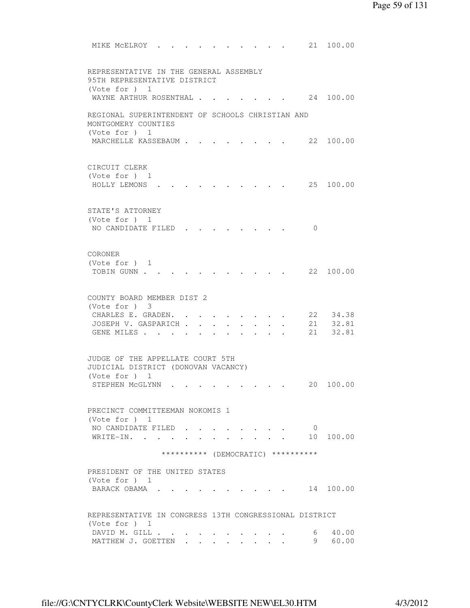MIKE MCELROY . . . . . . . . . . 21 100.00 REPRESENTATIVE IN THE GENERAL ASSEMBLY 95TH REPRESENTATIVE DISTRICT (Vote for ) 1 WAYNE ARTHUR ROSENTHAL . . . . . . . 24 100.00 REGIONAL SUPERINTENDENT OF SCHOOLS CHRISTIAN AND MONTGOMERY COUNTIES (Vote for ) 1 MARCHELLE KASSEBAUM . . . . . . . . 22 100.00 CIRCUIT CLERK (Vote for ) 1 HOLLY LEMONS . . . . . . . . . . 25 100.00 STATE'S ATTORNEY (Vote for ) 1 NO CANDIDATE FILED . . . . . . . . 0 CORONER (Vote for ) 1 TOBIN GUNN . . . . . . . . . . . 22 100.00 COUNTY BOARD MEMBER DIST 2 (Vote for ) 3 CHARLES E. GRADEN. . . . . . . . . 22 34.38<br>JOSEPH V. GASPARICH . . . . . . . . 21 32.81<br>GENE MILES . . . . . . . . . . 21 32.81 JOSEPH V. GASPARICH . . . . . . . . GENE MILES . . . . . . . . . . . JUDGE OF THE APPELLATE COURT 5TH JUDICIAL DISTRICT (DONOVAN VACANCY) (Vote for ) 1 STEPHEN McGLYNN . . . . . . . . . 20 100.00 PRECINCT COMMITTEEMAN NOKOMIS 1 (Vote for ) 1 NO CANDIDATE FILED . . . . . . . . 0<br>WRITE-IN. . . . . . . . . . . . 10 100.00 WRITE-IN. . . . . . . . . . . . \*\*\*\*\*\*\*\*\*\* (DEMOCRATIC) \*\*\*\*\*\*\*\*\*\* PRESIDENT OF THE UNITED STATES (Vote for ) 1 BARACK OBAMA . . . . . . . . . . 14 100.00 REPRESENTATIVE IN CONGRESS 13TH CONGRESSIONAL DISTRICT (Vote for ) 1 DAVID M. GILL . . . . . . . . . . 6 40.00 MATTHEW J. GOETTEN . . . . . . . . 9 60.00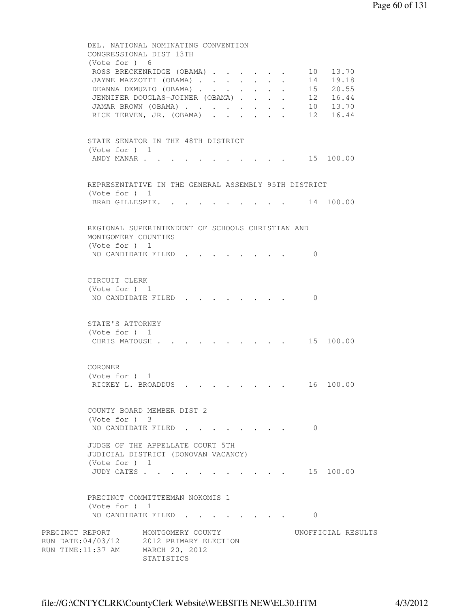```
 DEL. NATIONAL NOMINATING CONVENTION 
         CONGRESSIONAL DIST 13TH 
         (Vote for ) 6 
         ROSS BRECKENRIDGE (OBAMA) . . . . . . 10 13.70
 JAYNE MAZZOTTI (OBAMA) . . . . . . . 14 19.18 
DEANNA DEMUZIO (OBAMA) . . . . . . 15 20.55
 JENNIFER DOUGLAS-JOINER (OBAMA) . . . . 12 16.44 
 JAMAR BROWN (OBAMA) . . . . . . . . 10 13.70 
 RICK TERVEN, JR. (OBAMA) . . . . . . 12 16.44 
         STATE SENATOR IN THE 48TH DISTRICT 
         (Vote for ) 1 
         ANDY MANAR . . . . . . . . . . . . 15 100.00
         REPRESENTATIVE IN THE GENERAL ASSEMBLY 95TH DISTRICT 
         (Vote for ) 1 
         BRAD GILLESPIE. . . . . . . . . . 14 100.00
         REGIONAL SUPERINTENDENT OF SCHOOLS CHRISTIAN AND 
         MONTGOMERY COUNTIES 
         (Vote for ) 1 
         NO CANDIDATE FILED . . . . . . . . 0
         CIRCUIT CLERK 
         (Vote for ) 1 
         NO CANDIDATE FILED . . . . . . . 0
         STATE'S ATTORNEY 
         (Vote for ) 1 
         CHRIS MATOUSH . . . . . . . . . . 15 100.00
         CORONER 
         (Vote for ) 1 
         RICKEY L. BROADDUS . . . . . . . . 16 100.00
         COUNTY BOARD MEMBER DIST 2 
         (Vote for ) 3 
         NO CANDIDATE FILED . . . . . . . . 0
         JUDGE OF THE APPELLATE COURT 5TH 
         JUDICIAL DISTRICT (DONOVAN VACANCY) 
         (Vote for ) 1 
         JUDY CATES . . . . . . . . . . . 15 100.00
         PRECINCT COMMITTEEMAN NOKOMIS 1 
         (Vote for ) 1 
         NO CANDIDATE FILED . . . . . . . . 0
PRECINCT REPORT MONTGOMERY COUNTY UNOFFICIAL RESULTS
RUN DATE:04/03/12 2012 PRIMARY ELECTION 
RUN TIME:11:37 AM MARCH 20, 2012 
                   STATISTICS
```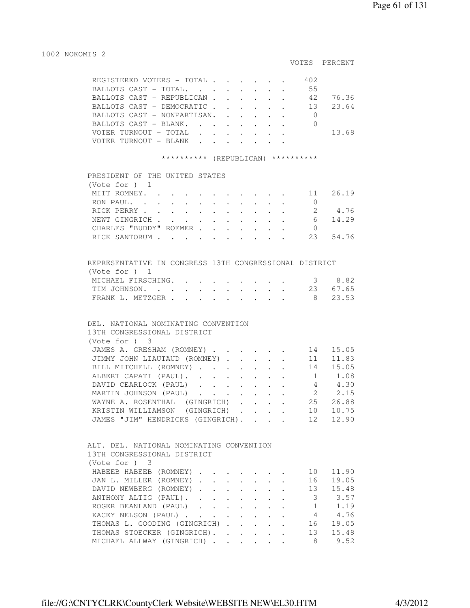#### 1002 NOKOMIS 2

#### VOTES PERCENT

|  | REGISTERED VOTERS - TOTAL          |  |  |  | 402 |       |
|--|------------------------------------|--|--|--|-----|-------|
|  | BALLOTS CAST - TOTAL.              |  |  |  | 55  |       |
|  | BALLOTS CAST - REPUBLICAN          |  |  |  | 42. | 7636  |
|  | BALLOTS CAST - DEMOCRATIC 13 23.64 |  |  |  |     |       |
|  | BALLOTS CAST - NONPARTISAN.        |  |  |  |     |       |
|  | BALLOTS CAST - BLANK.              |  |  |  |     |       |
|  |                                    |  |  |  |     | 13.68 |
|  | ER TURNOUT - BLANK                 |  |  |  |     |       |

#### \*\*\*\*\*\*\*\*\*\* (REPUBLICAN) \*\*\*\*\*\*\*\*\*\*

#### PRESIDENT OF THE UNITED STATES

| (Vote for $)$ 1        |  |  |  |  |      |         |
|------------------------|--|--|--|--|------|---------|
| MITT ROMNEY. 11        |  |  |  |  |      | 26.19   |
| RON PAUL.              |  |  |  |  |      |         |
| RICK PERRY             |  |  |  |  |      | 4.76    |
| NEWT GINGRICH          |  |  |  |  |      | 6 14.29 |
| CHARLES "BUDDY" ROEMER |  |  |  |  |      |         |
| RICK SANTORUM          |  |  |  |  | - 23 | 54.76   |

| REPRESENTATIVE IN CONGRESS 13TH CONGRESSIONAL DISTRICT |  |  |  |  |
|--------------------------------------------------------|--|--|--|--|
| (Vote for ) 1                                          |  |  |  |  |
| MICHAEL FIRSCHING. 3 8.82                              |  |  |  |  |
| TIM JOHNSON. 23 67.65                                  |  |  |  |  |
| FRANK L. METZGER 8 23.53                               |  |  |  |  |

#### DEL. NATIONAL NOMINATING CONVENTION

| 13TH CONGRESSIONAL DISTRICT       |  |  |         |       |
|-----------------------------------|--|--|---------|-------|
| (Vote for )<br>- 3                |  |  |         |       |
| JAMES A. GRESHAM (ROMNEY)         |  |  | 14      | 15.05 |
| JIMMY JOHN LIAUTAUD (ROMNEY)      |  |  | 11      | 11.83 |
| BILL MITCHELL (ROMNEY)            |  |  | 14      | 15.05 |
| ALBERT CAPATI (PAUL).             |  |  |         | 1.08  |
| DAVID CEARLOCK (PAUL)             |  |  | 4       | 4.30  |
| MARTIN JOHNSON (PAUL)             |  |  | 2       | 2.15  |
| WAYNE A. ROSENTHAL (GINGRICH)     |  |  | 25      | 26.88 |
| KRISTIN WILLIAMSON (GINGRICH).    |  |  | $10 \,$ | 10.75 |
| JAMES "JIM" HENDRICKS (GINGRICH). |  |  | 12      | 12.90 |

# ALT. DEL. NATIONAL NOMINATING CONVENTION 13TH CONGRESSIONAL DISTRICT (Vote for ) 3 HABEEB HABEEB (ROMNEY) . . . . . . . 10 11.90 JAN L. MILLER (ROMNEY) . . . . . . . 16 19.05 DAVID NEWBERG (ROMNEY) . . . . . . . 13 15.48 ANTHONY ALTIG (PAUL). . . . . . . . 3 3.57<br>ROGER BEANLAND (PAUL) . . . . . . . 1 1.19 ROGER BEANLAND (PAUL) . . . . . . . 1 1.19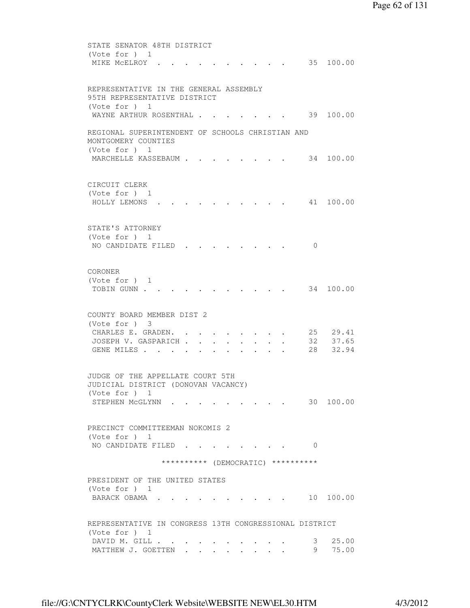```
 STATE SENATOR 48TH DISTRICT 
         (Vote for ) 1 
         MIKE MCELROY . . . . . . . . . . . 35 100.00
         REPRESENTATIVE IN THE GENERAL ASSEMBLY 
         95TH REPRESENTATIVE DISTRICT 
         (Vote for ) 1 
         WAYNE ARTHUR ROSENTHAL . . . . . . . 39 100.00
         REGIONAL SUPERINTENDENT OF SCHOOLS CHRISTIAN AND 
         MONTGOMERY COUNTIES 
         (Vote for ) 1 
         MARCHELLE KASSEBAUM . . . . . . . . 34 100.00
         CIRCUIT CLERK 
         (Vote for ) 1 
          HOLLY LEMONS . . . . . . . . . . 41 100.00 
         STATE'S ATTORNEY 
         (Vote for ) 1 
         NO CANDIDATE FILED . . . . . . . . 0
         CORONER 
         (Vote for ) 1 
         TOBIN GUNN . . . . . . . . . . . . 34 100.00
         COUNTY BOARD MEMBER DIST 2 
         (Vote for ) 3 
         CHARLES E. GRADEN. . . . . . . . . 25 29.41
         JOSEPH V. GASPARICH . . . . . . . . 32 37.65
         GENE MILES . . . . . . . . . . . 28 32.94
         JUDGE OF THE APPELLATE COURT 5TH 
         JUDICIAL DISTRICT (DONOVAN VACANCY) 
         (Vote for ) 1 
         STEPHEN MCGLYNN . . . . . . . . . 30 100.00
         PRECINCT COMMITTEEMAN NOKOMIS 2 
         (Vote for ) 1 
         NO CANDIDATE FILED . . . . . . . . 0
                       ********** (DEMOCRATIC) ********** 
         PRESIDENT OF THE UNITED STATES 
         (Vote for ) 1 
         BARACK OBAMA . . . . . . . . . . 10 100.00
         REPRESENTATIVE IN CONGRESS 13TH CONGRESSIONAL DISTRICT 
         (Vote for ) 1 
 DAVID M. GILL . . . . . . . . . . 3 25.00 
MATTHEW J. GOETTEN . . . . . . . . 9 75.00
```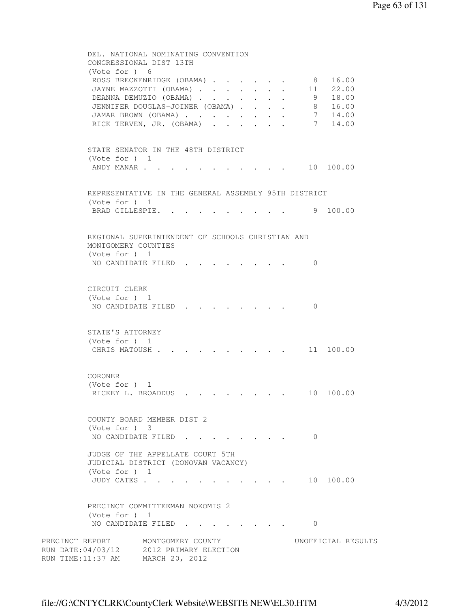```
 DEL. NATIONAL NOMINATING CONVENTION 
          CONGRESSIONAL DIST 13TH 
          (Vote for ) 6 
          ROSS BRECKENRIDGE (OBAMA) . . . . . . . 8 16.00<br>JAYNE MAZZOTTI (OBAMA) . . . . . . . 11 22.00<br>DEANNA DEMUZIO (OBAMA) . . . . . . 9 18.00<br>JENNIFER DOUGLAS-JOINER (OBAMA) . . . . 8 16.00<br>JENNIFER DOUGLAS-JOINER (OBAMA) . . .
          JAYNE MAZZOTTI (OBAMA) . . . . . . .
          DEANNA DEMUZIO (OBAMA) . . . . . . .
          JENNIFER DOUGLAS-JOINER (OBAMA) . . . .
          JAMAR BROWN (OBAMA) . . . . . . . . 7 14.00
          RICK TERVEN, JR. (OBAMA) . . . . . . 7 14.00
          STATE SENATOR IN THE 48TH DISTRICT 
          (Vote for ) 1 
          ANDY MANAR . . . . . . . . . . . 10 100.00
          REPRESENTATIVE IN THE GENERAL ASSEMBLY 95TH DISTRICT 
          (Vote for ) 1 
          BRAD GILLESPIE. . . . . . . . . . 9 100.00
          REGIONAL SUPERINTENDENT OF SCHOOLS CHRISTIAN AND 
          MONTGOMERY COUNTIES 
          (Vote for ) 1 
          NO CANDIDATE FILED . . . . . . . 0
          CIRCUIT CLERK 
          (Vote for ) 1 
          NO CANDIDATE FILED . . . . . . . . 0
          STATE'S ATTORNEY 
           (Vote for ) 1 
          CHRIS MATOUSH . . . . . . . . . . 11 100.00
          CORONER 
          (Vote for ) 1 
          RICKEY L. BROADDUS . . . . . . . . 10 100.00
          COUNTY BOARD MEMBER DIST 2 
          (Vote for ) 3 
          NO CANDIDATE FILED . . . . . . . . 0
          JUDGE OF THE APPELLATE COURT 5TH 
          JUDICIAL DISTRICT (DONOVAN VACANCY) 
          (Vote for ) 1 
          JUDY CATES . . . . . . . . . . . . 10 100.00
          PRECINCT COMMITTEEMAN NOKOMIS 2 
           (Vote for ) 1 
          NO CANDIDATE FILED . . . . . . . . 0
PRECINCT REPORT MONTGOMERY COUNTY WORTFICIAL RESULTS
RUN DATE:04/03/12 2012 PRIMARY ELECTION 
RUN TIME:11:37 AM MARCH 20, 2012
```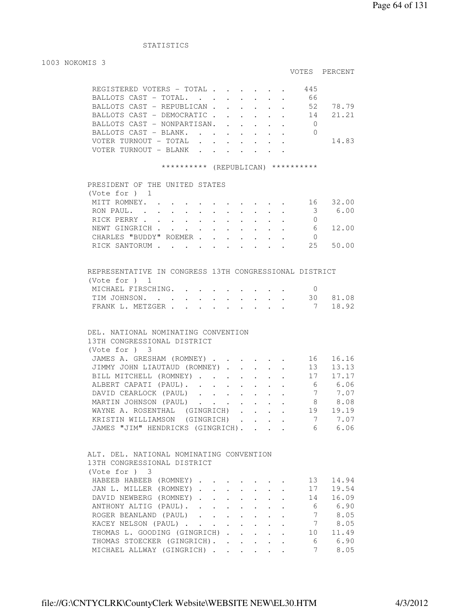# STATISTICS

#### 1003 NOKOMIS 3

# VOTES PERCENT

|                       | REGISTERED VOTERS - TOTAL   |  |  |  | 445 |       |
|-----------------------|-----------------------------|--|--|--|-----|-------|
|                       | BALLOTS CAST - TOTAL.       |  |  |  | 66  |       |
|                       | BALLOTS CAST - REPUBLICAN   |  |  |  | 52  | 78.79 |
|                       | BALLOTS CAST - DEMOCRATIC   |  |  |  | -14 | 21.21 |
|                       | BALLOTS CAST - NONPARTISAN. |  |  |  |     |       |
|                       | BALLOTS CAST - BLANK.       |  |  |  |     |       |
|                       |                             |  |  |  |     | 14.83 |
| VOTER TURNOUT – BLANK |                             |  |  |  |     |       |
|                       |                             |  |  |  |     |       |

## \*\*\*\*\*\*\*\*\*\*\* (REPUBLICAN) \*\*\*\*\*\*\*\*\*\*

| PRESIDENT OF THE UNITED STATES |  |  |  |  |    |       |
|--------------------------------|--|--|--|--|----|-------|
| (Note for ) 1                  |  |  |  |  |    |       |
| MITT ROMNEY.                   |  |  |  |  | 16 | 32.00 |
| RON PAUL.                      |  |  |  |  | 3  | 6.00  |
| RICK PERRY                     |  |  |  |  |    |       |
| NEWT GINGRICH                  |  |  |  |  | 6  | 12.00 |
| CHARLES "BUDDY" ROEMER         |  |  |  |  |    |       |
| RICK SANTORUM                  |  |  |  |  | 25 | 50.00 |
|                                |  |  |  |  |    |       |

| REPRESENTATIVE IN CONGRESS 13TH CONGRESSIONAL DISTRICT |  |  |  |  |  |          |
|--------------------------------------------------------|--|--|--|--|--|----------|
| (Vote for ) 1                                          |  |  |  |  |  |          |
| MICHAEL FIRSCHING.                                     |  |  |  |  |  |          |
| TIM JOHNSON.                                           |  |  |  |  |  | 30 81.08 |
| FRANK L. METZGER                                       |  |  |  |  |  | 7 18.92  |

# DEL. NATIONAL NOMINATING CONVENTION 13TH CONGRESSIONAL DISTRICT (Vote for ) 3 JAMES A. GRESHAM (ROMNEY) . . . . . . 16 16.16 JIMMY JOHN LIAUTAUD (ROMNEY) . . . . . 13 13.13 BILL MITCHELL (ROMNEY) . . . . . . . 17 17.17 ALBERT CAPATI (PAUL). . . . . . . . 6 6.06 DAVID CEARLOCK (PAUL) . . . . . . . 7 7.07<br>MARTIN JOHNSON (PAUL) . . . . . . . 8 8.08 MARTIN JOHNSON (PAUL) . . . . . . . WAYNE A. ROSENTHAL (GINGRICH) . . . . 19 19.19 KRISTIN WILLIAMSON (GINGRICH) . . . . 7 7.07 JAMES "JIM" HENDRICKS (GINGRICH). . . . 6 6.06

| ALT. DEL. NATIONAL NOMINATING CONVENTION |  |  |  |    |       |
|------------------------------------------|--|--|--|----|-------|
| 13TH CONGRESSIONAL DISTRICT              |  |  |  |    |       |
| (Note for ) 3                            |  |  |  |    |       |
| HABEEB HABEEB (ROMNEY)                   |  |  |  | 13 | 14.94 |
| JAN L. MILLER (ROMNEY)                   |  |  |  | 17 | 19.54 |
| DAVID NEWBERG (ROMNEY)                   |  |  |  | 14 | 16.09 |
| ANTHONY ALTIG (PAUL).                    |  |  |  | 6  | 6.90  |
| ROGER BEANLAND (PAUL)                    |  |  |  |    | 8.05  |
| KACEY NELSON (PAUL)                      |  |  |  |    | 8.05  |
| THOMAS L. GOODING (GINGRICH).            |  |  |  | 10 | 11.49 |
| THOMAS STOECKER (GINGRICH).              |  |  |  | 6  | 6.90  |
| MICHAEL ALLWAY (GINGRICH)                |  |  |  |    | 8.05  |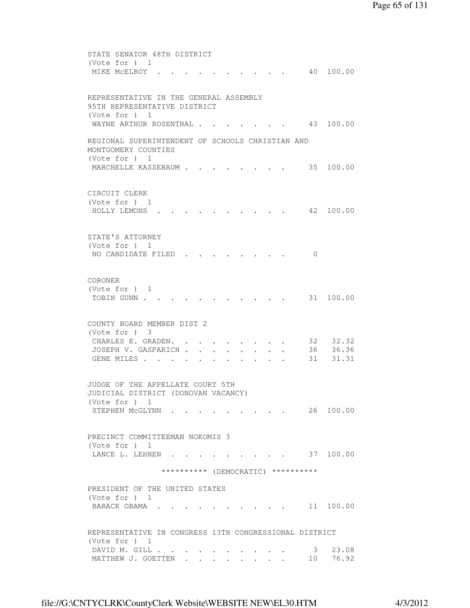```
 STATE SENATOR 48TH DISTRICT 
 (Vote for ) 1 
MIKE MCELROY . . . . . . . . . . 40 100.00
 REPRESENTATIVE IN THE GENERAL ASSEMBLY 
 95TH REPRESENTATIVE DISTRICT 
 (Vote for ) 1 
WAYNE ARTHUR ROSENTHAL . . . . . . . 43 100.00
 REGIONAL SUPERINTENDENT OF SCHOOLS CHRISTIAN AND 
 MONTGOMERY COUNTIES 
 (Vote for ) 1 
MARCHELLE KASSEBAUM . . . . . . . . 35 100.00
 CIRCUIT CLERK 
 (Vote for ) 1 
 HOLLY LEMONS . . . . . . . . . . 42 100.00 
 STATE'S ATTORNEY 
 (Vote for ) 1 
NO CANDIDATE FILED . . . . . . . . 0
 CORONER 
 (Vote for ) 1 
TOBIN GUNN . . . . . . . . . . . . 31 100.00
 COUNTY BOARD MEMBER DIST 2 
 (Vote for ) 3 
CHARLES E. GRADEN. . . . . . . . . 32 32.32
JOSEPH V. GASPARICH . . . . . . . . 36 36.36
GENE MILES . . . . . . . . . . . 31 31.31
 JUDGE OF THE APPELLATE COURT 5TH 
 JUDICIAL DISTRICT (DONOVAN VACANCY) 
 (Vote for ) 1 
STEPHEN MCGLYNN . . . . . . . . . 26 100.00
 PRECINCT COMMITTEEMAN NOKOMIS 3 
 (Vote for ) 1 
LANCE L. LEHNEN . . . . . . . . . 37 100.00
                ********** (DEMOCRATIC) ********** 
 PRESIDENT OF THE UNITED STATES 
 (Vote for ) 1 
BARACK OBAMA . . . . . . . . . . 11 100.00
 REPRESENTATIVE IN CONGRESS 13TH CONGRESSIONAL DISTRICT 
 (Vote for ) 1 
DAVID M. GILL . . . . . . . . . . . 3 23.08<br>MATTHEW J. GOETTEN . . . . . . . . 10 76.92
MATTHEW J. GOETTEN . . . . . .
```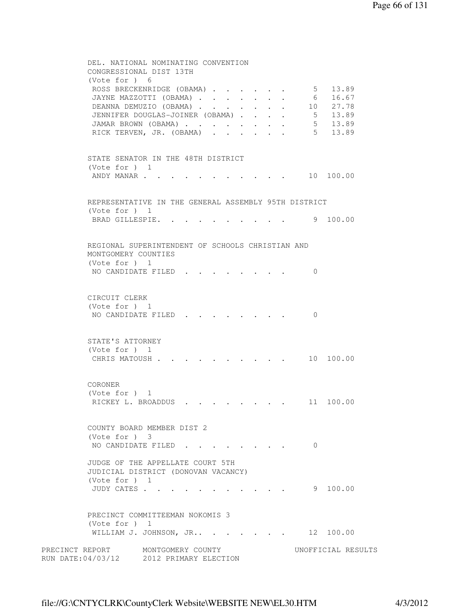```
 DEL. NATIONAL NOMINATING CONVENTION 
         CONGRESSIONAL DIST 13TH 
         (Vote for ) 6 
ROSS BRECKENRIDGE (OBAMA) . . . . . . 5 13.89
 JAYNE MAZZOTTI (OBAMA) . . . . . . . 6 16.67 
DEANNA DEMUZIO (OBAMA) . . . . . . 10 27.78
 JENNIFER DOUGLAS-JOINER (OBAMA) . . . . 5 13.89 
 JAMAR BROWN (OBAMA) . . . . . . . . 5 13.89 
RICK TERVEN, JR. (OBAMA) . . . . . . 5 13.89
         STATE SENATOR IN THE 48TH DISTRICT 
         (Vote for ) 1 
        ANDY MANAR . . . . . . . . . . . . 10 100.00
         REPRESENTATIVE IN THE GENERAL ASSEMBLY 95TH DISTRICT 
         (Vote for ) 1 
        BRAD GILLESPIE. . . . . . . . . . 9 100.00
         REGIONAL SUPERINTENDENT OF SCHOOLS CHRISTIAN AND 
         MONTGOMERY COUNTIES 
         (Vote for ) 1 
        NO CANDIDATE FILED . . . . . . . . 0
         CIRCUIT CLERK 
         (Vote for ) 1 
        NO CANDIDATE FILED . . . . . . . . 0
         STATE'S ATTORNEY 
         (Vote for ) 1 
        CHRIS MATOUSH . . . . . . . . . . 10 100.00
         CORONER 
         (Vote for ) 1 
        RICKEY L. BROADDUS . . . . . . . . 11 100.00
         COUNTY BOARD MEMBER DIST 2 
         (Vote for ) 3 
        NO CANDIDATE FILED . . . . . . . 0
         JUDGE OF THE APPELLATE COURT 5TH 
         JUDICIAL DISTRICT (DONOVAN VACANCY) 
         (Vote for ) 1 
         JUDY CATES . . . . . . . . . . . 9 100.00 
         PRECINCT COMMITTEEMAN NOKOMIS 3 
         (Vote for ) 1 
        WILLIAM J. JOHNSON, JR.. . . . . . . 12 100.00
PRECINCT REPORT MONTGOMERY COUNTY WORTFICIAL RESULTS
RUN DATE:04/03/12 2012 PRIMARY ELECTION
```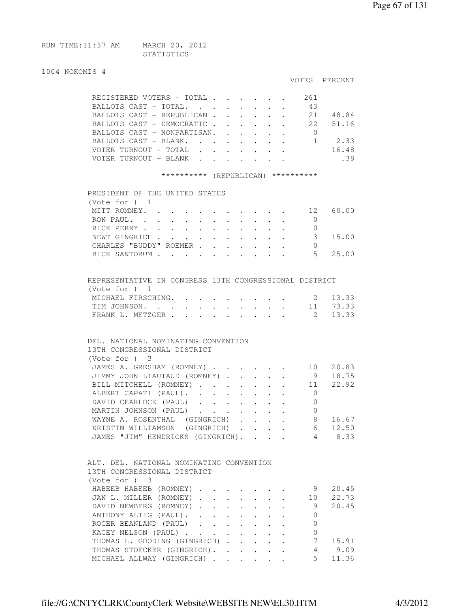| RUN TIME:11:37 AM | MARCH 20, 2012 |  |
|-------------------|----------------|--|
|                   | STATISTICS     |  |

# 1004 NOKON

| 1004 NOKOMIS 4                                                                                                                                     |                                        |                |                     |
|----------------------------------------------------------------------------------------------------------------------------------------------------|----------------------------------------|----------------|---------------------|
|                                                                                                                                                    |                                        |                | VOTES PERCENT       |
| REGISTERED VOTERS - TOTAL                                                                                                                          |                                        | . 261          |                     |
| BALLOTS CAST - TOTAL.                                                                                                                              |                                        | 43             |                     |
| BALLOTS CAST - REPUBLICAN 21 48.84                                                                                                                 |                                        |                |                     |
| BALLOTS CAST - DEMOCRATIC 22 51.16                                                                                                                 |                                        |                |                     |
| BALLOTS CAST - NONPARTISAN. 0                                                                                                                      |                                        |                |                     |
| BALLOTS CAST - BLANK. 1 2.33                                                                                                                       |                                        |                |                     |
| VOTER TURNOUT - TOTAL                                                                                                                              |                                        |                | 16.48               |
| VOTER TURNOUT - BLANK                                                                                                                              |                                        |                | .38                 |
| ********** (REPUBLICAN) **********                                                                                                                 |                                        |                |                     |
| PRESIDENT OF THE UNITED STATES                                                                                                                     |                                        |                |                     |
| (Note for ) 1                                                                                                                                      |                                        |                |                     |
| MITT ROMNEY. 12 60.00                                                                                                                              |                                        |                |                     |
| RON PAUL.                                                                                                                                          |                                        | $\overline{0}$ |                     |
| RICK PERRY                                                                                                                                         |                                        | 0              |                     |
| NEWT GINGRICH<br>$\mathbf{r}$ , and $\mathbf{r}$ , and $\mathbf{r}$                                                                                |                                        | 3              | 15.00               |
| CHARLES "BUDDY" ROEMER<br>$\sim$ $-$                                                                                                               |                                        | $\Omega$       |                     |
| RICK SANTORUM<br>$\mathbf{r}$                                                                                                                      | $\cdot$ $\cdot$                        | - 5            | 25.00               |
|                                                                                                                                                    |                                        |                |                     |
| REPRESENTATIVE IN CONGRESS 13TH CONGRESSIONAL DISTRICT<br>(Note for ) 1                                                                            |                                        |                |                     |
| MICHAEL FIRSCHING.                                                                                                                                 |                                        |                | 2 13.33             |
| TIM JOHNSON.                                                                                                                                       |                                        |                | $\cdot$ 11 73.33    |
| FRANK L. METZGER<br>$\sim$                                                                                                                         |                                        | $\overline{2}$ | 13.33               |
| DEL. NATIONAL NOMINATING CONVENTION<br>13TH CONGRESSIONAL DISTRICT<br>$(Vote for )$ 3<br>JAMES A. GRESHAM (ROMNEY)<br>JIMMY JOHN LIAUTAUD (ROMNEY) |                                        |                | 10 20.83<br>9 18.75 |
| BILL MITCHELL (ROMNEY)                                                                                                                             |                                        |                | 11 22.92            |
| ALBERT CAPATI (PAUL).                                                                                                                              |                                        | $\overline{0}$ |                     |
| DAVID CEARLOCK (PAUL)                                                                                                                              | $\mathbf{r} = \mathbf{r} + \mathbf{r}$ | $\Omega$       |                     |
| MARTIN JOHNSON (PAUL)                                                                                                                              |                                        | $\overline{0}$ |                     |
| WAYNE A. ROSENTHAL (GINGRICH)                                                                                                                      |                                        |                |                     |
|                                                                                                                                                    |                                        |                | 16.67<br>8          |
| KRISTIN WILLIAMSON (GINGRICH)                                                                                                                      |                                        |                | 6 12.50             |
| JAMES "JIM" HENDRICKS (GINGRICH).                                                                                                                  |                                        |                | 4 8.33              |
| ALT. DEL. NATIONAL NOMINATING CONVENTION<br>13TH CONGRESSIONAL DISTRICT<br>(Vote for ) 3                                                           |                                        |                |                     |
| HABEEB HABEEB (ROMNEY)                                                                                                                             |                                        |                | 20.45<br>9          |
| JAN L. MILLER (ROMNEY)                                                                                                                             |                                        |                | 10 22.73            |

DAVID NEWBERG (ROMNEY) . . . . . . 9 20.45

ANTHONY ALTIG (PAUL). . . . . . . 0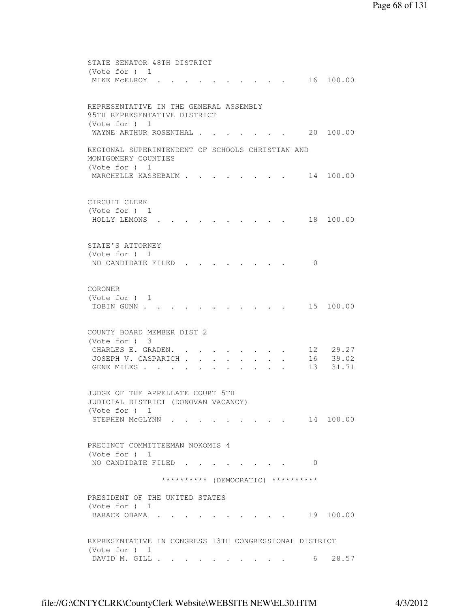```
 STATE SENATOR 48TH DISTRICT 
          (Vote for ) 1 
         MIKE MCELROY . . . . . . . . . . 16 100.00
         REPRESENTATIVE IN THE GENERAL ASSEMBLY 
         95TH REPRESENTATIVE DISTRICT 
          (Vote for ) 1 
         WAYNE ARTHUR ROSENTHAL . . . . . . . 20 100.00
         REGIONAL SUPERINTENDENT OF SCHOOLS CHRISTIAN AND 
         MONTGOMERY COUNTIES 
         (Vote for ) 1 
         MARCHELLE KASSEBAUM . . . . . . . 14 100.00
         CIRCUIT CLERK 
          (Vote for ) 1 
          HOLLY LEMONS . . . . . . . . . . 18 100.00 
         STATE'S ATTORNEY 
          (Vote for ) 1 
         NO CANDIDATE FILED . . . . . . . 0
         CORONER 
         (Vote for ) 1 
         TOBIN GUNN . . . . . . . . . . . . 15 100.00
         COUNTY BOARD MEMBER DIST 2 
          (Vote for ) 3 
CHARLES E. GRADEN. . . . . . . . 12 29.27
 JOSEPH V. GASPARICH . . . . . . . . 16 39.02 
         JOSEPH V. GASPARICH . . . . . . . . . 16 39.02<br>GENE MILES . . . . . . . . . . . . 13 31.71
         JUDGE OF THE APPELLATE COURT 5TH 
         JUDICIAL DISTRICT (DONOVAN VACANCY) 
          (Vote for ) 1 
         STEPHEN MCGLYNN . . . . . . . . . 14 100.00
         PRECINCT COMMITTEEMAN NOKOMIS 4 
          (Vote for ) 1 
         NO CANDIDATE FILED . . . . . . . . 0
                        ********** (DEMOCRATIC) ********** 
         PRESIDENT OF THE UNITED STATES 
          (Vote for ) 1 
         BARACK OBAMA . . . . . . . . . . . 19 100.00
         REPRESENTATIVE IN CONGRESS 13TH CONGRESSIONAL DISTRICT 
          (Vote for ) 1 
         DAVID M. GILL . . . . . . . . . . . 6 28.57
```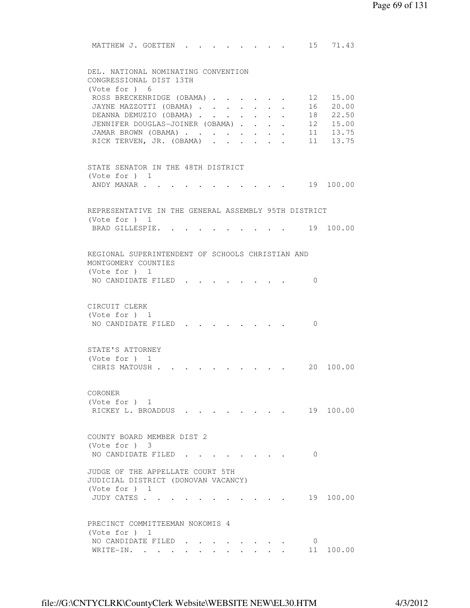MATTHEW J. GOETTEN . . . . . . . . 15 71.43 DEL. NATIONAL NOMINATING CONVENTION CONGRESSIONAL DIST 13TH (Vote for ) 6 ROSS BRECKENRIDGE (OBAMA) . . . . . 12 15.00 JAYNE MAZZOTTI (OBAMA) . . . . . . . 16 20.00 DEANNA DEMUZIO (OBAMA) . . . . . . 18 22.50 JENNIFER DOUGLAS-JOINER (OBAMA) . . . . 12 15.00 JAMAR BROWN (OBAMA) . . . . . . . . 11 13.75 RICK TERVEN, JR. (OBAMA) . . . . . . 11 13.75 STATE SENATOR IN THE 48TH DISTRICT (Vote for ) 1 ANDY MANAR . . . . . . . . . . . . 19 100.00 REPRESENTATIVE IN THE GENERAL ASSEMBLY 95TH DISTRICT (Vote for ) 1 BRAD GILLESPIE. . . . . . . . . . 19 100.00 REGIONAL SUPERINTENDENT OF SCHOOLS CHRISTIAN AND MONTGOMERY COUNTIES (Vote for ) 1 NO CANDIDATE FILED . . . . . . . . 0 CIRCUIT CLERK (Vote for ) 1 NO CANDIDATE FILED . . . . . . . 0 STATE'S ATTORNEY (Vote for ) 1 CHRIS MATOUSH . . . . . . . . . . 20 100.00 CORONER (Vote for ) 1 RICKEY L. BROADDUS . . . . . . . . 19 100.00 COUNTY BOARD MEMBER DIST 2 (Vote for ) 3 NO CANDIDATE FILED . . . . . . . . 0 JUDGE OF THE APPELLATE COURT 5TH JUDICIAL DISTRICT (DONOVAN VACANCY) (Vote for ) 1 JUDY CATES . . . . . . . . . . . 19 100.00 PRECINCT COMMITTEEMAN NOKOMIS 4 (Vote for ) 1 NO CANDIDATE FILED . . . . . . . . 0 WRITE-IN. . . . . . . . . . . . . . . . 11 100.00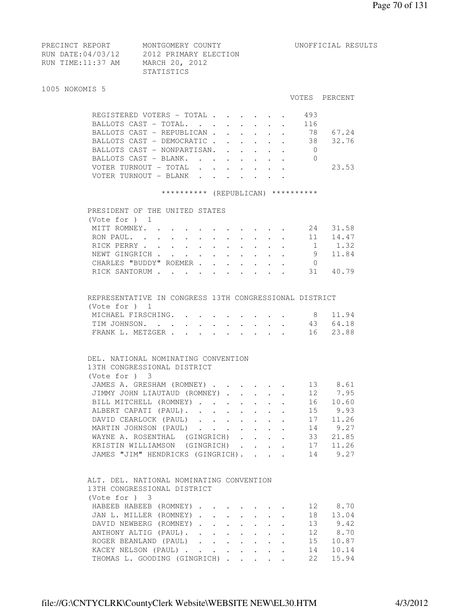| PRECINCT REPORT   | MONTGOMERY COUNTY     | UNOFFICIAL RESULTS |
|-------------------|-----------------------|--------------------|
| RUN DATE:04/03/12 | 2012 PRIMARY ELECTION |                    |
| RUN TIME:11:37 AM | MARCH 20, 2012        |                    |
|                   | STATISTICS            |                    |

#### 1005 NOKOMIS 5

#### VOTES PERCENT

| REGISTERED VOTERS - TOTAL   |  |  |  | 493  |       |
|-----------------------------|--|--|--|------|-------|
| BALLOTS CAST - TOTAL.       |  |  |  | 116  |       |
| BALLOTS CAST - REPUBLICAN   |  |  |  | 78   | 67.24 |
| BALLOTS CAST - DEMOCRATIC   |  |  |  | - 38 | 32.76 |
| BALLOTS CAST - NONPARTISAN. |  |  |  |      |       |
| BALLOTS CAST - BLANK.       |  |  |  |      |       |
| VOTER TURNOUT - TOTAL       |  |  |  |      | 23.53 |
| VOTER TURNOUT - BLANK       |  |  |  |      |       |
|                             |  |  |  |      |       |

#### \*\*\*\*\*\*\*\*\*\* (REPUBLICAN) \*\*\*\*\*\*\*\*\*\*

| PRESIDENT OF THE UNITED STATES |  |  |  |  |     |       |
|--------------------------------|--|--|--|--|-----|-------|
| (Vote for $)$ 1                |  |  |  |  |     |       |
| MITT ROMNEY.                   |  |  |  |  | 2.4 | 31.58 |
| RON PAUL. 11                   |  |  |  |  |     | 14.47 |
| RICK PERRY 1                   |  |  |  |  |     | 1.32  |
| NEWT GINGRICH                  |  |  |  |  | -9  | 11.84 |
| CHARLES "BUDDY" ROEMER         |  |  |  |  |     |       |
| RICK SANTORUM                  |  |  |  |  | 31  |       |
|                                |  |  |  |  |     |       |

# REPRESENTATIVE IN CONGRESS 13TH CONGRESSIONAL DISTRICT (Vote for ) 1

| MICHAEL FIRSCHING. 8 11.94 |  |  |  |  |  |
|----------------------------|--|--|--|--|--|
| TIM JOHNSON. 43 64.18      |  |  |  |  |  |
| FRANK L. METZGER 16 23.88  |  |  |  |  |  |

# DEL. NATIONAL NOMINATING CONVENTION 13TH CONGRESSIONAL DISTRICT (Vote for ) 3 JAMES A. GRESHAM (ROMNEY) . . . . . . 13 8.61 JIMMY JOHN LIAUTAUD (ROMNEY) . . . . . 12 7.95 JIMMY JOHN LIAUTAUD (ROMNEY) . . . . . 12 7.95<br>BILL MITCHELL (ROMNEY) . . . . . . . 16 10.60 ALBERT CAPATI (PAUL). . . . . . . . 15 9.93 DAVID CEARLOCK (PAUL) . . . . . . . 17 11.26 MARTIN JOHNSON (PAUL) . . . . . . . 14 9.27 WAYNE A. ROSENTHAL (GINGRICH) . . . . 33 21.85 KRISTIN WILLIAMSON (GINGRICH) . . . . 17 11.26 JAMES "JIM" HENDRICKS (GINGRICH). . . . 14 9.27

# ALT. DEL. NATIONAL NOMINATING CONVENTION 13TH CONGRESSIONAL DISTRICT (Vote for ) 3 HABEEB HABEEB (ROMNEY) . . . . . . 12 8.70 JAN L. MILLER (ROMNEY) . . . . . . . 18 13.04 DAVID NEWBERG (ROMNEY) . . . . . . . 13 9.42 ANTHONY ALTIG (PAUL). . . . . . . . 12 8.70<br>ROGER BEANLAND (PAUL) . . . . . . . 15 10.87<br>KACEY NELSON (PAUL) . . . . . . . 14 10.14<br>THOMAS L. GOODING (GINGRICH) . . . . 22 15.94 ROGER BEANLAND (PAUL) . . . . . . .

KACEY NELSON (PAUL) . . . . . . . . THOMAS L. GOODING (GINGRICH) . . . . .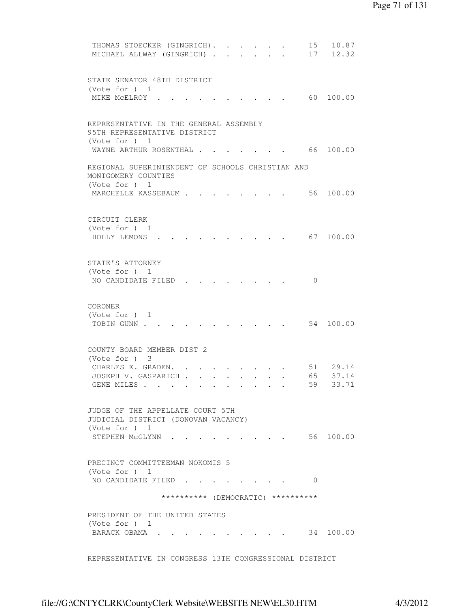```
THOMAS STOECKER (GINGRICH). . . . . . 15 10.87
         MICHAEL ALLWAY (GINGRICH) . . . . . . 17 12.32
         STATE SENATOR 48TH DISTRICT 
          (Vote for ) 1 
         MIKE MCELROY . . . . . . . . . . . 60 100.00
         REPRESENTATIVE IN THE GENERAL ASSEMBLY 
         95TH REPRESENTATIVE DISTRICT 
          (Vote for ) 1 
         WAYNE ARTHUR ROSENTHAL . . . . . . . 66 100.00
         REGIONAL SUPERINTENDENT OF SCHOOLS CHRISTIAN AND 
         MONTGOMERY COUNTIES 
          (Vote for ) 1 
         MARCHELLE KASSEBAUM . . . . . . . . 56 100.00
         CIRCUIT CLERK 
          (Vote for ) 1 
          HOLLY LEMONS . . . . . . . . . . 67 100.00 
         STATE'S ATTORNEY 
          (Vote for ) 1 
         NO CANDIDATE FILED . . . . . . . . 0
         CORONER 
          (Vote for ) 1 
         TOBIN GUNN . . . . . . . . . . . . 54 100.00
         COUNTY BOARD MEMBER DIST 2 
          (Vote for ) 3 
 CHARLES E. GRADEN. . . . . . . . . 51 29.14 
 JOSEPH V. GASPARICH . . . . . . . . 65 37.14 
         JOSEPH V. GASPARICH . . . . . . . . 65 37.14<br>GENE MILES . . . . . . . . . . . 59 33.71
         JUDGE OF THE APPELLATE COURT 5TH 
         JUDICIAL DISTRICT (DONOVAN VACANCY) 
          (Vote for ) 1 
         STEPHEN MCGLYNN . . . . . . . . . 56 100.00
         PRECINCT COMMITTEEMAN NOKOMIS 5 
          (Vote for ) 1 
         NO CANDIDATE FILED . . . . . . . . 0
                        ********** (DEMOCRATIC) ********** 
         PRESIDENT OF THE UNITED STATES 
          (Vote for ) 1 
         BARACK OBAMA . . . . . . . . . . 34 100.00
         REPRESENTATIVE IN CONGRESS 13TH CONGRESSIONAL DISTRICT
```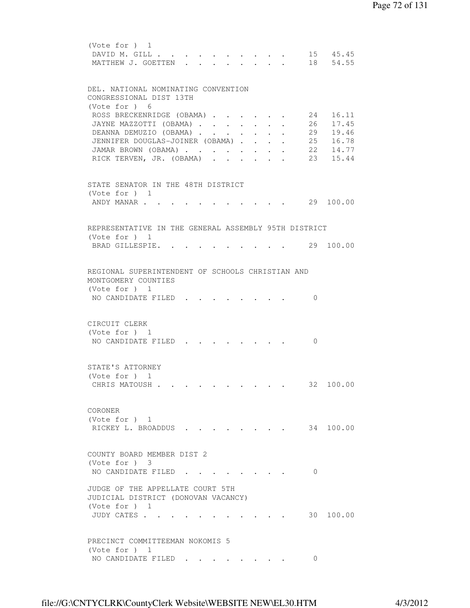```
 (Vote for ) 1 
        DAVID M. GILL . . . . . . . . . . . 15 45.45
        MATTHEW J. GOETTEN . . . . . . . . 18 54.55
         DEL. NATIONAL NOMINATING CONVENTION 
         CONGRESSIONAL DIST 13TH 
         (Vote for ) 6 
ROSS BRECKENRIDGE (OBAMA) . . . . . 24 16.11
 JAYNE MAZZOTTI (OBAMA) . . . . . . . 26 17.45 
DEANNA DEMUZIO (OBAMA) . . . . . . 29 19.46
 JENNIFER DOUGLAS-JOINER (OBAMA) . . . . 25 16.78 
 JAMAR BROWN (OBAMA) . . . . . . . . 22 14.77 
RICK TERVEN, JR. (OBAMA) . . . . . . 23 15.44
         STATE SENATOR IN THE 48TH DISTRICT 
         (Vote for ) 1 
        ANDY MANAR . . . . . . . . . . . 29 100.00
         REPRESENTATIVE IN THE GENERAL ASSEMBLY 95TH DISTRICT 
         (Vote for ) 1 
        BRAD GILLESPIE. . . . . . . . . . 29 100.00
         REGIONAL SUPERINTENDENT OF SCHOOLS CHRISTIAN AND 
         MONTGOMERY COUNTIES 
         (Vote for ) 1 
        NO CANDIDATE FILED . . . . . . . 0
         CIRCUIT CLERK 
         (Vote for ) 1 
        NO CANDIDATE FILED . . . . . . . . 0
         STATE'S ATTORNEY 
         (Vote for ) 1 
        CHRIS MATOUSH . . . . . . . . . . 32 100.00
         CORONER 
         (Vote for ) 1 
        RICKEY L. BROADDUS . . . . . . . . 34 100.00
         COUNTY BOARD MEMBER DIST 2 
         (Vote for ) 3 
        NO CANDIDATE FILED . . . . . . . . 0
         JUDGE OF THE APPELLATE COURT 5TH 
         JUDICIAL DISTRICT (DONOVAN VACANCY) 
         (Vote for ) 1 
         JUDY CATES . . . . . . . . . . . 30 100.00 
         PRECINCT COMMITTEEMAN NOKOMIS 5 
         (Vote for ) 1 
        NO CANDIDATE FILED . . . . . . . . 0
```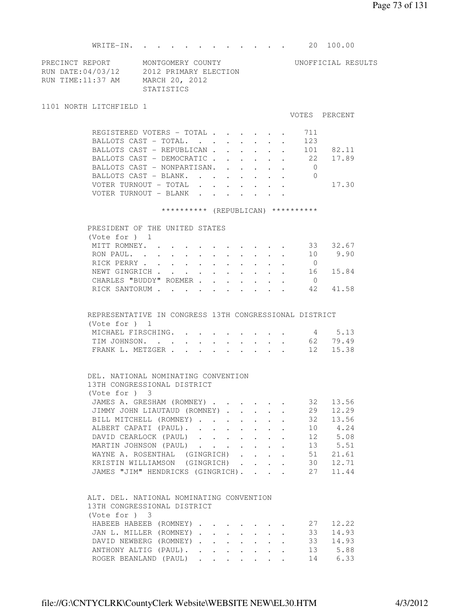WRITE-IN. . . . . . . . . . . . 20 100.00

| PRECINCT REPORT   | MONTGOMERY COUNTY     | UNOFFICIAL RESULTS |
|-------------------|-----------------------|--------------------|
| RUN DATE:04/03/12 | 2012 PRIMARY ELECTION |                    |
| RUN TIME:11:37 AM | MARCH 20, 2012        |                    |
|                   | STATISTICS            |                    |

1101 NORTH LITCHFIELD 1

VOTES PERCENT

|  | REGISTERED VOTERS - TOTAL    |  |  |  | 711 |       |
|--|------------------------------|--|--|--|-----|-------|
|  | BALLOTS CAST - TOTAL.        |  |  |  | 123 |       |
|  | BALLOTS CAST - REPUBLICAN    |  |  |  | 101 | 82.11 |
|  | BALLOTS CAST - DEMOCRATIC 22 |  |  |  |     | 17.89 |
|  | BALLOTS CAST - NONPARTISAN.  |  |  |  |     |       |
|  | BALLOTS CAST - BLANK.        |  |  |  |     |       |
|  | VOTER TURNOUT - TOTAL        |  |  |  |     | 17.30 |
|  | TURNOUT – BLANK              |  |  |  |     |       |

## \*\*\*\*\*\*\*\*\*\* (REPUBLICAN) \*\*\*\*\*\*\*\*\*\*

|  | PRESIDENT OF THE UNITED STATES |  |  |  |  |  |    |       |
|--|--------------------------------|--|--|--|--|--|----|-------|
|  | (Vote for $)$ 1                |  |  |  |  |  |    |       |
|  | MITT ROMNEY.                   |  |  |  |  |  | 33 | 32.67 |
|  | RON PAUL.                      |  |  |  |  |  | 10 | 9.90  |
|  | RICK PERRY                     |  |  |  |  |  |    |       |
|  | NEWT GINGRICH                  |  |  |  |  |  | 16 | 15.84 |
|  | CHARLES "BUDDY" ROEMER         |  |  |  |  |  |    |       |
|  | RICK SANTORUM                  |  |  |  |  |  | 42 | 41.58 |
|  |                                |  |  |  |  |  |    |       |

## REPRESENTATIVE IN CONGRESS 13TH CONGRESSIONAL DISTRICT (Vote for ) 1 MICHAEL FIRSCHING. . . . . . . . . 4 5.13 TIM JOHNSON. . . . . . . . . . . 62 79.49

|  | FRANK L. METZGER |  |  |  |  |  |  |  |  |  |  | 12 15.38 |
|--|------------------|--|--|--|--|--|--|--|--|--|--|----------|
|--|------------------|--|--|--|--|--|--|--|--|--|--|----------|

|  |                             |  | DEL. NATIONAL NOMINATING CONVENTION |
|--|-----------------------------|--|-------------------------------------|
|  | 13TH CONGRESSIONAL DISTRICT |  |                                     |

| (Note for ) 3                     |  |  |    |          |
|-----------------------------------|--|--|----|----------|
| JAMES A. GRESHAM (ROMNEY)         |  |  | 32 | 13.56    |
| JIMMY JOHN LIAUTAUD (ROMNEY)      |  |  | 29 | 12.29    |
| BILL MITCHELL (ROMNEY)            |  |  | 32 | 13.56    |
| ALBERT CAPATI (PAUL).             |  |  | 10 | 4.24     |
| DAVID CEARLOCK (PAUL)             |  |  |    | 12 5.08  |
| MARTIN JOHNSON (PAUL)             |  |  |    | 13 5.51  |
| WAYNE A. ROSENTHAL (GINGRICH)     |  |  | 51 | 21.61    |
| KRISTIN WILLIAMSON (GINGRICH)     |  |  | 30 | 12.71    |
| JAMES "JIM" HENDRICKS (GINGRICH). |  |  |    | 27 11.44 |

## ALT. DEL. NATIONAL NOMINATING CONVENTION 13TH CONGRESSIONAL DISTRICT (Vote for ) 3

| HABEEB HABEEB (ROMNEY) 27 12.22 |  |  |  |  |         |
|---------------------------------|--|--|--|--|---------|
| JAN L. MILLER (ROMNEY) 33 14.93 |  |  |  |  |         |
| DAVID NEWBERG (ROMNEY) 33 14.93 |  |  |  |  |         |
| ANTHONY ALTIG (PAUL). 13 5.88   |  |  |  |  |         |
| ROGER BEANLAND (PAUL)           |  |  |  |  | 14 6.33 |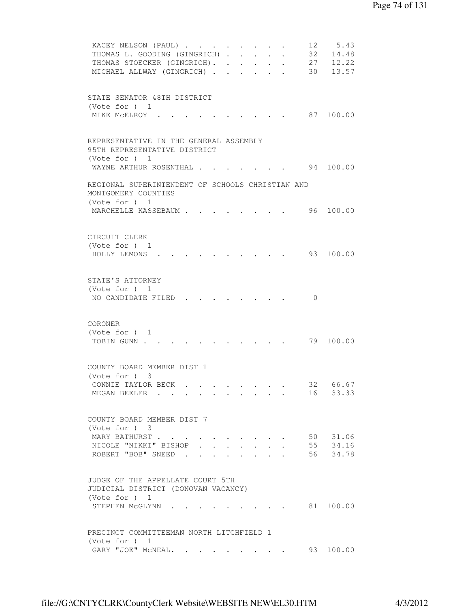```
KACEY NELSON (PAUL) . . . . . . . . 12 5.43
         THOMAS L. GOODING (GINGRICH) . . . . . 32 14.48<br>THOMAS STOECKER (GINGRICH) . . . . . 27 12.22<br>MICHAEL ALLWAY (GINGRICH) . . . . . 30 13.57
         THOMAS STOECKER (GINGRICH). . . . . .
         MICHAEL ALLWAY (GINGRICH) . . . . . .
         STATE SENATOR 48TH DISTRICT 
         (Vote for ) 1 
         MIKE MCELROY . . . . . . . . . . 87 100.00
         REPRESENTATIVE IN THE GENERAL ASSEMBLY 
         95TH REPRESENTATIVE DISTRICT 
         (Vote for ) 1 
         WAYNE ARTHUR ROSENTHAL . . . . . . 94 100.00
         REGIONAL SUPERINTENDENT OF SCHOOLS CHRISTIAN AND 
         MONTGOMERY COUNTIES 
         (Vote for ) 1 
         MARCHELLE KASSEBAUM . . . . . . . . 96 100.00
         CIRCUIT CLERK 
         (Vote for ) 1 
          HOLLY LEMONS . . . . . . . . . . 93 100.00 
         STATE'S ATTORNEY 
         (Vote for ) 1 
         NO CANDIDATE FILED . . . . . . . 0
         CORONER 
         (Vote for ) 1 
         TOBIN GUNN . . . . . . . . . . . . 79 100.00
         COUNTY BOARD MEMBER DIST 1 
          (Vote for ) 3 
CONNIE TAYLOR BECK . . . . . . . . 32 66.67
 MEGAN BEELER . . . . . . . . . . 16 33.33 
         COUNTY BOARD MEMBER DIST 7 
         (Vote for ) 3 
MARY BATHURST . . . . . . . . . . 50 31.06
 NICOLE "NIKKI" BISHOP . . . . . . . 55 34.16 
ROBERT "BOB" SNEED . . . . . . . . 56 34.78
         JUDGE OF THE APPELLATE COURT 5TH 
         JUDICIAL DISTRICT (DONOVAN VACANCY) 
         (Vote for ) 1 
         STEPHEN MCGLYNN . . . . . . . . . 81 100.00
         PRECINCT COMMITTEEMAN NORTH LITCHFIELD 1 
         (Vote for ) 1 
         GARY "JOE" MCNEAL. . . . . . . . . 93 100.00
```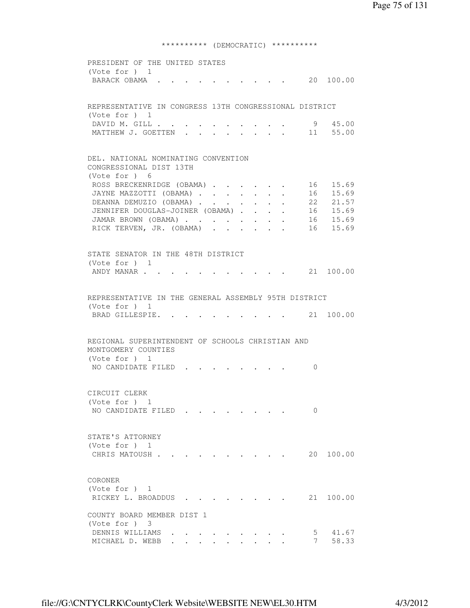\*\*\*\*\*\*\*\*\*\* (DEMOCRATIC) \*\*\*\*\*\*\*\*\*\*

 PRESIDENT OF THE UNITED STATES (Vote for ) 1 BARACK OBAMA . . . . . . . . . . 20 100.00 REPRESENTATIVE IN CONGRESS 13TH CONGRESSIONAL DISTRICT (Vote for ) 1 DAVID M. GILL . . . . . . . . . . 9 45.00 MATTHEW J. GOETTEN . . . . . . . . 11 55.00 DEL. NATIONAL NOMINATING CONVENTION CONGRESSIONAL DIST 13TH (Vote for ) 6 ROSS BRECKENRIDGE (OBAMA) . . . . . . 16 15.69 JAYNE MAZZOTTI (OBAMA) . . . . . . . 16 15.69 DEANNA DEMUZIO (OBAMA) . . . . . . 22 21.57 JENNIFER DOUGLAS-JOINER (OBAMA) . . . . 16 15.69 JAMAR BROWN (OBAMA) . . . . . . . . 16 15.69 RICK TERVEN, JR. (OBAMA) . . . . . . 16 15.69 STATE SENATOR IN THE 48TH DISTRICT (Vote for ) 1 ANDY MANAR . . . . . . . . . . . 21 100.00 REPRESENTATIVE IN THE GENERAL ASSEMBLY 95TH DISTRICT (Vote for ) 1 BRAD GILLESPIE. . . . . . . . . . 21 100.00 REGIONAL SUPERINTENDENT OF SCHOOLS CHRISTIAN AND MONTGOMERY COUNTIES (Vote for ) 1 NO CANDIDATE FILED . . . . . . . . 0 CIRCUIT CLERK (Vote for ) 1 NO CANDIDATE FILED . . . . . . . 0 STATE'S ATTORNEY (Vote for ) 1 CHRIS MATOUSH . . . . . . . . . . 20 100.00 CORONER (Vote for ) 1 RICKEY L. BROADDUS . . . . . . . . 21 100.00 COUNTY BOARD MEMBER DIST 1 (Vote for ) 3 DENNIS WILLIAMS . . . . . . . . . 5 41.67 MICHAEL D. WEBB . . . . . . . . . . 7 58.33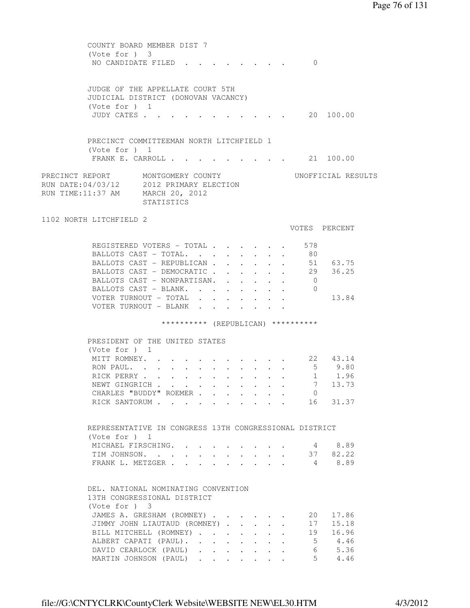COUNTY BOARD MEMBER DIST 7 (Vote for ) 3 NO CANDIDATE FILED . . . . . . . . 0 JUDGE OF THE APPELLATE COURT 5TH JUDICIAL DISTRICT (DONOVAN VACANCY) (Vote for ) 1 JUDY CATES . . . . . . . . . . . 20 100.00 PRECINCT COMMITTEEMAN NORTH LITCHFIELD 1 (Vote for ) 1 FRANK E. CARROLL . . . . . . . . . 21 100.00 PRECINCT REPORT MONTGOMERY COUNTY UNOFFICIAL RESULTS RUN DATE:04/03/12 2012 PRIMARY ELECTION RUN TIME:11:37 AM MARCH 20, 2012 STATISTICS 1102 NORTH LITCHFIELD 2 VOTES PERCENT REGISTERED VOTERS - TOTAL . . . . . . 578 BALLOTS CAST - TOTAL. . . . . . . 80 BALLOTS CAST - REPUBLICAN . . . . . . 51 63.75 BALLOTS CAST - DEMOCRATIC . . . . . . 29 36.25 BALLOTS CAST - DEMOCRATIC . . . . . . 29<br>BALLOTS CAST - NONPARTISAN. . . . . . 0 BALLOTS CAST - BLANK. . . . . . . . 0 VOTER TURNOUT - TOTAL . . . . . . . 13.84 VOTER TURNOUT - BLANK . . . . . \*\*\*\*\*\*\*\*\*\* (REPUBLICAN) \*\*\*\*\*\*\*\*\*\* PRESIDENT OF THE UNITED STATES (Vote for ) 1 MITT ROMNEY. . . . . . . . . . . 22 43.14 RON PAUL. . . . . . . . . . . . 5 9.80 RICK PERRY . . . . . . . . . . . 1 1.96 RICK PERRY . . . . . . . . . . . . 1 1.96<br>NEWT GINGRICH . . . . . . . . . . . 7 13.73<br>CHARLES "BUDDY" ROEMER . . . . . . 0 CHARLES "BUDDY" ROEMER . . . . . . . RICK SANTORUM . . . . . . . . . . 16 31.37 REPRESENTATIVE IN CONGRESS 13TH CONGRESSIONAL DISTRICT (Vote for ) 1 MICHAEL FIRSCHING. . . . . . . . . 4 8.89 TIM JOHNSON. . . . . . . . . . . 37 82.22 FRANK L. METZGER . . . . . . . . . 4 8.89 DEL. NATIONAL NOMINATING CONVENTION 13TH CONGRESSIONAL DISTRICT (Vote for ) 3 JAMES A. GRESHAM (ROMNEY) . . . . . 20 17.86 JIMMY JOHN LIAUTAUD (ROMNEY) . . . . . 17 15.18 BILL MITCHELL (ROMNEY) . . . . . . . 19 16.96 ALBERT CAPATI (PAUL). . . . . . . . 5 4.46 DAVID CEARLOCK (PAUL) . . . . . . . 6 5.36 MARTIN JOHNSON (PAUL) . . . . . . . 5 4.46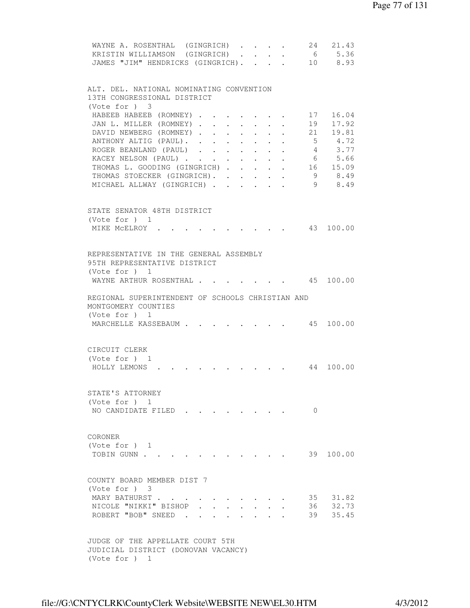| 21.43<br>WAYNE A. ROSENTHAL (GINGRICH)<br>24                                                                                                                                                                                                                              |
|---------------------------------------------------------------------------------------------------------------------------------------------------------------------------------------------------------------------------------------------------------------------------|
| 6 5.36<br>KRISTIN WILLIAMSON (GINGRICH)<br>$\mathbf{r} = \mathbf{r}$                                                                                                                                                                                                      |
| 10 8.93<br>JAMES "JIM" HENDRICKS (GINGRICH).                                                                                                                                                                                                                              |
|                                                                                                                                                                                                                                                                           |
|                                                                                                                                                                                                                                                                           |
| ALT. DEL. NATIONAL NOMINATING CONVENTION                                                                                                                                                                                                                                  |
| 13TH CONGRESSIONAL DISTRICT                                                                                                                                                                                                                                               |
| (Vote for ) 3                                                                                                                                                                                                                                                             |
| 16.04<br>HABEEB HABEEB (ROMNEY)<br>17                                                                                                                                                                                                                                     |
|                                                                                                                                                                                                                                                                           |
| 17.92<br>JAN L. MILLER (ROMNEY).<br>19<br>$\sim$<br>$\ddot{\phantom{0}}$<br>$\ddot{\phantom{0}}$<br>$\sim$<br>$\ddot{\phantom{0}}$<br>$\ddot{\phantom{0}}$                                                                                                                |
| 21<br>DAVID NEWBERG (ROMNEY)<br>19.81<br>$\sim$<br>$\mathbf{r}$ , $\mathbf{r}$                                                                                                                                                                                            |
| ANTHONY ALTIG (PAUL).<br>5 4.72                                                                                                                                                                                                                                           |
| 4 3.77<br>ROGER BEANLAND (PAUL)                                                                                                                                                                                                                                           |
| KACEY NELSON (PAUL)<br>6 5.66                                                                                                                                                                                                                                             |
| THOMAS L. GOODING (GINGRICH)<br>16 15.09                                                                                                                                                                                                                                  |
| THOMAS STOECKER (GINGRICH).<br>- 9<br>8.49                                                                                                                                                                                                                                |
| 9 8.49<br>MICHAEL ALLWAY (GINGRICH)<br>$\bullet$ . In the case of the case of the case of the case of the case of the case of the case of the case of the case of the case of the case of the case of the case of the case of the case of the case of the case of the cas |
|                                                                                                                                                                                                                                                                           |
|                                                                                                                                                                                                                                                                           |
| STATE SENATOR 48TH DISTRICT                                                                                                                                                                                                                                               |
| (Vote for $)$ 1                                                                                                                                                                                                                                                           |
|                                                                                                                                                                                                                                                                           |
| 100.00<br>MIKE MCELROY .<br>43                                                                                                                                                                                                                                            |
|                                                                                                                                                                                                                                                                           |
|                                                                                                                                                                                                                                                                           |
| REPRESENTATIVE IN THE GENERAL ASSEMBLY                                                                                                                                                                                                                                    |
| 95TH REPRESENTATIVE DISTRICT                                                                                                                                                                                                                                              |
| (Vote for $)$ 1                                                                                                                                                                                                                                                           |
| 45 100.00<br>WAYNE ARTHUR ROSENTHAL.                                                                                                                                                                                                                                      |
|                                                                                                                                                                                                                                                                           |
| REGIONAL SUPERINTENDENT OF SCHOOLS CHRISTIAN AND                                                                                                                                                                                                                          |
| MONTGOMERY COUNTIES                                                                                                                                                                                                                                                       |
| (Vote for ) 1                                                                                                                                                                                                                                                             |
| 45 100.00<br>MARCHELLE KASSEBAUM                                                                                                                                                                                                                                          |
|                                                                                                                                                                                                                                                                           |
|                                                                                                                                                                                                                                                                           |
|                                                                                                                                                                                                                                                                           |
| CIRCUIT CLERK                                                                                                                                                                                                                                                             |
| (Vote for $)$ 1                                                                                                                                                                                                                                                           |
| 100.00<br>HOLLY LEMONS.<br>44                                                                                                                                                                                                                                             |
|                                                                                                                                                                                                                                                                           |
|                                                                                                                                                                                                                                                                           |
| STATE'S ATTORNEY                                                                                                                                                                                                                                                          |
| (Vote for ) 1                                                                                                                                                                                                                                                             |
| NO CANDIDATE FILED<br>$\Omega$                                                                                                                                                                                                                                            |
|                                                                                                                                                                                                                                                                           |
|                                                                                                                                                                                                                                                                           |
|                                                                                                                                                                                                                                                                           |
| CORONER                                                                                                                                                                                                                                                                   |
| (Vote for $)$ 1                                                                                                                                                                                                                                                           |
| TOBIN GUNN<br>39 100.00                                                                                                                                                                                                                                                   |
|                                                                                                                                                                                                                                                                           |
|                                                                                                                                                                                                                                                                           |
| COUNTY BOARD MEMBER DIST 7                                                                                                                                                                                                                                                |
| (Note for ) 3                                                                                                                                                                                                                                                             |
| 31.82<br>MARY BATHURST<br>35                                                                                                                                                                                                                                              |
| 32.73<br>NICOLE "NIKKI" BISHOP<br>36                                                                                                                                                                                                                                      |
|                                                                                                                                                                                                                                                                           |
| 39<br>35.45<br>ROBERT "BOB" SNEED.                                                                                                                                                                                                                                        |
|                                                                                                                                                                                                                                                                           |
|                                                                                                                                                                                                                                                                           |
| JUDGE OF THE APPELLATE COURT 5TH                                                                                                                                                                                                                                          |
| JUDICIAL DISTRICT (DONOVAN VACANCY)                                                                                                                                                                                                                                       |
| (Vote for $)$ 1                                                                                                                                                                                                                                                           |
|                                                                                                                                                                                                                                                                           |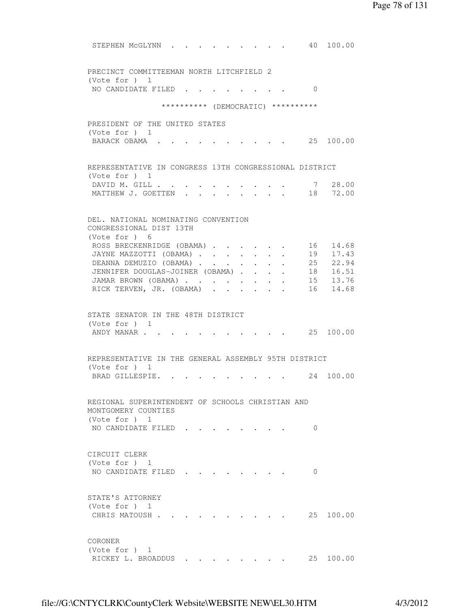STEPHEN McGLYNN . . . . . . . . . 40 100.00 PRECINCT COMMITTEEMAN NORTH LITCHFIELD 2 (Vote for ) 1 NO CANDIDATE FILED . . . . . . . . 0 \*\*\*\*\*\*\*\*\*\* (DEMOCRATIC) \*\*\*\*\*\*\*\*\*\* PRESIDENT OF THE UNITED STATES (Vote for ) 1 BARACK OBAMA . . . . . . . . . . 25 100.00 REPRESENTATIVE IN CONGRESS 13TH CONGRESSIONAL DISTRICT (Vote for ) 1 DAVID M. GILL . . . . . . . . . . 7 28.00 MATTHEW J. GOETTEN . . . . . . . . 18 72.00 DEL. NATIONAL NOMINATING CONVENTION CONGRESSIONAL DIST 13TH (Vote for ) 6 ROSS BRECKENRIDGE (OBAMA) . . . . . 16 14.68 JAYNE MAZZOTTI (OBAMA) . . . . . . . 19 17.43 DEANNA DEMUZIO (OBAMA) . . . . . . 25 22.94 JENNIFER DOUGLAS-JOINER (OBAMA) . . . . 18 16.51 JAMAR BROWN (OBAMA) . . . . . . . . 15 13.76 RICK TERVEN, JR. (OBAMA) . . . . . . 16 14.68 STATE SENATOR IN THE 48TH DISTRICT (Vote for ) 1 ANDY MANAR . . . . . . . . . . . 25 100.00 REPRESENTATIVE IN THE GENERAL ASSEMBLY 95TH DISTRICT (Vote for ) 1 BRAD GILLESPIE. . . . . . . . . . 24 100.00 REGIONAL SUPERINTENDENT OF SCHOOLS CHRISTIAN AND MONTGOMERY COUNTIES (Vote for ) 1 NO CANDIDATE FILED . . . . . . . . 0 CIRCUIT CLERK (Vote for ) 1 NO CANDIDATE FILED . . . . . . . 0 STATE'S ATTORNEY (Vote for ) 1 CHRIS MATOUSH . . . . . . . . . . 25 100.00 CORONER (Vote for ) 1 RICKEY L. BROADDUS . . . . . . . . 25 100.00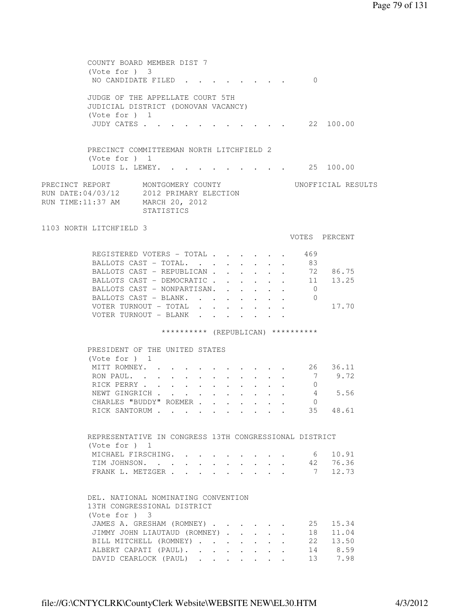| COUNTY BOARD MEMBER DIST 7<br>$(Vote for )$ 3<br>NO CANDIDATE FILED                                                                                                                                                           |                   | $\mathbf{r}$ , $\mathbf{r}$ , $\mathbf{r}$ , $\mathbf{r}$ , $\mathbf{r}$ |                                         |                                                                 |              |                           | $\Omega$                                     |                                           |  |
|-------------------------------------------------------------------------------------------------------------------------------------------------------------------------------------------------------------------------------|-------------------|--------------------------------------------------------------------------|-----------------------------------------|-----------------------------------------------------------------|--------------|---------------------------|----------------------------------------------|-------------------------------------------|--|
| JUDGE OF THE APPELLATE COURT 5TH<br>JUDICIAL DISTRICT (DONOVAN VACANCY)<br>(Vote for $)$ 1<br>JUDY CATES                                                                                                                      |                   |                                                                          |                                         |                                                                 |              |                           |                                              | $\cdot$ $\cdot$ $\cdot$ $\cdot$ 22 100.00 |  |
| PRECINCT COMMITTEEMAN NORTH LITCHFIELD 2<br>(Vote for $)$ 1<br>LOUIS L. LEWEY. 25 100.00                                                                                                                                      |                   |                                                                          |                                         |                                                                 |              |                           |                                              |                                           |  |
| PRECINCT REPORT MONTGOMERY COUNTY<br>RUN DATE:04/03/12 2012 PRIMARY ELECTION<br>RUN TIME:11:37 AM MARCH 20, 2012                                                                                                              | <b>STATISTICS</b> |                                                                          |                                         |                                                                 |              |                           |                                              | UNOFFICIAL RESULTS                        |  |
| 1103 NORTH LITCHFIELD 3                                                                                                                                                                                                       |                   |                                                                          |                                         |                                                                 |              |                           |                                              |                                           |  |
|                                                                                                                                                                                                                               |                   |                                                                          |                                         |                                                                 |              |                           |                                              | VOTES PERCENT                             |  |
| REGISTERED VOTERS - TOTAL 469<br>BALLOTS CAST - TOTAL. 83<br>BALLOTS CAST - REPUBLICAN<br>BALLOTS CAST - DEMOCRATIC<br>BALLOTS CAST - NONPARTISAN.<br>BALLOTS CAST - BLANK.<br>VOTER TURNOUT - TOTAL<br>VOTER TURNOUT - BLANK |                   |                                                                          | $\bullet$ . In the set of the $\bullet$ | $\bullet$ .<br><br><br><br><br><br><br><br><br><br><br><br><br> |              |                           | $\overline{0}$<br>$\overline{0}$             | 72 86.75<br>11 13.25<br>17.70             |  |
|                                                                                                                                                                                                                               |                   |                                                                          |                                         |                                                                 |              |                           | ********** (REPUBLICAN) **********           |                                           |  |
|                                                                                                                                                                                                                               |                   |                                                                          |                                         |                                                                 |              |                           |                                              |                                           |  |
| PRESIDENT OF THE UNITED STATES<br>(Vote for $)$ 1<br>MITT ROMNEY.<br>RON PAUL<br>RICK PERRY<br>NEWT GINGRICH<br>CHARLES "BUDDY" ROEMER<br>RICK SANTORUM 35 48.61                                                              |                   |                                                                          |                                         |                                                                 |              | $\mathbf{L} = \mathbf{L}$ | $\overline{7}$<br>$\overline{0}$<br>$\Omega$ | 26 36.11<br>9.72<br>4 5.56                |  |
| REPRESENTATIVE IN CONGRESS 13TH CONGRESSIONAL DISTRICT                                                                                                                                                                        |                   |                                                                          |                                         |                                                                 |              |                           |                                              |                                           |  |
| (Note for ) 1<br>MICHAEL FIRSCHING.<br>TIM JOHNSON.<br>FRANK L. METZGER                                                                                                                                                       |                   |                                                                          |                                         |                                                                 |              |                           | 6<br>$7\overline{ }$                         | 10.91<br>42 76.36<br>12.73                |  |
| DEL. NATIONAL NOMINATING CONVENTION<br>13TH CONGRESSIONAL DISTRICT<br>(Vote for ) 3<br>JAMES A. GRESHAM (ROMNEY)                                                                                                              |                   |                                                                          |                                         |                                                                 |              |                           | 25                                           | 15.34                                     |  |
| JIMMY JOHN LIAUTAUD (ROMNEY)<br>BILL MITCHELL (ROMNEY)<br>ALBERT CAPATI (PAUL).<br>DAVID CEARLOCK (PAUL)                                                                                                                      |                   |                                                                          |                                         |                                                                 | $\mathbf{L}$ | $\mathbf{L}$              | 18                                           | 11.04<br>22 13.50<br>14 8.59<br>13 7.98   |  |
|                                                                                                                                                                                                                               |                   |                                                                          |                                         |                                                                 |              |                           |                                              |                                           |  |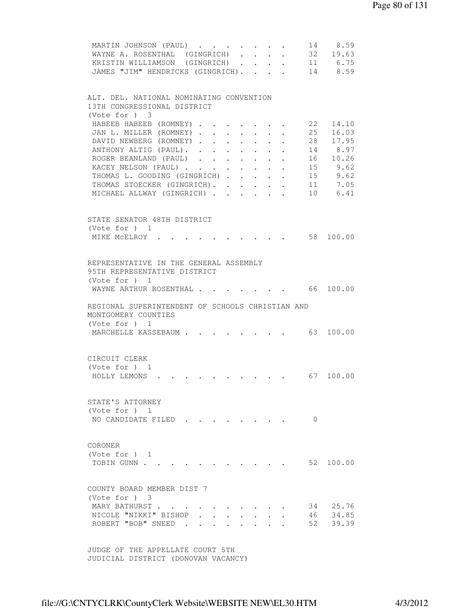| MARTIN JOHNSON (PAUL)                                                        |                                                                       |                                                              |          |                                                                   |
|------------------------------------------------------------------------------|-----------------------------------------------------------------------|--------------------------------------------------------------|----------|-------------------------------------------------------------------|
| WAYNE A. ROSENTHAL (GINGRICH)                                                | $\sim$                                                                | $\mathbf{r} = \mathbf{r} \cdot \mathbf{r}$                   |          | 14 8.59<br>32 19.63                                               |
| KRISTIN WILLIAMSON (GINGRICH).                                               | $\mathcal{L}^{\text{max}}$                                            | $\mathbf{L}$                                                 |          | 11 6.75                                                           |
|                                                                              |                                                                       |                                                              |          | 14 8.59                                                           |
| JAMES "JIM" HENDRICKS (GINGRICH).                                            |                                                                       | $\mathbf{L} = \mathbf{L} \mathbf{L} + \mathbf{L} \mathbf{L}$ |          |                                                                   |
|                                                                              |                                                                       |                                                              |          |                                                                   |
| ALT. DEL. NATIONAL NOMINATING CONVENTION                                     |                                                                       |                                                              |          |                                                                   |
| 13TH CONGRESSIONAL DISTRICT                                                  |                                                                       |                                                              |          |                                                                   |
| (Vote for ) 3                                                                |                                                                       |                                                              |          |                                                                   |
| HABEEB HABEEB (ROMNEY).                                                      |                                                                       |                                                              | 22       | 14.10                                                             |
| JAN L. MILLER (ROMNEY).<br>$\mathbf{L}^{\text{max}}$<br>$\ddot{\phantom{0}}$ | $\ddot{\phantom{0}}$                                                  |                                                              | 25<br>28 | 16.03                                                             |
| DAVID NEWBERG (ROMNEY).<br>$\ddot{\phantom{0}}$                              | $\ddot{\phantom{0}}$                                                  |                                                              |          | 17.95                                                             |
| ANTHONY ALTIG (PAUL).<br>$\mathbf{L}$                                        | $\mathbf{r} = \mathbf{r} \times \mathbf{r}$ . The set of $\mathbf{r}$ | $\sim$                                                       |          | 14 8.97                                                           |
| ROGER BEANLAND (PAUL)                                                        |                                                                       |                                                              |          | 16 10.26                                                          |
| KACEY NELSON (PAUL)                                                          |                                                                       |                                                              |          | 15 9.62                                                           |
| THOMAS L. GOODING (GINGRICH)                                                 |                                                                       |                                                              |          | 15 9.62                                                           |
| THOMAS STOECKER (GINGRICH).                                                  |                                                                       |                                                              |          | 11 7.05                                                           |
| MICHAEL ALLWAY (GINGRICH)                                                    |                                                                       |                                                              |          | 10 6.41                                                           |
|                                                                              |                                                                       |                                                              |          |                                                                   |
| STATE SENATOR 48TH DISTRICT                                                  |                                                                       |                                                              |          |                                                                   |
| (Vote for ) 1                                                                |                                                                       |                                                              |          |                                                                   |
| MIKE MCELROY .                                                               |                                                                       |                                                              |          | 58 100.00                                                         |
|                                                                              |                                                                       |                                                              |          |                                                                   |
|                                                                              |                                                                       |                                                              |          |                                                                   |
| REPRESENTATIVE IN THE GENERAL ASSEMBLY                                       |                                                                       |                                                              |          |                                                                   |
| 95TH REPRESENTATIVE DISTRICT                                                 |                                                                       |                                                              |          |                                                                   |
| (Vote for ) 1                                                                |                                                                       |                                                              |          |                                                                   |
| WAYNE ARTHUR ROSENTHAL.                                                      |                                                                       |                                                              |          | 66 100.00                                                         |
|                                                                              |                                                                       |                                                              |          |                                                                   |
| REGIONAL SUPERINTENDENT OF SCHOOLS CHRISTIAN AND                             |                                                                       |                                                              |          |                                                                   |
| MONTGOMERY COUNTIES                                                          |                                                                       |                                                              |          |                                                                   |
| (Vote for ) 1                                                                |                                                                       |                                                              |          |                                                                   |
| MARCHELLE KASSEBAUM                                                          |                                                                       |                                                              |          | $\cdot$ $\cdot$ $\cdot$ $\cdot$ $\cdot$ $\cdot$ $\cdot$ 63 100.00 |
|                                                                              |                                                                       |                                                              |          |                                                                   |
|                                                                              |                                                                       |                                                              |          |                                                                   |
| CIRCUIT CLERK                                                                |                                                                       |                                                              |          |                                                                   |
| (Vote for $)$ 1                                                              |                                                                       |                                                              |          |                                                                   |
| $\cdot$ 67 100.00<br>HOLLY LEMONS .                                          |                                                                       |                                                              |          |                                                                   |
|                                                                              |                                                                       |                                                              |          |                                                                   |
|                                                                              |                                                                       |                                                              |          |                                                                   |
| STATE'S ATTORNEY                                                             |                                                                       |                                                              |          |                                                                   |
| (Vote for ) 1                                                                |                                                                       |                                                              |          |                                                                   |
| NO CANDIDATE FILED.                                                          |                                                                       |                                                              | $\Omega$ |                                                                   |
|                                                                              |                                                                       |                                                              |          |                                                                   |
|                                                                              |                                                                       |                                                              |          |                                                                   |
| CORONER                                                                      |                                                                       |                                                              |          |                                                                   |
| (Vote for $)$ 1                                                              |                                                                       |                                                              |          |                                                                   |
| TOBIN GUNN                                                                   |                                                                       |                                                              |          | 52 100.00                                                         |
|                                                                              |                                                                       |                                                              |          |                                                                   |
| COUNTY BOARD MEMBER DIST 7                                                   |                                                                       |                                                              |          |                                                                   |
| (Note for ) 3                                                                |                                                                       |                                                              |          |                                                                   |
| MARY BATHURST                                                                |                                                                       |                                                              | 34       | 25.76                                                             |
| NICOLE "NIKKI" BISHOP                                                        |                                                                       |                                                              | 46       | 34.85                                                             |
| ROBERT "BOB" SNEED                                                           |                                                                       |                                                              | 52       | 39.39                                                             |
|                                                                              |                                                                       |                                                              |          |                                                                   |
|                                                                              |                                                                       |                                                              |          |                                                                   |
| JUDGE OF THE APPELLATE COURT 5TH                                             |                                                                       |                                                              |          |                                                                   |
| JUDICIAL DISTRICT (DONOVAN VACANCY)                                          |                                                                       |                                                              |          |                                                                   |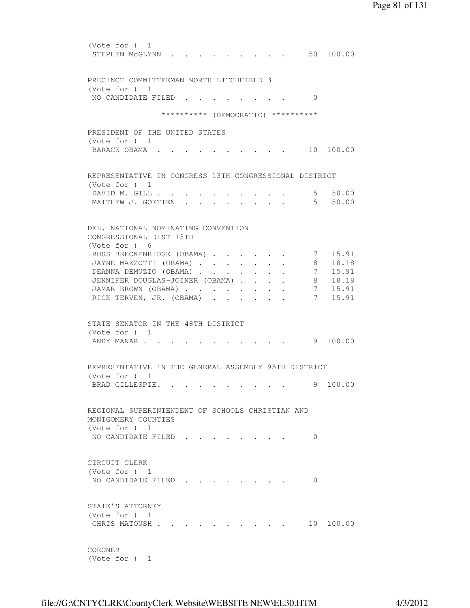(Vote for ) 1 STEPHEN MCGLYNN . . . . . . . . . 50 100.00 PRECINCT COMMITTEEMAN NORTH LITCHFIELD 3 (Vote for ) 1 NO CANDIDATE FILED . . . . . . . . 0 \*\*\*\*\*\*\*\*\*\* (DEMOCRATIC) \*\*\*\*\*\*\*\*\*\* PRESIDENT OF THE UNITED STATES (Vote for ) 1 BARACK OBAMA . . . . . . . . . . 10 100.00 REPRESENTATIVE IN CONGRESS 13TH CONGRESSIONAL DISTRICT (Vote for ) 1 DAVID M. GILL . . . . . . . . . . . 5 50.00<br>MATTHEW J. GOETTEN . . . . . . . . 5 50.00 MATTHEW J. GOETTEN . . . . . . . . . DEL. NATIONAL NOMINATING CONVENTION CONGRESSIONAL DIST 13TH (Vote for ) 6 ROSS BRECKENRIDGE (OBAMA) . . . . . 7 15.91 JAYNE MAZZOTTI (OBAMA) . . . . . . . 8 18.18 DEANNA DEMUZIO (OBAMA) . . . . . . . 7 15.91 JENNIFER DOUGLAS-JOINER (OBAMA) . . . . 8 18.18 JAMAR BROWN (OBAMA) . . . . . . . . 7 15.91 RICK TERVEN, JR. (OBAMA) . . . . . . 7 15.91 STATE SENATOR IN THE 48TH DISTRICT (Vote for ) 1 ANDY MANAR . . . . . . . . . . . . 9 100.00 REPRESENTATIVE IN THE GENERAL ASSEMBLY 95TH DISTRICT (Vote for ) 1 BRAD GILLESPIE. . . . . . . . . . 9 100.00 REGIONAL SUPERINTENDENT OF SCHOOLS CHRISTIAN AND MONTGOMERY COUNTIES (Vote for ) 1 NO CANDIDATE FILED . . . . . . . . 0 CIRCUIT CLERK (Vote for ) 1 NO CANDIDATE FILED . . . . . . . . 0 STATE'S ATTORNEY (Vote for ) 1 CHRIS MATOUSH . . . . . . . . . . 10 100.00 CORONER

(Vote for ) 1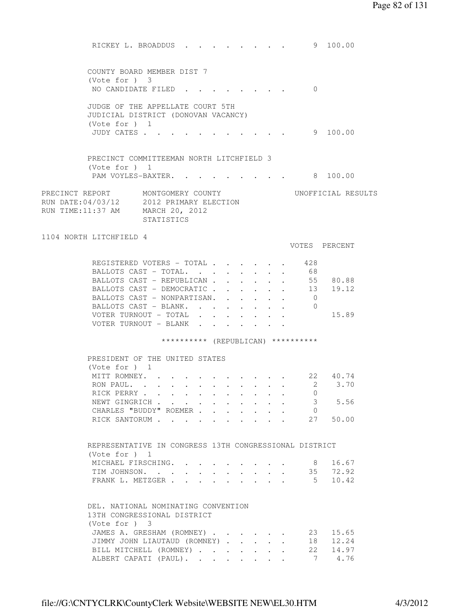RICKEY L. BROADDUS . . . . . . . . 9 100.00 COUNTY BOARD MEMBER DIST 7 (Vote for ) 3 NO CANDIDATE FILED . . . . . . . . 0 JUDGE OF THE APPELLATE COURT 5TH JUDICIAL DISTRICT (DONOVAN VACANCY) (Vote for ) 1 JUDY CATES . . . . . . . . . . . 9 100.00 PRECINCT COMMITTEEMAN NORTH LITCHFIELD 3 (Vote for ) 1 PAM VOYLES-BAXTER. . . . . . . . . 8 100.00 PRECINCT REPORT MONTGOMERY COUNTY UNOFFICIAL RESULTS RUN DATE:04/03/12 2012 PRIMARY ELECTION RUN TIME:11:37 AM MARCH 20, 2012 STATISTICS 1104 NORTH LITCHFIELD 4 VOTES PERCENT REGISTERED VOTERS - TOTAL . . . . . . 428<br>BALLOTS CAST - TOTAL. . . . . . . . 68 BALLOTS CAST - TOTAL. . . . . . . . BALLOTS CAST - REPUBLICAN . . . . . . 55 80.88 BALLOTS CAST - DEMOCRATIC . . . . . . 13 19.12 BALLOTS CAST - NONPARTISAN. . . . . . 0 BALLOTS CAST - BLANK. . . . . . . . 0 VOTER TURNOUT - TOTAL . . . . . . . 15.89 VOTER TURNOUT - BLANK . . \*\*\*\*\*\*\*\*\*\* (REPUBLICAN) \*\*\*\*\*\*\*\*\*\* PRESIDENT OF THE UNITED STATES (Vote for ) 1 MITT ROMNEY. . . . . . . . . . . 22 40.74 RON PAUL. . . . . . . . . . . . 2 3.70 RICK PERRY . . . . . . . . . . . . 0<br>NEWT GINGRICH . . . . . . . . . . . 3 5.56 NEWT GINGRICH . . . . . . . . . . CHARLES "BUDDY" ROEMER . . . . . . . 0 RICK SANTORUM . . . . . . . . . . 27 50.00 REPRESENTATIVE IN CONGRESS 13TH CONGRESSIONAL DISTRICT (Vote for ) 1 MICHAEL FIRSCHING. . . . . . . . 8 16.67 TIM JOHNSON. . . . . . . . . . . 35 72.92 FRANK L. METZGER . . . . . . . . . 5 10.42 DEL. NATIONAL NOMINATING CONVENTION 13TH CONGRESSIONAL DISTRICT (Vote for ) 3 JAMES A. GRESHAM (ROMNEY) . . . . . . 23 15.65 JIMMY JOHN LIAUTAUD (ROMNEY) . . . . . 18 12.24 BILL MITCHELL (ROMNEY) . . . . . . 22 14.97 ALBERT CAPATI (PAUL). . . . . . . . 7 4.76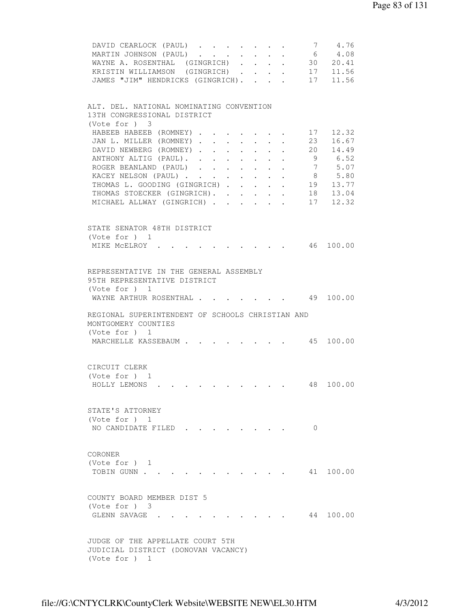| DAVID CEARLOCK (PAUL)<br>MARTIN JOHNSON (PAUL)<br>WAYNE A. ROSENTHAL (GINGRICH)<br>$\mathbb{R}^{\mathbb{Z}}$<br>KRISTIN WILLIAMSON (GINGRICH) | 7        | 4.76<br>$\begin{array}{cccc} 7 & 4.76 \\ 6 & 4.08 \\ 30 & 20.41 \\ 17 & 11.56 \end{array}$ |
|-----------------------------------------------------------------------------------------------------------------------------------------------|----------|--------------------------------------------------------------------------------------------|
| JAMES "JIM" HENDRICKS (GINGRICH).                                                                                                             |          | 17 11.56                                                                                   |
| ALT. DEL. NATIONAL NOMINATING CONVENTION<br>13TH CONGRESSIONAL DISTRICT<br>(Vote for ) 3                                                      |          |                                                                                            |
| HABEEB HABEEB (ROMNEY)<br>JAN L. MILLER (ROMNEY).<br>$\sim$<br>$\sim$<br>$\ddot{\phantom{0}}$<br>$\sim 10^{-10}$                              | 23       | 17 12.32<br>16.67                                                                          |
| DAVID NEWBERG (ROMNEY).<br>$\ddot{\phantom{0}}$<br>$\sim$<br>$\mathcal{L}^{\text{max}}$<br>$\ddot{\phantom{0}}$<br>ANTHONY ALTIG (PAUL).      |          | 20 14.49<br>9 6.52                                                                         |
| ROGER BEANLAND (PAUL)                                                                                                                         |          | 7 5.07                                                                                     |
| KACEY NELSON (PAUL)                                                                                                                           |          | 8 5.80                                                                                     |
| THOMAS L. GOODING (GINGRICH) 19 13.77<br>THOMAS STOECKER (GINGRICH).                                                                          |          |                                                                                            |
| MICHAEL ALLWAY (GINGRICH)                                                                                                                     |          | 18  13.04<br>17  12.32                                                                     |
| STATE SENATOR 48TH DISTRICT                                                                                                                   |          |                                                                                            |
| (Vote for ) 1<br>MIKE MCELROY .                                                                                                               |          |                                                                                            |
|                                                                                                                                               |          |                                                                                            |
| REPRESENTATIVE IN THE GENERAL ASSEMBLY<br>95TH REPRESENTATIVE DISTRICT<br>(Vote for $)$ 1                                                     |          |                                                                                            |
| WAYNE ARTHUR ROSENTHAL .                                                                                                                      |          | 49 100.00                                                                                  |
| REGIONAL SUPERINTENDENT OF SCHOOLS CHRISTIAN AND<br>MONTGOMERY COUNTIES<br>(Vote for ) 1                                                      |          |                                                                                            |
| $\cdot$ 45 100.00<br>MARCHELLE KASSEBAUM                                                                                                      |          |                                                                                            |
| CIRCUIT CLERK                                                                                                                                 |          |                                                                                            |
| (Vote for ) 1<br>HOLLY LEMONS                                                                                                                 |          | 48 100.00                                                                                  |
| STATE'S ATTORNEY                                                                                                                              |          |                                                                                            |
| (Vote for $)$ 1<br>NO CANDIDATE FILED.                                                                                                        | $\Omega$ |                                                                                            |
| CORONER<br>(Vote for ) 1                                                                                                                      |          |                                                                                            |
| TOBIN GUNN                                                                                                                                    |          | 41 100.00                                                                                  |
| COUNTY BOARD MEMBER DIST 5                                                                                                                    |          |                                                                                            |
| (Vote for ) 3<br>GLENN SAVAGE.                                                                                                                |          | 44 100.00                                                                                  |
| JUDGE OF THE APPELLATE COURT 5TH<br>JUDICIAL DISTRICT (DONOVAN VACANCY)<br>(Vote for $)$ 1                                                    |          |                                                                                            |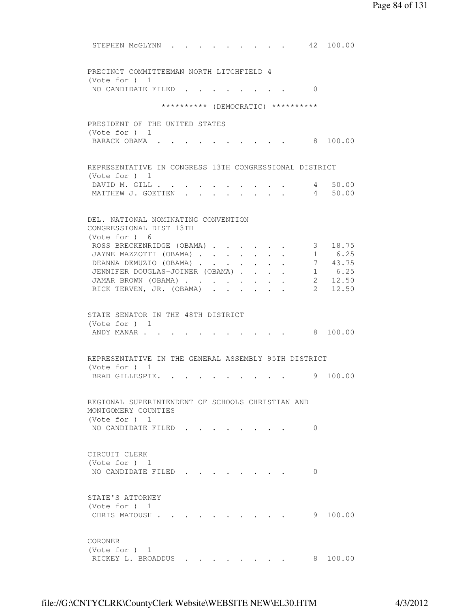| STEPHEN MCGLYNN                                                           |                        |        |  |                                                                     |                | 42 100.00                                                           |
|---------------------------------------------------------------------------|------------------------|--------|--|---------------------------------------------------------------------|----------------|---------------------------------------------------------------------|
| PRECINCT COMMITTEEMAN NORTH LITCHFIELD 4<br>(Vote for ) 1                 |                        |        |  |                                                                     |                |                                                                     |
| NO CANDIDATE FILED                                                        |                        |        |  |                                                                     | $\Omega$       |                                                                     |
| ********** (DEMOCRATIC) **********                                        |                        |        |  |                                                                     |                |                                                                     |
|                                                                           |                        |        |  |                                                                     |                |                                                                     |
| PRESIDENT OF THE UNITED STATES<br>(Vote for ) 1                           |                        |        |  |                                                                     |                |                                                                     |
| BARACK OBAMA.                                                             |                        |        |  |                                                                     |                | 8 100.00                                                            |
|                                                                           |                        |        |  |                                                                     |                |                                                                     |
| REPRESENTATIVE IN CONGRESS 13TH CONGRESSIONAL DISTRICT<br>(Vote for $)$ 1 |                        |        |  |                                                                     |                |                                                                     |
| DAVID M. GILL .                                                           |                        |        |  |                                                                     |                | 4 50.00                                                             |
| MATTHEW J. GOETTEN                                                        |                        |        |  |                                                                     |                | 4 50.00                                                             |
|                                                                           |                        |        |  |                                                                     |                |                                                                     |
| DEL, NATIONAL NOMINATING CONVENTION<br>CONGRESSIONAL DIST 13TH            |                        |        |  |                                                                     |                |                                                                     |
| (Vote for ) 6                                                             |                        |        |  |                                                                     |                |                                                                     |
| ROSS BRECKENRIDGE (OBAMA)                                                 |                        |        |  |                                                                     | 3 <sup>7</sup> | 18.75                                                               |
| JAYNE MAZZOTTI (OBAMA)                                                    |                        | $\sim$ |  | $\bullet$ .<br><br><br><br><br><br><br><br><br><br><br><br><br><br> |                | 1 6.25                                                              |
| DEANNA DEMUZIO (OBAMA)<br>JENNIFER DOUGLAS-JOINER (OBAMA).                |                        |        |  |                                                                     |                | $\begin{array}{ccc} 7 & 43.75 \\ 1 & 6.25 \\ 2 & 12.50 \end{array}$ |
| JAMAR BROWN (OBAMA)                                                       |                        |        |  |                                                                     |                |                                                                     |
| RICK TERVEN, JR. (OBAMA)                                                  | $\mathbf{L}$<br>$\sim$ |        |  |                                                                     |                | 2, 12.50                                                            |
| STATE SENATOR IN THE 48TH DISTRICT<br>(Vote for $)$ 1<br>ANDY MANAR       |                        |        |  |                                                                     |                | 8 100.00                                                            |
|                                                                           |                        |        |  |                                                                     |                |                                                                     |
| REPRESENTATIVE IN THE GENERAL ASSEMBLY 95TH DISTRICT                      |                        |        |  |                                                                     |                |                                                                     |
| (Vote for ) 1                                                             |                        |        |  |                                                                     |                |                                                                     |
| BRAD GILLESPIE.                                                           |                        |        |  |                                                                     | 9              | 100.00                                                              |
| REGIONAL SUPERINTENDENT OF SCHOOLS CHRISTIAN AND<br>MONTGOMERY COUNTIES   |                        |        |  |                                                                     |                |                                                                     |
| (Vote for ) 1                                                             |                        |        |  |                                                                     |                |                                                                     |
| NO CANDIDATE FILED                                                        |                        |        |  |                                                                     | $\Omega$       |                                                                     |
|                                                                           |                        |        |  |                                                                     |                |                                                                     |
| CIRCUIT CLERK                                                             |                        |        |  |                                                                     |                |                                                                     |
| (Note for ) 1                                                             |                        |        |  |                                                                     |                |                                                                     |
| NO CANDIDATE FILED                                                        |                        |        |  |                                                                     | 0              |                                                                     |
| STATE'S ATTORNEY                                                          |                        |        |  |                                                                     |                |                                                                     |
| (Note for ) 1                                                             |                        |        |  |                                                                     |                |                                                                     |
| CHRIS MATOUSH.                                                            |                        |        |  |                                                                     |                | 9 100.00                                                            |
|                                                                           |                        |        |  |                                                                     |                |                                                                     |
| CORONER                                                                   |                        |        |  |                                                                     |                |                                                                     |
| (Vote for $)$ 1<br>RICKEY L. BROADDUS                                     |                        |        |  |                                                                     | 8.             | 100.00                                                              |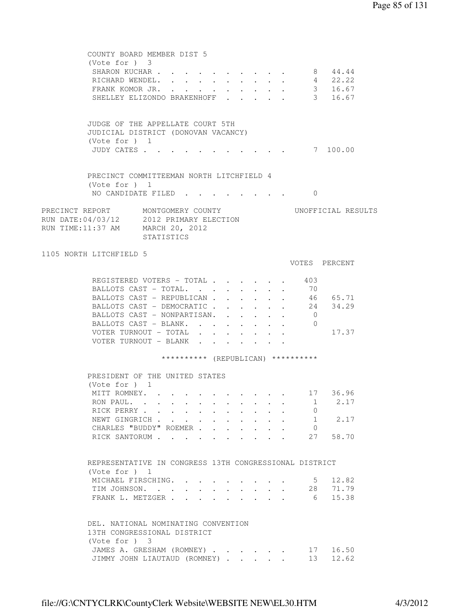|                   | COUNTY BOARD MEMBER DIST 5<br>$(Vote for )$ 3                                |                              |            |  |                      |                      |        |                                    |                    |  |
|-------------------|------------------------------------------------------------------------------|------------------------------|------------|--|----------------------|----------------------|--------|------------------------------------|--------------------|--|
|                   | SHARON KUCHAR                                                                |                              |            |  |                      |                      |        |                                    | 8 44.44            |  |
|                   | RICHARD WENDEL.                                                              |                              |            |  |                      |                      | $\sim$ |                                    | 4 22.22            |  |
|                   | FRANK KOMOR JR. .                                                            |                              | $\sim$ $-$ |  |                      |                      |        |                                    | 3 16.67            |  |
|                   | SHELLEY ELIZONDO BRAKENHOFF .                                                |                              |            |  |                      |                      |        |                                    | 3 16.67            |  |
|                   |                                                                              |                              |            |  |                      |                      |        |                                    |                    |  |
|                   | JUDGE OF THE APPELLATE COURT 5TH<br>JUDICIAL DISTRICT (DONOVAN VACANCY)      |                              |            |  |                      |                      |        |                                    |                    |  |
|                   | (Vote for $)$ 1<br>JUDY CATES                                                |                              |            |  |                      |                      |        |                                    | 7 100.00           |  |
|                   | PRECINCT COMMITTEEMAN NORTH LITCHFIELD 4                                     |                              |            |  |                      |                      |        |                                    |                    |  |
|                   | (Vote for ) 1<br>NO CANDIDATE FILED                                          |                              |            |  |                      |                      |        | 0                                  |                    |  |
|                   |                                                                              |                              |            |  |                      |                      |        |                                    |                    |  |
| RUN TIME:11:37 AM | PRECINCT REPORT MONTGOMERY COUNTY<br>RUN DATE:04/03/12 2012 PRIMARY ELECTION | MARCH 20, 2012<br>STATISTICS |            |  |                      |                      |        |                                    | UNOFFICIAL RESULTS |  |
|                   | 1105 NORTH LITCHFIELD 5                                                      |                              |            |  |                      |                      |        |                                    | VOTES PERCENT      |  |
|                   |                                                                              |                              |            |  |                      |                      |        |                                    |                    |  |
|                   | REGISTERED VOTERS - TOTAL 403                                                |                              |            |  |                      |                      |        |                                    |                    |  |
|                   | BALLOTS CAST - TOTAL. 70                                                     |                              |            |  |                      |                      |        |                                    |                    |  |
|                   | BALLOTS CAST - REPUBLICAN                                                    |                              |            |  |                      |                      |        |                                    | 46 65.71           |  |
|                   | BALLOTS CAST - DEMOCRATIC                                                    |                              |            |  |                      |                      |        |                                    | 24 34.29           |  |
|                   | BALLOTS CAST - NONPARTISAN. .                                                |                              |            |  | $\sim$ 100 $\pm$     |                      |        | $\overline{0}$                     |                    |  |
|                   | BALLOTS CAST - BLANK.                                                        |                              |            |  | $\ddot{\phantom{0}}$ | $\ddot{\phantom{0}}$ |        | $\overline{0}$                     |                    |  |
|                   | VOTER TURNOUT - TOTAL                                                        |                              |            |  |                      |                      |        |                                    | 17.37              |  |
|                   | VOTER TURNOUT - BLANK                                                        |                              |            |  |                      |                      |        |                                    |                    |  |
|                   |                                                                              |                              |            |  |                      |                      |        | ********** (REPUBLICAN) ********** |                    |  |
|                   | PRESIDENT OF THE UNITED STATES                                               |                              |            |  |                      |                      |        |                                    |                    |  |
|                   | (Vote for $)$ 1                                                              |                              |            |  |                      |                      |        |                                    |                    |  |
|                   | MITT ROMNEY. .                                                               |                              |            |  |                      |                      |        |                                    | 17 36.96           |  |
|                   | RON PAUL.                                                                    |                              |            |  |                      |                      |        | $\mathbf{1}$                       | 2.17               |  |
|                   | RICK PERRY                                                                   |                              |            |  |                      |                      |        | $\overline{0}$                     |                    |  |
|                   | NEWT GINGRICH                                                                |                              |            |  |                      |                      |        |                                    | 1 2.17             |  |
|                   | CHARLES "BUDDY" ROEMER                                                       |                              |            |  |                      |                      |        | $\overline{0}$                     |                    |  |
|                   | RICK SANTORUM                                                                |                              |            |  |                      |                      |        |                                    | 27 58.70           |  |
|                   | REPRESENTATIVE IN CONGRESS 13TH CONGRESSIONAL DISTRICT                       |                              |            |  |                      |                      |        |                                    |                    |  |
|                   | (Note for ) 1                                                                |                              |            |  |                      |                      |        |                                    |                    |  |
|                   | MICHAEL FIRSCHING.                                                           |                              |            |  |                      |                      |        | $5 -$                              | 12.82              |  |
|                   |                                                                              |                              |            |  |                      |                      |        |                                    |                    |  |
|                   | TIM JOHNSON. 28 71.79<br>FRANK L. METZGER                                    |                              |            |  |                      |                      |        | $6\overline{6}$                    | 15.38              |  |
|                   | DEL. NATIONAL NOMINATING CONVENTION                                          |                              |            |  |                      |                      |        |                                    |                    |  |
|                   | 13TH CONGRESSIONAL DISTRICT<br>(Vote for ) 3                                 |                              |            |  |                      |                      |        |                                    |                    |  |
|                   | JAMES A. GRESHAM (ROMNEY)                                                    |                              |            |  |                      |                      |        | 17                                 | 16.50              |  |
|                   | JIMMY JOHN LIAUTAUD (ROMNEY)                                                 |                              |            |  |                      |                      |        | 13                                 | 12.62              |  |
|                   |                                                                              |                              |            |  |                      |                      |        |                                    |                    |  |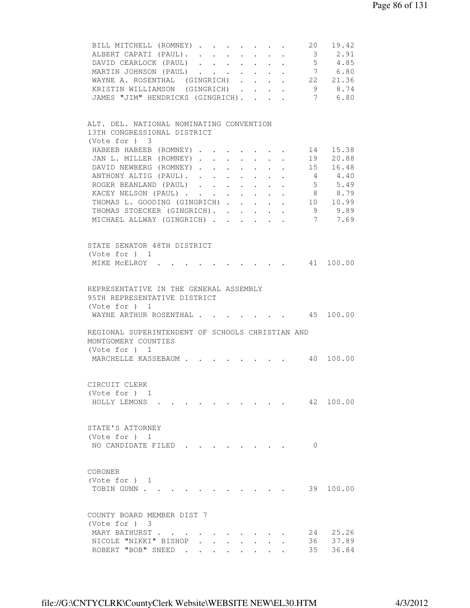| BILL MITCHELL (ROMNEY)                                                  |  |  |                      |                                                             |                      | 20              | 19.42       |  |
|-------------------------------------------------------------------------|--|--|----------------------|-------------------------------------------------------------|----------------------|-----------------|-------------|--|
| ALBERT CAPATI (PAUL).                                                   |  |  |                      | $\mathcal{L}_{\text{max}}$ , and $\mathcal{L}_{\text{max}}$ | $\sim$               |                 | 3 2.91      |  |
| DAVID CEARLOCK (PAUL)                                                   |  |  |                      |                                                             |                      |                 | $5 \t 4.85$ |  |
| MARTIN JOHNSON (PAUL)                                                   |  |  |                      |                                                             |                      |                 | 7 6.80      |  |
| WAYNE A. ROSENTHAL (GINGRICH) 22 21.36                                  |  |  |                      |                                                             |                      |                 |             |  |
| KRISTIN WILLIAMSON (GINGRICH)                                           |  |  |                      |                                                             |                      |                 | 9 8.74      |  |
| JAMES "JIM" HENDRICKS (GINGRICH).                                       |  |  |                      |                                                             |                      |                 | 7 6.80      |  |
|                                                                         |  |  |                      |                                                             |                      |                 |             |  |
| ALT. DEL. NATIONAL NOMINATING CONVENTION<br>13TH CONGRESSIONAL DISTRICT |  |  |                      |                                                             |                      |                 |             |  |
| (Vote for ) 3                                                           |  |  |                      |                                                             |                      |                 |             |  |
| HABEEB HABEEB (ROMNEY)                                                  |  |  |                      |                                                             |                      | 14              | 15.38       |  |
| JAN L. MILLER (ROMNEY)                                                  |  |  |                      |                                                             |                      | 19              | 20.88       |  |
| DAVID NEWBERG (ROMNEY)                                                  |  |  |                      |                                                             |                      |                 | 15 16.48    |  |
| ANTHONY ALTIG (PAUL).                                                   |  |  |                      |                                                             |                      | $4\overline{4}$ | 4.40        |  |
| ROGER BEANLAND (PAUL)                                                   |  |  |                      |                                                             |                      | 5 <sup>5</sup>  | 5.49        |  |
| KACEY NELSON (PAUL)                                                     |  |  | $\sim 100$           |                                                             |                      | 8 <sup>8</sup>  | 8.79        |  |
| THOMAS L. GOODING (GINGRICH)                                            |  |  |                      |                                                             |                      |                 | 10 10.99    |  |
|                                                                         |  |  | $\ddot{\phantom{0}}$ | $\ddot{\phantom{0}}$                                        |                      |                 | 9 9.89      |  |
| THOMAS STOECKER (GINGRICH).                                             |  |  |                      |                                                             | $\ddot{\phantom{0}}$ |                 |             |  |
| MICHAEL ALLWAY (GINGRICH)                                               |  |  |                      |                                                             |                      |                 | 7 7.69      |  |
| STATE SENATOR 48TH DISTRICT                                             |  |  |                      |                                                             |                      |                 |             |  |
| (Vote for $)$ 1                                                         |  |  |                      |                                                             |                      |                 |             |  |
| MIKE MCELROY .                                                          |  |  |                      |                                                             |                      |                 | 41 100.00   |  |
| REPRESENTATIVE IN THE GENERAL ASSEMBLY                                  |  |  |                      |                                                             |                      |                 |             |  |
| 95TH REPRESENTATIVE DISTRICT                                            |  |  |                      |                                                             |                      |                 |             |  |
| (Vote for ) 1<br>WAYNE ARTHUR ROSENTHAL 45 100.00                       |  |  |                      |                                                             |                      |                 |             |  |
| REGIONAL SUPERINTENDENT OF SCHOOLS CHRISTIAN AND                        |  |  |                      |                                                             |                      |                 |             |  |
| MONTGOMERY COUNTIES                                                     |  |  |                      |                                                             |                      |                 |             |  |
| (Vote for ) 1                                                           |  |  |                      |                                                             |                      |                 |             |  |
| MARCHELLE KASSEBAUM 40 100.00                                           |  |  |                      |                                                             |                      |                 |             |  |
| CIRCUIT CLERK                                                           |  |  |                      |                                                             |                      |                 |             |  |
| (Vote for $)$ 1                                                         |  |  |                      |                                                             |                      |                 |             |  |
| HOLLY LEMONS.                                                           |  |  |                      |                                                             |                      |                 | 42 100.00   |  |
| STATE'S ATTORNEY                                                        |  |  |                      |                                                             |                      |                 |             |  |
| (Vote for $)$ 1                                                         |  |  |                      |                                                             |                      |                 |             |  |
| NO CANDIDATE FILED                                                      |  |  |                      |                                                             |                      | $\Omega$        |             |  |
|                                                                         |  |  |                      |                                                             |                      |                 |             |  |
| CORONER<br>(Vote for $)$ 1                                              |  |  |                      |                                                             |                      |                 |             |  |
| TOBIN GUNN                                                              |  |  |                      |                                                             |                      |                 | 39 100.00   |  |
|                                                                         |  |  |                      |                                                             |                      |                 |             |  |
| COUNTY BOARD MEMBER DIST 7                                              |  |  |                      |                                                             |                      |                 |             |  |
| (Vote for ) 3                                                           |  |  |                      |                                                             |                      |                 |             |  |
| MARY BATHURST                                                           |  |  |                      |                                                             |                      | 24              | 25.26       |  |
| NICOLE "NIKKI" BISHOP                                                   |  |  |                      |                                                             |                      | 36              | 37.89       |  |
| ROBERT "BOB" SNEED.                                                     |  |  |                      |                                                             |                      | 35              | 36.84       |  |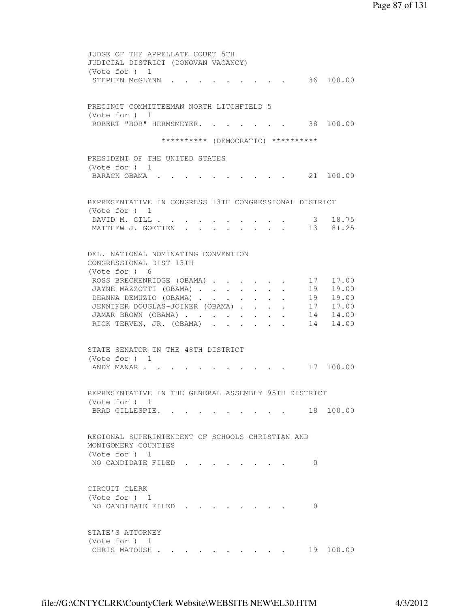JUDGE OF THE APPELLATE COURT 5TH JUDICIAL DISTRICT (DONOVAN VACANCY) (Vote for ) 1 STEPHEN McGLYNN . . . . . . . . . 36 100.00 PRECINCT COMMITTEEMAN NORTH LITCHFIELD 5 (Vote for ) 1 ROBERT "BOB" HERMSMEYER. . . . . . . 38 100.00 \*\*\*\*\*\*\*\*\*\* (DEMOCRATIC) \*\*\*\*\*\*\*\*\*\* PRESIDENT OF THE UNITED STATES (Vote for ) 1 BARACK OBAMA . . . . . . . . . . 21 100.00 REPRESENTATIVE IN CONGRESS 13TH CONGRESSIONAL DISTRICT (Vote for ) 1 DAVID M. GILL . . . . . . . . . . . 3 18.75 MATTHEW J. GOETTEN . . . . . . . . 13 81.25 DEL. NATIONAL NOMINATING CONVENTION CONGRESSIONAL DIST 13TH (Vote for ) 6 ROSS BRECKENRIDGE (OBAMA) . . . . . 17 17.00 JAYNE MAZZOTTI (OBAMA) . . . . . . . 19 19.00 DEANNA DEMUZIO (OBAMA) . . . . . . . 19 19.00<br>JENNIFER DOUGLAS-JOINER (OBAMA) . . . . . 17 17.00<br>JAMAR BROWN (OBAMA) . . . . . . . 14 14.00<br>RICK TERVEN, JR. (OBAMA) . . . . . . 14 14.00 JENNIFER DOUGLAS-JOINER (OBAMA) . . . . JAMAR BROWN (OBAMA) . . . . . . . . RICK TERVEN, JR. (OBAMA) . . . . . . STATE SENATOR IN THE 48TH DISTRICT (Vote for ) 1 ANDY MANAR . . . . . . . . . . . . 17 100.00 REPRESENTATIVE IN THE GENERAL ASSEMBLY 95TH DISTRICT (Vote for ) 1 BRAD GILLESPIE. . . . . . . . . . 18 100.00 REGIONAL SUPERINTENDENT OF SCHOOLS CHRISTIAN AND MONTGOMERY COUNTIES (Vote for ) 1 NO CANDIDATE FILED . . . . . . . . 0 CIRCUIT CLERK (Vote for ) 1 NO CANDIDATE FILED . . . . . . . . 0 STATE'S ATTORNEY (Vote for ) 1 CHRIS MATOUSH . . . . . . . . . . 19 100.00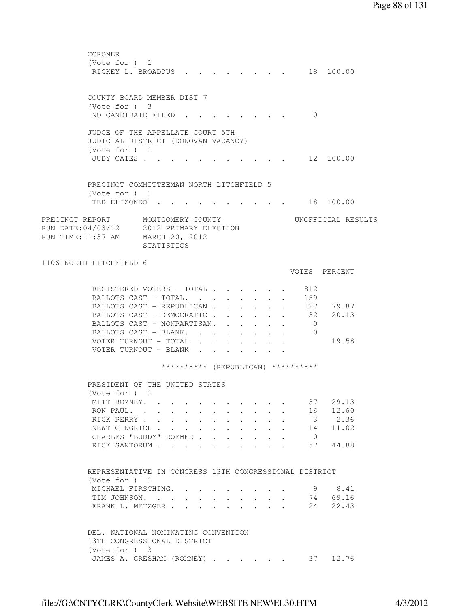| CORONER                                  |                 |                                                        |        |                           |                             |                         |                      |                         |                           |  |
|------------------------------------------|-----------------|--------------------------------------------------------|--------|---------------------------|-----------------------------|-------------------------|----------------------|-------------------------|---------------------------|--|
|                                          | (Vote for $)$ 1 |                                                        |        |                           |                             |                         |                      |                         |                           |  |
|                                          |                 | RICKEY L. BROADDUS                                     |        |                           | $\sim$ $\sim$ $\sim$ $\sim$ |                         |                      |                         | 18 100.00                 |  |
|                                          |                 |                                                        |        |                           |                             |                         |                      |                         |                           |  |
|                                          |                 |                                                        |        |                           |                             |                         |                      |                         |                           |  |
|                                          |                 | COUNTY BOARD MEMBER DIST 7                             |        |                           |                             |                         |                      |                         |                           |  |
|                                          | (Vote for $)$ 3 |                                                        |        |                           |                             |                         |                      |                         |                           |  |
|                                          |                 | NO CANDIDATE FILED.                                    |        |                           |                             |                         |                      | $\Omega$                |                           |  |
|                                          |                 |                                                        |        |                           |                             |                         |                      |                         |                           |  |
|                                          |                 |                                                        |        |                           |                             |                         |                      |                         |                           |  |
|                                          |                 | JUDGE OF THE APPELLATE COURT 5TH                       |        |                           |                             |                         |                      |                         |                           |  |
|                                          |                 | JUDICIAL DISTRICT (DONOVAN VACANCY)                    |        |                           |                             |                         |                      |                         |                           |  |
|                                          | (Vote for ) 1   |                                                        |        |                           |                             |                         |                      |                         |                           |  |
|                                          | JUDY CATES      |                                                        |        |                           |                             |                         |                      |                         | . 12 100.00               |  |
|                                          |                 |                                                        |        |                           |                             |                         |                      |                         |                           |  |
|                                          |                 |                                                        |        |                           |                             |                         |                      |                         |                           |  |
|                                          |                 | PRECINCT COMMITTEEMAN NORTH LITCHFIELD 5               |        |                           |                             |                         |                      |                         |                           |  |
|                                          | (Note for ) 1   |                                                        |        |                           |                             |                         |                      |                         |                           |  |
|                                          | TED ELIZONDO.   |                                                        |        |                           |                             |                         |                      |                         | $\cdot$ $\cdot$ 18 100.00 |  |
|                                          |                 |                                                        |        |                           |                             |                         |                      |                         |                           |  |
| PRECINCT REPORT                          |                 | MONTGOMERY COUNTY                                      |        |                           |                             |                         |                      |                         | UNOFFICIAL RESULTS        |  |
|                                          |                 |                                                        |        |                           |                             |                         |                      |                         |                           |  |
| RUN DATE: 04/03/12 2012 PRIMARY ELECTION |                 |                                                        |        |                           |                             |                         |                      |                         |                           |  |
| RUN TIME: 11:37 AM MARCH 20, 2012        |                 |                                                        |        |                           |                             |                         |                      |                         |                           |  |
|                                          |                 | STATISTICS                                             |        |                           |                             |                         |                      |                         |                           |  |
|                                          |                 |                                                        |        |                           |                             |                         |                      |                         |                           |  |
| 1106 NORTH LITCHFIELD 6                  |                 |                                                        |        |                           |                             |                         |                      |                         |                           |  |
|                                          |                 |                                                        |        |                           |                             |                         |                      |                         | VOTES PERCENT             |  |
|                                          |                 |                                                        |        |                           |                             |                         |                      |                         |                           |  |
|                                          |                 | REGISTERED VOTERS - TOTAL                              |        |                           |                             |                         |                      | 812                     |                           |  |
|                                          |                 | BALLOTS CAST - TOTAL.                                  |        |                           |                             |                         | $\sim$               | 159                     |                           |  |
|                                          |                 | BALLOTS CAST - REPUBLICAN                              |        |                           |                             |                         |                      |                         | 127 79.87                 |  |
|                                          |                 | BALLOTS CAST - DEMOCRATIC                              |        |                           |                             |                         |                      | 32                      | 20.13                     |  |
|                                          |                 |                                                        |        |                           |                             | $\sim$                  | $\ddot{\phantom{0}}$ |                         |                           |  |
|                                          |                 | BALLOTS CAST - NONPARTISAN.                            |        |                           |                             |                         | $\ddot{\phantom{0}}$ | 0                       |                           |  |
|                                          |                 | BALLOTS CAST - BLANK.                                  |        |                           |                             |                         |                      | $\overline{0}$          |                           |  |
|                                          |                 | VOTER TURNOUT - TOTAL                                  |        |                           |                             |                         |                      |                         | 19.58                     |  |
|                                          |                 | VOTER TURNOUT - BLANK                                  |        |                           |                             |                         |                      |                         |                           |  |
|                                          |                 |                                                        |        |                           |                             |                         |                      |                         |                           |  |
|                                          |                 | ********** (REPUBLICAN) **********                     |        |                           |                             |                         |                      |                         |                           |  |
|                                          |                 |                                                        |        |                           |                             |                         |                      |                         |                           |  |
|                                          |                 | PRESIDENT OF THE UNITED STATES                         |        |                           |                             |                         |                      |                         |                           |  |
|                                          | (Vote for $)$ 1 |                                                        |        |                           |                             |                         |                      |                         |                           |  |
|                                          |                 | MITT ROMNEY.                                           |        |                           |                             |                         |                      | 37                      | 29.13                     |  |
|                                          |                 |                                                        |        |                           |                             |                         |                      | 16                      | 12.60                     |  |
|                                          |                 | RON PAUL.                                              |        |                           |                             |                         |                      |                         |                           |  |
|                                          |                 | RICK PERRY                                             |        |                           |                             |                         |                      | $\overline{\mathbf{3}}$ | 2.36                      |  |
|                                          |                 | NEWT GINGRICH                                          |        | $\ddot{\phantom{0}}$      | $\ddot{\phantom{0}}$        |                         |                      | 14                      | 11.02                     |  |
|                                          |                 | CHARLES "BUDDY" ROEMER.                                | $\sim$ | $\mathbf{L}^{\text{max}}$ | $\mathbf{L}$                |                         |                      | $\overline{0}$          |                           |  |
|                                          |                 | RICK SANTORUM                                          |        |                           | $\mathbf{L}$<br>$\sim$      | $\sim$                  |                      | 57                      | 44.88                     |  |
|                                          |                 |                                                        |        |                           |                             |                         |                      |                         |                           |  |
|                                          |                 |                                                        |        |                           |                             |                         |                      |                         |                           |  |
|                                          |                 | REPRESENTATIVE IN CONGRESS 13TH CONGRESSIONAL DISTRICT |        |                           |                             |                         |                      |                         |                           |  |
|                                          | (Note for ) 1   |                                                        |        |                           |                             |                         |                      |                         |                           |  |
|                                          |                 | MICHAEL FIRSCHING.                                     |        |                           |                             |                         |                      | 9                       | 8.41                      |  |
|                                          |                 | TIM JOHNSON.                                           |        |                           |                             |                         |                      | 74                      | 69.16                     |  |
|                                          |                 | FRANK L. METZGER                                       |        |                           |                             |                         |                      | 24                      | 22.43                     |  |
|                                          |                 |                                                        |        |                           |                             | $\cdot$ $\cdot$ $\cdot$ | $\ddot{\phantom{a}}$ |                         |                           |  |
|                                          |                 |                                                        |        |                           |                             |                         |                      |                         |                           |  |
|                                          |                 |                                                        |        |                           |                             |                         |                      |                         |                           |  |
|                                          |                 | DEL. NATIONAL NOMINATING CONVENTION                    |        |                           |                             |                         |                      |                         |                           |  |
|                                          |                 | 13TH CONGRESSIONAL DISTRICT                            |        |                           |                             |                         |                      |                         |                           |  |
|                                          | $(Vote for )$ 3 |                                                        |        |                           |                             |                         |                      |                         |                           |  |
|                                          |                 | JAMES A. GRESHAM (ROMNEY) 37                           |        |                           |                             |                         |                      |                         | 12.76                     |  |
|                                          |                 |                                                        |        |                           |                             |                         |                      |                         |                           |  |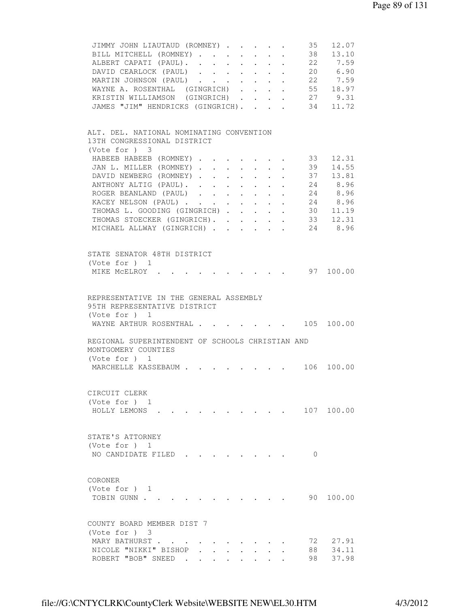| 12.07<br>JIMMY JOHN LIAUTAUD (ROMNEY)<br>35                                                    |
|------------------------------------------------------------------------------------------------|
| 38<br>13.10<br>BILL MITCHELL (ROMNEY)<br>$\ddot{\phantom{0}}$<br>$\cdot$ $\cdot$               |
| ALBERT CAPATI (PAUL).<br>22 7.59                                                               |
| DAVID CEARLOCK (PAUL) 20 6.90                                                                  |
| MARTIN JOHNSON (PAUL) 22 7.59                                                                  |
| $\cdot$ 55 18.97<br>WAYNE A. ROSENTHAL (GINGRICH).                                             |
| KRISTIN WILLIAMSON (GINGRICH) 27 9.31                                                          |
| JAMES "JIM" HENDRICKS (GINGRICH).<br>34 11.72                                                  |
|                                                                                                |
|                                                                                                |
| ALT. DEL. NATIONAL NOMINATING CONVENTION                                                       |
| 13TH CONGRESSIONAL DISTRICT                                                                    |
| (Vote for ) 3                                                                                  |
|                                                                                                |
| HABEEB HABEEB (ROMNEY) 33<br>12.31                                                             |
| 39<br>14.55<br>JAN L. MILLER (ROMNEY)                                                          |
| 37 13.81<br>DAVID NEWBERG (ROMNEY)<br>$\mathbf{L} = \mathbf{L} \mathbf{L}$                     |
| 8.96<br>24<br>ANTHONY ALTIG (PAUL).<br>$\bullet$ .                                             |
| 8.96<br>ROGER BEANLAND (PAUL)<br>24<br>$\ddot{\phantom{0}}$<br>$\bullet$ .                     |
| 24 8.96<br>KACEY NELSON (PAUL)<br>$\mathbf{L}$<br>$\ddot{\phantom{0}}$                         |
| 30 11.19<br>THOMAS L. GOODING (GINGRICH)                                                       |
| 33 12.31<br>THOMAS STOECKER (GINGRICH).                                                        |
| MICHAEL ALLWAY (GINGRICH) 24 8.96                                                              |
|                                                                                                |
|                                                                                                |
| STATE SENATOR 48TH DISTRICT                                                                    |
| (Vote for ) 1                                                                                  |
| 97 100.00<br>MIKE MCELROY .                                                                    |
|                                                                                                |
|                                                                                                |
| REPRESENTATIVE IN THE GENERAL ASSEMBLY                                                         |
|                                                                                                |
| 95TH REPRESENTATIVE DISTRICT                                                                   |
| (Vote for $)$ 1                                                                                |
| WAYNE ARTHUR ROSENTHAL 105 100.00                                                              |
|                                                                                                |
| REGIONAL SUPERINTENDENT OF SCHOOLS CHRISTIAN AND                                               |
| MONTGOMERY COUNTIES                                                                            |
| (Vote for $)$ 1                                                                                |
| 106 100.00<br>MARCHELLE KASSEBAUM<br>$\mathbf{r}$ , $\mathbf{r}$ , $\mathbf{r}$ , $\mathbf{r}$ |
|                                                                                                |
|                                                                                                |
| CIRCUIT CLERK                                                                                  |
| (Vote for ) 1                                                                                  |
| 107 100.00<br>HOLLY LEMONS                                                                     |
|                                                                                                |
|                                                                                                |
|                                                                                                |
| STATE'S ATTORNEY                                                                               |
| (Vote for ) 1                                                                                  |
| NO CANDIDATE FILED<br>$\Omega$                                                                 |
|                                                                                                |
|                                                                                                |
| CORONER                                                                                        |
| (Vote for $)$ 1                                                                                |
| 90<br>TOBIN GUNN<br>100.00                                                                     |
|                                                                                                |
|                                                                                                |
| COUNTY BOARD MEMBER DIST 7                                                                     |
| (Note for ) 3                                                                                  |
| MARY BATHURST<br>72<br>27.91                                                                   |
| 34.11<br>NICOLE "NIKKI" BISHOP<br>88 -                                                         |
|                                                                                                |
| 98<br>ROBERT "BOB" SNEED.<br>37.98                                                             |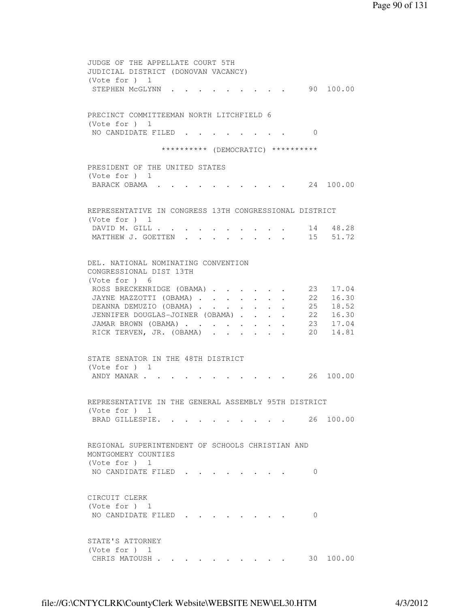JUDGE OF THE APPELLATE COURT 5TH JUDICIAL DISTRICT (DONOVAN VACANCY) (Vote for ) 1 STEPHEN MCGLYNN . . . . . . . . . 90 100.00 PRECINCT COMMITTEEMAN NORTH LITCHFIELD 6 (Vote for ) 1 NO CANDIDATE FILED . . . . . . . . 0 \*\*\*\*\*\*\*\*\*\* (DEMOCRATIC) \*\*\*\*\*\*\*\*\*\* PRESIDENT OF THE UNITED STATES (Vote for ) 1 BARACK OBAMA . . . . . . . . . . 24 100.00 REPRESENTATIVE IN CONGRESS 13TH CONGRESSIONAL DISTRICT (Vote for ) 1 DAVID M. GILL . . . . . . . . . . 14 48.28 MATTHEW J. GOETTEN . . . . . . . . 15 51.72 DEL. NATIONAL NOMINATING CONVENTION CONGRESSIONAL DIST 13TH (Vote for ) 6 ROSS BRECKENRIDGE (OBAMA) . . . . . 23 17.04 JAYNE MAZZOTTI (OBAMA) . . . . . . 22 16.30 DEANNA DEMUZIO (OBAMA) . . . . . . . 25 18.52<br>JENNIFER DOUGLAS-JOINER (OBAMA) . . . . 22 16.30<br>JAMAR BROWN (OBAMA) . . . . . . . 23 17.04<br>RICK TERVEN, JR. (OBAMA) . . . . . . 20 14.81 JENNIFER DOUGLAS-JOINER (OBAMA) . . . . JAMAR BROWN (OBAMA) . . . . . . . . RICK TERVEN, JR. (OBAMA) . . . . . . STATE SENATOR IN THE 48TH DISTRICT (Vote for ) 1 ANDY MANAR . . . . . . . . . . . 26 100.00 REPRESENTATIVE IN THE GENERAL ASSEMBLY 95TH DISTRICT (Vote for ) 1 BRAD GILLESPIE. . . . . . . . . . 26 100.00 REGIONAL SUPERINTENDENT OF SCHOOLS CHRISTIAN AND MONTGOMERY COUNTIES (Vote for ) 1 NO CANDIDATE FILED . . . . . . . . 0 CIRCUIT CLERK (Vote for ) 1 NO CANDIDATE FILED . . . . . . . . 0 STATE'S ATTORNEY (Vote for ) 1 CHRIS MATOUSH . . . . . . . . . . 30 100.00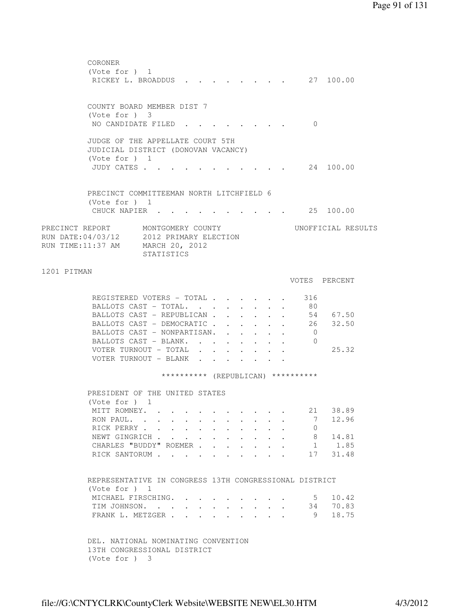| CORONER                                                                      |                                                          |                                          |                |                                                             |                                           |                                                             |                      |                                    |                    |
|------------------------------------------------------------------------------|----------------------------------------------------------|------------------------------------------|----------------|-------------------------------------------------------------|-------------------------------------------|-------------------------------------------------------------|----------------------|------------------------------------|--------------------|
| (Vote for $)$ 1                                                              | RICKEY L. BROADDUS                                       |                                          |                |                                                             | $\sim$ $\sim$ $\sim$ $\sim$ $\sim$ $\sim$ |                                                             |                      |                                    | 27 100.00          |
|                                                                              |                                                          |                                          |                |                                                             |                                           |                                                             |                      |                                    |                    |
|                                                                              |                                                          |                                          |                |                                                             |                                           |                                                             |                      |                                    |                    |
| COUNTY BOARD MEMBER DIST 7                                                   |                                                          |                                          |                |                                                             |                                           |                                                             |                      |                                    |                    |
| (Vote for ) 3                                                                |                                                          |                                          |                |                                                             |                                           |                                                             |                      |                                    |                    |
|                                                                              | NO CANDIDATE FILED.                                      |                                          |                |                                                             |                                           |                                                             |                      | $\Omega$                           |                    |
|                                                                              |                                                          |                                          |                |                                                             |                                           |                                                             |                      |                                    |                    |
| JUDGE OF THE APPELLATE COURT 5TH                                             |                                                          |                                          |                |                                                             |                                           |                                                             |                      |                                    |                    |
| JUDICIAL DISTRICT (DONOVAN VACANCY)<br>(Vote for ) 1                         |                                                          |                                          |                |                                                             |                                           |                                                             |                      |                                    |                    |
| JUDY CATES                                                                   |                                                          |                                          |                |                                                             |                                           |                                                             |                      |                                    | . 24 100.00        |
|                                                                              |                                                          |                                          |                |                                                             |                                           |                                                             |                      |                                    |                    |
|                                                                              |                                                          |                                          |                |                                                             |                                           |                                                             |                      |                                    |                    |
| PRECINCT COMMITTEEMAN NORTH LITCHFIELD 6                                     |                                                          |                                          |                |                                                             |                                           |                                                             |                      |                                    |                    |
| (Vote for $)$ 1                                                              |                                                          |                                          |                |                                                             |                                           |                                                             |                      |                                    |                    |
| CHUCK NAPIER .                                                               |                                                          |                                          |                |                                                             |                                           |                                                             |                      |                                    | $\cdot$ 25 100.00  |
|                                                                              |                                                          |                                          |                |                                                             |                                           |                                                             |                      |                                    |                    |
| PRECINCT REPORT MONTGOMERY COUNTY                                            |                                                          |                                          |                |                                                             |                                           |                                                             |                      |                                    | UNOFFICIAL RESULTS |
| RUN DATE: 04/03/12 2012 PRIMARY ELECTION<br>RUN TIME:11:37 AM MARCH 20, 2012 |                                                          |                                          |                |                                                             |                                           |                                                             |                      |                                    |                    |
|                                                                              | STATISTICS                                               |                                          |                |                                                             |                                           |                                                             |                      |                                    |                    |
|                                                                              |                                                          |                                          |                |                                                             |                                           |                                                             |                      |                                    |                    |
| 1201 PITMAN                                                                  |                                                          |                                          |                |                                                             |                                           |                                                             |                      |                                    |                    |
|                                                                              |                                                          |                                          |                |                                                             |                                           |                                                             |                      |                                    | VOTES PERCENT      |
|                                                                              |                                                          |                                          |                |                                                             |                                           |                                                             |                      |                                    |                    |
|                                                                              | REGISTERED VOTERS - TOTAL                                |                                          |                |                                                             |                                           |                                                             |                      | 316                                |                    |
|                                                                              | BALLOTS CAST - TOTAL.                                    |                                          |                |                                                             |                                           |                                                             |                      | 80                                 |                    |
|                                                                              | BALLOTS CAST - REPUBLICAN                                |                                          |                |                                                             |                                           |                                                             |                      |                                    | 54 67.50           |
|                                                                              | BALLOTS CAST - DEMOCRATIC<br>BALLOTS CAST - NONPARTISAN. |                                          |                |                                                             |                                           | $\bullet$ . The set of $\bullet$                            | $\ddot{\phantom{0}}$ | $\overline{0}$                     | 26 32.50           |
|                                                                              | BALLOTS CAST - BLANK.                                    |                                          |                | $\bullet$ .<br><br><br><br><br><br><br><br><br><br><br><br> |                                           | $\bullet$ .<br><br><br><br><br><br><br><br><br><br><br><br> | $\sim$               | 0                                  |                    |
|                                                                              | VOTER TURNOUT - TOTAL                                    |                                          |                |                                                             |                                           |                                                             |                      |                                    | 25.32              |
|                                                                              | VOTER TURNOUT - BLANK                                    |                                          |                |                                                             |                                           |                                                             |                      |                                    |                    |
|                                                                              |                                                          |                                          |                |                                                             |                                           |                                                             |                      |                                    |                    |
|                                                                              |                                                          |                                          |                |                                                             |                                           |                                                             |                      | ********** (REPUBLICAN) ********** |                    |
|                                                                              |                                                          |                                          |                |                                                             |                                           |                                                             |                      |                                    |                    |
| PRESIDENT OF THE UNITED STATES                                               |                                                          |                                          |                |                                                             |                                           |                                                             |                      |                                    |                    |
| (Vote for $)$ 1                                                              |                                                          |                                          |                |                                                             |                                           |                                                             |                      |                                    |                    |
|                                                                              | MITT ROMNEY.<br>RON PAUL.                                | $\sim 100$                               |                |                                                             |                                           |                                                             |                      | 21<br>7                            | 38.89<br>12.96     |
|                                                                              | RICK PERRY                                               |                                          |                |                                                             |                                           |                                                             |                      | 0                                  |                    |
|                                                                              | NEWT GINGRICH                                            |                                          |                |                                                             | $\ddot{\phantom{0}}$                      |                                                             |                      | 8                                  | 14.81              |
|                                                                              | CHARLES "BUDDY" ROEMER.                                  | $\sim$                                   | $\mathbf{z}$ . | $\mathbf{L}$                                                |                                           |                                                             |                      | 1                                  | 1.85               |
|                                                                              | RICK SANTORUM                                            | $\mathbf{r} = \mathbf{r} + \mathbf{r}$ . |                |                                                             | $\ddot{\phantom{0}}$                      |                                                             |                      | 17                                 | 31.48              |
|                                                                              |                                                          |                                          |                |                                                             |                                           |                                                             |                      |                                    |                    |
|                                                                              |                                                          |                                          |                |                                                             |                                           |                                                             |                      |                                    |                    |
| REPRESENTATIVE IN CONGRESS 13TH CONGRESSIONAL DISTRICT                       |                                                          |                                          |                |                                                             |                                           |                                                             |                      |                                    |                    |
| (Note for ) 1                                                                |                                                          |                                          |                |                                                             |                                           |                                                             |                      |                                    | 10.42              |
|                                                                              | MICHAEL FIRSCHING.<br>TIM JOHNSON.                       |                                          |                |                                                             |                                           |                                                             |                      | 5<br>34                            | 70.83              |
|                                                                              | FRANK L. METZGER                                         |                                          | $\sim$         |                                                             |                                           | $\cdot$ $\cdot$ $\cdot$                                     |                      | 9                                  | 18.75              |
|                                                                              |                                                          |                                          |                |                                                             |                                           |                                                             |                      |                                    |                    |
|                                                                              |                                                          |                                          |                |                                                             |                                           |                                                             |                      |                                    |                    |
| DEL. NATIONAL NOMINATING CONVENTION                                          |                                                          |                                          |                |                                                             |                                           |                                                             |                      |                                    |                    |
| 13TH CONGRESSIONAL DISTRICT                                                  |                                                          |                                          |                |                                                             |                                           |                                                             |                      |                                    |                    |
| (Vote for ) 3                                                                |                                                          |                                          |                |                                                             |                                           |                                                             |                      |                                    |                    |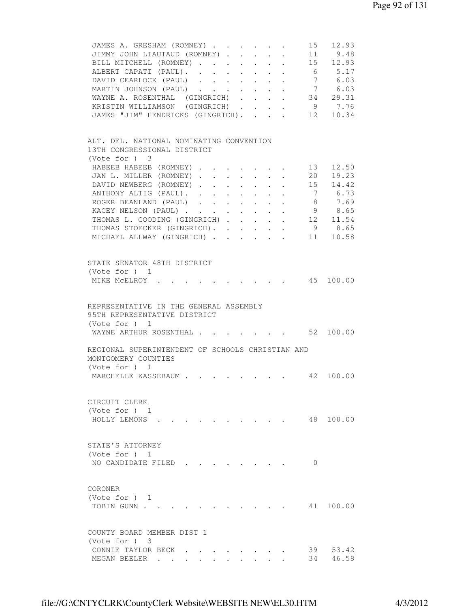| JAMES A. GRESHAM (ROMNEY)<br>$\sim$                                                                        |                 | 15 12.93  |
|------------------------------------------------------------------------------------------------------------|-----------------|-----------|
| JIMMY JOHN LIAUTAUD (ROMNEY)<br>$\ddot{\phantom{0}}$<br>$\sim$<br>$\sim$                                   |                 | 11 9.48   |
| BILL MITCHELL (ROMNEY)<br>$\mathbf{r} = \mathbf{r} + \mathbf{r}$ .                                         |                 | 15 12.93  |
| ALBERT CAPATI (PAUL).<br>$\cdot$ 6 5.17                                                                    |                 |           |
| DAVID CEARLOCK (PAUL)                                                                                      |                 | 7 6.03    |
| MARTIN JOHNSON (PAUL)                                                                                      |                 | 7 6.03    |
| $\mathbf{z} = \mathbf{z} + \mathbf{z}$ , where $\mathbf{z} = \mathbf{z}$                                   |                 |           |
| $\cdot$ $\cdot$ 34 29.31<br>WAYNE A. ROSENTHAL (GINGRICH).<br>$\mathbf{L}$                                 |                 |           |
| KRISTIN WILLIAMSON (GINGRICH).<br>$\mathbf{r} = \mathbf{r} + \mathbf{r}$ , where $\mathbf{r} = \mathbf{r}$ | 9               | 7.76      |
| JAMES "JIM" HENDRICKS (GINGRICH).<br>$\mathbf{L}$                                                          |                 | 12 10.34  |
| ALT. DEL. NATIONAL NOMINATING CONVENTION                                                                   |                 |           |
| 13TH CONGRESSIONAL DISTRICT                                                                                |                 |           |
| $(Vote for )$ 3                                                                                            |                 |           |
| HABEEB HABEEB (ROMNEY)                                                                                     |                 | 13 12.50  |
| JAN L. MILLER (ROMNEY).<br>$\mathbf{r} = \mathbf{r} + \mathbf{r}$ .<br>$\sim$                              | 20              | 19.23     |
| DAVID NEWBERG (ROMNEY)                                                                                     |                 | 15 14.42  |
| ANTHONY ALTIG (PAUL).                                                                                      | $7\overline{ }$ | 6.73      |
| ROGER BEANLAND (PAUL).<br>$\ddot{\phantom{0}}$<br>$\ddot{\phantom{0}}$<br>$\ddot{\phantom{0}}$             | 8               | 7.69      |
| KACEY NELSON (PAUL)<br>$\mathbf{L}$<br>$\ddot{\phantom{0}}$<br>$\mathbf{r}$                                |                 | 9 8.65    |
| THOMAS L. GOODING (GINGRICH)                                                                               |                 | 12 11.54  |
| THOMAS STOECKER (GINGRICH).                                                                                |                 | 9 8.65    |
| MICHAEL ALLWAY (GINGRICH)                                                                                  | 11              | 10.58     |
|                                                                                                            |                 |           |
|                                                                                                            |                 |           |
| STATE SENATOR 48TH DISTRICT                                                                                |                 |           |
| (Vote for ) 1                                                                                              |                 |           |
| MIKE MCELROY .                                                                                             |                 | 45 100.00 |
|                                                                                                            |                 |           |
|                                                                                                            |                 |           |
| REPRESENTATIVE IN THE GENERAL ASSEMBLY                                                                     |                 |           |
| 95TH REPRESENTATIVE DISTRICT                                                                               |                 |           |
| (Vote for $)$ 1                                                                                            |                 |           |
| WAYNE ARTHUR ROSENTHAL 52 100.00                                                                           |                 |           |
|                                                                                                            |                 |           |
| REGIONAL SUPERINTENDENT OF SCHOOLS CHRISTIAN AND                                                           |                 |           |
| MONTGOMERY COUNTIES                                                                                        |                 |           |
| (Vote for $)$ 1                                                                                            |                 |           |
|                                                                                                            |                 |           |
| MARCHELLE KASSEBAUM 42 100.00                                                                              |                 |           |
|                                                                                                            |                 |           |
| CIRCUIT CLERK                                                                                              |                 |           |
|                                                                                                            |                 |           |
| (Vote for ) 1                                                                                              |                 |           |
| HOLLY LEMONS                                                                                               |                 | 48 100.00 |
|                                                                                                            |                 |           |
|                                                                                                            |                 |           |
| STATE'S ATTORNEY                                                                                           |                 |           |
| (Vote for $)$ 1                                                                                            |                 |           |
| NO CANDIDATE FILED                                                                                         | 0               |           |
|                                                                                                            |                 |           |
|                                                                                                            |                 |           |
| CORONER                                                                                                    |                 |           |
| (Vote for $)$ 1                                                                                            |                 |           |
| TOBIN GUNN                                                                                                 |                 | 41 100.00 |
|                                                                                                            |                 |           |
|                                                                                                            |                 |           |
| COUNTY BOARD MEMBER DIST 1                                                                                 |                 |           |
| (Note for ) 3                                                                                              |                 |           |
| CONNIE TAYLOR BECK.                                                                                        | 39              | 53.42     |
| MEGAN BEELER                                                                                               | 34              | 46.58     |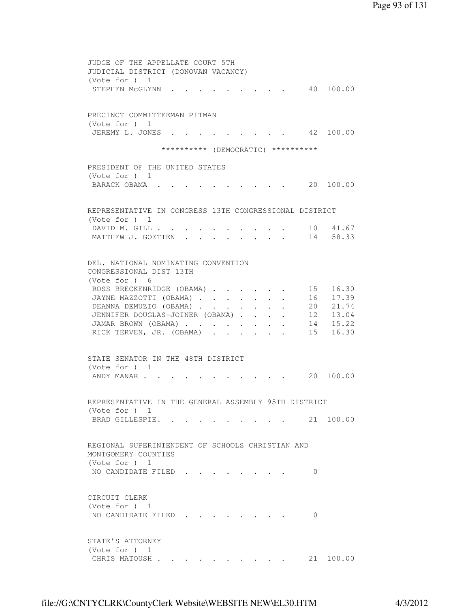JUDGE OF THE APPELLATE COURT 5TH JUDICIAL DISTRICT (DONOVAN VACANCY) (Vote for ) 1 STEPHEN MCGLYNN . . . . . . . . . 40 100.00 PRECINCT COMMITTEEMAN PITMAN (Vote for ) 1 JEREMY L. JONES . . . . . . . . . 42 100.00 \*\*\*\*\*\*\*\*\*\* (DEMOCRATIC) \*\*\*\*\*\*\*\*\*\* PRESIDENT OF THE UNITED STATES (Vote for ) 1 BARACK OBAMA . . . . . . . . . . 20 100.00 REPRESENTATIVE IN CONGRESS 13TH CONGRESSIONAL DISTRICT (Vote for ) 1 DAVID M. GILL . . . . . . . . . . 10 41.67 MATTHEW J. GOETTEN . . . . . . . . 14 58.33 DEL. NATIONAL NOMINATING CONVENTION CONGRESSIONAL DIST 13TH (Vote for ) 6 ROSS BRECKENRIDGE (OBAMA) . . . . . . 15 16.30 JAYNE MAZZOTTI (OBAMA) . . . . . . 16 17.39 DEANNA DEMUZIO (OBAMA) . . . . . . . 20 21.74 JENNIFER DOUGLAS-JOINER (OBAMA) . . . . . 12 13.04<br>JAMAR BROWN (OBAMA) . . . . . . . . 14 15.22<br>PICK TERVEN, JR. (OBAMA) . . . . . . 15 16.30 JAMAR BROWN (OBAMA) . . . . . . . . RICK TERVEN, JR. (OBAMA) . . . . . . STATE SENATOR IN THE 48TH DISTRICT (Vote for ) 1 ANDY MANAR . . . . . . . . . . . 20 100.00 REPRESENTATIVE IN THE GENERAL ASSEMBLY 95TH DISTRICT (Vote for ) 1 BRAD GILLESPIE. . . . . . . . . . 21 100.00 REGIONAL SUPERINTENDENT OF SCHOOLS CHRISTIAN AND MONTGOMERY COUNTIES (Vote for ) 1 NO CANDIDATE FILED . . . . . . . . 0 CIRCUIT CLERK (Vote for ) 1 NO CANDIDATE FILED . . . . . . . . 0 STATE'S ATTORNEY (Vote for ) 1 CHRIS MATOUSH . . . . . . . . . . 21 100.00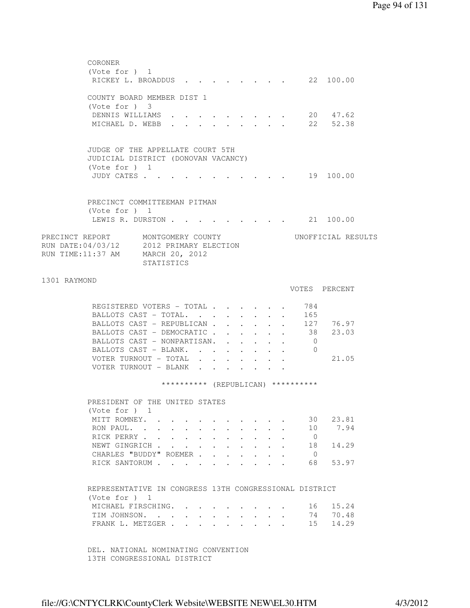|              | CORONER<br>(Vote for ) 1                                                  |                 |                                                                                                                                                                                                                                           |        |                      |              |                      |  |                                    |                    |  |
|--------------|---------------------------------------------------------------------------|-----------------|-------------------------------------------------------------------------------------------------------------------------------------------------------------------------------------------------------------------------------------------|--------|----------------------|--------------|----------------------|--|------------------------------------|--------------------|--|
|              | RICKEY L. BROADDUS 22 100.00                                              |                 |                                                                                                                                                                                                                                           |        |                      |              |                      |  |                                    |                    |  |
|              | COUNTY BOARD MEMBER DIST 1                                                |                 |                                                                                                                                                                                                                                           |        |                      |              |                      |  |                                    |                    |  |
|              | (Vote for ) 3                                                             |                 |                                                                                                                                                                                                                                           |        |                      |              |                      |  |                                    |                    |  |
|              | DENNIS WILLIAMS 20 47.62<br>MICHAEL D. WEBB 22 52.38                      |                 |                                                                                                                                                                                                                                           |        |                      |              |                      |  |                                    |                    |  |
|              |                                                                           |                 |                                                                                                                                                                                                                                           |        |                      |              |                      |  |                                    |                    |  |
|              | JUDGE OF THE APPELLATE COURT 5TH                                          |                 |                                                                                                                                                                                                                                           |        |                      |              |                      |  |                                    |                    |  |
|              | JUDICIAL DISTRICT (DONOVAN VACANCY)                                       |                 |                                                                                                                                                                                                                                           |        |                      |              |                      |  |                                    |                    |  |
|              | (Vote for ) 1                                                             |                 |                                                                                                                                                                                                                                           |        |                      |              |                      |  |                                    |                    |  |
|              | JUDY CATES 19 100.00                                                      |                 |                                                                                                                                                                                                                                           |        |                      |              |                      |  |                                    |                    |  |
|              | PRECINCT COMMITTEEMAN PITMAN                                              |                 |                                                                                                                                                                                                                                           |        |                      |              |                      |  |                                    |                    |  |
|              | (Vote for ) 1                                                             |                 |                                                                                                                                                                                                                                           |        |                      |              |                      |  |                                    |                    |  |
|              | LEWIS R. DURSTON 21 100.00                                                |                 |                                                                                                                                                                                                                                           |        |                      |              |                      |  |                                    |                    |  |
|              | PRECINCT REPORT MONTGOMERY COUNTY                                         |                 |                                                                                                                                                                                                                                           |        |                      |              |                      |  |                                    | UNOFFICIAL RESULTS |  |
|              | RUN DATE:04/03/12 2012 PRIMARY ELECTION                                   |                 |                                                                                                                                                                                                                                           |        |                      |              |                      |  |                                    |                    |  |
|              | RUN TIME:11:37 AM MARCH 20, 2012                                          | STATISTICS      |                                                                                                                                                                                                                                           |        |                      |              |                      |  |                                    |                    |  |
| 1301 RAYMOND |                                                                           |                 |                                                                                                                                                                                                                                           |        |                      |              |                      |  |                                    |                    |  |
|              |                                                                           |                 |                                                                                                                                                                                                                                           |        |                      |              |                      |  |                                    | VOTES PERCENT      |  |
|              | REGISTERED VOTERS - TOTAL                                                 |                 |                                                                                                                                                                                                                                           |        |                      |              |                      |  | 784                                |                    |  |
|              | BALLOTS CAST - TOTAL.                                                     |                 |                                                                                                                                                                                                                                           |        |                      |              |                      |  | 165                                |                    |  |
|              | BALLOTS CAST - REPUBLICAN                                                 |                 |                                                                                                                                                                                                                                           |        |                      |              |                      |  |                                    | 127 76.97          |  |
|              | BALLOTS CAST - DEMOCRATIC                                                 |                 |                                                                                                                                                                                                                                           |        |                      |              |                      |  |                                    | 38 23.03           |  |
|              | BALLOTS CAST - NONPARTISAN.                                               |                 |                                                                                                                                                                                                                                           |        |                      |              |                      |  | $\overline{0}$                     |                    |  |
|              | BALLOTS CAST - BLANK.                                                     |                 |                                                                                                                                                                                                                                           |        |                      |              |                      |  | $\overline{0}$                     |                    |  |
|              | VOTER TURNOUT - TOTAL                                                     |                 |                                                                                                                                                                                                                                           |        |                      |              |                      |  |                                    | 21.05              |  |
|              | VOTER TURNOUT - BLANK                                                     |                 |                                                                                                                                                                                                                                           |        |                      |              |                      |  |                                    |                    |  |
|              |                                                                           |                 |                                                                                                                                                                                                                                           |        |                      |              |                      |  | ********** (REPUBLICAN) ********** |                    |  |
|              | PRESIDENT OF THE UNITED STATES                                            |                 |                                                                                                                                                                                                                                           |        |                      |              |                      |  |                                    |                    |  |
|              | (Vote for ) 1                                                             |                 |                                                                                                                                                                                                                                           |        |                      |              |                      |  |                                    |                    |  |
|              | MITT ROMNEY. .<br>RON PAUL                                                |                 |                                                                                                                                                                                                                                           |        |                      |              |                      |  | 30                                 | 23.81<br>7.94      |  |
|              | RICK PERRY                                                                | $\sim 10^{-11}$ | $\sim$<br>$\ddotsc$ . The contract of the contract of the contract of the contract of the contract of the contract of the contract of the contract of the contract of the contract of the contract of the contract of the contract of the | $\sim$ |                      |              |                      |  | 10<br>$\overline{0}$               |                    |  |
|              | NEWT GINGRICH                                                             |                 | $\ddot{\phantom{0}}$                                                                                                                                                                                                                      | $\sim$ |                      |              |                      |  | 18                                 | 14.29              |  |
|              | CHARLES "BUDDY" ROEMER.                                                   |                 |                                                                                                                                                                                                                                           |        | $\mathbf{L}$         | $\mathbf{r}$ | $\ddot{\phantom{a}}$ |  | $\overline{0}$                     |                    |  |
|              | RICK SANTORUM                                                             |                 |                                                                                                                                                                                                                                           |        | $\ddot{\phantom{1}}$ |              |                      |  | 68                                 | 53.97              |  |
|              |                                                                           |                 |                                                                                                                                                                                                                                           |        |                      |              |                      |  |                                    |                    |  |
|              | REPRESENTATIVE IN CONGRESS 13TH CONGRESSIONAL DISTRICT<br>(Vote for $)$ 1 |                 |                                                                                                                                                                                                                                           |        |                      |              |                      |  |                                    |                    |  |
|              | MICHAEL FIRSCHING.                                                        |                 |                                                                                                                                                                                                                                           |        |                      |              |                      |  | 16                                 | 15.24              |  |
|              | TIM JOHNSON.                                                              |                 |                                                                                                                                                                                                                                           |        |                      |              |                      |  | 74                                 | 70.48              |  |
|              | FRANK L. METZGER .                                                        |                 | $\mathcal{L}^{\text{max}}$                                                                                                                                                                                                                | $\sim$ |                      |              |                      |  | 15                                 | 14.29              |  |
|              |                                                                           |                 |                                                                                                                                                                                                                                           |        |                      |              |                      |  |                                    |                    |  |
|              | DEL. NATIONAL NOMINATING CONVENTION                                       |                 |                                                                                                                                                                                                                                           |        |                      |              |                      |  |                                    |                    |  |

13TH CONGRESSIONAL DISTRICT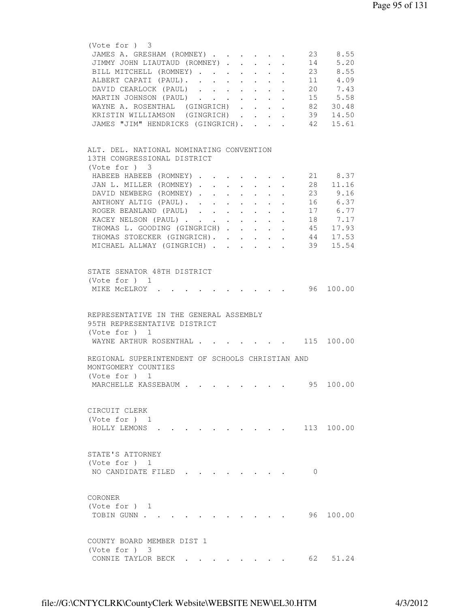| JAMES A. GRESHAM (ROMNEY)                                                                   |                           |                                                                          |    | 23 8.55    |
|---------------------------------------------------------------------------------------------|---------------------------|--------------------------------------------------------------------------|----|------------|
| JIMMY JOHN LIAUTAUD (ROMNEY)                                                                |                           |                                                                          |    | 14 5.20    |
|                                                                                             |                           |                                                                          |    |            |
| BILL MITCHELL (ROMNEY)                                                                      |                           | $\mathbf{r} = \mathbf{r} + \mathbf{r}$ , where $\mathbf{r} = \mathbf{r}$ |    | 23 8.55    |
| ALBERT CAPATI (PAUL).                                                                       |                           |                                                                          |    | 11 4.09    |
| DAVID CEARLOCK (PAUL)                                                                       |                           |                                                                          |    | 20 7.43    |
| MARTIN JOHNSON (PAUL)                                                                       | $\mathbf{L}^{\text{max}}$ | $\bullet$ . In the case of the $\sim$                                    |    | 15 5.58    |
| WAYNE A. ROSENTHAL (GINGRICH).                                                              |                           |                                                                          |    |            |
|                                                                                             | $\ddot{\phantom{0}}$      | $\mathbf{z} = \mathbf{z} + \mathbf{z}$ .                                 |    | 82 30.48   |
| KRISTIN WILLIAMSON (GINGRICH).                                                              | $\mathbf{L}^{\text{max}}$ |                                                                          |    | 39 14.50   |
| JAMES "JIM" HENDRICKS (GINGRICH).                                                           | $\mathbf{r}$              |                                                                          | 42 | 15.61      |
|                                                                                             |                           |                                                                          |    |            |
|                                                                                             |                           |                                                                          |    |            |
| ALT. DEL. NATIONAL NOMINATING CONVENTION                                                    |                           |                                                                          |    |            |
| 13TH CONGRESSIONAL DISTRICT                                                                 |                           |                                                                          |    |            |
|                                                                                             |                           |                                                                          |    |            |
| (Note for ) 3                                                                               |                           |                                                                          |    |            |
| HABEEB HABEEB (ROMNEY)                                                                      |                           |                                                                          |    | 21 8.37    |
| JAN L. MILLER (ROMNEY)                                                                      |                           |                                                                          |    | 28 11.16   |
| DAVID NEWBERG (ROMNEY).<br>$\sim$ $\sim$<br>$\sim$ $-$                                      |                           |                                                                          | 23 | 9.16       |
|                                                                                             |                           |                                                                          |    | 16 6.37    |
| ANTHONY ALTIG (PAUL). .<br>$\mathbf{r} = \mathbf{r} + \mathbf{r}$ .<br>$\ddot{\phantom{0}}$ | $\ddot{\phantom{0}}$      |                                                                          |    |            |
| ROGER BEANLAND (PAUL).<br>$\sim$<br>$\ddot{\phantom{0}}$                                    |                           |                                                                          |    | 17 6.77    |
| KACEY NELSON (PAUL)                                                                         | $\mathbf{L}$              | $\ddot{\phantom{0}}$<br>$\sim$                                           |    | 18 7.17    |
| THOMAS L. GOODING (GINGRICH)                                                                |                           |                                                                          |    | 45 17.93   |
| THOMAS STOECKER (GINGRICH).                                                                 |                           |                                                                          | 44 | 17.53      |
|                                                                                             |                           |                                                                          |    |            |
| MICHAEL ALLWAY (GINGRICH)                                                                   |                           |                                                                          | 39 | 15.54      |
|                                                                                             |                           |                                                                          |    |            |
|                                                                                             |                           |                                                                          |    |            |
| STATE SENATOR 48TH DISTRICT                                                                 |                           |                                                                          |    |            |
| (Vote for $)$ 1                                                                             |                           |                                                                          |    |            |
|                                                                                             |                           |                                                                          |    | 96 100.00  |
| MIKE MCELROY .                                                                              |                           |                                                                          |    |            |
|                                                                                             |                           |                                                                          |    |            |
|                                                                                             |                           |                                                                          |    |            |
| REPRESENTATIVE IN THE GENERAL ASSEMBLY                                                      |                           |                                                                          |    |            |
| 95TH REPRESENTATIVE DISTRICT                                                                |                           |                                                                          |    |            |
| (Vote for ) 1                                                                               |                           |                                                                          |    |            |
|                                                                                             |                           |                                                                          |    |            |
| WAYNE ARTHUR ROSENTHAL 115 100.00                                                           |                           |                                                                          |    |            |
|                                                                                             |                           |                                                                          |    |            |
| REGIONAL SUPERINTENDENT OF SCHOOLS CHRISTIAN AND                                            |                           |                                                                          |    |            |
|                                                                                             |                           |                                                                          |    |            |
|                                                                                             |                           |                                                                          |    |            |
| MONTGOMERY COUNTIES                                                                         |                           |                                                                          |    |            |
| (Vote for $)$ 1                                                                             |                           |                                                                          |    |            |
| MARCHELLE KASSEBAUM<br>.                                                                    |                           |                                                                          |    | 95 100.00  |
|                                                                                             |                           |                                                                          |    |            |
|                                                                                             |                           |                                                                          |    |            |
|                                                                                             |                           |                                                                          |    |            |
| CIRCUIT CLERK                                                                               |                           |                                                                          |    |            |
| (Vote for $)$ 1                                                                             |                           |                                                                          |    |            |
| HOLLY LEMONS                                                                                |                           |                                                                          |    | 113 100.00 |
|                                                                                             |                           |                                                                          |    |            |
|                                                                                             |                           |                                                                          |    |            |
|                                                                                             |                           |                                                                          |    |            |
| STATE'S ATTORNEY                                                                            |                           |                                                                          |    |            |
| (Vote for $)$ 1                                                                             |                           |                                                                          |    |            |
| NO CANDIDATE FILED                                                                          |                           |                                                                          | 0  |            |
|                                                                                             |                           |                                                                          |    |            |
|                                                                                             |                           |                                                                          |    |            |
|                                                                                             |                           |                                                                          |    |            |
| CORONER                                                                                     |                           |                                                                          |    |            |
| (Vote for $)$ 1                                                                             |                           |                                                                          |    |            |
| TOBIN GUNN .                                                                                |                           |                                                                          |    | 96 100.00  |
|                                                                                             |                           |                                                                          |    |            |
|                                                                                             |                           |                                                                          |    |            |
|                                                                                             |                           |                                                                          |    |            |
| COUNTY BOARD MEMBER DIST 1                                                                  |                           |                                                                          |    |            |
| (Vote for ) 3                                                                               |                           |                                                                          | 62 |            |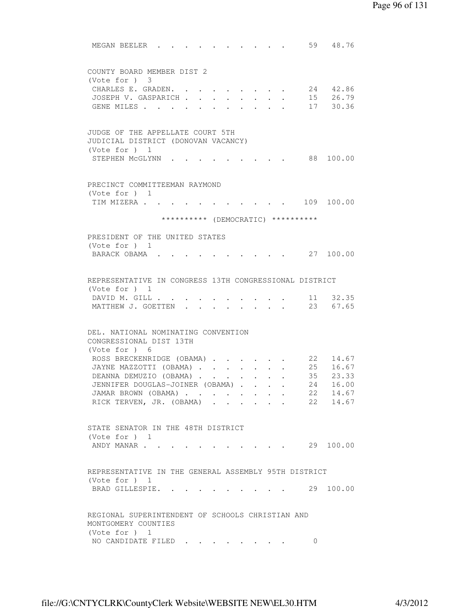| MEGAN BEELER.<br>59 48.76                                                                                      |
|----------------------------------------------------------------------------------------------------------------|
|                                                                                                                |
| COUNTY BOARD MEMBER DIST 2<br>(Note for ) 3                                                                    |
| 24 42.86<br>CHARLES E. GRADEN.                                                                                 |
| 15 26.79<br>JOSEPH V. GASPARICH<br>$\cdot$ $\cdot$ $\cdot$ $\cdot$                                             |
| 17 30.36<br>GENE MILES                                                                                         |
|                                                                                                                |
| JUDGE OF THE APPELLATE COURT 5TH                                                                               |
| JUDICIAL DISTRICT (DONOVAN VACANCY)                                                                            |
| (Vote for $)$ 1                                                                                                |
| STEPHEN MCGLYNN<br>88 100.00                                                                                   |
|                                                                                                                |
| PRECINCT COMMITTEEMAN RAYMOND<br>(Vote for ) 1                                                                 |
| 109 100.00<br>TIM MIZERA                                                                                       |
| ********** (DEMOCRATIC) **********                                                                             |
|                                                                                                                |
| PRESIDENT OF THE UNITED STATES                                                                                 |
| (Vote for $)$ 1                                                                                                |
| BARACK OBAMA.<br>27 100.00                                                                                     |
| REPRESENTATIVE IN CONGRESS 13TH CONGRESSIONAL DISTRICT                                                         |
| (Vote for $)$ 1                                                                                                |
| 11 32.35<br>DAVID M. GILL                                                                                      |
| MATTHEW J. GOETTEN<br>23 67.65                                                                                 |
|                                                                                                                |
| DEL. NATIONAL NOMINATING CONVENTION                                                                            |
| CONGRESSIONAL DIST 13TH                                                                                        |
| (Vote for ) 6                                                                                                  |
| ROSS BRECKENRIDGE (OBAMA)<br>22 14.67<br>25 16.67<br>$\mathbf{L}^{\text{max}}$ , and $\mathbf{L}^{\text{max}}$ |
| JAYNE MAZZOTTI (OBAMA)<br>35 23.33<br>DEANNA DEMUZIO (OBAMA)                                                   |
| JENNIFER DOUGLAS-JOINER (OBAMA)<br>24 16.00                                                                    |
| 22 14.67<br>JAMAR BROWN (OBAMA)                                                                                |
| 22 14.67<br>RICK TERVEN, JR. (OBAMA)                                                                           |
|                                                                                                                |
| STATE SENATOR IN THE 48TH DISTRICT                                                                             |
| (Vote for $)$ 1                                                                                                |
| 29 100.00<br>ANDY MANAR<br>$\sim$ $\sim$ $\sim$ $\sim$ $\sim$                                                  |
|                                                                                                                |
| REPRESENTATIVE IN THE GENERAL ASSEMBLY 95TH DISTRICT                                                           |
| (Vote for ) 1<br>29 100.00<br>BRAD GILLESPIE. .                                                                |
|                                                                                                                |
| REGIONAL SUPERINTENDENT OF SCHOOLS CHRISTIAN AND                                                               |
| MONTGOMERY COUNTIES                                                                                            |
| (Vote for $)$ 1                                                                                                |
| NO CANDIDATE FILED<br>$\circ$                                                                                  |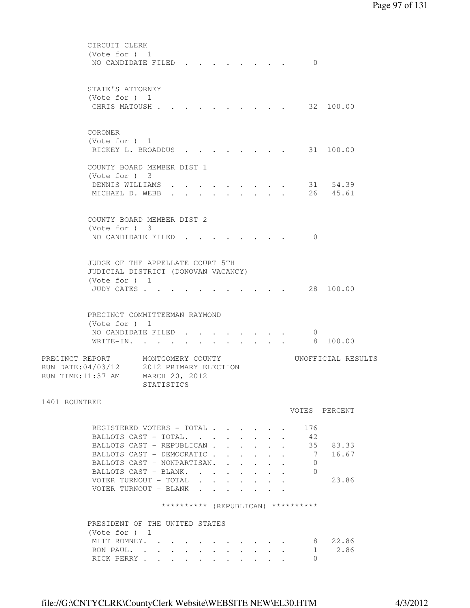|                    | CIRCUIT CLERK                                      |                       |  |        |           |                           |                                        |              |                                    |                    |
|--------------------|----------------------------------------------------|-----------------------|--|--------|-----------|---------------------------|----------------------------------------|--------------|------------------------------------|--------------------|
|                    | (Vote for ) 1                                      |                       |  |        |           |                           |                                        |              |                                    |                    |
|                    | NO CANDIDATE FILED                                 |                       |  |        |           |                           |                                        |              | $\Omega$                           |                    |
|                    |                                                    |                       |  |        |           |                           |                                        |              |                                    |                    |
|                    |                                                    |                       |  |        |           |                           |                                        |              |                                    |                    |
|                    | STATE'S ATTORNEY                                   |                       |  |        |           |                           |                                        |              |                                    |                    |
|                    | (Vote for ) 1                                      |                       |  |        |           |                           |                                        |              |                                    |                    |
|                    | CHRIS MATOUSH.                                     |                       |  |        |           |                           |                                        |              |                                    | 32 100.00          |
|                    |                                                    |                       |  |        |           |                           |                                        |              |                                    |                    |
|                    |                                                    |                       |  |        |           |                           |                                        |              |                                    |                    |
|                    | CORONER                                            |                       |  |        |           |                           |                                        |              |                                    |                    |
|                    | (Vote for $)$ 1                                    |                       |  |        |           |                           |                                        |              |                                    |                    |
|                    | RICKEY L. BROADDUS                                 |                       |  |        |           |                           |                                        |              |                                    | 31 100.00          |
|                    |                                                    |                       |  |        |           |                           |                                        |              |                                    |                    |
|                    | COUNTY BOARD MEMBER DIST 1                         |                       |  |        |           |                           |                                        |              |                                    |                    |
|                    | $(Vote for )$ 3                                    |                       |  |        |           |                           |                                        |              |                                    |                    |
|                    | DENNIS WILLIAMS                                    |                       |  |        |           |                           |                                        |              |                                    | 31 54.39           |
|                    | MICHAEL D. WEBB                                    |                       |  |        |           |                           |                                        |              |                                    | 26 45.61           |
|                    |                                                    |                       |  |        |           |                           |                                        |              |                                    |                    |
|                    |                                                    |                       |  |        |           |                           |                                        |              |                                    |                    |
|                    | COUNTY BOARD MEMBER DIST 2                         |                       |  |        |           |                           |                                        |              |                                    |                    |
|                    | (Vote for ) 3                                      |                       |  |        |           |                           |                                        |              |                                    |                    |
|                    | NO CANDIDATE FILED                                 |                       |  |        |           |                           |                                        |              | $\Omega$                           |                    |
|                    |                                                    |                       |  |        |           |                           |                                        |              |                                    |                    |
|                    |                                                    |                       |  |        |           |                           |                                        |              |                                    |                    |
|                    | JUDGE OF THE APPELLATE COURT 5TH                   |                       |  |        |           |                           |                                        |              |                                    |                    |
|                    | JUDICIAL DISTRICT (DONOVAN VACANCY)                |                       |  |        |           |                           |                                        |              |                                    |                    |
|                    | (Vote for $)$ 1                                    |                       |  |        |           |                           |                                        |              |                                    |                    |
|                    | JUDY CATES .                                       |                       |  |        |           |                           |                                        |              |                                    | 28 100.00          |
|                    |                                                    |                       |  |        |           |                           |                                        |              |                                    |                    |
|                    |                                                    |                       |  |        |           |                           |                                        |              |                                    |                    |
|                    | PRECINCT COMMITTEEMAN RAYMOND                      |                       |  |        |           |                           |                                        |              |                                    |                    |
|                    | (Vote for $)$ 1                                    |                       |  |        |           |                           |                                        |              |                                    |                    |
|                    | NO CANDIDATE FILED                                 |                       |  |        |           |                           |                                        |              | 0                                  |                    |
|                    | WRITE-IN.                                          |                       |  |        |           |                           |                                        |              | 8 <sup>8</sup>                     | 100.00             |
|                    |                                                    |                       |  |        |           |                           |                                        |              |                                    |                    |
| PRECINCT REPORT    |                                                    | MONTGOMERY COUNTY     |  |        |           |                           |                                        |              |                                    | UNOFFICIAL RESULTS |
| RUN DATE: 04/03/12 |                                                    | 2012 PRIMARY ELECTION |  |        |           |                           |                                        |              |                                    |                    |
| RUN TIME:11:37 AM  |                                                    | MARCH 20, 2012        |  |        |           |                           |                                        |              |                                    |                    |
|                    |                                                    | STATISTICS            |  |        |           |                           |                                        |              |                                    |                    |
|                    |                                                    |                       |  |        |           |                           |                                        |              |                                    |                    |
| 1401 ROUNTREE      |                                                    |                       |  |        |           |                           |                                        |              |                                    |                    |
|                    |                                                    |                       |  |        |           |                           |                                        |              |                                    | VOTES PERCENT      |
|                    |                                                    |                       |  |        |           |                           |                                        |              |                                    |                    |
|                    | REGISTERED VOTERS - TOTAL<br>BALLOTS CAST - TOTAL. |                       |  |        |           |                           |                                        |              | 176<br>-42                         |                    |
|                    |                                                    |                       |  |        |           |                           |                                        |              |                                    |                    |
|                    | BALLOTS CAST - REPUBLICAN.                         |                       |  |        | $\sim$    | $\mathbf{L}^{\text{max}}$ |                                        |              | 35                                 | 83.33              |
|                    | BALLOTS CAST - DEMOCRATIC                          |                       |  |        |           |                           | $\sim$                                 |              | 7                                  | 16.67              |
|                    | BALLOTS CAST - NONPARTISAN.                        |                       |  |        |           |                           | $\mathbf{r} = \mathbf{r} + \mathbf{r}$ | $\mathbf{L}$ | $\Omega$                           |                    |
|                    | BALLOTS CAST - BLANK.                              |                       |  |        |           |                           |                                        |              | 0                                  |                    |
|                    | VOTER TURNOUT - TOTAL                              |                       |  |        |           |                           |                                        |              |                                    | 23.86              |
|                    | VOTER TURNOUT - BLANK                              |                       |  |        |           |                           |                                        |              |                                    |                    |
|                    |                                                    |                       |  |        |           |                           |                                        |              | ********** (REPUBLICAN) ********** |                    |
|                    |                                                    |                       |  |        |           |                           |                                        |              |                                    |                    |
|                    | PRESIDENT OF THE UNITED STATES                     |                       |  |        |           |                           |                                        |              |                                    |                    |
|                    | (Vote for $)$ 1                                    |                       |  |        |           |                           |                                        |              |                                    |                    |
|                    |                                                    |                       |  |        |           |                           |                                        |              |                                    | 22.86              |
|                    | MITT ROMNEY.                                       |                       |  |        |           |                           |                                        |              |                                    | 8<br>2.86          |
|                    | RON PAUL.<br>RICK PERRY                            |                       |  |        |           |                           |                                        |              | 1<br>0                             |                    |
|                    |                                                    |                       |  | $\sim$ | $\bullet$ |                           | $\bullet$                              |              |                                    |                    |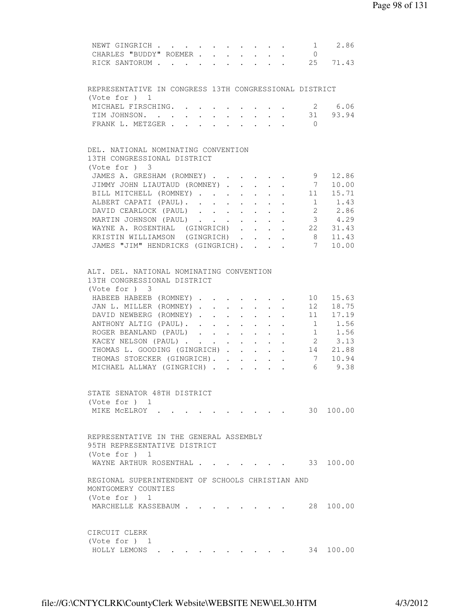| NEWT GINGRICH 1 2.86                                                                                                                                                       |
|----------------------------------------------------------------------------------------------------------------------------------------------------------------------------|
| CHARLES "BUDDY" ROEMER<br>$\overline{0}$                                                                                                                                   |
| RICK SANTORUM 25 71.43                                                                                                                                                     |
|                                                                                                                                                                            |
| REPRESENTATIVE IN CONGRESS 13TH CONGRESSIONAL DISTRICT<br>(Vote for ) 1                                                                                                    |
| MICHAEL FIRSCHING.<br>2 6.06                                                                                                                                               |
| TIM JOHNSON. 31 93.94                                                                                                                                                      |
| FRANK L. METZGER<br>$\bigcirc$                                                                                                                                             |
|                                                                                                                                                                            |
| DEL. NATIONAL NOMINATING CONVENTION                                                                                                                                        |
| 13TH CONGRESSIONAL DISTRICT                                                                                                                                                |
| $(Vote for )$ 3                                                                                                                                                            |
| 9<br>JAMES A. GRESHAM (ROMNEY)<br>12.86                                                                                                                                    |
| $7\overline{ }$<br>JIMMY JOHN LIAUTAUD (ROMNEY)<br>10.00                                                                                                                   |
| BILL MITCHELL (ROMNEY) 11 15.71                                                                                                                                            |
| ALBERT CAPATI (PAUL).<br>1 1.43                                                                                                                                            |
| 2 2.86<br>DAVID CEARLOCK (PAUL)                                                                                                                                            |
| $3 \t 4.29$<br>MARTIN JOHNSON (PAUL)                                                                                                                                       |
| WAYNE A. ROSENTHAL (GINGRICH).<br>22 31.43<br>$\cdot$ $\cdot$ $\cdot$ $\cdot$                                                                                              |
| 11.43<br>KRISTIN WILLIAMSON (GINGRICH).<br>8 <sup>8</sup><br>$\mathbf{L}$ and $\mathbf{L}$                                                                                 |
| $7\overline{ }$<br>JAMES "JIM" HENDRICKS (GINGRICH).<br>10.00<br>$\mathbf{r}$ , $\mathbf{r}$ , $\mathbf{r}$                                                                |
| ALT. DEL. NATIONAL NOMINATING CONVENTION                                                                                                                                   |
| 13TH CONGRESSIONAL DISTRICT                                                                                                                                                |
| $(Vote for )$ 3                                                                                                                                                            |
| HABEEB HABEEB (ROMNEY)<br>10 15.63                                                                                                                                         |
| JAN L. MILLER (ROMNEY).<br>$\mathbf{r} = \mathbf{r} + \mathbf{r} + \mathbf{r} + \mathbf{r} + \mathbf{r} + \mathbf{r}$                                                      |
| $\begin{array}{cc} 12 & 18.75 \\ 11 & 17.19 \end{array}$<br>DAVID NEWBERG (ROMNEY).<br>$\ddot{\phantom{0}}$<br>$\cdot$ $\cdot$<br>$\mathbf{r} = \mathbf{r} + \mathbf{r}$ . |
| $1 \quad 1.56$<br>ANTHONY ALTIG (PAUL). .<br>$\sim$ $-$<br>$\cdot$ $\cdot$ $\cdot$<br>$\sim$<br>$\sim$                                                                     |
| $1 \t 1.56$<br>ROGER BEANLAND (PAUL)                                                                                                                                       |
| 2 3.13<br>KACEY NELSON (PAUL)                                                                                                                                              |
| THOMAS L. GOODING (GINGRICH) 14 21.88                                                                                                                                      |
| THOMAS STOECKER (GINGRICH). 7 10.94                                                                                                                                        |
| MICHAEL ALLWAY (GINGRICH) 6 9.38                                                                                                                                           |
|                                                                                                                                                                            |
| STATE SENATOR 48TH DISTRICT                                                                                                                                                |
| (Vote for $)$ 1                                                                                                                                                            |
| 30 100.00<br>MIKE MCELROY .                                                                                                                                                |
|                                                                                                                                                                            |
| REPRESENTATIVE IN THE GENERAL ASSEMBLY                                                                                                                                     |
| 95TH REPRESENTATIVE DISTRICT                                                                                                                                               |
| (Vote for $)$ 1                                                                                                                                                            |
| WAYNE ARTHUR ROSENTHAL 33 100.00                                                                                                                                           |
| REGIONAL SUPERINTENDENT OF SCHOOLS CHRISTIAN AND                                                                                                                           |
| MONTGOMERY COUNTIES                                                                                                                                                        |
| (Vote for ) 1                                                                                                                                                              |
| 28 100.00<br>MARCHELLE KASSEBAUM                                                                                                                                           |
|                                                                                                                                                                            |
| CIRCUIT CLERK<br>(Vote for $)$ 1                                                                                                                                           |
| HOLLY LEMONS .<br>34 100.00                                                                                                                                                |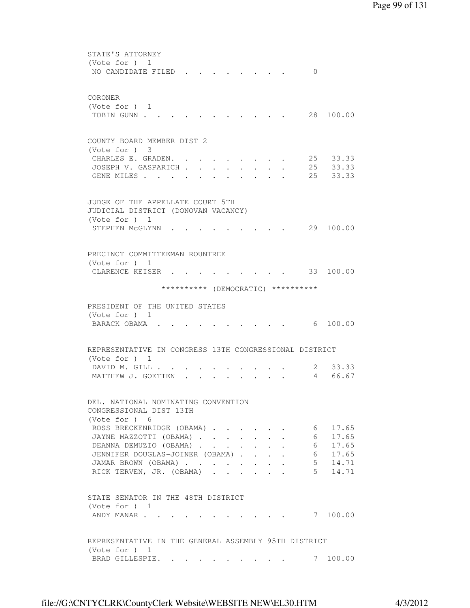| STATE'S ATTORNEY                                                         |
|--------------------------------------------------------------------------|
| (Vote for $)$ 1                                                          |
| NO CANDIDATE FILED<br>$\Omega$                                           |
|                                                                          |
| CORONER                                                                  |
| (Vote for $)$ 1                                                          |
| 28 100.00<br>TOBIN GUNN                                                  |
|                                                                          |
|                                                                          |
| COUNTY BOARD MEMBER DIST 2                                               |
| $(Vote for )$ 3                                                          |
| 25<br>CHARLES E. GRADEN.<br>33.33<br>25 33.33<br>JOSEPH V. GASPARICH     |
| $\sim$ $\sim$<br>25<br>33.33<br>GENE MILES                               |
|                                                                          |
|                                                                          |
| JUDGE OF THE APPELLATE COURT 5TH                                         |
| JUDICIAL DISTRICT (DONOVAN VACANCY)                                      |
| (Vote for $)$ 1                                                          |
| 29 100.00<br>STEPHEN MCGLYNN                                             |
|                                                                          |
|                                                                          |
| PRECINCT COMMITTEEMAN ROUNTREE<br>(Vote for ) 1                          |
| 33 100.00<br>CLARENCE KEISER .                                           |
|                                                                          |
| ********** (DEMOCRATIC) **********                                       |
|                                                                          |
| PRESIDENT OF THE UNITED STATES                                           |
| (Vote for $)$ 1                                                          |
| 6 100.00<br>BARACK OBAMA .                                               |
|                                                                          |
| REPRESENTATIVE IN CONGRESS 13TH CONGRESSIONAL DISTRICT                   |
| (Vote for $)$ 1                                                          |
| 33.33<br>DAVID M. GILL.<br>2                                             |
| MATTHEW J. GOETTEN<br>$\overline{4}$<br>66.67                            |
|                                                                          |
| DEL. NATIONAL NOMINATING CONVENTION                                      |
| CONGRESSIONAL DIST 13TH                                                  |
| (Vote for ) 6                                                            |
| 17.65<br>ROSS BRECKENRIDGE (OBAMA)<br>$6\overline{6}$                    |
| JAYNE MAZZOTTI (OBAMA)<br>17.65<br>$6\overline{6}$                       |
| 17.65<br>DEANNA DEMUZIO (OBAMA).                                         |
| 6<br>6<br>17.65<br>JENNIFER DOUGLAS-JOINER (OBAMA).<br>$\sim$            |
| $5 \t14.71$<br>JAMAR BROWN (OBAMA)<br>$\ddot{\phantom{0}}$<br>$\sim 100$ |
| $5 \t14.71$<br>RICK TERVEN, JR. (OBAMA).<br>$\ddot{\phantom{a}}$         |
|                                                                          |
|                                                                          |
| STATE SENATOR IN THE 48TH DISTRICT<br>(Vote for $)$ 1                    |
| 7 100.00<br>ANDY MANAR                                                   |
|                                                                          |
|                                                                          |
| REPRESENTATIVE IN THE GENERAL ASSEMBLY 95TH DISTRICT                     |
| (Vote for $)$ 1                                                          |
| 7 100.00<br>BRAD GILLESPIE.                                              |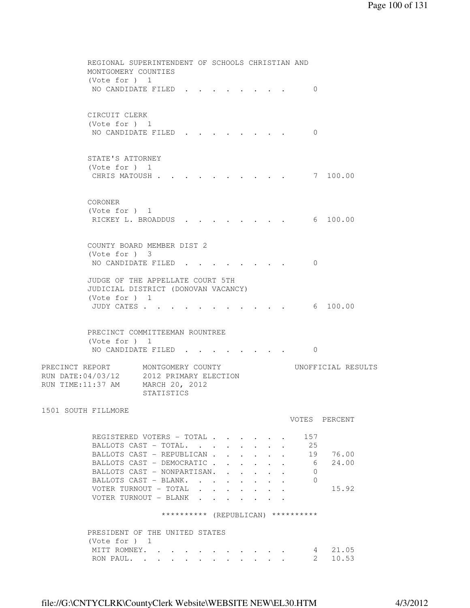|                                                                                                                    | REGIONAL SUPERINTENDENT OF SCHOOLS CHRISTIAN AND<br>MONTGOMERY COUNTIES |              |                                                                                                 |                                              |                      |  |                     |                    |
|--------------------------------------------------------------------------------------------------------------------|-------------------------------------------------------------------------|--------------|-------------------------------------------------------------------------------------------------|----------------------------------------------|----------------------|--|---------------------|--------------------|
| (Vote for $)$ 1<br>NO CANDIDATE FILED                                                                              |                                                                         |              |                                                                                                 |                                              |                      |  | $\mathbf 0$         |                    |
| CIRCUIT CLERK<br>(Vote for ) 1<br>NO CANDIDATE FILED                                                               |                                                                         |              |                                                                                                 |                                              |                      |  | $\Omega$            |                    |
| STATE'S ATTORNEY<br>(Vote for $)$ 1<br>CHRIS MATOUSH.                                                              |                                                                         |              |                                                                                                 |                                              |                      |  | 7 100.00            |                    |
| CORONER<br>(Vote for $)$ 1<br>RICKEY L. BROADDUS                                                                   |                                                                         |              |                                                                                                 |                                              |                      |  | 6 100.00            |                    |
| COUNTY BOARD MEMBER DIST 2<br>(Vote for ) 3<br>NO CANDIDATE FILED                                                  |                                                                         |              |                                                                                                 |                                              |                      |  | $\Omega$            |                    |
| JUDGE OF THE APPELLATE COURT 5TH<br>JUDICIAL DISTRICT (DONOVAN VACANCY)<br>(Vote for ) 1<br>JUDY CATES             |                                                                         |              |                                                                                                 |                                              |                      |  | 6 100.00            |                    |
| PRECINCT COMMITTEEMAN ROUNTREE<br>(Vote for ) 1<br>NO CANDIDATE FILED                                              |                                                                         |              |                                                                                                 |                                              |                      |  | $\mathbf{0}$        |                    |
| PRECINCT REPORT MONTGOMERY COUNTY<br>RUN DATE: 04/03/12 2012 PRIMARY ELECTION<br>RUN TIME: 11:37 AM MARCH 20, 2012 | STATISTICS                                                              |              |                                                                                                 |                                              |                      |  |                     | UNOFFICIAL RESULTS |
| 1501 SOUTH FILLMORE                                                                                                |                                                                         |              |                                                                                                 |                                              |                      |  | VOTES PERCENT       |                    |
| REGISTERED VOTERS - TOTAL<br>BALLOTS CAST - TOTAL.                                                                 |                                                                         |              | $\mathcal{A}^{\mathcal{A}}$ , and $\mathcal{A}^{\mathcal{A}}$ , and $\mathcal{A}^{\mathcal{A}}$ | $\mathbf{L}$                                 | $\ddot{\phantom{0}}$ |  | 157<br>25           |                    |
| BALLOTS CAST - REPUBLICAN<br>BALLOTS CAST - DEMOCRATIC.<br>BALLOTS CAST - NONPARTISAN.                             |                                                                         |              | $\ddot{\phantom{0}}$<br>$\ddot{\phantom{0}}$                                                    | $\ddot{\phantom{0}}$<br>$\ddot{\phantom{0}}$ |                      |  | 19<br>6<br>0        | 76.00<br>24.00     |
| BALLOTS CAST - BLANK.<br>VOTER TURNOUT - TOTAL<br>VOTER TURNOUT - BLANK                                            |                                                                         | $\mathbf{L}$ |                                                                                                 |                                              |                      |  | 0                   | 15.92              |
|                                                                                                                    | ********** (REPUBLICAN) **********                                      |              |                                                                                                 |                                              |                      |  |                     |                    |
| PRESIDENT OF THE UNITED STATES<br>(Note for ) 1                                                                    |                                                                         |              |                                                                                                 |                                              |                      |  |                     |                    |
| MITT ROMNEY.<br>RON PAUL.                                                                                          |                                                                         |              |                                                                                                 |                                              |                      |  | 4<br>$\overline{2}$ | 21.05<br>10.53     |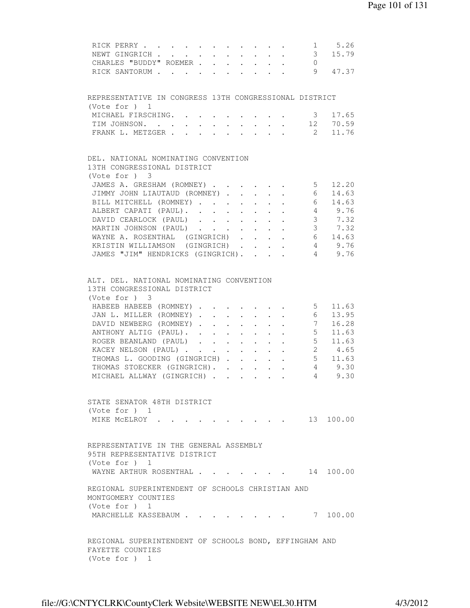| 1 5.26<br>RICK PERRY                                                                                                                                              |
|-------------------------------------------------------------------------------------------------------------------------------------------------------------------|
| $\frac{1}{3}$<br>$\mathcal{A}=\mathcal{A}=\mathcal{A}=\mathcal{A}=\mathcal{A}$<br>15.79<br>NEWT GINGRICH                                                          |
| CHARLES "BUDDY" ROEMER<br>$\overline{0}$                                                                                                                          |
| 9<br>RICK SANTORUM<br>47.37                                                                                                                                       |
|                                                                                                                                                                   |
| REPRESENTATIVE IN CONGRESS 13TH CONGRESSIONAL DISTRICT<br>(Vote for ) 1                                                                                           |
| MICHAEL FIRSCHING.<br>3 17.65                                                                                                                                     |
| TIM JOHNSON.<br>$\mathbf{L}$ and $\mathbf{L}$<br>$\sim$ $-$<br>$\ddot{\phantom{0}}$<br>$\ddot{\phantom{0}}$                                                       |
| $\begin{bmatrix} 12 & 70.59 \\ 2 & 11.76 \end{bmatrix}$<br>FRANK L. METZGER<br>$\mathbf{r} = \mathbf{r} \cdot \mathbf{r}$<br>$\mathbf{L} = \mathbf{L} \mathbf{L}$ |
|                                                                                                                                                                   |
| DEL. NATIONAL NOMINATING CONVENTION                                                                                                                               |
| 13TH CONGRESSIONAL DISTRICT                                                                                                                                       |
| (Vote for ) 3                                                                                                                                                     |
| 5 12.20<br>JAMES A. GRESHAM (ROMNEY)                                                                                                                              |
| JIMMY JOHN LIAUTAUD (ROMNEY).<br>14.63<br>$6\overline{6}$<br>$\mathbf{L} = \mathbf{L} \mathbf{L}$<br>$\mathbf{r}$ $\mathbf{r}$                                    |
| $6\overline{6}$<br>BILL MITCHELL (ROMNEY)<br>14.63<br>$\mathbf{L}^{\text{max}}$<br>$\ddot{\phantom{0}}$                                                           |
| ALBERT CAPATI (PAUL).<br>4 9.76                                                                                                                                   |
| DAVID CEARLOCK (PAUL)<br>3 7.32                                                                                                                                   |
| MARTIN JOHNSON (PAUL) 3 7.32                                                                                                                                      |
| WAYNE A. ROSENTHAL (GINGRICH) 6 14.63                                                                                                                             |
| KRISTIN WILLIAMSON (GINGRICH) 4 9.76                                                                                                                              |
| JAMES "JIM" HENDRICKS (GINGRICH).<br>4 9.76                                                                                                                       |
|                                                                                                                                                                   |
|                                                                                                                                                                   |
| ALT. DEL. NATIONAL NOMINATING CONVENTION                                                                                                                          |
| 13TH CONGRESSIONAL DISTRICT                                                                                                                                       |
| (Vote for ) 3                                                                                                                                                     |
| HABEEB HABEEB (ROMNEY) 5<br>11.63                                                                                                                                 |
| 13.95<br>JAN L. MILLER (ROMNEY)6                                                                                                                                  |
| DAVID NEWBERG (ROMNEY)<br>$7\overline{}$<br>16.28                                                                                                                 |
| 11.63<br>ANTHONY ALTIG (PAUL).<br>5 <sub>5</sub>                                                                                                                  |
| 5 <sub>5</sub><br>11.63<br>ROGER BEANLAND (PAUL)                                                                                                                  |
| 4.65<br>$2^{\circ}$<br>KACEY NELSON (PAUL)<br>$\mathbf{L}$<br>$\mathbf{A}$ and $\mathbf{A}$ and $\mathbf{A}$<br>$\mathbf{L} = \mathbf{L} \mathbf{L}$              |
| $5 \t11.63$<br>THOMAS L. GOODING (GINGRICH)                                                                                                                       |
| $4\qquad 9.30$<br>THOMAS STOECKER (GINGRICH).                                                                                                                     |
| 49.30<br>MICHAEL ALLWAY (GINGRICH)                                                                                                                                |
|                                                                                                                                                                   |
| STATE SENATOR 48TH DISTRICT                                                                                                                                       |
| (Vote for ) 1                                                                                                                                                     |
| 13 100.00<br>MIKE MCELROY<br>the contract of the contract of the                                                                                                  |
|                                                                                                                                                                   |
|                                                                                                                                                                   |
| REPRESENTATIVE IN THE GENERAL ASSEMBLY                                                                                                                            |
| 95TH REPRESENTATIVE DISTRICT                                                                                                                                      |
| (Vote for $)$ 1                                                                                                                                                   |
| WAYNE ARTHUR ROSENTHAL<br>14 100.00                                                                                                                               |
| REGIONAL SUPERINTENDENT OF SCHOOLS CHRISTIAN AND                                                                                                                  |
| MONTGOMERY COUNTIES                                                                                                                                               |
| (Vote for $)$ 1                                                                                                                                                   |
|                                                                                                                                                                   |
| MARCHELLE KASSEBAUM<br>7 100.00                                                                                                                                   |
|                                                                                                                                                                   |
| REGIONAL SUPERINTENDENT OF SCHOOLS BOND, EFFINGHAM AND                                                                                                            |
| FAYETTE COUNTIES                                                                                                                                                  |
| (Vote for ) 1                                                                                                                                                     |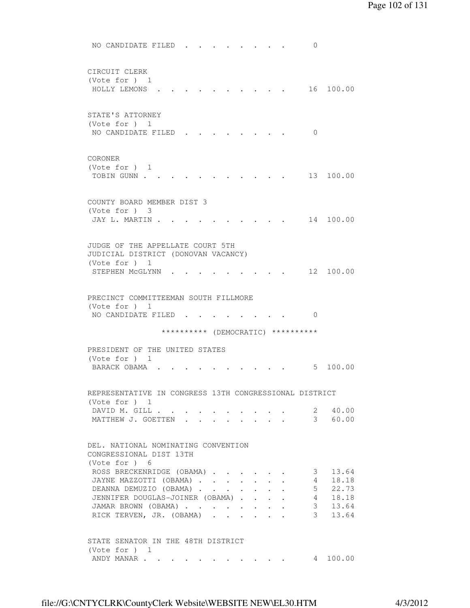NO CANDIDATE FILED . . . . . . . . 0 CIRCUIT CLERK (Vote for ) 1 HOLLY LEMONS . . . . . . . . . . 16 100.00 STATE'S ATTORNEY (Vote for ) 1 NO CANDIDATE FILED . . . . . . . . 0 CORONER (Vote for ) 1 TOBIN GUNN . . . . . . . . . . . . 13 100.00 COUNTY BOARD MEMBER DIST 3 (Vote for ) 3 JAY L. MARTIN . . . . . . . . . . . 14 100.00 JUDGE OF THE APPELLATE COURT 5TH JUDICIAL DISTRICT (DONOVAN VACANCY) (Vote for ) 1 STEPHEN MCGLYNN . . . . . . . . . 12 100.00 PRECINCT COMMITTEEMAN SOUTH FILLMORE (Vote for ) 1 NO CANDIDATE FILED . . . . . . . . 0 \*\*\*\*\*\*\*\*\*\* (DEMOCRATIC) \*\*\*\*\*\*\*\*\*\* PRESIDENT OF THE UNITED STATES (Vote for ) 1 BARACK OBAMA . . . . . . . . . . . 5 100.00 REPRESENTATIVE IN CONGRESS 13TH CONGRESSIONAL DISTRICT (Vote for ) 1 DAVID M. GILL . . . . . . . . . . 2 40.00 MATTHEW J. GOETTEN . . . . . . . . 3 60.00 DEL. NATIONAL NOMINATING CONVENTION CONGRESSIONAL DIST 13TH (Vote for ) 6 ROSS BRECKENRIDGE (OBAMA) . . . . . . 3 13.64 JAYNE MAZZOTTI (OBAMA) . . . . . . . 4 18.18 DEANNA DEMUZIO (OBAMA) . . . . . . . 5 22.73 JENNIFER DOUGLAS-JOINER (OBAMA) . . . . 4 18.18 JAMAR BROWN (OBAMA) . . . . . . . . 3 13.64 RICK TERVEN, JR. (OBAMA) . . . . . . 3 13.64 STATE SENATOR IN THE 48TH DISTRICT (Vote for ) 1 ANDY MANAR . . . . . . . . . . . . 4 100.00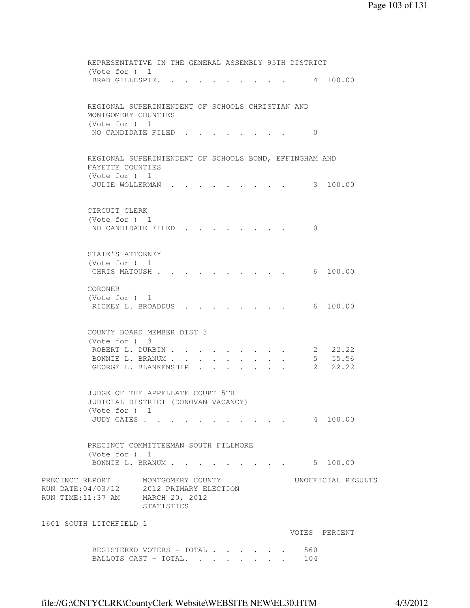REPRESENTATIVE IN THE GENERAL ASSEMBLY 95TH DISTRICT (Vote for ) 1 BRAD GILLESPIE. . . . . . . . . . 4 100.00 REGIONAL SUPERINTENDENT OF SCHOOLS CHRISTIAN AND MONTGOMERY COUNTIES (Vote for ) 1 NO CANDIDATE FILED . . . . . . . . 0 REGIONAL SUPERINTENDENT OF SCHOOLS BOND, EFFINGHAM AND FAYETTE COUNTIES (Vote for ) 1 JULIE WOLLERMAN . . . . . . . . . 3 100.00 CIRCUIT CLERK (Vote for ) 1 NO CANDIDATE FILED . . . . . . . . 0 STATE'S ATTORNEY (Vote for ) 1 CHRIS MATOUSH . . . . . . . . . . . 6 100.00 CORONER (Vote for ) 1 RICKEY L. BROADDUS . . . . . . . . 6 100.00 COUNTY BOARD MEMBER DIST 3 (Vote for ) 3 ROBERT L. DURBIN . . . . . . . . . 2 22.22 BONNIE L. BRANUM . . . . . . . . . 5 55.56 BONNIE L. BRANUM . . . . . . . . . . . 5 55.56<br>GEORGE L. BLANKENSHIP . . . . . . . 2 22.22 JUDGE OF THE APPELLATE COURT 5TH JUDICIAL DISTRICT (DONOVAN VACANCY) (Vote for ) 1 JUDY CATES . . . . . . . . . . . 4 100.00 PRECINCT COMMITTEEMAN SOUTH FILLMORE (Vote for ) 1 BONNIE L. BRANUM . . . . . . . . . . 5 100.00 PRECINCT REPORT MONTGOMERY COUNTY UNOFFICIAL RESULTS RUN DATE:04/03/12 2012 PRIMARY ELECTION RUN TIME:11:37 AM MARCH 20, 2012 STATISTICS 1601 SOUTH LITCHFIELD 1 VOTES PERCENT REGISTERED VOTERS - TOTAL . . . . . . 560<br>BALLOTS CAST - TOTAL . . . . . . . 104 BALLOTS CAST - TOTAL. . . . . .

file://G:\CNTYCLRK\CountyClerk Website\WEBSITE NEW\EL30.HTM 4/3/2012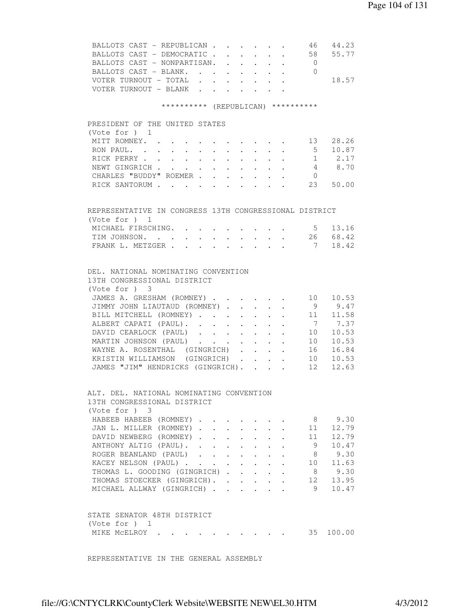| BALLOTS CAST - REPUBLICAN                                                                                          |                                                             |                                                           |                                          | 46              | 44.23     |
|--------------------------------------------------------------------------------------------------------------------|-------------------------------------------------------------|-----------------------------------------------------------|------------------------------------------|-----------------|-----------|
| BALLOTS CAST - DEMOCRATIC.                                                                                         |                                                             |                                                           |                                          | 58              | 55.77     |
| BALLOTS CAST - NONPARTISAN.                                                                                        |                                                             |                                                           |                                          | $\overline{0}$  |           |
| BALLOTS CAST - BLANK.                                                                                              | $\mathbf{r} = \mathbf{r} + \mathbf{r}$ .                    | $\ddot{\phantom{0}}$                                      |                                          | $\bigcirc$      |           |
| VOTER TURNOUT - TOTAL<br>$\mathbf{L}$                                                                              | $\sim$                                                      | $\sim$                                                    | $\mathbf{r} = \mathbf{r} + \mathbf{r}$ . |                 | 18.57     |
| VOTER TURNOUT - BLANK                                                                                              |                                                             | $\mathbf{L}$                                              |                                          |                 |           |
| ********** (REPUBLICAN) **********                                                                                 |                                                             |                                                           |                                          |                 |           |
| PRESIDENT OF THE UNITED STATES                                                                                     |                                                             |                                                           |                                          |                 |           |
| (Note for ) 1                                                                                                      |                                                             |                                                           |                                          |                 |           |
| MITT ROMNEY.                                                                                                       |                                                             |                                                           |                                          | 13              | 28.26     |
| RON PAUL. .<br>$\mathbf{r} = \mathbf{r} + \mathbf{r}$ .<br>$\sim$<br>$\sim$ $-$<br>$\sim$ 100 $\pm$<br>$\sim$      | $\bullet$ .<br><br><br><br><br><br><br><br><br><br><br><br> | $\sim$                                                    | $\ddot{\phantom{0}}$                     | 5 <sup>5</sup>  | 10.87     |
| RICK PERRY<br>$\mathbf{L} = \mathbf{L}$<br>$\ddot{\phantom{0}}$<br>$\sim$                                          |                                                             | $\cdot$ $\cdot$ $\cdot$                                   | $\ddot{\phantom{0}}$                     | 1               | 2.17      |
| $\mathcal{L}^{\mathcal{A}}$ . The contribution of the contribution of $\mathcal{L}^{\mathcal{A}}$<br>NEWT GINGRICH |                                                             |                                                           |                                          |                 | 4 8.70    |
| CHARLES "BUDDY" ROEMER                                                                                             |                                                             |                                                           |                                          | $\overline{0}$  |           |
|                                                                                                                    |                                                             |                                                           |                                          | 23              | 50.00     |
| RICK SANTORUM                                                                                                      |                                                             |                                                           |                                          |                 |           |
|                                                                                                                    |                                                             |                                                           |                                          |                 |           |
| REPRESENTATIVE IN CONGRESS 13TH CONGRESSIONAL DISTRICT                                                             |                                                             |                                                           |                                          |                 |           |
| (Vote for $)$ 1                                                                                                    |                                                             |                                                           |                                          |                 |           |
| MICHAEL FIRSCHING.                                                                                                 |                                                             |                                                           |                                          |                 | 5 13.16   |
| TIM JOHNSON.<br>$\mathbf{L}$<br>$\sim$                                                                             | $\sim 10^{-11}$                                             | $\mathbf{r}$ , $\mathbf{r}$ , $\mathbf{r}$                |                                          | 26              | 68.42     |
| FRANK L. METZGER .<br>$\mathbf{r}$ , $\mathbf{r}$ , $\mathbf{r}$                                                   |                                                             | $\mathbf{r}$                                              |                                          | $7\overline{ }$ | 18.42     |
|                                                                                                                    |                                                             |                                                           |                                          |                 |           |
| DEL. NATIONAL NOMINATING CONVENTION                                                                                |                                                             |                                                           |                                          |                 |           |
| 13TH CONGRESSIONAL DISTRICT                                                                                        |                                                             |                                                           |                                          |                 |           |
| (Vote for ) 3                                                                                                      |                                                             |                                                           |                                          |                 |           |
| JAMES A. GRESHAM (ROMNEY)                                                                                          |                                                             |                                                           |                                          | 10              | 10.53     |
| JIMMY JOHN LIAUTAUD (ROMNEY).                                                                                      | $\sim$                                                      |                                                           |                                          | 9               | 9.47      |
|                                                                                                                    |                                                             | $\ddot{\phantom{0}}$                                      |                                          |                 | 11 11.58  |
| BILL MITCHELL (ROMNEY)                                                                                             |                                                             | $\mathbf{L} = \mathbf{L} \mathbf{L}$                      |                                          |                 |           |
| ALBERT CAPATI (PAUL).                                                                                              |                                                             |                                                           |                                          |                 | 7.37      |
| DAVID CEARLOCK (PAUL)                                                                                              |                                                             |                                                           |                                          | 10              | 10.53     |
| MARTIN JOHNSON (PAUL)                                                                                              |                                                             |                                                           |                                          | 10              | 10.53     |
| WAYNE A. ROSENTHAL (GINGRICH)                                                                                      |                                                             |                                                           |                                          | 16              | 16.84     |
| KRISTIN WILLIAMSON (GINGRICH).                                                                                     |                                                             | $\mathbf{r}$ , $\mathbf{r}$ , $\mathbf{r}$ , $\mathbf{r}$ |                                          | 10              | 10.53     |
| JAMES "JIM" HENDRICKS (GINGRICH).                                                                                  |                                                             |                                                           |                                          | 12              | 12.63     |
|                                                                                                                    |                                                             |                                                           |                                          |                 |           |
| ALT. DEL. NATIONAL NOMINATING CONVENTION                                                                           |                                                             |                                                           |                                          |                 |           |
| 13TH CONGRESSIONAL DISTRICT                                                                                        |                                                             |                                                           |                                          |                 |           |
| $(Vote for )$ 3                                                                                                    |                                                             |                                                           |                                          |                 |           |
| HABEEB HABEEB (ROMNEY)                                                                                             |                                                             |                                                           |                                          |                 | 8 9.30    |
| JAN L. MILLER (ROMNEY).                                                                                            |                                                             |                                                           |                                          | 11              | 12.79     |
| DAVID NEWBERG (ROMNEY).                                                                                            |                                                             |                                                           |                                          | 11              | 12.79     |
| $\ddot{\phantom{0}}$<br>$\sim$ $-$                                                                                 | $\mathcal{L}^{\text{max}}$                                  |                                                           |                                          | 9               | 10.47     |
| ANTHONY ALTIG (PAUL).                                                                                              |                                                             |                                                           |                                          |                 |           |
| ROGER BEANLAND (PAUL)<br><b>Service</b> State                                                                      |                                                             |                                                           |                                          | 8               | 9.30      |
| KACEY NELSON (PAUL)<br>$\sim$                                                                                      | $\sim$                                                      |                                                           |                                          | 10              | 11.63     |
| THOMAS L. GOODING (GINGRICH)                                                                                       |                                                             |                                                           | $\ddot{\phantom{a}}$                     | 8               | 9.30      |
| THOMAS STOECKER (GINGRICH).                                                                                        |                                                             |                                                           |                                          | 12              | 13.95     |
| MICHAEL ALLWAY (GINGRICH)                                                                                          |                                                             |                                                           |                                          | 9               | 10.47     |
|                                                                                                                    |                                                             |                                                           |                                          |                 |           |
| STATE SENATOR 48TH DISTRICT                                                                                        |                                                             |                                                           |                                          |                 |           |
| (Vote for $)$ 1                                                                                                    |                                                             |                                                           |                                          |                 |           |
| MIKE MCELROY                                                                                                       |                                                             | $\cdot$ $\cdot$ $\cdot$ $\cdot$                           |                                          |                 | 35 100.00 |
|                                                                                                                    |                                                             |                                                           |                                          |                 |           |
|                                                                                                                    |                                                             |                                                           |                                          |                 |           |

REPRESENTATIVE IN THE GENERAL ASSEMBLY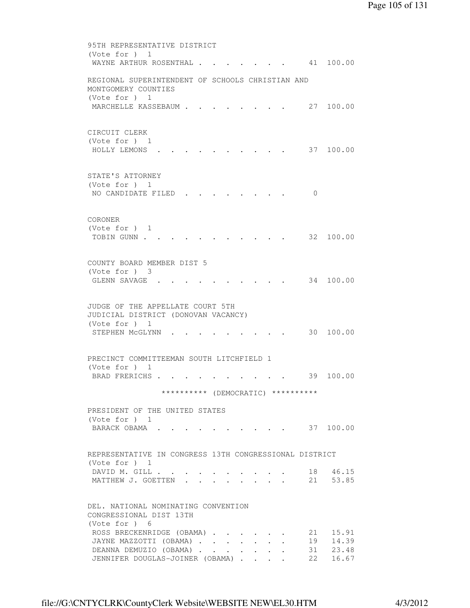95TH REPRESENTATIVE DISTRICT (Vote for ) 1 WAYNE ARTHUR ROSENTHAL . . . . . . . 41 100.00 REGIONAL SUPERINTENDENT OF SCHOOLS CHRISTIAN AND MONTGOMERY COUNTIES (Vote for ) 1 MARCHELLE KASSEBAUM . . . . . . . 27 100.00 CIRCUIT CLERK (Vote for ) 1 HOLLY LEMONS . . . . . . . . . . 37 100.00 STATE'S ATTORNEY (Vote for ) 1 NO CANDIDATE FILED . . . . . . . . 0 CORONER (Vote for ) 1 TOBIN GUNN . . . . . . . . . . . . 32 100.00 COUNTY BOARD MEMBER DIST 5 (Vote for ) 3 GLENN SAVAGE . . . . . . . . . . 34 100.00 JUDGE OF THE APPELLATE COURT 5TH JUDICIAL DISTRICT (DONOVAN VACANCY) (Vote for ) 1 STEPHEN MCGLYNN . . . . . . . . . 30 100.00 PRECINCT COMMITTEEMAN SOUTH LITCHFIELD 1 (Vote for ) 1 BRAD FRERICHS . . . . . . . . . . 39 100.00 \*\*\*\*\*\*\*\*\*\* (DEMOCRATIC) \*\*\*\*\*\*\*\*\*\* PRESIDENT OF THE UNITED STATES (Vote for ) 1 BARACK OBAMA . . . . . . . . . . . 37 100.00 REPRESENTATIVE IN CONGRESS 13TH CONGRESSIONAL DISTRICT (Vote for ) 1 DAVID M. GILL . . . . . . . . . . 18 46.15 MATTHEW J. GOETTEN . . . . . . . . 21 53.85 DEL. NATIONAL NOMINATING CONVENTION CONGRESSIONAL DIST 13TH (Vote for ) 6 ROSS BRECKENRIDGE (OBAMA) . . . . . 21 15.91 JAYNE MAZZOTTI (OBAMA) . . . . . . . 19 14.39<br>DEANNA DEMUZIO (OBAMA) . . . . . . . 31 23.48<br>JENNIFER DOUGLAS-JOINER (OBAMA) . . . . 22 16.67 DEANNA DEMUZIO (OBAMA) . . . . . . . JENNIFER DOUGLAS-JOINER (OBAMA) . . . .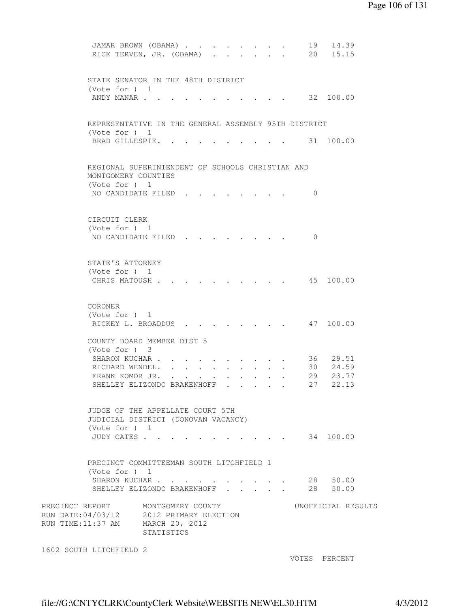```
JAMAR BROWN (OBAMA) . . . . . . . . 19 14.39
         RICK TERVEN, JR. (OBAMA) . . . . . . 20 15.15
         STATE SENATOR IN THE 48TH DISTRICT 
         (Vote for ) 1 
         ANDY MANAR . . . . . . . . . . . . 32 100.00
         REPRESENTATIVE IN THE GENERAL ASSEMBLY 95TH DISTRICT 
         (Vote for ) 1 
        BRAD GILLESPIE. . . . . . . . . . 31 100.00
         REGIONAL SUPERINTENDENT OF SCHOOLS CHRISTIAN AND 
         MONTGOMERY COUNTIES 
         (Vote for ) 1 
        NO CANDIDATE FILED . . . . . . . . 0
         CIRCUIT CLERK 
         (Vote for ) 1 
         NO CANDIDATE FILED . . . . . . . . 0
         STATE'S ATTORNEY 
         (Vote for ) 1 
         CHRIS MATOUSH . . . . . . . . . . 45 100.00
         CORONER 
         (Vote for ) 1 
        RICKEY L. BROADDUS . . . . . . . . 47 100.00
         COUNTY BOARD MEMBER DIST 5 
         (Vote for ) 3 
SHARON KUCHAR . . . . . . . . . . 36 29.51
RICHARD WENDEL. . . . . . . . . . 30 24.59
 FRANK KOMOR JR. . . . . . . . . . 29 23.77 
SHELLEY ELIZONDO BRAKENHOFF . . . . . 27 22.13
         JUDGE OF THE APPELLATE COURT 5TH 
         JUDICIAL DISTRICT (DONOVAN VACANCY) 
         (Vote for ) 1 
         JUDY CATES . . . . . . . . . . . 34 100.00 
         PRECINCT COMMITTEEMAN SOUTH LITCHFIELD 1 
         (Vote for ) 1 
 SHARON KUCHAR . . . . . . . . . . 28 50.00 
SHELLEY ELIZONDO BRAKENHOFF . . . . . 28 50.00
PRECINCT REPORT MONTGOMERY COUNTY WORTFICIAL RESULTS
RUN DATE:04/03/12 2012 PRIMARY ELECTION 
RUN TIME:11:37 AM MARCH 20, 2012 
                  STATISTICS 
1602 SOUTH LITCHFIELD 2
```
VOTES PERCENT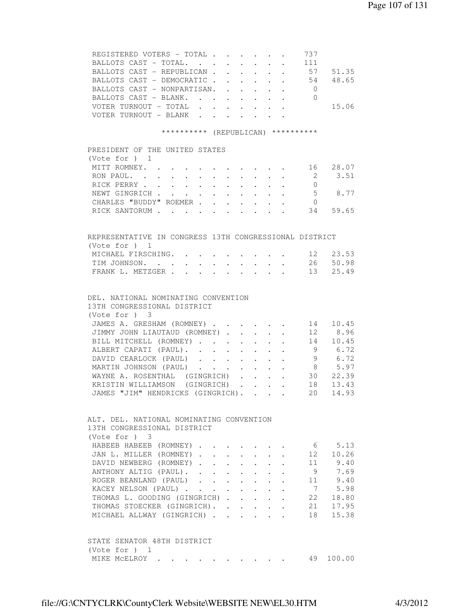| REGISTERED VOTERS - TOTAL                                                                                                                                                                             |                           |                           |                                                                  | 737                                                |           |
|-------------------------------------------------------------------------------------------------------------------------------------------------------------------------------------------------------|---------------------------|---------------------------|------------------------------------------------------------------|----------------------------------------------------|-----------|
|                                                                                                                                                                                                       |                           |                           |                                                                  |                                                    |           |
| BALLOTS CAST - REPUBLICAN 57                                                                                                                                                                          |                           |                           |                                                                  |                                                    | 51.35     |
| BALLOTS CAST - DEMOCRATIC 54                                                                                                                                                                          |                           |                           |                                                                  |                                                    | 48.65     |
| BALLOTS CAST - NONPARTISAN. .                                                                                                                                                                         | $\sim 100$ km s $^{-1}$   | $\sim$                    | $\mathbf{r} = \mathbf{r} + \mathbf{r}$ . The set of $\mathbf{r}$ | $\overline{0}$                                     |           |
| BALLOTS CAST - BLANK.                                                                                                                                                                                 |                           | $\sim 10^{-10}$           |                                                                  | $\cdot$ $\cdot$ 0                                  |           |
| VOTER TURNOUT - TOTAL                                                                                                                                                                                 |                           |                           |                                                                  |                                                    | 15.06     |
| VOTER TURNOUT - BLANK.<br>$\sim$ 100 $\pm$                                                                                                                                                            | $\cdot$ $\cdot$           |                           |                                                                  |                                                    |           |
| ********** (REPUBLICAN) **********                                                                                                                                                                    |                           |                           |                                                                  |                                                    |           |
|                                                                                                                                                                                                       |                           |                           |                                                                  |                                                    |           |
| PRESIDENT OF THE UNITED STATES<br>(Vote for $)$ 1                                                                                                                                                     |                           |                           |                                                                  |                                                    |           |
| MITT ROMNEY.                                                                                                                                                                                          |                           |                           |                                                                  | $\cdot$ $\cdot$ $\cdot$ $\cdot$ $\cdot$ $\cdot$ 16 | 28.07     |
| RON PAUL.                                                                                                                                                                                             |                           |                           |                                                                  | $\overline{2}$                                     | 3.51      |
| RICK PERRY<br>$\sim$ $-$<br>$\sim$ $-$<br>$\ddot{\phantom{0}}$                                                                                                                                        |                           |                           |                                                                  | $\overline{0}$                                     |           |
| NEWT GINGRICH                                                                                                                                                                                         |                           |                           |                                                                  |                                                    | 5 8.77    |
| $\ddot{\phantom{a}}$<br>$\ddot{\phantom{0}}$<br>$\bullet$ .<br><br><br><br><br><br><br><br><br><br><br><br><br>$\bullet$ .<br><br><br><br><br><br><br><br><br><br><br><br><br>CHARLES "BUDDY" ROEMER. | $\ddot{\phantom{a}}$      |                           |                                                                  | $\overline{0}$                                     |           |
| $\mathbf{r}$<br>$\ddot{\phantom{a}}$<br>RICK SANTORUM<br>$\mathbf{L}^{\text{max}}$                                                                                                                    |                           | $\mathbf{L} = \mathbf{L}$ |                                                                  |                                                    | 34 59.65  |
|                                                                                                                                                                                                       | $\mathbf{L} = \mathbf{L}$ |                           |                                                                  |                                                    |           |
| REPRESENTATIVE IN CONGRESS 13TH CONGRESSIONAL DISTRICT                                                                                                                                                |                           |                           |                                                                  |                                                    |           |
| (Vote for $)$ 1                                                                                                                                                                                       |                           |                           |                                                                  |                                                    |           |
| MICHAEL FIRSCHING.                                                                                                                                                                                    |                           |                           |                                                                  | 12                                                 | 23.53     |
| TIM JOHNSON.                                                                                                                                                                                          |                           |                           |                                                                  | 26                                                 | 50.98     |
| FRANK L. METZGER .                                                                                                                                                                                    |                           |                           |                                                                  | 13                                                 | 25.49     |
|                                                                                                                                                                                                       |                           |                           |                                                                  |                                                    |           |
| DEL. NATIONAL NOMINATING CONVENTION                                                                                                                                                                   |                           |                           |                                                                  |                                                    |           |
| 13TH CONGRESSIONAL DISTRICT<br>(Vote for ) 3                                                                                                                                                          |                           |                           |                                                                  |                                                    |           |
| JAMES A. GRESHAM (ROMNEY)                                                                                                                                                                             |                           |                           |                                                                  | 14                                                 | 10.45     |
| JIMMY JOHN LIAUTAUD (ROMNEY).                                                                                                                                                                         |                           | $\sim$ $-$                |                                                                  | 12                                                 | 8.96      |
| BILL MITCHELL (ROMNEY)                                                                                                                                                                                | $\sim$                    | $\ddot{\phantom{0}}$      |                                                                  | 14                                                 | 10.45     |
| ALBERT CAPATI (PAUL). .<br>$\mathbf{L}^{\text{max}}$<br>$\mathbf{L}$                                                                                                                                  |                           |                           |                                                                  | 9                                                  | 6.72      |
| DAVID CEARLOCK (PAUL)                                                                                                                                                                                 |                           | $\ddot{\phantom{0}}$      |                                                                  |                                                    | 9 6.72    |
| MARTIN JOHNSON (PAUL)                                                                                                                                                                                 | $\ddot{\phantom{0}}$      |                           | $\mathcal{L}^{\text{max}}$ , where $\mathcal{L}^{\text{max}}$    |                                                    | 8 5.97    |
| WAYNE A. ROSENTHAL (GINGRICH)                                                                                                                                                                         |                           |                           | $\mathbf{r} = \mathbf{r} + \mathbf{r} + \mathbf{r}$              |                                                    | 30 22.39  |
| KRISTIN WILLIAMSON (GINGRICH)                                                                                                                                                                         |                           |                           |                                                                  | 18                                                 | 13.43     |
| JAMES "JIM" HENDRICKS (GINGRICH).                                                                                                                                                                     |                           |                           |                                                                  | 20                                                 | 14.93     |
|                                                                                                                                                                                                       |                           |                           |                                                                  |                                                    |           |
| ALT. DEL. NATIONAL NOMINATING CONVENTION                                                                                                                                                              |                           |                           |                                                                  |                                                    |           |
| 13TH CONGRESSIONAL DISTRICT                                                                                                                                                                           |                           |                           |                                                                  |                                                    |           |
| (Note for ) 3                                                                                                                                                                                         |                           |                           |                                                                  |                                                    |           |
| HABEEB HABEEB (ROMNEY).                                                                                                                                                                               |                           |                           |                                                                  |                                                    | 6 5.13    |
| JAN L. MILLER (ROMNEY).<br>$\mathbf{L}$ and $\mathbf{L}$                                                                                                                                              |                           |                           |                                                                  | 12                                                 | 10.26     |
| DAVID NEWBERG (ROMNEY).<br>$\mathbf{r} = \mathbf{r} + \mathbf{r}$                                                                                                                                     |                           | $\ddot{\phantom{0}}$      | $\bullet$ .<br><br><br><br><br><br><br><br><br><br><br><br>      |                                                    | 11 9.40   |
| ANTHONY ALTIG (PAUL). .<br>$\sim$<br>$\mathbf{L}^{\text{max}}$                                                                                                                                        |                           |                           |                                                                  | 9                                                  | 7.69      |
| ROGER BEANLAND (PAUL)                                                                                                                                                                                 | $\sim$                    |                           |                                                                  | 11                                                 | 9.40      |
| KACEY NELSON (PAUL)                                                                                                                                                                                   |                           |                           |                                                                  | 7                                                  | 5.98      |
| THOMAS L. GOODING (GINGRICH).                                                                                                                                                                         | $\mathbf{L}$              |                           |                                                                  | 22                                                 | 18.80     |
| THOMAS STOECKER (GINGRICH). .                                                                                                                                                                         | $\mathbf{L}^{\text{max}}$ | $\ddot{\phantom{0}}$      |                                                                  | 21                                                 | 17.95     |
| MICHAEL ALLWAY (GINGRICH)                                                                                                                                                                             |                           | $\mathbf{L}$              | $\mathbf{L}$                                                     | 18                                                 | 15.38     |
|                                                                                                                                                                                                       |                           |                           |                                                                  |                                                    |           |
| STATE SENATOR 48TH DISTRICT                                                                                                                                                                           |                           |                           |                                                                  |                                                    |           |
| (Vote for $)$ 1                                                                                                                                                                                       |                           |                           |                                                                  |                                                    |           |
| MIKE MCELROY                                                                                                                                                                                          |                           |                           |                                                                  |                                                    | 49 100.00 |
|                                                                                                                                                                                                       |                           |                           |                                                                  |                                                    |           |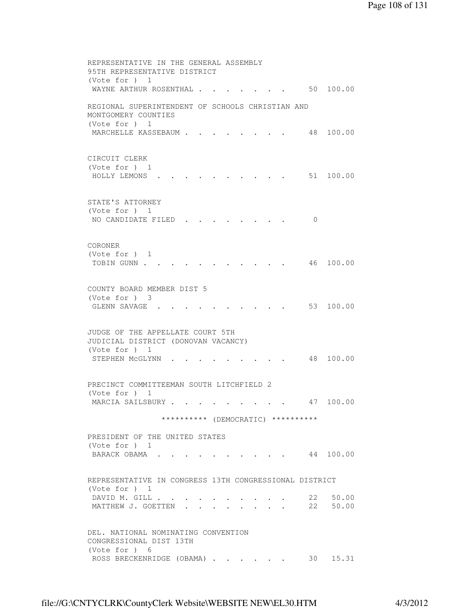REPRESENTATIVE IN THE GENERAL ASSEMBLY 95TH REPRESENTATIVE DISTRICT (Vote for ) 1 WAYNE ARTHUR ROSENTHAL . . . . . . . 50 100.00 REGIONAL SUPERINTENDENT OF SCHOOLS CHRISTIAN AND MONTGOMERY COUNTIES (Vote for ) 1 MARCHELLE KASSEBAUM . . . . . . . . 48 100.00 CIRCUIT CLERK (Vote for ) 1 HOLLY LEMONS . . . . . . . . . . 51 100.00 STATE'S ATTORNEY (Vote for ) 1 NO CANDIDATE FILED . . . . . . . . 0 CORONER (Vote for ) 1 TOBIN GUNN . . . . . . . . . . . . 46 100.00 COUNTY BOARD MEMBER DIST 5 (Vote for ) 3 GLENN SAVAGE . . . . . . . . . . 53 100.00 JUDGE OF THE APPELLATE COURT 5TH JUDICIAL DISTRICT (DONOVAN VACANCY) (Vote for ) 1 STEPHEN MCGLYNN . . . . . . . . . 48 100.00 PRECINCT COMMITTEEMAN SOUTH LITCHFIELD 2 (Vote for ) 1 MARCIA SAILSBURY . . . . . . . . . 47 100.00 \*\*\*\*\*\*\*\*\*\* (DEMOCRATIC) \*\*\*\*\*\*\*\*\*\* PRESIDENT OF THE UNITED STATES (Vote for ) 1 BARACK OBAMA . . . . . . . . . . 44 100.00 REPRESENTATIVE IN CONGRESS 13TH CONGRESSIONAL DISTRICT (Vote for ) 1 DAVID M. GILL . . . . . . . . . . 22 50.00 MATTHEW J. GOETTEN . . . . . . . . 22 50.00 DEL. NATIONAL NOMINATING CONVENTION CONGRESSIONAL DIST 13TH (Vote for ) 6 ROSS BRECKENRIDGE (OBAMA) . . . . . . 30 15.31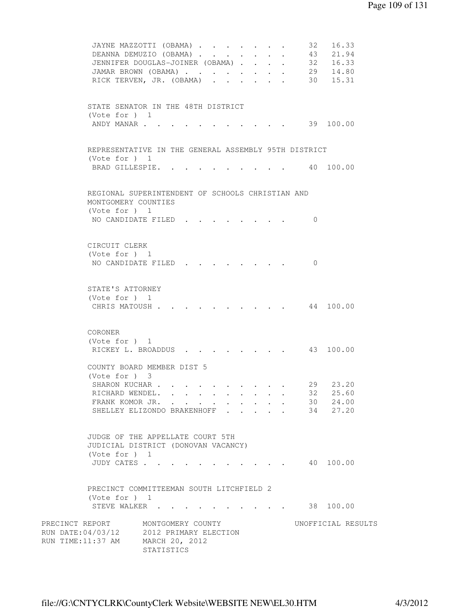```
JAYNE MAZZOTTI (OBAMA) . . . . . . . 32 16.33
          DEANNA DEMUZIO (OBAMA) . . . . . . . 43 21.94<br>JENNIFER DOUGLAS-JOINER (OBAMA) . . . . 32 16.33<br>JAMAR BROWN (OBAMA) . . . . . . . 29 14.80<br>RICK TERVEN, JR. (OBAMA) . . . . . . 30 15.31
          JENNIFER DOUGLAS-JOINER (OBAMA) . . . .
          JAMAR BROWN (OBAMA) . . . . . . . .
          RICK TERVEN, JR. (OBAMA) . . . . . .
          STATE SENATOR IN THE 48TH DISTRICT 
          (Vote for ) 1 
          ANDY MANAR . . . . . . . . . . . . 39 100.00
          REPRESENTATIVE IN THE GENERAL ASSEMBLY 95TH DISTRICT 
          (Vote for ) 1 
          BRAD GILLESPIE. . . . . . . . . . 40 100.00
          REGIONAL SUPERINTENDENT OF SCHOOLS CHRISTIAN AND 
          MONTGOMERY COUNTIES 
          (Vote for ) 1 
          NO CANDIDATE FILED . . . . . . . . 0
          CIRCUIT CLERK 
          (Vote for ) 1 
          NO CANDIDATE FILED . . . . . . . 0
          STATE'S ATTORNEY 
          (Vote for ) 1 
          CHRIS MATOUSH . . . . . . . . . . 44 100.00
          CORONER 
           (Vote for ) 1 
          RICKEY L. BROADDUS . . . . . . . . 43 100.00
          COUNTY BOARD MEMBER DIST 5 
           (Vote for ) 3 
          SHARON KUCHAR . . . . . . . . . . . 29 23.20<br>RICHARD WENDEL. . . . . . . . . . 32 25.60
          RICHARD WENDEL. . . . . . . . . .
          FRANK KOMOR JR. . . . . . . . . . 30 24.00
          SHELLEY ELIZONDO BRAKENHOFF . . . . 34 27.20
          JUDGE OF THE APPELLATE COURT 5TH 
          JUDICIAL DISTRICT (DONOVAN VACANCY) 
          (Vote for ) 1 
          JUDY CATES . . . . . . . . . . . 40 100.00
          PRECINCT COMMITTEEMAN SOUTH LITCHFIELD 2 
          (Vote for ) 1 
          STEVE WALKER . . . . . . . . . . 38 100.00
PRECINCT REPORT MONTGOMERY COUNTY WORTFICIAL RESULTS
RUN DATE:04/03/12 2012 PRIMARY ELECTION 
RUN TIME:11:37 AM MARCH 20, 2012 
                     STATISTICS
```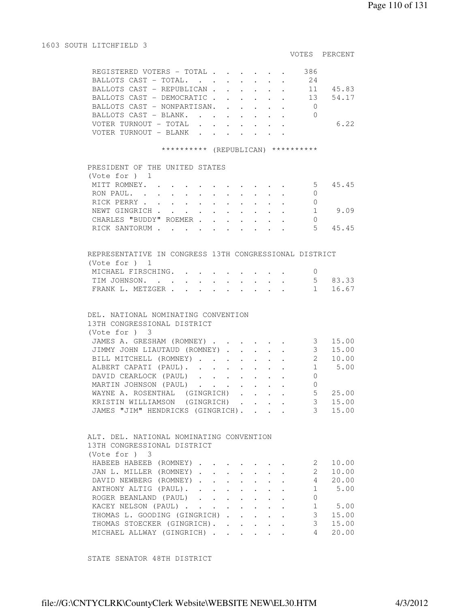1603 SOUTH LITCHFIELD 3

#### VOTES PERCENT

| REGISTERED VOTERS - TOTAL $\cdot$ | 386   |
|-----------------------------------|-------|
| BALLOTS CAST - TOTAL.             | 2.4   |
| BALLOTS CAST - REPUBLICAN 11      | 45.83 |
| BALLOTS CAST - DEMOCRATIC 13      | 54.17 |
| BALLOTS CAST - NONPARTISAN.       |       |
| BALLOTS CAST - BLANK.             |       |
|                                   | 6.22  |
| TER TURNOUT – BLANK               |       |

## \*\*\*\*\*\*\*\*\*\* (REPUBLICAN) \*\*\*\*\*\*\*\*\*\*

| PRESIDENT OF THE UNITED STATES                                                                                 |       |
|----------------------------------------------------------------------------------------------------------------|-------|
| (Vote for $)$ 1                                                                                                |       |
| MITT ROMNEY.<br>5                                                                                              | 45.45 |
| RON PAUL.<br>$\mathbf{r}$ , and $\mathbf{r}$ , and $\mathbf{r}$ , and $\mathbf{r}$ , and $\mathbf{r}$          |       |
| RICK PERRY                                                                                                     |       |
| NEWT GINGRICH                                                                                                  | 9.09  |
| CHARLES "BUDDY" ROEMER                                                                                         |       |
| RICK SANTORUM<br>$\mathbf{r}$ , $\mathbf{r}$ , $\mathbf{r}$ , $\mathbf{r}$ , $\mathbf{r}$ , $\mathbf{r}$<br>٠, | 45.45 |

| REPRESENTATIVE IN CONGRESS 13TH CONGRESSIONAL DISTRICT |  |  |  |  |  |         |
|--------------------------------------------------------|--|--|--|--|--|---------|
| (Vote for ) 1                                          |  |  |  |  |  |         |
| MICHAEL FIRSCHING.                                     |  |  |  |  |  |         |
| TIM JOHNSON. 5 83.33                                   |  |  |  |  |  |         |
| FRANK L. METZGER                                       |  |  |  |  |  | 1 16.67 |

# DEL. NATIONAL NOMINATING CONVENTION

| 13TH CONGRESSIONAL DISTRICT       |  |  |   |       |
|-----------------------------------|--|--|---|-------|
| (Note for ) 3                     |  |  |   |       |
| JAMES A. GRESHAM (ROMNEY)         |  |  |   | 15.00 |
| JIMMY JOHN LIAUTAUD (ROMNEY)      |  |  |   | 15.00 |
| BILL MITCHELL (ROMNEY)            |  |  |   | 10.00 |
| ALBERT CAPATI (PAUL).             |  |  |   | 5.00  |
| DAVID CEARLOCK (PAUL)             |  |  |   |       |
| MARTIN JOHNSON (PAUL)             |  |  |   |       |
| WAYNE A. ROSENTHAL (GINGRICH)     |  |  | 5 | 25.00 |
| KRISTIN WILLIAMSON (GINGRICH)     |  |  |   | 15.00 |
| JAMES "JIM" HENDRICKS (GINGRICH). |  |  |   | 15.00 |

| ALT. DEL. NATIONAL NOMINATING CONVENTION |  |  |  |       |
|------------------------------------------|--|--|--|-------|
| 13TH CONGRESSIONAL DISTRICT              |  |  |  |       |
| (Vote for ) 3                            |  |  |  |       |
| HABEEB HABEEB (ROMNEY)                   |  |  |  | 10.00 |
| JAN L. MILLER (ROMNEY)                   |  |  |  | 10.00 |
| DAVID NEWBERG (ROMNEY)                   |  |  |  | 20.00 |
| ANTHONY ALTIG (PAUL).                    |  |  |  | 5.00  |
| ROGER BEANLAND (PAUL)                    |  |  |  |       |
| KACEY NELSON (PAUL)                      |  |  |  | 5.00  |
| THOMAS L. GOODING (GINGRICH)             |  |  |  | 15.00 |
| THOMAS STOECKER (GINGRICH).              |  |  |  | 15.00 |
| MICHAEL ALLWAY (GINGRICH)                |  |  |  | 20.00 |

STATE SENATOR 48TH DISTRICT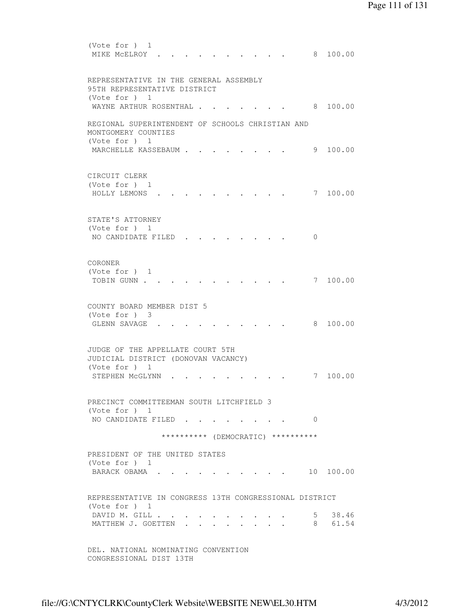(Vote for ) 1 MIKE MCELROY . . . . . . . . . . 8 100.00 REPRESENTATIVE IN THE GENERAL ASSEMBLY 95TH REPRESENTATIVE DISTRICT (Vote for ) 1 WAYNE ARTHUR ROSENTHAL . . . . . . . 8 100.00 REGIONAL SUPERINTENDENT OF SCHOOLS CHRISTIAN AND MONTGOMERY COUNTIES (Vote for ) 1 MARCHELLE KASSEBAUM . . . . . . . . 9 100.00 CIRCUIT CLERK (Vote for ) 1 HOLLY LEMONS . . . . . . . . . . 7 100.00 STATE'S ATTORNEY (Vote for ) 1 NO CANDIDATE FILED . . . . . . . . 0 CORONER (Vote for ) 1 TOBIN GUNN . . . . . . . . . . . . 7 100.00 COUNTY BOARD MEMBER DIST 5 (Vote for ) 3 GLENN SAVAGE . . . . . . . . . . 8 100.00 JUDGE OF THE APPELLATE COURT 5TH JUDICIAL DISTRICT (DONOVAN VACANCY) (Vote for ) 1 STEPHEN McGLYNN . . . . . . . . . 7 100.00 PRECINCT COMMITTEEMAN SOUTH LITCHFIELD 3 (Vote for ) 1 NO CANDIDATE FILED . . . . . . . . 0 \*\*\*\*\*\*\*\*\*\* (DEMOCRATIC) \*\*\*\*\*\*\*\*\*\* PRESIDENT OF THE UNITED STATES (Vote for ) 1 BARACK OBAMA . . . . . . . . . . 10 100.00 REPRESENTATIVE IN CONGRESS 13TH CONGRESSIONAL DISTRICT (Vote for ) 1 DAVID M. GILL . . . . . . . . . . . 5 38.46 MATTHEW J. GOETTEN . . . . . . . . 8 61.54 DEL. NATIONAL NOMINATING CONVENTION CONGRESSIONAL DIST 13TH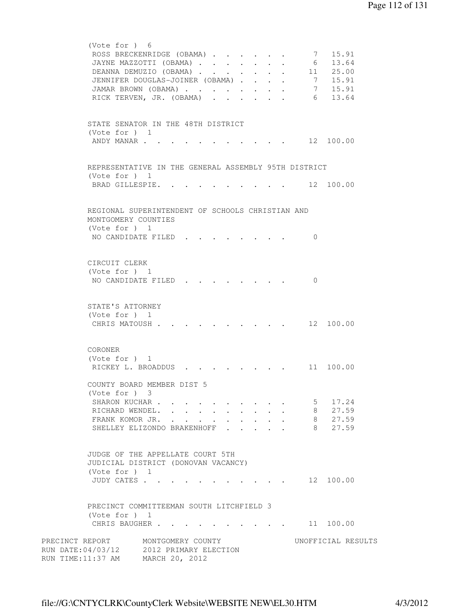| (Vote for ) 6<br>ROSS BRECKENRIDGE (OBAMA)<br>JAYNE MAZZOTTI (OBAMA)<br>DEANNA DEMUZIO (OBAMA)<br>JENNIFER DOUGLAS-JOINER (OBAMA).<br>JAMAR BROWN (OBAMA)<br>RICK TERVEN, JR. (OBAMA). |                                                              |  | $\sim$                                   | $\ddot{\phantom{0}}$<br>$\ddot{\phantom{0}}$    |              | $\mathbf{L}^{\text{max}}$ | $\sim$ 7                 | 15.91<br>6 13.64<br>11 25.00<br>$7 \quad 15.91$<br>7 15.91<br>6 13.64 |
|----------------------------------------------------------------------------------------------------------------------------------------------------------------------------------------|--------------------------------------------------------------|--|------------------------------------------|-------------------------------------------------|--------------|---------------------------|--------------------------|-----------------------------------------------------------------------|
| STATE SENATOR IN THE 48TH DISTRICT<br>(Vote for $)$ 1<br>ANDY MANAR                                                                                                                    |                                                              |  |                                          |                                                 |              |                           |                          | $\cdot$ $\cdot$ $\cdot$ 12 100.00                                     |
| REPRESENTATIVE IN THE GENERAL ASSEMBLY 95TH DISTRICT<br>(Vote for $)$ 1<br>BRAD GILLESPIE. .                                                                                           |                                                              |  |                                          |                                                 |              |                           |                          | 12 100.00                                                             |
| REGIONAL SUPERINTENDENT OF SCHOOLS CHRISTIAN AND<br>MONTGOMERY COUNTIES<br>(Vote for ) 1<br>NO CANDIDATE FILED.                                                                        |                                                              |  |                                          |                                                 |              |                           | 0                        |                                                                       |
| CIRCUIT CLERK<br>(Vote for ) 1<br>NO CANDIDATE FILED                                                                                                                                   |                                                              |  |                                          |                                                 |              |                           | $\Omega$                 |                                                                       |
| STATE'S ATTORNEY<br>(Vote for $)$ 1<br>CHRIS MATOUSH.                                                                                                                                  |                                                              |  |                                          |                                                 |              |                           |                          | 12 100.00                                                             |
| CORONER<br>(Vote for $)$ 1<br>RICKEY L. BROADDUS                                                                                                                                       |                                                              |  |                                          |                                                 |              |                           |                          | 11 100.00                                                             |
| COUNTY BOARD MEMBER DIST 5<br>(Vote for ) 3<br>SHARON KUCHAR<br>RICHARD WENDEL.<br>FRANK KOMOR JR.<br>SHELLEY ELIZONDO BRAKENHOFF                                                      |                                                              |  | $\sim$ 100 $\pm$<br>$\ddot{\phantom{0}}$ | $\ddot{\phantom{0}}$<br>$\cdot$ $\cdot$ $\cdot$ | $\mathbf{r}$ | $\mathbf{r}$              | 5 <sub>1</sub><br>8<br>8 | 17.24<br>27.59<br>8 27.59<br>27.59                                    |
| JUDGE OF THE APPELLATE COURT 5TH<br>JUDICIAL DISTRICT (DONOVAN VACANCY)<br>(Vote for ) 1<br>JUDY CATES                                                                                 |                                                              |  |                                          |                                                 |              |                           |                          | $\cdot$ $\cdot$ $\cdot$ $\cdot$ $\cdot$ $\cdot$ 12 100.00             |
| PRECINCT COMMITTEEMAN SOUTH LITCHFIELD 3<br>(Vote for ) 1<br>CHRIS BAUGHER                                                                                                             |                                                              |  |                                          |                                                 |              |                           |                          | 11 100.00                                                             |
| PRECINCT REPORT<br>RUN DATE:04/03/12<br>RUN TIME:11:37 AM                                                                                                                              | MONTGOMERY COUNTY<br>2012 PRIMARY ELECTION<br>MARCH 20, 2012 |  |                                          |                                                 |              |                           |                          | UNOFFICIAL RESULTS                                                    |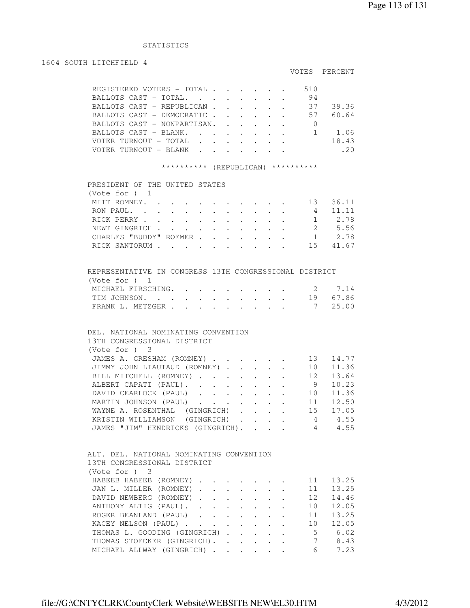## STATISTICS

### 1604 SOUTH LITCHFIELD 4

# VOTES PERCENT

|  | REGISTERED VOTERS - TOTAL   |  |  |  | 510 |         |
|--|-----------------------------|--|--|--|-----|---------|
|  | BALLOTS CAST - TOTAL.       |  |  |  | 94  |         |
|  | BALLOTS CAST - REPUBLICAN   |  |  |  | 37  | 39.36   |
|  | BALLOTS CAST - DEMOCRATIC   |  |  |  | 57  | 60.64   |
|  | BALLOTS CAST - NONPARTISAN. |  |  |  |     |         |
|  | BALLOTS CAST - BLANK.       |  |  |  |     | 1.06    |
|  | VOTER TURNOUT - TOTAL       |  |  |  |     | 18.43   |
|  | VOTER TURNOUT - BLANK       |  |  |  |     | $-2(1)$ |
|  |                             |  |  |  |     |         |

# \*\*\*\*\*\*\*\*\*\* (REPUBLICAN) \*\*\*\*\*\*\*\*\*\*

| PRESIDENT OF THE UNITED STATES |  |  |  |  |  |    |        |
|--------------------------------|--|--|--|--|--|----|--------|
| (Vote for $)$ 1                |  |  |  |  |  |    |        |
| MITT ROMNEY. 13                |  |  |  |  |  |    | 36.11  |
| RON PAUL.                      |  |  |  |  |  | 4  | -11.11 |
| RICK PERRY 1 2.78              |  |  |  |  |  |    |        |
| NEWT GINGRICH                  |  |  |  |  |  |    | 2 5.56 |
| CHARLES "BUDDY" ROEMER         |  |  |  |  |  |    | 2.78   |
| RICK SANTORUM                  |  |  |  |  |  | 15 | 41.67  |
|                                |  |  |  |  |  |    |        |

| REPRESENTATIVE IN CONGRESS 13TH CONGRESSIONAL DISTRICT |  |  |  |  |  |  |
|--------------------------------------------------------|--|--|--|--|--|--|
| (Vote for ) 1                                          |  |  |  |  |  |  |
| MICHAEL FIRSCHING. 2 7.14                              |  |  |  |  |  |  |
| TIM JOHNSON. 19 67.86                                  |  |  |  |  |  |  |
| FRANK L. METZGER 7 25.00                               |  |  |  |  |  |  |

# DEL. NATIONAL NOMINATING CONVENTION 13TH CONGRESSIONAL DISTRICT (Vote for ) 3 JAMES A. GRESHAM (ROMNEY) . . . . . . 13 14.77 JIMMY JOHN LIAUTAUD (ROMNEY) . . . . . 10 11.36 BILL MITCHELL (ROMNEY) . . . . . . 12 13.64 ALBERT CAPATI (PAUL). . . . . . . . 9 10.23 DAVID CEARLOCK (PAUL) . . . . . . 10 11.36 MARTIN JOHNSON (PAUL) . . . . . . . 11 12.50

|  | WAYNE A. ROSENTHAL (GINGRICH) 15 17.05  |  |  |  |  |  |
|--|-----------------------------------------|--|--|--|--|--|
|  | KRISTIN WILLIAMSON (GINGRICH) 4 4.55    |  |  |  |  |  |
|  | JAMES "JIM" HENDRICKS (GINGRICH) 4 4.55 |  |  |  |  |  |
|  |                                         |  |  |  |  |  |

| ALT. DEL. NATIONAL NOMINATING CONVENTION |  |  |    |       |
|------------------------------------------|--|--|----|-------|
| 13TH CONGRESSIONAL DISTRICT              |  |  |    |       |
| (Note for ) 3                            |  |  |    |       |
| HABEEB HABEEB (ROMNEY)                   |  |  | 11 | 13.25 |
| JAN L. MILLER (ROMNEY)                   |  |  | 11 | 13.25 |
| DAVID NEWBERG (ROMNEY)                   |  |  | 12 | 14.46 |
| ANTHONY ALTIG (PAUL).                    |  |  | 10 | 12.05 |
| ROGER BEANLAND (PAUL)                    |  |  | 11 | 13.25 |
| KACEY NELSON (PAUL).                     |  |  | 10 | 12.05 |
| THOMAS L. GOODING (GINGRICH)             |  |  | 5  | 6.02  |
| THOMAS STOECKER (GINGRICH).              |  |  |    | 8.43  |
| MICHAEL ALLWAY (GINGRICH)                |  |  | 6  | 7.23  |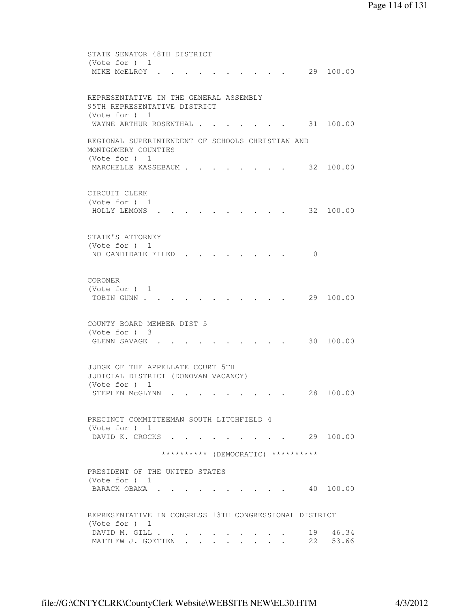```
 STATE SENATOR 48TH DISTRICT 
 (Vote for ) 1 
MIKE MCELROY . . . . . . . . . . 29 100.00
 REPRESENTATIVE IN THE GENERAL ASSEMBLY 
 95TH REPRESENTATIVE DISTRICT 
 (Vote for ) 1 
WAYNE ARTHUR ROSENTHAL . . . . . . . 31 100.00
 REGIONAL SUPERINTENDENT OF SCHOOLS CHRISTIAN AND 
 MONTGOMERY COUNTIES 
 (Vote for ) 1 
MARCHELLE KASSEBAUM . . . . . . . . 32 100.00
 CIRCUIT CLERK 
 (Vote for ) 1 
 HOLLY LEMONS . . . . . . . . . . 32 100.00 
 STATE'S ATTORNEY 
 (Vote for ) 1 
NO CANDIDATE FILED . . . . . . . . 0
 CORONER 
 (Vote for ) 1 
TOBIN GUNN . . . . . . . . . . . . 29 100.00
 COUNTY BOARD MEMBER DIST 5 
 (Vote for ) 3 
GLENN SAVAGE . . . . . . . . . . 30 100.00
 JUDGE OF THE APPELLATE COURT 5TH 
 JUDICIAL DISTRICT (DONOVAN VACANCY) 
 (Vote for ) 1 
STEPHEN MCGLYNN . . . . . . . . . 28 100.00
 PRECINCT COMMITTEEMAN SOUTH LITCHFIELD 4 
 (Vote for ) 1 
DAVID K. CROCKS . . . . . . . . . 29 100.00
               ********** (DEMOCRATIC) ********** 
 PRESIDENT OF THE UNITED STATES 
 (Vote for ) 1 
BARACK OBAMA . . . . . . . . . . 40 100.00
 REPRESENTATIVE IN CONGRESS 13TH CONGRESSIONAL DISTRICT 
 (Vote for ) 1 
DAVID M. GILL . . . . . . . . . . 19 46.34
MATTHEW J. GOETTEN . . . . . . . . 22 53.66
```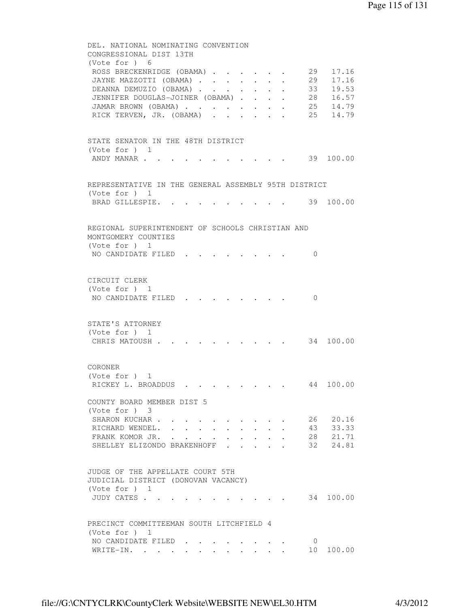```
 DEL. NATIONAL NOMINATING CONVENTION 
         CONGRESSIONAL DIST 13TH 
          (Vote for ) 6 
         ROSS BRECKENRIDGE (OBAMA) . . . . . . 29 17.16
         JAYNE MAZZOTTI (OBAMA) . . . . . . . 29 17.16
         DEANNA DEMUZIO (OBAMA) . . . . . . . 33 19.53
 JENNIFER DOUGLAS-JOINER (OBAMA) . . . . 28 16.57 
 JAMAR BROWN (OBAMA) . . . . . . . . 25 14.79 
 RICK TERVEN, JR. (OBAMA) . . . . . . 25 14.79 
         STATE SENATOR IN THE 48TH DISTRICT 
          (Vote for ) 1 
         ANDY MANAR . . . . . . . . . . . . 39 100.00
         REPRESENTATIVE IN THE GENERAL ASSEMBLY 95TH DISTRICT 
          (Vote for ) 1 
         BRAD GILLESPIE. . . . . . . . . . 39 100.00
         REGIONAL SUPERINTENDENT OF SCHOOLS CHRISTIAN AND 
         MONTGOMERY COUNTIES 
          (Vote for ) 1 
         NO CANDIDATE FILED . . . . . . . . 0
         CIRCUIT CLERK 
          (Vote for ) 1 
         NO CANDIDATE FILED . . . . . . . 0
         STATE'S ATTORNEY 
          (Vote for ) 1 
         CHRIS MATOUSH . . . . . . . . . . 34 100.00
         CORONER 
          (Vote for ) 1 
         RICKEY L. BROADDUS . . . . . . . . 44 100.00
         COUNTY BOARD MEMBER DIST 5 
          (Vote for ) 3 
         SHARON KUCHAR . . . . . . . . . . 26 20.16
         RICHARD WENDEL. . . . . . . . . . . 43 33.33<br>FRANK KOMOR JR. . . . . . . . . . 28 21.71<br>SHELLEY ELIZONDO BRAKENHOFF . . . . 32 24.81
         FRANK KOMOR JR. . . . . . . . . .
         SHELLEY ELIZONDO BRAKENHOFF . . .
         JUDGE OF THE APPELLATE COURT 5TH 
         JUDICIAL DISTRICT (DONOVAN VACANCY) 
          (Vote for ) 1 
         JUDY CATES . . . . . . . . . . . 34 100.00
         PRECINCT COMMITTEEMAN SOUTH LITCHFIELD 4 
          (Vote for ) 1 
         NO CANDIDATE FILED . . . . . . . . 0
         WRITE-IN. . . . . . . . . . . . . . . . 10 100.00
```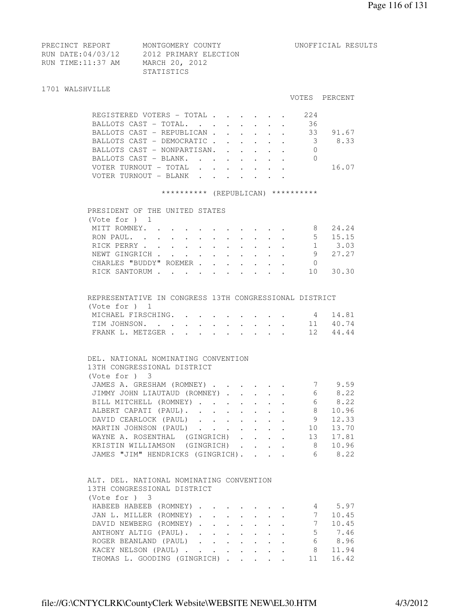| PRECINCT REPORT   | MONTGOMERY COUNTY     |
|-------------------|-----------------------|
| RUN DATE:04/03/12 | 2012 PRIMARY ELECTION |
| RUN TIME:11:37 AM | MARCH 20, 2012        |
|                   | STATISTICS            |

#### 1701 WALSHVILLE

#### VOTES PERCENT

UNOFFICIAL RESULTS

| REGISTERED VOTERS - TOTAL   |  |  |  | 224 |       |  |
|-----------------------------|--|--|--|-----|-------|--|
| BALLOTS CAST - TOTAL.       |  |  |  | 36  |       |  |
| BALLOTS CAST - REPUBLICAN   |  |  |  | 33  | 91.67 |  |
| BALLOTS CAST - DEMOCRATIC   |  |  |  |     | 8.33  |  |
| BALLOTS CAST - NONPARTISAN. |  |  |  |     |       |  |
| BALLOTS CAST - BLANK.       |  |  |  |     |       |  |
| VOTER TURNOUT - TOTAL       |  |  |  |     | 16.07 |  |
| VOTER TURNOUT - BLANK       |  |  |  |     |       |  |
|                             |  |  |  |     |       |  |

# \*\*\*\*\*\*\*\*\*\* (REPUBLICAN) \*\*\*\*\*\*\*\*\*\*

| PRESIDENT OF THE UNITED STATES |                                                                                                                       |  |  |     |       |
|--------------------------------|-----------------------------------------------------------------------------------------------------------------------|--|--|-----|-------|
| (Vote for $)$ 1                |                                                                                                                       |  |  |     |       |
| MITT ROMNEY.                   |                                                                                                                       |  |  | 8   | 24.24 |
| RON PAUL.                      | $\mathbf{r}$ , and $\mathbf{r}$ , and $\mathbf{r}$ , and $\mathbf{r}$ , and $\mathbf{r}$                              |  |  | 5   | 15.15 |
| RICK PERRY                     |                                                                                                                       |  |  |     | 3.03  |
| NEWT GINGRICH                  | $\mathbf{r}$ , $\mathbf{r}$ , $\mathbf{r}$ , $\mathbf{r}$ , $\mathbf{r}$ , $\mathbf{r}$ , $\mathbf{r}$ , $\mathbf{r}$ |  |  | 9   | 27.27 |
| CHARLES "BUDDY" ROEMER         |                                                                                                                       |  |  |     |       |
| RICK SANTORUM                  | $\mathbf{r}$ , $\mathbf{r}$ , $\mathbf{r}$ , $\mathbf{r}$ , $\mathbf{r}$ , $\mathbf{r}$ , $\mathbf{r}$                |  |  | 1 O |       |
|                                |                                                                                                                       |  |  |     |       |

# REPRESENTATIVE IN CONGRESS 13TH CONGRESSIONAL DISTRICT (Vote for ) 1

| MICHAEL FIRSCHING. 4 14.81 |  |  |  |  |  |
|----------------------------|--|--|--|--|--|
| TIM JOHNSON. 11 40.74      |  |  |  |  |  |
| FRANK L. METZGER 12 44.44  |  |  |  |  |  |

## DEL. NATIONAL NOMINATING CONVENTION 13TH CONGRESSIONAL DISTRICT (Vote for ) 3 JAMES A. GRESHAM (ROMNEY) . . . . . . 7 9.59 JIMMY JOHN LIAUTAUD (ROMNEY) . . . . . 6 8.22 JIMMY JOHN LIAUTAUD (ROMNEY) . . . . . . 6 8.22<br>BILL MITCHELL (ROMNEY) . . . . . . . 6 8.22 ALBERT CAPATI (PAUL). . . . . . . . 8 10.96 DAVID CEARLOCK (PAUL) . . . . . . 9 12.33 MARTIN JOHNSON (PAUL) . . . . . . . 10 13.70<br>WAYNE A. ROSENTHAL (GINGRICH) . . . . 13 17.81 WAYNE A. ROSENTHAL (GINGRICH) . . . . KRISTIN WILLIAMSON (GINGRICH) . . . . 8 10.96 JAMES "JIM" HENDRICKS (GINGRICH). . . . 6 8.22

# ALT. DEL. NATIONAL NOMINATING CONVENTION 13TH CONGRESSIONAL DISTRICT (Vote for ) 3 HABEEB HABEEB (ROMNEY) . . . . . . . 4 5.97

| HABLLB HABLLB (KUMNLI) 4 0.97         |  |  |  |  |  |        |
|---------------------------------------|--|--|--|--|--|--------|
| JAN L. MILLER (ROMNEY) 7 10.45        |  |  |  |  |  |        |
| DAVID NEWBERG (ROMNEY) 7 10.45        |  |  |  |  |  |        |
| ANTHONY ALTIG (PAUL).                 |  |  |  |  |  | 5 7.46 |
| ROGER BEANLAND (PAUL)                 |  |  |  |  |  | 6 8.96 |
| KACEY NELSON (PAUL) 8 11.94           |  |  |  |  |  |        |
| THOMAS L. GOODING (GINGRICH) 11 16.42 |  |  |  |  |  |        |
|                                       |  |  |  |  |  |        |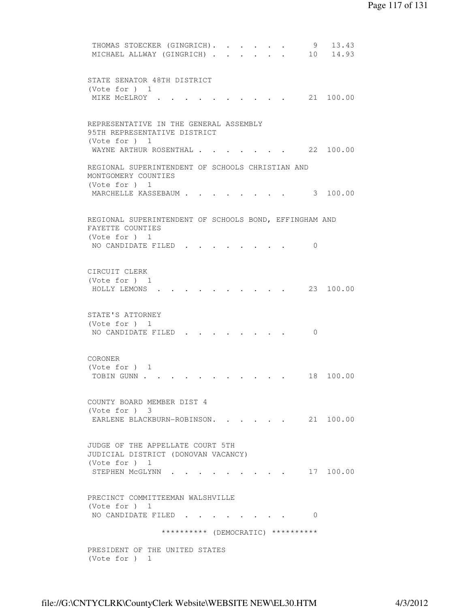```
THOMAS STOECKER (GINGRICH). . . . . . 9 13.43
MICHAEL ALLWAY (GINGRICH) . . . . . . 10 14.93
 STATE SENATOR 48TH DISTRICT 
 (Vote for ) 1 
MIKE MCELROY . . . . . . . . . . 21 100.00
 REPRESENTATIVE IN THE GENERAL ASSEMBLY 
 95TH REPRESENTATIVE DISTRICT 
 (Vote for ) 1 
WAYNE ARTHUR ROSENTHAL . . . . . . 22 100.00
 REGIONAL SUPERINTENDENT OF SCHOOLS CHRISTIAN AND 
 MONTGOMERY COUNTIES 
 (Vote for ) 1 
MARCHELLE KASSEBAUM . . . . . . . . 3 100.00
 REGIONAL SUPERINTENDENT OF SCHOOLS BOND, EFFINGHAM AND 
 FAYETTE COUNTIES 
 (Vote for ) 1 
NO CANDIDATE FILED . . . . . . . . 0
 CIRCUIT CLERK 
 (Vote for ) 1 
 HOLLY LEMONS . . . . . . . . . . 23 100.00 
 STATE'S ATTORNEY 
 (Vote for ) 1 
NO CANDIDATE FILED . . . . . . . . 0
 CORONER 
 (Vote for ) 1 
TOBIN GUNN . . . . . . . . . . . . 18 100.00
 COUNTY BOARD MEMBER DIST 4 
 (Vote for ) 3 
EARLENE BLACKBURN-ROBINSON. . . . . 21 100.00
 JUDGE OF THE APPELLATE COURT 5TH 
 JUDICIAL DISTRICT (DONOVAN VACANCY) 
 (Vote for ) 1 
STEPHEN MCGLYNN . . . . . . . . . 17 100.00
 PRECINCT COMMITTEEMAN WALSHVILLE 
 (Vote for ) 1 
NO CANDIDATE FILED . . . . . . . . 0
               ********** (DEMOCRATIC) ********** 
 PRESIDENT OF THE UNITED STATES 
 (Vote for ) 1
```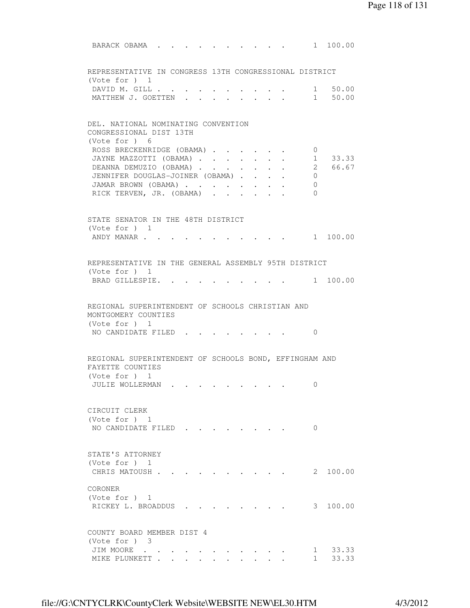BARACK OBAMA . . . . . . . . . . 1 100.00 REPRESENTATIVE IN CONGRESS 13TH CONGRESSIONAL DISTRICT (Vote for ) 1 DAVID M. GILL . . . . . . . . . . . 1 50.00 MATTHEW J. GOETTEN . . . . . . . . 1 50.00 DEL. NATIONAL NOMINATING CONVENTION CONGRESSIONAL DIST 13TH (Vote for ) 6 ROSS BRECKENRIDGE (OBAMA) . . . . . . 0 JAYNE MAZZOTTI (OBAMA) . . . . . . . 1 33.33 DEANNA DEMUZIO (OBAMA) . . . . . . . 2 66.67 JENNIFER DOUGLAS-JOINER (OBAMA) . . . . 0 JAMAR BROWN (OBAMA) . . . . . . . . 0 RICK TERVEN, JR. (OBAMA) . . . . . . 0 STATE SENATOR IN THE 48TH DISTRICT (Vote for ) 1 ANDY MANAR . . . . . . . . . . . . 1 100.00 REPRESENTATIVE IN THE GENERAL ASSEMBLY 95TH DISTRICT (Vote for ) 1 BRAD GILLESPIE. . . . . . . . . . 1 100.00 REGIONAL SUPERINTENDENT OF SCHOOLS CHRISTIAN AND MONTGOMERY COUNTIES (Vote for ) 1 NO CANDIDATE FILED . . . . . . . . 0 REGIONAL SUPERINTENDENT OF SCHOOLS BOND, EFFINGHAM AND FAYETTE COUNTIES (Vote for ) 1 JULIE WOLLERMAN . . . . . . . . . 0 CIRCUIT CLERK (Vote for ) 1 NO CANDIDATE FILED . . . . . . . . 0 STATE'S ATTORNEY (Vote for ) 1 CHRIS MATOUSH . . . . . . . . . . 2 100.00 CORONER (Vote for ) 1 RICKEY L. BROADDUS . . . . . . . . 3 100.00 COUNTY BOARD MEMBER DIST 4 (Vote for ) 3 JIM MOORE . . . . . . . . . . . 1 33.33 MIKE PLUNKETT . . . . . . . . . . 1 33.33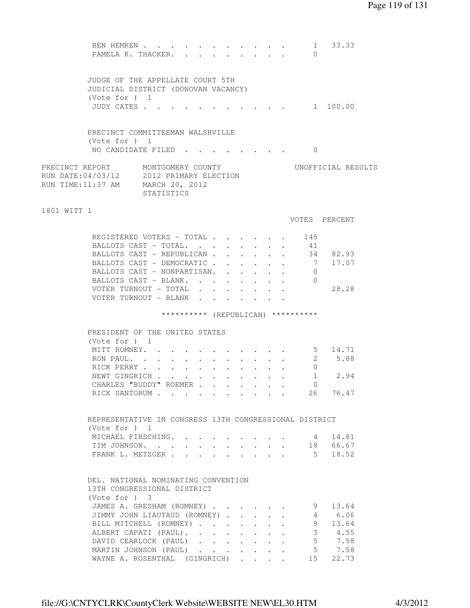|                   | BEN HEMKEN<br>PAMELA K. THACKER.                                                                       |                              |  |        |                      |  | $\mathbf{r} = \mathbf{r}$ | $\sim$ 1<br>$\Omega$               | 33.33              |  |
|-------------------|--------------------------------------------------------------------------------------------------------|------------------------------|--|--------|----------------------|--|---------------------------|------------------------------------|--------------------|--|
|                   | JUDGE OF THE APPELLATE COURT 5TH<br>JUDICIAL DISTRICT (DONOVAN VACANCY)<br>(Vote for ) 1<br>JUDY CATES |                              |  |        |                      |  |                           |                                    | 1 100.00           |  |
|                   | PRECINCT COMMITTEEMAN WALSHVILLE                                                                       |                              |  |        |                      |  |                           |                                    |                    |  |
|                   | (Vote for ) 1<br>NO CANDIDATE FILED.                                                                   |                              |  |        |                      |  |                           | . 0                                |                    |  |
| RUN TIME:11:37 AM | PRECINCT REPORT MONTGOMERY COUNTY<br>RUN DATE: 04/03/12 2012 PRIMARY ELECTION                          | MARCH 20, 2012<br>STATISTICS |  |        |                      |  |                           |                                    | UNOFFICIAL RESULTS |  |
| 1801 WITT 1       |                                                                                                        |                              |  |        |                      |  |                           |                                    | VOTES PERCENT      |  |
|                   | REGISTERED VOTERS - TOTAL                                                                              |                              |  |        |                      |  |                           | 145                                |                    |  |
|                   | BALLOTS CAST - TOTAL.                                                                                  |                              |  |        |                      |  |                           | 41                                 |                    |  |
|                   | BALLOTS CAST - REPUBLICAN                                                                              |                              |  |        | $\ddot{\phantom{0}}$ |  |                           |                                    | 34 82.93           |  |
|                   | BALLOTS CAST - DEMOCRATIC.                                                                             |                              |  |        |                      |  |                           |                                    | 7 17.07            |  |
|                   | BALLOTS CAST - NONPARTISAN.                                                                            |                              |  | $\sim$ |                      |  |                           | 0                                  |                    |  |
|                   | BALLOTS CAST - BLANK.                                                                                  |                              |  |        |                      |  |                           | $\Omega$                           |                    |  |
|                   | VOTER TURNOUT - TOTAL                                                                                  |                              |  |        |                      |  |                           |                                    | 28.28              |  |
|                   | VOTER TURNOUT - BLANK                                                                                  |                              |  |        |                      |  |                           |                                    |                    |  |
|                   |                                                                                                        |                              |  |        |                      |  |                           | ********** (REPUBLICAN) ********** |                    |  |
|                   | PRESIDENT OF THE UNITED STATES                                                                         |                              |  |        |                      |  |                           |                                    |                    |  |
|                   | (Vote for $)$ 1                                                                                        |                              |  |        |                      |  |                           |                                    |                    |  |
|                   | MITT ROMNEY.                                                                                           |                              |  |        |                      |  |                           |                                    | 5 14.71            |  |
|                   |                                                                                                        |                              |  |        |                      |  |                           | $\mathbf{2}$                       |                    |  |
|                   | RON PAUL                                                                                               |                              |  |        |                      |  |                           |                                    | 5.88               |  |
|                   | RICK PERRY                                                                                             |                              |  |        |                      |  |                           | $\circ$                            |                    |  |
|                   |                                                                                                        |                              |  |        |                      |  |                           |                                    | $1 \t2.94$         |  |
|                   | NEWT GINGRICH<br>CHARLES "BUDDY" ROEMER                                                                |                              |  |        |                      |  |                           | 0                                  |                    |  |
|                   | RICK SANTORUM 26 76.47                                                                                 |                              |  |        |                      |  |                           |                                    |                    |  |
|                   | REPRESENTATIVE IN CONGRESS 13TH CONGRESSIONAL DISTRICT<br>(Vote for $)$ 1                              |                              |  |        |                      |  |                           |                                    |                    |  |
|                   | MICHAEL FIRSCHING.                                                                                     |                              |  |        |                      |  |                           | 4                                  | 14.81              |  |
|                   | TIM JOHNSON.                                                                                           |                              |  |        |                      |  |                           |                                    | 18 66.67           |  |
|                   | FRANK L. METZGER                                                                                       |                              |  |        |                      |  |                           |                                    | $5 \t 18.52$       |  |
|                   | DEL. NATIONAL NOMINATING CONVENTION<br>13TH CONGRESSIONAL DISTRICT                                     |                              |  |        |                      |  |                           |                                    |                    |  |
|                   | $(Vote for )$ 3                                                                                        |                              |  |        |                      |  |                           |                                    |                    |  |
|                   | JAMES A. GRESHAM (ROMNEY)                                                                              |                              |  |        |                      |  |                           | 9<br>$4 \quad$                     | 13.64              |  |
|                   | JIMMY JOHN LIAUTAUD (ROMNEY)                                                                           |                              |  |        |                      |  |                           |                                    | 6.06               |  |
|                   | BILL MITCHELL (ROMNEY)                                                                                 |                              |  |        |                      |  |                           |                                    | 9 13.64            |  |
|                   | ALBERT CAPATI (PAUL).                                                                                  |                              |  |        |                      |  |                           |                                    | $3 \t 4.55$        |  |
|                   | DAVID CEARLOCK (PAUL)<br>MARTIN JOHNSON (PAUL)                                                         |                              |  |        |                      |  | $\ddot{\phantom{0}}$      |                                    | 5 7.58<br>5 7.58   |  |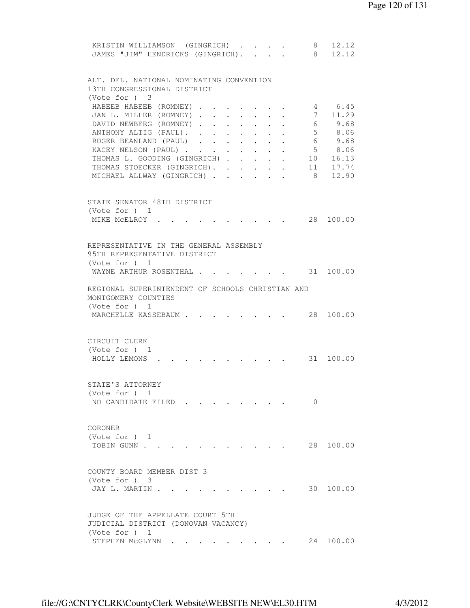| KRISTIN WILLIAMSON (GINGRICH)<br>JAMES "JIM" HENDRICKS (GINGRICH).      |        |                                                                          |                                          |                      |          | 8 12.12<br>8 12.12 |
|-------------------------------------------------------------------------|--------|--------------------------------------------------------------------------|------------------------------------------|----------------------|----------|--------------------|
| ALT. DEL. NATIONAL NOMINATING CONVENTION<br>13TH CONGRESSIONAL DISTRICT |        |                                                                          |                                          |                      |          |                    |
| (Vote for ) 3<br>HABEEB HABEEB (ROMNEY)                                 |        |                                                                          |                                          |                      |          | 4 6.45             |
| JAN L. MILLER (ROMNEY)                                                  |        | $\sim$                                                                   |                                          | $\ddot{\phantom{0}}$ |          | 7 11.29            |
| DAVID NEWBERG (ROMNEY)                                                  |        |                                                                          |                                          |                      |          | 6 9.68             |
| ANTHONY ALTIG (PAUL).                                                   |        | $\mathbf{r}$ , $\mathbf{r}$ , $\mathbf{r}$ , $\mathbf{r}$ , $\mathbf{r}$ |                                          |                      |          | 5 8.06             |
| ROGER BEANLAND (PAUL)                                                   |        |                                                                          |                                          |                      |          | 6 9.68             |
| KACEY NELSON (PAUL)                                                     |        | $\mathbf{r} = \mathbf{r} + \mathbf{r}$                                   |                                          |                      |          | 5 8.06             |
| THOMAS L. GOODING (GINGRICH)<br>THOMAS STOECKER (GINGRICH). .           |        | $\mathbf{L} = \mathbf{L} \mathbf{L}$                                     | $\mathbf{r} = \mathbf{r} + \mathbf{r}$ . | $\sim$ 100 $\pm$     |          | 10 16.13           |
| MICHAEL ALLWAY (GINGRICH).                                              | $\sim$ | $\sim$                                                                   |                                          |                      | 8        | 11 17.74<br>12.90  |
|                                                                         |        |                                                                          |                                          |                      |          |                    |
| STATE SENATOR 48TH DISTRICT                                             |        |                                                                          |                                          |                      |          |                    |
| (Vote for ) 1<br>MIKE MCELROY .                                         |        |                                                                          |                                          |                      |          | 28 100.00          |
|                                                                         |        |                                                                          |                                          |                      |          |                    |
|                                                                         |        |                                                                          |                                          |                      |          |                    |
| REPRESENTATIVE IN THE GENERAL ASSEMBLY                                  |        |                                                                          |                                          |                      |          |                    |
| 95TH REPRESENTATIVE DISTRICT<br>(Vote for $)$ 1                         |        |                                                                          |                                          |                      |          |                    |
| WAYNE ARTHUR ROSENTHAL                                                  |        |                                                                          |                                          |                      |          |                    |
|                                                                         |        |                                                                          |                                          |                      |          |                    |
| REGIONAL SUPERINTENDENT OF SCHOOLS CHRISTIAN AND<br>MONTGOMERY COUNTIES |        |                                                                          |                                          |                      |          |                    |
| (Vote for ) 1<br>MARCHELLE KASSEBAUM                                    |        |                                                                          |                                          |                      |          | 28 100.00          |
| CIRCUIT CLERK<br>(Vote for $)$ 1<br>HOLLY LEMONS                        |        |                                                                          |                                          |                      |          | 31 100.00          |
|                                                                         |        |                                                                          |                                          |                      |          |                    |
| STATE'S ATTORNEY<br>(Vote for $)$ 1                                     |        |                                                                          |                                          |                      |          |                    |
| NO CANDIDATE FILED                                                      |        |                                                                          |                                          |                      | $\Omega$ |                    |
|                                                                         |        |                                                                          |                                          |                      |          |                    |
|                                                                         |        |                                                                          |                                          |                      |          |                    |
| CORONER                                                                 |        |                                                                          |                                          |                      |          |                    |
| (Vote for $)$ 1<br>TOBIN GUNN                                           |        |                                                                          |                                          |                      |          | 28 100.00          |
|                                                                         |        |                                                                          |                                          |                      |          |                    |
| COUNTY BOARD MEMBER DIST 3                                              |        |                                                                          |                                          |                      |          |                    |
| (Vote for ) 3<br>JAY L. MARTIN.                                         |        |                                                                          |                                          |                      |          | 30 100.00          |
|                                                                         |        |                                                                          |                                          |                      |          |                    |
|                                                                         |        |                                                                          |                                          |                      |          |                    |
| JUDGE OF THE APPELLATE COURT 5TH                                        |        |                                                                          |                                          |                      |          |                    |
| JUDICIAL DISTRICT (DONOVAN VACANCY)                                     |        |                                                                          |                                          |                      |          |                    |
| (Vote for ) 1<br>STEPHEN MCGLYNN                                        |        |                                                                          |                                          |                      | 24       | 100.00             |
|                                                                         |        |                                                                          |                                          |                      |          |                    |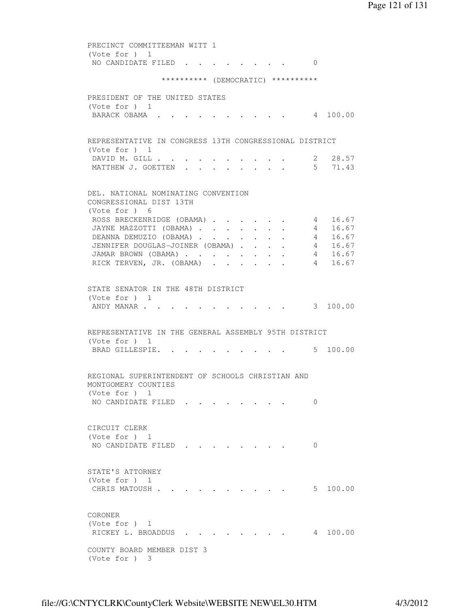PRECINCT COMMITTEEMAN WITT 1 (Vote for ) 1 NO CANDIDATE FILED . . . . . . . . 0 \*\*\*\*\*\*\*\*\*\* (DEMOCRATIC) \*\*\*\*\*\*\*\*\*\* PRESIDENT OF THE UNITED STATES (Vote for ) 1 BARACK OBAMA . . . . . . . . . . 4 100.00 REPRESENTATIVE IN CONGRESS 13TH CONGRESSIONAL DISTRICT (Vote for ) 1 DAVID M. GILL . . . . . . . . . . 2 28.57 MATTHEW J. GOETTEN . . . . . . . . 5 71.43 DEL. NATIONAL NOMINATING CONVENTION CONGRESSIONAL DIST 13TH (Vote for ) 6 ROSS BRECKENRIDGE (OBAMA) . . . . . 4 16.67 JAYNE MAZZOTTI (OBAMA) . . . . . . . 4 16.67 DEANNA DEMUZIO (OBAMA) . . . . . . 4 16.67 JENNIFER DOUGLAS-JOINER (OBAMA) . . . . 4 16.67 JAMAR BROWN (OBAMA) . . . . . . . . 4 16.67 RICK TERVEN, JR. (OBAMA) . . . . . . 4 16.67 STATE SENATOR IN THE 48TH DISTRICT (Vote for ) 1 ANDY MANAR . . . . . . . . . . . . 3 100.00 REPRESENTATIVE IN THE GENERAL ASSEMBLY 95TH DISTRICT (Vote for ) 1 BRAD GILLESPIE. . . . . . . . . . 5 100.00 REGIONAL SUPERINTENDENT OF SCHOOLS CHRISTIAN AND MONTGOMERY COUNTIES (Vote for ) 1 NO CANDIDATE FILED . . . . . . . . 0 CIRCUIT CLERK (Vote for ) 1 NO CANDIDATE FILED . . . . . . . 0 STATE'S ATTORNEY (Vote for ) 1 CHRIS MATOUSH . . . . . . . . . . 5 100.00 CORONER (Vote for ) 1 RICKEY L. BROADDUS . . . . . . . . 4 100.00 COUNTY BOARD MEMBER DIST 3 (Vote for ) 3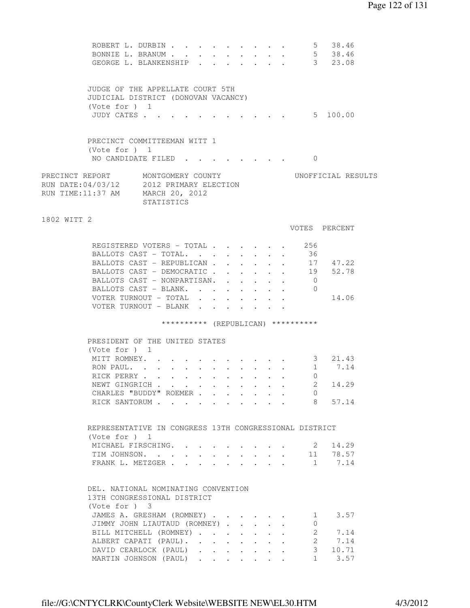|                                                                                                                   | ROBERT L. DURBIN 5 38.46<br>BONNIE L. BRANUM 5 38.46<br>GEORGE L. BLANKENSHIP 3 23.08                  |            |  |  |                                                                                                                               |                                                             |                  |                                    |                          |                    |
|-------------------------------------------------------------------------------------------------------------------|--------------------------------------------------------------------------------------------------------|------------|--|--|-------------------------------------------------------------------------------------------------------------------------------|-------------------------------------------------------------|------------------|------------------------------------|--------------------------|--------------------|
|                                                                                                                   | JUDGE OF THE APPELLATE COURT 5TH<br>JUDICIAL DISTRICT (DONOVAN VACANCY)<br>(Vote for ) 1<br>JUDY CATES |            |  |  |                                                                                                                               |                                                             |                  | . 5 100.00                         |                          |                    |
|                                                                                                                   | PRECINCT COMMITTEEMAN WITT 1<br>(Vote for $)$ 1                                                        |            |  |  |                                                                                                                               |                                                             |                  |                                    |                          |                    |
|                                                                                                                   | NO CANDIDATE FILED.                                                                                    |            |  |  |                                                                                                                               |                                                             |                  | $\Omega$                           |                          |                    |
| PRECINCT REPORT MONTGOMERY COUNTY<br>RUN DATE: 04/03/12 2012 PRIMARY ELECTION<br>RUN TIME:11:37 AM MARCH 20, 2012 |                                                                                                        | STATISTICS |  |  |                                                                                                                               |                                                             |                  |                                    |                          | UNOFFICIAL RESULTS |
| 1802 WITT 2                                                                                                       |                                                                                                        |            |  |  |                                                                                                                               |                                                             |                  | VOTES PERCENT                      |                          |                    |
|                                                                                                                   | REGISTERED VOTERS - TOTAL                                                                              |            |  |  |                                                                                                                               |                                                             |                  | 256                                |                          |                    |
|                                                                                                                   | BALLOTS CAST - TOTAL.                                                                                  |            |  |  |                                                                                                                               |                                                             |                  | - 36                               |                          |                    |
|                                                                                                                   | BALLOTS CAST - REPUBLICAN                                                                              |            |  |  |                                                                                                                               | $\mathbf{L}$                                                |                  |                                    | 17 47.22                 |                    |
|                                                                                                                   | BALLOTS CAST - DEMOCRATIC 19 52.78                                                                     |            |  |  |                                                                                                                               |                                                             |                  |                                    |                          |                    |
|                                                                                                                   | BALLOTS CAST - NONPARTISAN.                                                                            |            |  |  |                                                                                                                               | $\bullet$ .<br><br><br><br><br><br><br><br><br><br><br><br> | $\sim$ 100 $\pm$ | $\overline{0}$                     |                          |                    |
|                                                                                                                   | BALLOTS CAST - BLANK.                                                                                  |            |  |  |                                                                                                                               | $\sim$                                                      | $\sim$ 100 $\pm$ | $\overline{0}$                     |                          |                    |
|                                                                                                                   | VOTER TURNOUT - TOTAL<br>VOTER TURNOUT - BLANK                                                         |            |  |  |                                                                                                                               |                                                             |                  |                                    | 14.06                    |                    |
|                                                                                                                   |                                                                                                        |            |  |  |                                                                                                                               |                                                             |                  | ********** (REPUBLICAN) ********** |                          |                    |
|                                                                                                                   | PRESIDENT OF THE UNITED STATES                                                                         |            |  |  |                                                                                                                               |                                                             |                  |                                    |                          |                    |
|                                                                                                                   | (Note for ) 1                                                                                          |            |  |  |                                                                                                                               |                                                             |                  |                                    |                          |                    |
|                                                                                                                   | MITT ROMNEY.                                                                                           |            |  |  |                                                                                                                               |                                                             |                  | $\cdot$ 3 21.43                    |                          |                    |
|                                                                                                                   | RON PAUL.                                                                                              |            |  |  |                                                                                                                               |                                                             |                  |                                    | 1 7.14                   |                    |
|                                                                                                                   | RICK PERRY                                                                                             |            |  |  |                                                                                                                               |                                                             |                  | $\Omega$                           |                          |                    |
|                                                                                                                   | NEWT GINGRICH                                                                                          |            |  |  |                                                                                                                               |                                                             |                  |                                    | 2 14.29                  |                    |
|                                                                                                                   | CHARLES "BUDDY" ROEMER                                                                                 |            |  |  |                                                                                                                               |                                                             |                  | $\overline{0}$                     |                          |                    |
|                                                                                                                   | RICK SANTORUM                                                                                          |            |  |  |                                                                                                                               |                                                             |                  | 8                                  | 57.14                    |                    |
|                                                                                                                   |                                                                                                        |            |  |  |                                                                                                                               |                                                             |                  |                                    |                          |                    |
|                                                                                                                   | REPRESENTATIVE IN CONGRESS 13TH CONGRESSIONAL DISTRICT                                                 |            |  |  |                                                                                                                               |                                                             |                  |                                    |                          |                    |
|                                                                                                                   | (Vote for $)$ 1<br>MICHAEL FIRSCHING.                                                                  |            |  |  |                                                                                                                               |                                                             |                  | $\sim$ 2                           | 14.29                    |                    |
|                                                                                                                   | TIM JOHNSON. 11 78.57                                                                                  |            |  |  |                                                                                                                               |                                                             |                  |                                    |                          |                    |
|                                                                                                                   | FRANK L. METZGER                                                                                       |            |  |  |                                                                                                                               |                                                             |                  |                                    | 1 7.14                   |                    |
|                                                                                                                   |                                                                                                        |            |  |  |                                                                                                                               |                                                             |                  |                                    |                          |                    |
|                                                                                                                   | DEL. NATIONAL NOMINATING CONVENTION<br>13TH CONGRESSIONAL DISTRICT                                     |            |  |  |                                                                                                                               |                                                             |                  |                                    |                          |                    |
|                                                                                                                   | (Vote for ) 3                                                                                          |            |  |  |                                                                                                                               |                                                             |                  |                                    |                          |                    |
|                                                                                                                   | JAMES A. GRESHAM (ROMNEY)                                                                              |            |  |  |                                                                                                                               |                                                             |                  | 1                                  | 3.57                     |                    |
|                                                                                                                   | JIMMY JOHN LIAUTAUD (ROMNEY)                                                                           |            |  |  |                                                                                                                               |                                                             |                  | 0                                  |                          |                    |
|                                                                                                                   | BILL MITCHELL (ROMNEY)                                                                                 |            |  |  |                                                                                                                               |                                                             |                  |                                    | $2 \overline{2}$<br>7.14 |                    |
|                                                                                                                   | ALBERT CAPATI (PAUL).<br>DAVID CEARLOCK (PAUL)                                                         |            |  |  |                                                                                                                               |                                                             |                  | $2^{\circ}$<br>3 <sup>7</sup>      | 7.14<br>10.71            |                    |
|                                                                                                                   | MARTIN JOHNSON (PAUL)                                                                                  |            |  |  | $\mathbf{r} = \left\{ \mathbf{r} \in \mathbb{R}^d \mid \mathbf{r} \in \mathbb{R}^d \mid \mathbf{r} \in \mathbb{R}^d \right\}$ |                                                             |                  | 1                                  | 3.57                     |                    |
|                                                                                                                   |                                                                                                        |            |  |  |                                                                                                                               |                                                             |                  |                                    |                          |                    |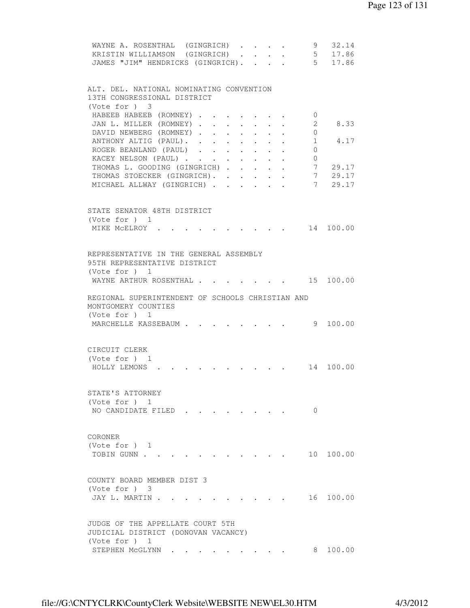| WAYNE A. ROSENTHAL (GINGRICH) 9<br>KRISTIN WILLIAMSON (GINGRICH) 5 17.86<br>JAMES "JIM" HENDRICKS (GINGRICH). 5 17.86 |                                                                 |                                                           |                         | 32.14                             |
|-----------------------------------------------------------------------------------------------------------------------|-----------------------------------------------------------------|-----------------------------------------------------------|-------------------------|-----------------------------------|
| ALT. DEL. NATIONAL NOMINATING CONVENTION<br>13TH CONGRESSIONAL DISTRICT<br>(Vote for $)$ 3                            |                                                                 |                                                           |                         |                                   |
| HABEEB HABEEB (ROMNEY)<br>JAN L. MILLER (ROMNEY)                                                                      |                                                                 |                                                           | $\circ$<br>2            | 8.33                              |
| DAVID NEWBERG (ROMNEY)<br>ANTHONY ALTIG (PAUL).                                                                       |                                                                 |                                                           | $\circ$<br>$\mathbf{1}$ | 4.17                              |
| ROGER BEANLAND (PAUL)<br>KACEY NELSON (PAUL)                                                                          |                                                                 | $\mathbf{A}$ and $\mathbf{A}$ and $\mathbf{A}$            | 0<br>0                  |                                   |
| THOMAS L. GOODING (GINGRICH)<br>THOMAS STOECKER (GINGRICH). .<br>MICHAEL ALLWAY (GINGRICH)                            | $\bullet$ .<br><br><br><br><br><br><br><br><br><br><br><br><br> | $\mathbf{A}^{\text{max}}$ , and $\mathbf{A}^{\text{max}}$ | 7<br>7<br>7             | 29.17<br>29.17<br>29.17           |
| STATE SENATOR 48TH DISTRICT                                                                                           |                                                                 |                                                           |                         |                                   |
| (Vote for $)$ 1<br>MIKE MCELROY .                                                                                     |                                                                 |                                                           |                         | $\cdot$ $\cdot$ $\cdot$ 14 100.00 |
| REPRESENTATIVE IN THE GENERAL ASSEMBLY<br>95TH REPRESENTATIVE DISTRICT<br>(Vote for $)$ 1                             |                                                                 |                                                           |                         |                                   |
| WAYNE ARTHUR ROSENTHAL                                                                                                |                                                                 |                                                           |                         |                                   |
| REGIONAL SUPERINTENDENT OF SCHOOLS CHRISTIAN AND<br>MONTGOMERY COUNTIES<br>(Vote for ) 1                              |                                                                 |                                                           |                         |                                   |
| MARCHELLE KASSEBAUM                                                                                                   |                                                                 |                                                           |                         | 9 100.00                          |
| CIRCUIT CLERK<br>(Vote for $)$ 1<br>HOLLY LEMONS.                                                                     |                                                                 |                                                           |                         | 14 100.00                         |
| STATE'S ATTORNEY                                                                                                      |                                                                 |                                                           |                         |                                   |
| (Vote for $)$ 1<br>NO CANDIDATE FILED                                                                                 |                                                                 |                                                           | $\Omega$                |                                   |
| CORONER<br>(Vote for ) 1<br>TOBIN GUNN                                                                                |                                                                 |                                                           |                         | 10 100.00                         |
|                                                                                                                       |                                                                 |                                                           |                         |                                   |
| COUNTY BOARD MEMBER DIST 3<br>$(Vote for )$ 3<br>JAY L. MARTIN .                                                      |                                                                 |                                                           |                         | 16 100.00                         |
|                                                                                                                       |                                                                 |                                                           |                         |                                   |
| JUDGE OF THE APPELLATE COURT 5TH<br>JUDICIAL DISTRICT (DONOVAN VACANCY)                                               |                                                                 |                                                           |                         |                                   |
| (Vote for ) 1<br>STEPHEN MCGLYNN .                                                                                    |                                                                 |                                                           | 8                       | 100.00                            |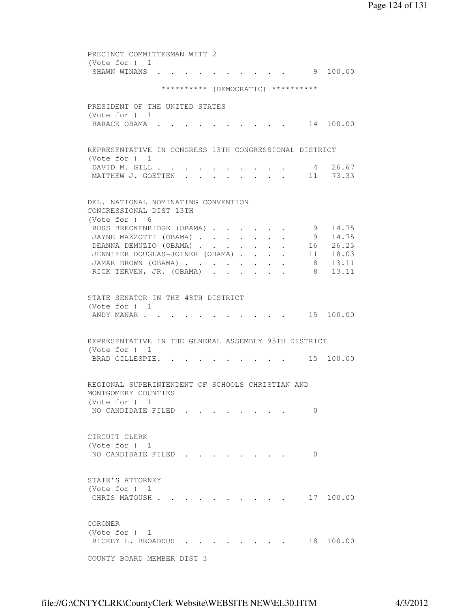PRECINCT COMMITTEEMAN WITT 2 (Vote for ) 1 SHAWN WINANS . . . . . . . . . . 9 100.00 \*\*\*\*\*\*\*\*\*\* (DEMOCRATIC) \*\*\*\*\*\*\*\*\*\* PRESIDENT OF THE UNITED STATES (Vote for ) 1 BARACK OBAMA . . . . . . . . . . 14 100.00 REPRESENTATIVE IN CONGRESS 13TH CONGRESSIONAL DISTRICT (Vote for ) 1 DAVID M. GILL . . . . . . . . . . 4 26.67 MATTHEW J. GOETTEN . . . . . . . . . 11 73.33 DEL. NATIONAL NOMINATING CONVENTION CONGRESSIONAL DIST 13TH (Vote for ) 6 ROSS BRECKENRIDGE (OBAMA) . . . . . 9 14.75 JAYNE MAZZOTTI (OBAMA) . . . . . . . 9 14.75 DEANNA DEMUZIO (OBAMA) . . . . . . 16 26.23 JENNIFER DOUGLAS-JOINER (OBAMA) . . . . 11 18.03 JAMAR BROWN (OBAMA) . . . . . . . . 8 13.11 RICK TERVEN, JR. (OBAMA) . . . . . . 8 13.11 STATE SENATOR IN THE 48TH DISTRICT (Vote for ) 1 ANDY MANAR . . . . . . . . . . . 15 100.00 REPRESENTATIVE IN THE GENERAL ASSEMBLY 95TH DISTRICT (Vote for ) 1 BRAD GILLESPIE. . . . . . . . . 15 100.00 REGIONAL SUPERINTENDENT OF SCHOOLS CHRISTIAN AND MONTGOMERY COUNTIES (Vote for ) 1 NO CANDIDATE FILED . . . . . . . . 0 CIRCUIT CLERK (Vote for ) 1 NO CANDIDATE FILED . . . . . . . . 0 STATE'S ATTORNEY (Vote for ) 1 CHRIS MATOUSH . . . . . . . . . . 17 100.00 CORONER (Vote for ) 1 RICKEY L. BROADDUS . . . . . . . . 18 100.00 COUNTY BOARD MEMBER DIST 3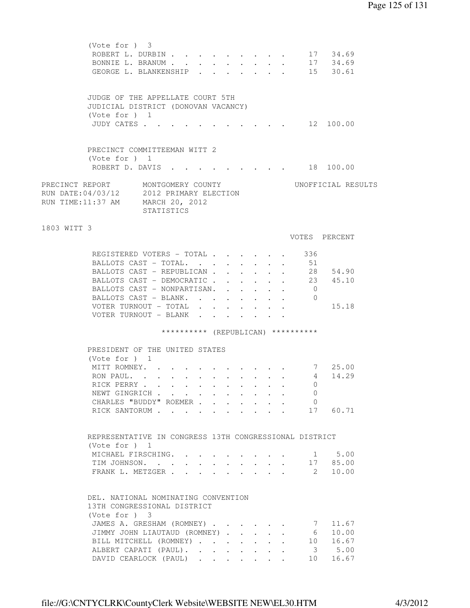|             | (Vote for $)$ 3 |                                                                                     |  |  |                                                           |  |                                    |                    |  |
|-------------|-----------------|-------------------------------------------------------------------------------------|--|--|-----------------------------------------------------------|--|------------------------------------|--------------------|--|
|             |                 | ROBERT L. DURBIN                                                                    |  |  |                                                           |  |                                    | 17 34.69           |  |
|             |                 | BONNIE L. BRANUM                                                                    |  |  |                                                           |  |                                    | 17 34.69           |  |
|             |                 | GEORGE L. BLANKENSHIP                                                               |  |  |                                                           |  |                                    | 15 30.61           |  |
|             |                 |                                                                                     |  |  |                                                           |  |                                    |                    |  |
|             |                 | JUDGE OF THE APPELLATE COURT 5TH                                                    |  |  |                                                           |  |                                    |                    |  |
|             |                 | JUDICIAL DISTRICT (DONOVAN VACANCY)                                                 |  |  |                                                           |  |                                    |                    |  |
|             | (Vote for ) 1   |                                                                                     |  |  |                                                           |  |                                    |                    |  |
|             | JUDY CATES      |                                                                                     |  |  |                                                           |  |                                    | 12 100.00          |  |
|             |                 |                                                                                     |  |  |                                                           |  |                                    |                    |  |
|             |                 | PRECINCT COMMITTEEMAN WITT 2                                                        |  |  |                                                           |  |                                    |                    |  |
|             | (Vote for ) 1   |                                                                                     |  |  |                                                           |  |                                    |                    |  |
|             |                 | ROBERT D. DAVIS 18 100.00                                                           |  |  |                                                           |  |                                    |                    |  |
|             |                 | PRECINCT REPORT         MONTGOMERY COUNTY                                           |  |  |                                                           |  |                                    | UNOFFICIAL RESULTS |  |
|             |                 |                                                                                     |  |  |                                                           |  |                                    |                    |  |
|             |                 | RUN DATE:04/03/12     2012 PRIMARY ELECTION<br>RUN TIME:11:37 AM     MARCH 20, 2012 |  |  |                                                           |  |                                    |                    |  |
|             |                 |                                                                                     |  |  |                                                           |  |                                    |                    |  |
|             |                 | STATISTICS                                                                          |  |  |                                                           |  |                                    |                    |  |
| 1803 WITT 3 |                 |                                                                                     |  |  |                                                           |  |                                    |                    |  |
|             |                 |                                                                                     |  |  |                                                           |  |                                    | VOTES PERCENT      |  |
|             |                 | REGISTERED VOTERS - TOTAL                                                           |  |  |                                                           |  | 336                                |                    |  |
|             |                 | BALLOTS CAST - TOTAL.                                                               |  |  |                                                           |  | 51                                 |                    |  |
|             |                 | BALLOTS CAST - REPUBLICAN                                                           |  |  | $\mathbf{L}^{\text{max}}$ , and $\mathbf{L}^{\text{max}}$ |  |                                    | 28 54.90           |  |
|             |                 | BALLOTS CAST - DEMOCRATIC                                                           |  |  |                                                           |  |                                    | 23 45.10           |  |
|             |                 | BALLOTS CAST - NONPARTISAN.                                                         |  |  |                                                           |  | $\overline{0}$                     |                    |  |
|             |                 | BALLOTS CAST - BLANK.                                                               |  |  |                                                           |  | $\overline{0}$                     |                    |  |
|             |                 | VOTER TURNOUT - TOTAL                                                               |  |  |                                                           |  |                                    | 15.18              |  |
|             |                 | VOTER TURNOUT - BLANK                                                               |  |  |                                                           |  |                                    |                    |  |
|             |                 |                                                                                     |  |  |                                                           |  |                                    |                    |  |
|             |                 |                                                                                     |  |  |                                                           |  | ********** (REPUBLICAN) ********** |                    |  |
|             |                 | PRESIDENT OF THE UNITED STATES                                                      |  |  |                                                           |  |                                    |                    |  |
|             | (Vote for ) 1   |                                                                                     |  |  |                                                           |  |                                    |                    |  |
|             |                 | MITT ROMNEY.                                                                        |  |  |                                                           |  |                                    | 7 25.00            |  |
|             |                 | RON PAUL.                                                                           |  |  |                                                           |  |                                    | 4<br>14.29         |  |
|             |                 | RICK PERRY                                                                          |  |  |                                                           |  |                                    | 0                  |  |
|             |                 | NEWT GINGRICH                                                                       |  |  |                                                           |  | 0                                  |                    |  |
|             |                 | CHARLES "BUDDY" ROEMER                                                              |  |  |                                                           |  | $\overline{0}$                     |                    |  |
|             |                 | RICK SANTORUM 17 60.71                                                              |  |  |                                                           |  |                                    |                    |  |
|             |                 |                                                                                     |  |  |                                                           |  |                                    |                    |  |
|             |                 | REPRESENTATIVE IN CONGRESS 13TH CONGRESSIONAL DISTRICT                              |  |  |                                                           |  |                                    |                    |  |
|             | (Vote for $)$ 1 |                                                                                     |  |  |                                                           |  |                                    |                    |  |
|             |                 | MICHAEL FIRSCHING.                                                                  |  |  |                                                           |  |                                    | 1 5.00             |  |
|             |                 | TIM JOHNSON. 17 85.00                                                               |  |  |                                                           |  |                                    |                    |  |
|             |                 |                                                                                     |  |  |                                                           |  |                                    | 10.00              |  |
|             |                 | FRANK L. METZGER 2                                                                  |  |  |                                                           |  |                                    |                    |  |
|             |                 |                                                                                     |  |  |                                                           |  |                                    |                    |  |
|             |                 | DEL. NATIONAL NOMINATING CONVENTION                                                 |  |  |                                                           |  |                                    |                    |  |
|             |                 | 13TH CONGRESSIONAL DISTRICT                                                         |  |  |                                                           |  |                                    |                    |  |
|             | $(Vote for )$ 3 |                                                                                     |  |  |                                                           |  |                                    |                    |  |
|             |                 | JAMES A. GRESHAM (ROMNEY)                                                           |  |  |                                                           |  | 7                                  | 11.67              |  |
|             |                 | JIMMY JOHN LIAUTAUD (ROMNEY)                                                        |  |  |                                                           |  | 6                                  | 10.00              |  |
|             |                 | BILL MITCHELL (ROMNEY)                                                              |  |  |                                                           |  |                                    | 10 16.67           |  |
|             |                 | ALBERT CAPATI (PAUL).                                                               |  |  |                                                           |  |                                    | 3 5.00             |  |
|             |                 | DAVID CEARLOCK (PAUL)                                                               |  |  |                                                           |  | 10                                 | 16.67              |  |
|             |                 |                                                                                     |  |  |                                                           |  |                                    |                    |  |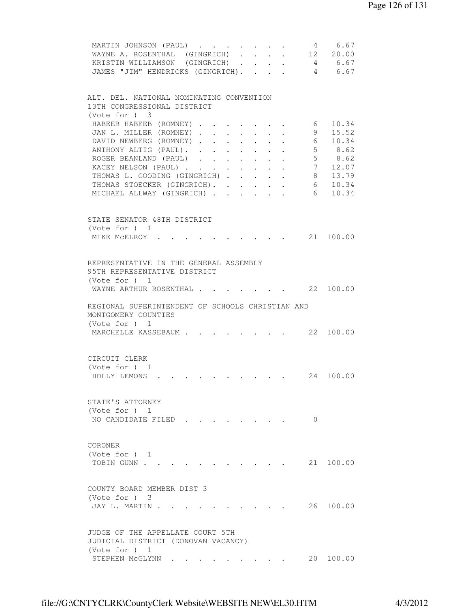|                                                  | MARTIN JOHNSON (PAUL)             |                                                           |                                                                      |                  | $\sim 10^{-11}$                                           |          | 4 6.67                    |  |
|--------------------------------------------------|-----------------------------------|-----------------------------------------------------------|----------------------------------------------------------------------|------------------|-----------------------------------------------------------|----------|---------------------------|--|
|                                                  | WAYNE A. ROSENTHAL (GINGRICH)     |                                                           |                                                                      |                  |                                                           |          | 12 20.00                  |  |
| KRISTIN WILLIAMSON (GINGRICH)                    |                                   |                                                           |                                                                      |                  |                                                           |          | 4 6.67                    |  |
|                                                  | JAMES "JIM" HENDRICKS (GINGRICH). |                                                           |                                                                      |                  |                                                           |          | 4 6.67                    |  |
|                                                  |                                   |                                                           |                                                                      |                  |                                                           |          |                           |  |
| ALT. DEL. NATIONAL NOMINATING CONVENTION         |                                   |                                                           |                                                                      |                  |                                                           |          |                           |  |
| 13TH CONGRESSIONAL DISTRICT                      |                                   |                                                           |                                                                      |                  |                                                           |          |                           |  |
| (Vote for ) 3                                    |                                   |                                                           |                                                                      |                  |                                                           |          |                           |  |
| HABEEB HABEEB (ROMNEY).                          |                                   |                                                           |                                                                      |                  |                                                           | 6        | 10.34                     |  |
|                                                  | JAN L. MILLER (ROMNEY)            | $\mathbf{r}$ , $\mathbf{r}$ , $\mathbf{r}$ , $\mathbf{r}$ |                                                                      | $\sim$           |                                                           | 9        | 15.52                     |  |
| DAVID NEWBERG (ROMNEY)                           |                                   |                                                           |                                                                      |                  |                                                           |          | 6 10.34                   |  |
| ANTHONY ALTIG (PAUL).                            |                                   |                                                           | $\mathbf{r} = \mathbf{r}$ , and the set of $\mathbf{r} = \mathbf{r}$ |                  |                                                           |          | 5 8.62                    |  |
|                                                  | ROGER BEANLAND (PAUL)             |                                                           |                                                                      | $\sim$ 100 $\pm$ |                                                           |          | 5 8.62                    |  |
|                                                  | KACEY NELSON (PAUL)               |                                                           | $\bullet$ .<br><br><br><br><br><br><br><br><br><br><br><br>          |                  |                                                           |          | 7 12.07                   |  |
|                                                  | THOMAS L. GOODING (GINGRICH)      |                                                           |                                                                      | $\sim$ 100 $\pm$ |                                                           |          | 8 13.79                   |  |
|                                                  | THOMAS STOECKER (GINGRICH).       |                                                           |                                                                      |                  | $\bullet$ , $\bullet$ , $\bullet$ , $\bullet$ , $\bullet$ |          |                           |  |
| MICHAEL ALLWAY (GINGRICH).                       |                                   |                                                           |                                                                      |                  |                                                           | 6        | 6 10.34<br>10.34          |  |
|                                                  |                                   | $\mathbf{r}$ , $\mathbf{r}$                               | $\sim 100$                                                           |                  |                                                           |          |                           |  |
|                                                  |                                   |                                                           |                                                                      |                  |                                                           |          |                           |  |
| STATE SENATOR 48TH DISTRICT                      |                                   |                                                           |                                                                      |                  |                                                           |          |                           |  |
| (Vote for ) 1                                    |                                   |                                                           |                                                                      |                  |                                                           |          |                           |  |
| MIKE MCELROY .                                   |                                   |                                                           |                                                                      |                  |                                                           |          | 21 100.00                 |  |
|                                                  |                                   |                                                           |                                                                      |                  |                                                           |          |                           |  |
| REPRESENTATIVE IN THE GENERAL ASSEMBLY           |                                   |                                                           |                                                                      |                  |                                                           |          |                           |  |
| 95TH REPRESENTATIVE DISTRICT                     |                                   |                                                           |                                                                      |                  |                                                           |          |                           |  |
| (Vote for $)$ 1                                  |                                   |                                                           |                                                                      |                  |                                                           |          |                           |  |
| WAYNE ARTHUR ROSENTHAL .                         |                                   |                                                           |                                                                      |                  |                                                           |          | 22 100.00                 |  |
|                                                  |                                   |                                                           |                                                                      |                  |                                                           |          |                           |  |
| REGIONAL SUPERINTENDENT OF SCHOOLS CHRISTIAN AND |                                   |                                                           |                                                                      |                  |                                                           |          |                           |  |
| MONTGOMERY COUNTIES                              |                                   |                                                           |                                                                      |                  |                                                           |          |                           |  |
| (Vote for ) 1                                    |                                   |                                                           |                                                                      |                  |                                                           |          |                           |  |
| MARCHELLE KASSEBAUM                              |                                   |                                                           |                                                                      |                  |                                                           |          | $\cdot$ $\cdot$ 22 100.00 |  |
|                                                  |                                   |                                                           |                                                                      |                  |                                                           |          |                           |  |
| CIRCUIT CLERK                                    |                                   |                                                           |                                                                      |                  |                                                           |          |                           |  |
|                                                  |                                   |                                                           |                                                                      |                  |                                                           |          |                           |  |
| (Vote for $)$ 1                                  |                                   |                                                           |                                                                      |                  |                                                           |          |                           |  |
| HOLLY LEMONS .                                   |                                   |                                                           |                                                                      |                  |                                                           |          |                           |  |
|                                                  |                                   |                                                           |                                                                      |                  |                                                           |          |                           |  |
| STATE'S ATTORNEY                                 |                                   |                                                           |                                                                      |                  |                                                           |          |                           |  |
| (Vote for ) 1                                    |                                   |                                                           |                                                                      |                  |                                                           |          |                           |  |
| NO CANDIDATE FILED.                              |                                   |                                                           |                                                                      |                  |                                                           | $\Omega$ |                           |  |
|                                                  |                                   |                                                           |                                                                      |                  |                                                           |          |                           |  |
| CORONER                                          |                                   |                                                           |                                                                      |                  |                                                           |          |                           |  |
| (Vote for $)$ 1                                  |                                   |                                                           |                                                                      |                  |                                                           |          |                           |  |
| TOBIN GUNN                                       |                                   |                                                           |                                                                      |                  |                                                           |          | 21 100.00                 |  |
|                                                  |                                   |                                                           |                                                                      |                  |                                                           |          |                           |  |
| COUNTY BOARD MEMBER DIST 3                       |                                   |                                                           |                                                                      |                  |                                                           |          |                           |  |
| (Note for ) 3                                    |                                   |                                                           |                                                                      |                  |                                                           |          |                           |  |
| JAY L. MARTIN .                                  |                                   |                                                           |                                                                      |                  |                                                           |          | 26 100.00                 |  |
|                                                  |                                   |                                                           |                                                                      |                  |                                                           |          |                           |  |
|                                                  |                                   |                                                           |                                                                      |                  |                                                           |          |                           |  |
| JUDGE OF THE APPELLATE COURT 5TH                 |                                   |                                                           |                                                                      |                  |                                                           |          |                           |  |
| JUDICIAL DISTRICT (DONOVAN VACANCY)              |                                   |                                                           |                                                                      |                  |                                                           |          |                           |  |
| (Vote for $)$ 1                                  |                                   |                                                           |                                                                      |                  |                                                           |          | 20 100.00                 |  |
| STEPHEN MCGLYNN                                  |                                   |                                                           |                                                                      |                  |                                                           |          |                           |  |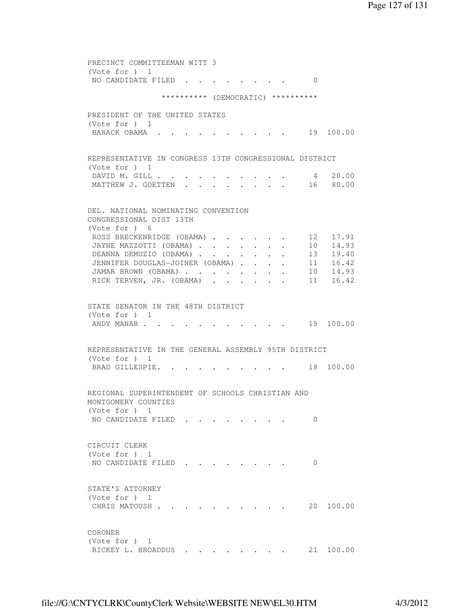PRECINCT COMMITTEEMAN WITT 3 (Vote for ) 1 NO CANDIDATE FILED . . . . . . . . 0 \*\*\*\*\*\*\*\*\*\* (DEMOCRATIC) \*\*\*\*\*\*\*\*\*\* PRESIDENT OF THE UNITED STATES (Vote for ) 1 BARACK OBAMA . . . . . . . . . . . 19 100.00 REPRESENTATIVE IN CONGRESS 13TH CONGRESSIONAL DISTRICT (Vote for ) 1 DAVID M. GILL . . . . . . . . . . . 4 20.00<br>MATTHEW J. GOETTEN . . . . . . . . 16 80.00 MATTHEW J. GOETTEN . . . . DEL. NATIONAL NOMINATING CONVENTION CONGRESSIONAL DIST 13TH (Vote for ) 6 ROSS BRECKENRIDGE (OBAMA) . . . . . 12 17.91 JAYNE MAZZOTTI (OBAMA) . . . . . . . 10 14.93 DEANNA DEMUZIO (OBAMA) . . . . . . 13 19.40 JENNIFER DOUGLAS-JOINER (OBAMA) . . . . 11 16.42 JAMAR BROWN (OBAMA) . . . . . . . . 10 14.93 RICK TERVEN, JR. (OBAMA) . . . . . . 11 16.42 STATE SENATOR IN THE 48TH DISTRICT (Vote for ) 1 ANDY MANAR . . . . . . . . . . . . 15 100.00 REPRESENTATIVE IN THE GENERAL ASSEMBLY 95TH DISTRICT (Vote for ) 1 BRAD GILLESPIE. . . . . . . . . . 18 100.00 REGIONAL SUPERINTENDENT OF SCHOOLS CHRISTIAN AND MONTGOMERY COUNTIES (Vote for ) 1 NO CANDIDATE FILED . . . . . . . 0 CIRCUIT CLERK (Vote for ) 1 NO CANDIDATE FILED . . . . . . . . 0 STATE'S ATTORNEY (Vote for ) 1 CHRIS MATOUSH . . . . . . . . . . 20 100.00 CORONER (Vote for ) 1 RICKEY L. BROADDUS . . . . . . . . 21 100.00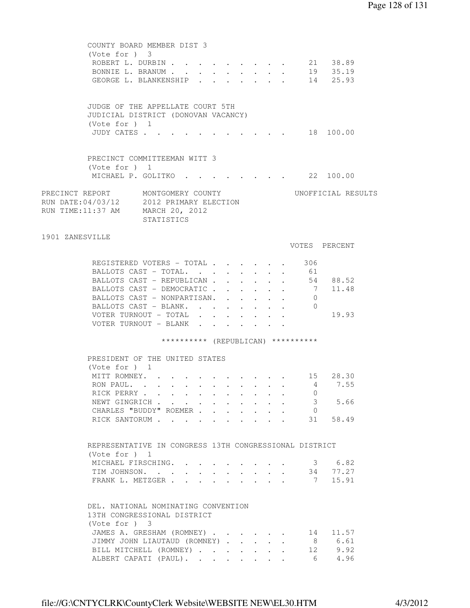| $(Vote for )$ 3                                                                                                  | COUNTY BOARD MEMBER DIST 3<br>ROBERT L. DURBIN<br>BONNIE L. BRANUM<br>GEORGE L. BLANKENSHIP |  |  | $\cdot$ $\cdot$ $\cdot$ $\cdot$ $\cdot$ $\cdot$ $\cdot$<br>$\cdot$ $\cdot$ $\cdot$ | $\mathbf{L}$<br>$\mathbf{L} = \mathbf{L}$ |                                    | 21 38.89<br>19 35.19<br>14 25.93 |  |
|------------------------------------------------------------------------------------------------------------------|---------------------------------------------------------------------------------------------|--|--|------------------------------------------------------------------------------------|-------------------------------------------|------------------------------------|----------------------------------|--|
| (Vote for $)$ 1<br>JUDY CATES                                                                                    | JUDGE OF THE APPELLATE COURT 5TH<br>JUDICIAL DISTRICT (DONOVAN VACANCY)                     |  |  |                                                                                    |                                           |                                    | 18 100.00                        |  |
| (Vote for ) 1                                                                                                    | PRECINCT COMMITTEEMAN WITT 3<br>MICHAEL P. GOLITKO 22 100.00                                |  |  |                                                                                    |                                           |                                    |                                  |  |
| PRECINCT REPORT MONTGOMERY COUNTY<br>RUN DATE:04/03/12 2012 PRIMARY ELECTION<br>RUN TIME:11:37 AM MARCH 20, 2012 | STATISTICS                                                                                  |  |  |                                                                                    |                                           |                                    | UNOFFICIAL RESULTS               |  |
| 1901 ZANESVILLE                                                                                                  |                                                                                             |  |  |                                                                                    |                                           |                                    |                                  |  |
|                                                                                                                  |                                                                                             |  |  |                                                                                    |                                           |                                    | VOTES PERCENT                    |  |
|                                                                                                                  | REGISTERED VOTERS - TOTAL                                                                   |  |  |                                                                                    |                                           | 306                                |                                  |  |
|                                                                                                                  | BALLOTS CAST - TOTAL.                                                                       |  |  |                                                                                    |                                           | $\cdot$ 61                         |                                  |  |
|                                                                                                                  | BALLOTS CAST - REPUBLICAN                                                                   |  |  |                                                                                    |                                           |                                    | 54 88.52                         |  |
|                                                                                                                  | BALLOTS CAST - DEMOCRATIC                                                                   |  |  |                                                                                    |                                           |                                    | 7 11.48                          |  |
|                                                                                                                  | BALLOTS CAST - NONPARTISAN.<br>BALLOTS CAST - BLANK.                                        |  |  | $\sim$                                                                             |                                           | $\mathbf{0}$<br>$\overline{0}$     |                                  |  |
|                                                                                                                  | VOTER TURNOUT - TOTAL                                                                       |  |  |                                                                                    |                                           |                                    | 19.93                            |  |
|                                                                                                                  | VOTER TURNOUT - BLANK                                                                       |  |  |                                                                                    |                                           |                                    |                                  |  |
|                                                                                                                  |                                                                                             |  |  |                                                                                    |                                           | ********** (REPUBLICAN) ********** |                                  |  |
|                                                                                                                  |                                                                                             |  |  |                                                                                    |                                           |                                    |                                  |  |
| (Vote for ) 1                                                                                                    | PRESIDENT OF THE UNITED STATES                                                              |  |  |                                                                                    |                                           |                                    |                                  |  |
|                                                                                                                  | MITT ROMNEY. 15 28.30                                                                       |  |  |                                                                                    |                                           |                                    |                                  |  |
| RON PAUL                                                                                                         |                                                                                             |  |  |                                                                                    |                                           |                                    | 4 7.55                           |  |
|                                                                                                                  | RICK PERRY                                                                                  |  |  |                                                                                    |                                           | $\cup$                             |                                  |  |
|                                                                                                                  | NEWT GINGRICH                                                                               |  |  |                                                                                    |                                           |                                    | 3 5.66                           |  |
|                                                                                                                  | CHARLES "BUDDY" ROEMER                                                                      |  |  |                                                                                    |                                           | $\overline{0}$                     |                                  |  |
|                                                                                                                  | RICK SANTORUM 31 58.49                                                                      |  |  |                                                                                    |                                           |                                    |                                  |  |
| (Vote for ) 1                                                                                                    | REPRESENTATIVE IN CONGRESS 13TH CONGRESSIONAL DISTRICT                                      |  |  |                                                                                    |                                           |                                    |                                  |  |
|                                                                                                                  | MICHAEL FIRSCHING.                                                                          |  |  |                                                                                    |                                           |                                    | 3 6.82                           |  |
|                                                                                                                  | TIM JOHNSON.                                                                                |  |  |                                                                                    |                                           |                                    | 34 77.27                         |  |
|                                                                                                                  | FRANK L. METZGER                                                                            |  |  |                                                                                    |                                           |                                    | 7 15.91                          |  |
| (Vote for ) 3                                                                                                    | DEL. NATIONAL NOMINATING CONVENTION<br>13TH CONGRESSIONAL DISTRICT                          |  |  |                                                                                    |                                           |                                    |                                  |  |
|                                                                                                                  | JAMES A. GRESHAM (ROMNEY)                                                                   |  |  |                                                                                    |                                           |                                    | 14 11.57                         |  |
|                                                                                                                  | JIMMY JOHN LIAUTAUD (ROMNEY)                                                                |  |  |                                                                                    | $\ddot{\phantom{0}}$                      |                                    | 8 6.61                           |  |
|                                                                                                                  | BILL MITCHELL (ROMNEY)                                                                      |  |  |                                                                                    |                                           |                                    | 12 9.92                          |  |
|                                                                                                                  | ALBERT CAPATI (PAUL).                                                                       |  |  |                                                                                    |                                           |                                    | 6 4.96                           |  |
|                                                                                                                  |                                                                                             |  |  |                                                                                    |                                           |                                    |                                  |  |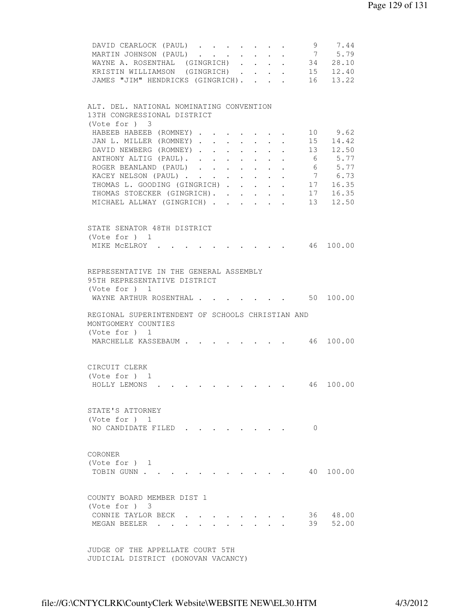| 9 7.44<br>DAVID CEARLOCK (PAUL)<br>$\mathcal{L}(\mathcal{A})$ , and $\mathcal{L}(\mathcal{A})$<br>7 5.79<br>MARTIN JOHNSON (PAUL)<br>$\mathbf{r} = \mathbf{r} + \mathbf{r}$ .<br>WAYNE A. ROSENTHAL (GINGRICH) 34 28.10<br>KRISTIN WILLIAMSON (GINGRICH) 15 12.40<br>JAMES "JIM" HENDRICKS (GINGRICH). 16 13.22 |
|-----------------------------------------------------------------------------------------------------------------------------------------------------------------------------------------------------------------------------------------------------------------------------------------------------------------|
| ALT. DEL. NATIONAL NOMINATING CONVENTION                                                                                                                                                                                                                                                                        |
| 13TH CONGRESSIONAL DISTRICT                                                                                                                                                                                                                                                                                     |
| (Vote for ) 3<br>10 9.62                                                                                                                                                                                                                                                                                        |
| HABEEB HABEEB (ROMNEY)<br>JAN L. MILLER (ROMNEY) 15 14.42                                                                                                                                                                                                                                                       |
| DAVID NEWBERG (ROMNEY) 13 12.50                                                                                                                                                                                                                                                                                 |
| ANTHONY ALTIG (PAUL). 6 5.77                                                                                                                                                                                                                                                                                    |
| 6 5.77<br>ROGER BEANLAND (PAUL)                                                                                                                                                                                                                                                                                 |
| 7 6.73<br>KACEY NELSON (PAUL)                                                                                                                                                                                                                                                                                   |
| THOMAS L. GOODING (GINGRICH)<br>17 16.35                                                                                                                                                                                                                                                                        |
| 16.35<br>THOMAS STOECKER (GINGRICH).<br>17                                                                                                                                                                                                                                                                      |
| $13 \t 12.50$<br>MICHAEL ALLWAY (GINGRICH)<br>$\mathbf{r} = \mathbf{r}$                                                                                                                                                                                                                                         |
|                                                                                                                                                                                                                                                                                                                 |
|                                                                                                                                                                                                                                                                                                                 |
| STATE SENATOR 48TH DISTRICT                                                                                                                                                                                                                                                                                     |
| (Vote for ) 1                                                                                                                                                                                                                                                                                                   |
| $\cdot \cdot \cdot \cdot$ 46 100.00<br>MIKE MCELROY .                                                                                                                                                                                                                                                           |
|                                                                                                                                                                                                                                                                                                                 |
| REPRESENTATIVE IN THE GENERAL ASSEMBLY                                                                                                                                                                                                                                                                          |
| 95TH REPRESENTATIVE DISTRICT                                                                                                                                                                                                                                                                                    |
| (Vote for ) 1                                                                                                                                                                                                                                                                                                   |
| $\cdot$ $\cdot$ $\cdot$ $\cdot$ 50 100.00<br>WAYNE ARTHUR ROSENTHAL                                                                                                                                                                                                                                             |
|                                                                                                                                                                                                                                                                                                                 |
| REGIONAL SUPERINTENDENT OF SCHOOLS CHRISTIAN AND<br>MONTGOMERY COUNTIES                                                                                                                                                                                                                                         |
| (Vote for ) 1                                                                                                                                                                                                                                                                                                   |
| MARCHELLE KASSEBAUM<br>$\cdot \cdot \cdot \cdot$ 46 100.00                                                                                                                                                                                                                                                      |
|                                                                                                                                                                                                                                                                                                                 |
|                                                                                                                                                                                                                                                                                                                 |
| CIRCUIT CLERK                                                                                                                                                                                                                                                                                                   |
| (Vote for ) 1                                                                                                                                                                                                                                                                                                   |
| HOLLY LEMONS<br>46 100.00                                                                                                                                                                                                                                                                                       |
|                                                                                                                                                                                                                                                                                                                 |
| STATE'S ATTORNEY                                                                                                                                                                                                                                                                                                |
| (Vote for $)$ 1                                                                                                                                                                                                                                                                                                 |
| NO CANDIDATE FILED<br>$\Omega$                                                                                                                                                                                                                                                                                  |
|                                                                                                                                                                                                                                                                                                                 |
|                                                                                                                                                                                                                                                                                                                 |
| CORONER                                                                                                                                                                                                                                                                                                         |
| (Note for ) 1                                                                                                                                                                                                                                                                                                   |
| TOBIN GUNN.<br>40<br>100.00                                                                                                                                                                                                                                                                                     |
|                                                                                                                                                                                                                                                                                                                 |
|                                                                                                                                                                                                                                                                                                                 |
| COUNTY BOARD MEMBER DIST 1                                                                                                                                                                                                                                                                                      |
| (Note for ) 3                                                                                                                                                                                                                                                                                                   |
| 36 —<br>48.00<br>CONNIE TAYLOR BECK                                                                                                                                                                                                                                                                             |
| 52.00<br>MEGAN BEELER<br>39                                                                                                                                                                                                                                                                                     |
|                                                                                                                                                                                                                                                                                                                 |
|                                                                                                                                                                                                                                                                                                                 |
| JUDGE OF THE APPELLATE COURT 5TH                                                                                                                                                                                                                                                                                |

JUDICIAL DISTRICT (DONOVAN VACANCY)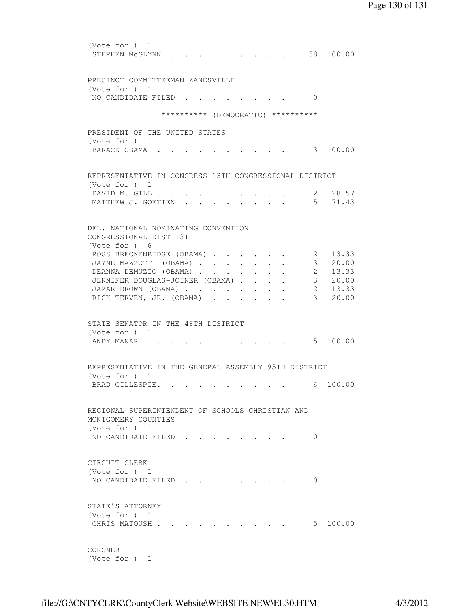(Vote for ) 1 STEPHEN McGLYNN . . . . . . . . . 38 100.00 PRECINCT COMMITTEEMAN ZANESVILLE (Vote for ) 1 NO CANDIDATE FILED . . . . . . . . 0 \*\*\*\*\*\*\*\*\*\* (DEMOCRATIC) \*\*\*\*\*\*\*\*\*\* PRESIDENT OF THE UNITED STATES (Vote for ) 1 BARACK OBAMA . . . . . . . . . . 3 100.00 REPRESENTATIVE IN CONGRESS 13TH CONGRESSIONAL DISTRICT (Vote for ) 1 DAVID M. GILL . . . . . . . . . . . 2 28.57<br>MATTHEW J. GOETTEN . . . . . . . . 5 71.43 MATTHEW J. GOETTEN . . . . . . . . DEL. NATIONAL NOMINATING CONVENTION CONGRESSIONAL DIST 13TH (Vote for ) 6 ROSS BRECKENRIDGE (OBAMA) . . . . . 2 13.33 JAYNE MAZZOTTI (OBAMA) . . . . . . . 3 20.00 DEANNA DEMUZIO (OBAMA) . . . . . . 2 13.33 JENNIFER DOUGLAS-JOINER (OBAMA) . . . . 3 20.00 JAMAR BROWN (OBAMA) . . . . . . . . 2 13.33 RICK TERVEN, JR. (OBAMA) . . . . . . 3 20.00 STATE SENATOR IN THE 48TH DISTRICT (Vote for ) 1 ANDY MANAR . . . . . . . . . . . . 5 100.00 REPRESENTATIVE IN THE GENERAL ASSEMBLY 95TH DISTRICT (Vote for ) 1 BRAD GILLESPIE. . . . . . . . . . 6 100.00 REGIONAL SUPERINTENDENT OF SCHOOLS CHRISTIAN AND MONTGOMERY COUNTIES (Vote for ) 1 NO CANDIDATE FILED . . . . . . . . 0 CIRCUIT CLERK (Vote for ) 1 NO CANDIDATE FILED . . . . . . . . 0 STATE'S ATTORNEY (Vote for ) 1 CHRIS MATOUSH . . . . . . . . . . . 5 100.00 CORONER

(Vote for ) 1